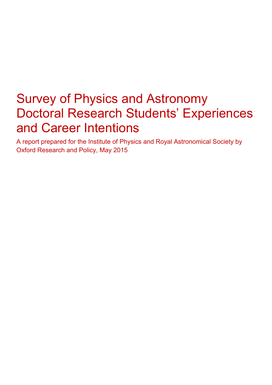# Survey of Physics and Astronomy Doctoral Research Students' Experiences and Career Intentions

A report prepared for the Institute of Physics and Royal Astronomical Society by Oxford Research and Policy, May 2015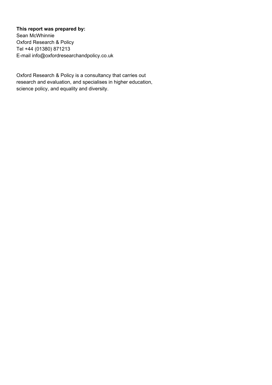# **This report was prepared by:**

Sean McWhinnie Oxford Research & Policy Tel +44 (01380) 871213 E-mail info@oxfordresearchandpolicy.co.uk

Oxford Research & Policy is a consultancy that carries out research and evaluation, and specialises in higher education, science policy, and equality and diversity.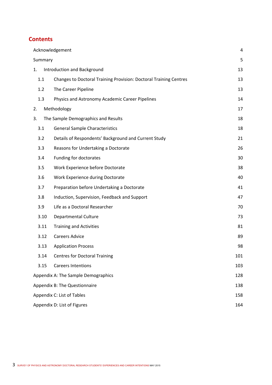# **Contents**

|         | Acknowledgement                                                   | 4   |
|---------|-------------------------------------------------------------------|-----|
| Summary |                                                                   | 5   |
| 1.      | Introduction and Background                                       | 13  |
| 1.1     | Changes to Doctoral Training Provision: Doctoral Training Centres | 13  |
| 1.2     | The Career Pipeline                                               | 13  |
| 1.3     | Physics and Astronomy Academic Career Pipelines                   | 14  |
| 2.      | Methodology                                                       | 17  |
| 3.      | The Sample Demographics and Results                               | 18  |
| 3.1     | <b>General Sample Characteristics</b>                             | 18  |
| 3.2     | Details of Respondents' Background and Current Study              | 21  |
| 3.3     | Reasons for Undertaking a Doctorate                               | 26  |
| 3.4     | Funding for doctorates                                            | 30  |
| 3.5     | Work Experience before Doctorate                                  | 38  |
| 3.6     | Work Experience during Doctorate                                  | 40  |
| 3.7     | Preparation before Undertaking a Doctorate                        | 41  |
| 3.8     | Induction, Supervision, Feedback and Support                      | 47  |
| 3.9     | Life as a Doctoral Researcher                                     | 70  |
| 3.10    | <b>Departmental Culture</b>                                       | 73  |
| 3.11    | <b>Training and Activities</b>                                    | 81  |
| 3.12    | <b>Careers Advice</b>                                             | 89  |
| 3.13    | <b>Application Process</b>                                        | 98  |
| 3.14    | <b>Centres for Doctoral Training</b>                              | 101 |
| 3.15    | <b>Careers Intentions</b>                                         | 103 |
|         | Appendix A: The Sample Demographics                               | 128 |
|         | Appendix B: The Questionnaire                                     | 138 |
|         | Appendix C: List of Tables                                        | 158 |
|         | Appendix D: List of Figures                                       | 164 |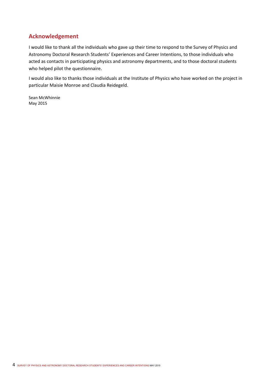# **Acknowledgement**

I would like to thank all the individuals who gave up their time to respond to the Survey of Physics and Astronomy Doctoral Research Students' Experiences and Career Intentions, to those individuals who acted as contacts in participating physics and astronomy departments, and to those doctoral students who helped pilot the questionnaire.

I would also like to thanks those individuals at the Institute of Physics who have worked on the project in particular Maisie Monroe and Claudia Reidegeld.

Sean McWhinnie May 2015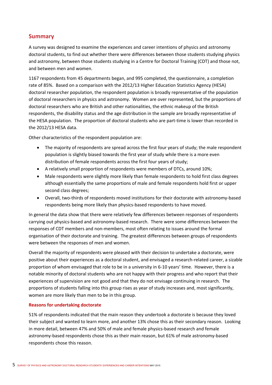## **Summary**

A survey was designed to examine the experiences and career intentions of physics and astronomy doctoral students, to find out whether there were differences between those students studying physics and astronomy, between those students studying in a Centre for Doctoral Training (CDT) and those not, and between men and women.

1167 respondents from 45 departments began, and 995 completed, the questionnaire, a completion rate of 85%. Based on a comparison with the 2012/13 Higher Education Statistics Agency (HESA) doctoral researcher population, the respondent population is broadly representative of the population of doctoral researchers in physics and astronomy. Women are over represented, but the proportions of doctoral researchers who are British and other nationalities, the ethnic makeup of the British respondents, the disability status and the age distribution in the sample are broadly representative of the HESA population. The proportion of doctoral students who are part‐time is lower than recorded in the 2012/13 HESA data.

Other characteristics of the respondent population are:

- The majority of respondents are spread across the first four years of study; the male respondent population is slightly biased towards the first year of study while there is a more even distribution of female respondents across the first four years of study;
- A relatively small proportion of respondents were members of DTCs, around 10%;
- Male respondents were slightly more likely than female respondents to hold first class degrees although essentially the same proportions of male and female respondents hold first or upper second class degrees;
- Overall, two-thirds of respondents moved institutions for their doctorate with astronomy-based respondents being more likely than physics-based respondents to have moved.

In general the data show that there were relatively few differences between responses of respondents carrying out physics‐based and astronomy‐based research. There were some differences between the responses of CDT members and non‐members, most often relating to issues around the formal organisation of their doctorate and training. The greatest differences between groups of respondents were between the responses of men and women.

Overall the majority of respondents were pleased with their decision to undertake a doctorate, were positive about their experiences as a doctoral student, and envisaged a research‐related career, a sizable proportion of whom envisaged that role to be in a university in 6‐10 years' time. However, there is a notable minority of doctoral students who are not happy with their progress and who report that their experiences of supervision are not good and that they do not envisage continuing in research. The proportions of students falling into this group rises as year of study increases and, most significantly, women are more likely than men to be in this group.

### **Reasons for undertaking doctorate**

51% of respondents indicated that the main reason they undertook a doctorate is because they loved their subject and wanted to learn more, and another 13% chose this as their secondary reason. Looking in more detail, between 47% and 50% of male and female physics-based research and female astronomy‐based respondents chose this as their main reason, but 61% of male astronomy‐based respondents chose this reason.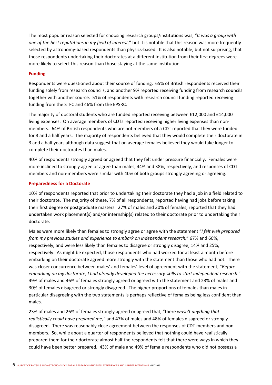The most popular reason selected for choosing research groups/institutions was, "*It was a group with one of the best reputations in my field of interest,*" but it is notable that this reason was more frequently selected by astronomy-based respondents than physics-based. It is also notable, but not surprising, that those respondents undertaking their doctorates at a different institution from their first degrees were more likely to select this reason than those staying at the same institution.

## **Funding**

Respondents were questioned about their source of funding. 65% of British respondents received their funding solely from research councils, and another 9% reported receiving funding from research councils together with another source. 51% of respondents with research council funding reported receiving funding from the STFC and 46% from the EPSRC.

The majority of doctoral students who are funded reported receiving between £12,000 and £14,000 living expenses. On average members of CDTs reported receiving higher living expenses than non‐ members. 64% of British respondents who are not members of a CDT reported that they were funded for 3 and a half years. The majority of respondents believed that they would complete their doctorate in 3 and a half years although data suggest that on average females believed they would take longer to complete their doctorates than males.

40% of respondents strongly agreed or agreed that they felt under pressure financially. Females were more inclined to strongly agree or agree than males, 44% and 38%, respectively, and responses of CDT members and non-members were similar with 40% of both groups strongly agreeing or agreeing.

## **Preparedness for a Doctorate**

10% of respondents reported that prior to undertaking their doctorate they had a job in a field related to their doctorate. The majority of these, 7% of all respondents, reported having had jobs before taking their first degree or postgraduate masters. 27% of males and 30% of females, reported that they had undertaken work placement(s) and/or internship(s) related to their doctorate prior to undertaking their doctorate.

Males were more likely than females to strongly agree or agree with the statement "*I felt well prepared from my previous studies and experience to embark on independent research,*" 67% and 60%, respectively, and were less likely than females to disagree or strongly disagree, 14% and 25%, respectively. As might be expected, those respondents who had worked for at least a month before embarking on their doctorate agreed more strongly with the statement than those who had not. There was closer concurrence between males' and females' level of agreement with the statement, "*Before embarking on my doctorate, I had already developed the necessary skills to start independent research.*" 49% of males and 46% of females strongly agreed or agreed with the statement and 23% of males and 30% of females disagreed or strongly disagreed. The higher proportions of females than males in particular disagreeing with the two statements is perhaps reflective of females being less confident than males.

23% of males and 26% of females strongly agreed or agreed that, "there *wasn't anything that realistically could have prepared me,"* and 47% of males and 48% of females disagreed or strongly disagreed. There was reasonably close agreement between the responses of CDT members and non‐ members. So, while about a quarter of respondents believed that nothing could have realistically prepared them for their doctorate almost half the respondents felt that there were ways in which they could have been better prepared. 43% of male and 49% of female respondents who did not possess a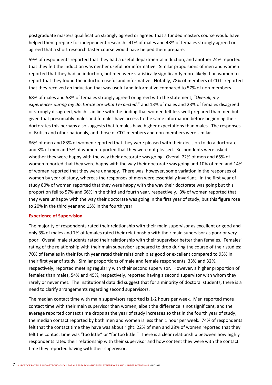postgraduate masters qualification strongly agreed or agreed that a funded masters course would have helped them prepare for independent research. 41% of males and 48% of females strongly agreed or agreed that a short research taster course would have helped them prepare.

59% of respondents reported that they had a useful departmental induction, and another 24% reported that they felt the induction was neither useful nor informative. Similar proportions of men and women reported that they had an induction, but men were statistically significantly more likely than women to report that they found the induction useful and informative. Notably, 78% of members of CDTs reported that they received an induction that was useful and informative compared to 57% of non-members.

68% of males and 58% of females strongly agreed or agreed with the statement, "*Overall, my experiences during my doctorate are what I expected*," and 13% of males and 23% of females disagreed or strongly disagreed, which is in line with the finding that women felt less well prepared than men but given that presumably males and females have access to the same information before beginning their doctorates this perhaps also suggests that females have higher expectations than males. The responses of British and other nationals, and those of CDT members and non‐members were similar.

86% of men and 83% of women reported that they were pleased with their decision to do a doctorate and 3% of men and 5% of women reported that they were not pleased. Respondents were asked whether they were happy with the way their doctorate was going. Overall 72% of men and 65% of women reported that they were happy with the way their doctorate was going and 10% of men and 14% of women reported that they were unhappy. There was, however, some variation in the responses of women by year of study, whereas the responses of men were essentially invariant. In the first year of study 80% of women reported that they were happy with the way their doctorate was going but this proportion fell to 57% and 66% in the third and fourth year, respectively. 3% of women reported that they were unhappy with the way their doctorate was going in the first year of study, but this figure rose to 20% in the third year and 15% in the fourth year.

### **Experience of Supervision**

The majority of respondents rated their relationship with their main supervisor as excellent or good and only 3% of males and 7% of females rated their relationship with their main supervisor as poor or very poor. Overall male students rated their relationship with their supervisor better than females. Females' rating of the relationship with their main supervisor appeared to drop during the course of their studies: 70% of females in their fourth year rated their relationship as good or excellent compared to 93% in their first year of study. Similar proportions of male and female respondents, 33% and 32%, respectively, reported meeting regularly with their second supervisor. However, a higher proportion of females than males, 54% and 45%, respectively, reported having a second supervisor with whom they rarely or never met. The institutional data did suggest that for a minority of doctoral students, there is a need to clarify arrangements regarding second supervisors.

The median contact time with main supervisors reported is 1‐2 hours per week. Men reported more contact time with their main supervisor than women, albeit the difference is not significant, and the average reported contact time drops as the year of study increases so that in the fourth year of study, the median contact reported by both men and women is less than 1 hour per week. 74% of respondents felt that the contact time they have was about right: 22% of men and 28% of women reported that they felt the contact time was "too little" or "far too little." There is a clear relationship between how highly respondents rated their relationship with their supervisor and how content they were with the contact time they reported having with their supervisor.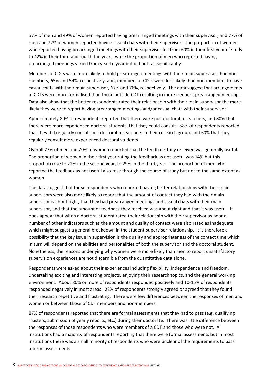57% of men and 49% of women reported having prearranged meetings with their supervisor, and 77% of men and 72% of women reported having casual chats with their supervisor. The proportion of women who reported having prearranged meetings with their supervisor fell from 60% in their first year of study to 42% in their third and fourth the years, while the proportion of men who reported having prearranged meetings varied from year to year but did not fall significantly.

Members of CDTs were more likely to hold prearranged meetings with their main supervisor than non‐ members, 65% and 54%, respectively, and, members of CDTs were less likely than non-members to have casual chats with their main supervisor, 67% and 76%, respectively. The data suggest that arrangements in CDTs were more formalised than those outside CDT resulting in more frequent prearranged meetings. Data also show that the better respondents rated their relationship with their main supervisor the more likely they were to report having prearranged meetings and/or casual chats with their supervisor.

Approximately 80% of respondents reported that there were postdoctoral researchers, and 80% that there were more experienced doctoral students, that they could consult. 58% of respondents reported that they did regularly consult postdoctoral researchers in their research group, and 60% that they regularly consult more experienced doctoral students.

Overall 77% of men and 70% of women reported that the feedback they received was generally useful. The proportion of women in their first year rating the feedback as not useful was 14% but this proportion rose to 22% in the second year, to 29% in the third year. The proportion of men who reported the feedback as not useful also rose through the course of study but not to the same extent as women.

The data suggest that those respondents who reported having better relationships with their main supervisors were also more likely to report that the amount of contact they had with their main supervisor is about right, that they had prearranged meetings and casual chats with their main supervisor, and that the amount of feedback they received was about right and that it was useful. It does appear that when a doctoral student rated their relationship with their supervisor as poor a number of other indicators such as the amount and quality of contact were also rated as inadequate which might suggest a general breakdown in the student-supervisor relationship. It is therefore a possibility that the key issue in supervision is the quality and appropriateness of the contact time which in turn will depend on the abilities and personalities of both the supervisor and the doctoral student. Nonetheless, the reasons underlying why women were more likely than men to report unsatisfactory supervision experiences are not discernible from the quantitative data alone.

Respondents were asked about their experiences including flexibility, independence and freedom, undertaking exciting and interesting projects, enjoying their research topics, and the general working environment. About 80% or more of respondents responded positively and 10‐15% of respondents responded negatively in most areas. 22% of respondents strongly agreed or agreed that they found their research repetitive and frustrating. There were few differences between the responses of men and women or between those of CDT members and non-members.

87% of respondents reported that there are formal assessments that they had to pass (e.g. qualifying masters, submission of yearly reports, etc.) during their doctorate. There was little difference between the responses of those respondents who were members of a CDT and those who were not. All institutions had a majority of respondents reporting that there were formal assessments but in most institutions there was a small minority of respondents who were unclear of the requirements to pass interim assessments.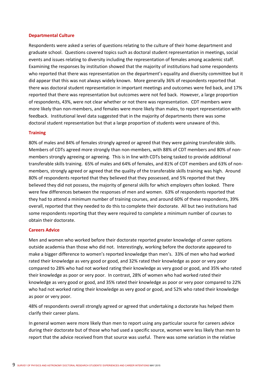#### **Departmental Culture**

Respondents were asked a series of questions relating to the culture of their home department and graduate school. Questions covered topics such as doctoral student representation in meetings, social events and issues relating to diversity including the representation of females among academic staff. Examining the responses by institution showed that the majority of institutions had some respondents who reported that there was representation on the department's equality and diversity committee but it did appear that this was not always widely known. More generally 36% of respondents reported that there was doctoral student representation in important meetings and outcomes were fed back, and 17% reported that there was representation but outcomes were not fed back. However, a large proportion of respondents, 43%, were not clear whether or not there was representation. CDT members were more likely than non-members, and females were more likely than males, to report representation with feedback. Institutional level data suggested that in the majority of departments there was some doctoral student representation but that a large proportion of students were unaware of this.

#### **Training**

80% of males and 84% of females strongly agreed or agreed that they were gaining transferable skills. Members of CDTs agreed more strongly than non-members, with 88% of CDT members and 80% of nonmembers strongly agreeing or agreeing. This is in line with CDTs being tasked to provide additional transferable skills training. 65% of males and 64% of females, and 81% of CDT members and 63% of non‐ members, strongly agreed or agreed that the quality of the transferable skills training was high. Around 80% of respondents reported that they believed that they possessed, and 5% reported that they believed they did not possess, the majority of general skills for which employers often looked. There were few differences between the responses of men and women. 63% of respondents reported that they had to attend a minimum number of training courses, and around 60% of these respondents, 39% overall, reported that they needed to do this to complete their doctorate. All but two institutions had some respondents reporting that they were required to complete a minimum number of courses to obtain their doctorate.

#### **Careers Advice**

Men and women who worked before their doctorate reported greater knowledge of career options outside academia than those who did not. Interestingly, working before the doctorate appeared to make a bigger difference to women's reported knowledge than men's. 33% of men who had worked rated their knowledge as very good or good, and 32% rated their knowledge as poor or very poor compared to 28% who had not worked rating their knowledge as very good or good, and 35% who rated their knowledge as poor or very poor. In contrast, 28% of women who had worked rated their knowledge as very good or good, and 35% rated their knowledge as poor or very poor compared to 22% who had not worked rating their knowledge as very good or good, and 52% who rated their knowledge as poor or very poor.

48% of respondents overall strongly agreed or agreed that undertaking a doctorate has helped them clarify their career plans.

In general women were more likely than men to report using any particular source for careers advice during their doctorate but of those who had used a specific source, women were less likely than men to report that the advice received from that source was useful. There was some variation in the relative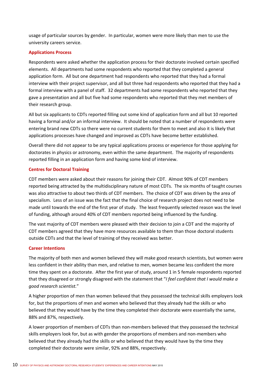usage of particular sources by gender. In particular, women were more likely than men to use the university careers service.

## **Applications Process**

Respondents were asked whether the application process for their doctorate involved certain specified elements. All departments had some respondents who reported that they completed a general application form. All but one department had respondents who reported that they had a formal interview with their project supervisor, and all but three had respondents who reported that they had a formal interview with a panel of staff. 32 departments had some respondents who reported that they gave a presentation and all but five had some respondents who reported that they met members of their research group.

All but six applicants to CDTs reported filling out some kind of application form and all but 10 reported having a formal and/or an informal interview. It should be noted that a number of respondents were entering brand new CDTs so there were no current students for them to meet and also it is likely that applications processes have changed and improved as CDTs have become better established.

Overall there did not appear to be any typical applications process or experience for those applying for doctorates in physics or astronomy, even within the same department. The majority of respondents reported filling in an application form and having some kind of interview.

## **Centres for Doctoral Training**

CDT members were asked about their reasons for joining their CDT. Almost 90% of CDT members reported being attracted by the multidisciplinary nature of most CDTs. The six months of taught courses was also attractive to about two thirds of CDT members. The choice of CDT was driven by the area of specialism. Less of an issue was the fact that the final choice of research project does not need to be made until towards the end of the first year of study. The least frequently selected reason was the level of funding, although around 40% of CDT members reported being influenced by the funding.

The vast majority of CDT members were pleased with their decision to join a CDT and the majority of CDT members agreed that they have more resources available to them than those doctoral students outside CDTs and that the level of training of they received was better.

### **Career Intentions**

The majority of both men and women believed they will make good research scientists, but women were less confident in their ability than men, and relative to men, women became less confident the more time they spent on a doctorate. After the first year of study, around 1 in 5 female respondents reported that they disagreed or strongly disagreed with the statement that "*I feel confident that I would make a good research scientist.*"

A higher proportion of men than women believed that they possessed the technical skills employers look for, but the proportions of men and women who believed that they already had the skills or who believed that they would have by the time they completed their doctorate were essentially the same, 88% and 87%, respectively.

A lower proportion of members of CDTs than non‐members believed that they possessed the technical skills employers look for, but as with gender the proportions of members and non‐members who believed that they already had the skills or who believed that they would have by the time they completed their doctorate were similar, 92% and 88%, respectively.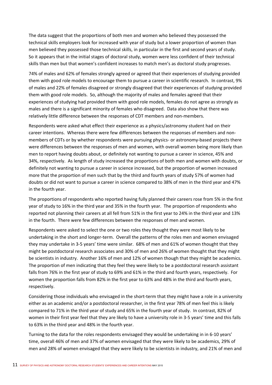The data suggest that the proportions of both men and women who believed they possessed the technical skills employers look for increased with year of study but a lower proportion of women than men believed they possessed those technical skills, in particular in the first and second years of study. So it appears that in the initial stages of doctoral study, women were less confident of their technical skills than men but that women's confident increases to match men's as doctoral study progresses.

74% of males and 62% of females strongly agreed or agreed that their experiences of studying provided them with good role models to encourage them to pursue a career in scientific research. In contrast, 9% of males and 22% of females disagreed or strongly disagreed that their experiences of studying provided them with good role models. So, although the majority of males and females agreed that their experiences of studying had provided them with good role models, females do not agree as strongly as males and there is a significant minority of females who disagreed. Data also show that there was relatively little difference between the responses of CDT members and non‐members.

Respondents were asked what effect their experience as a physics/astronomy student had on their career intentions. Whereas there were few differences between the responses of members and non‐ members of CDTs or by whether respondents were pursuing physics- or astronomy-based projects there were differences between the responses of men and women, with overall women being more likely than men to report having doubts about, or definitely not wanting to pursue a career in science, 45% and 34%, respectively. As length of study increased the proportions of both men and women with doubts, or definitely not wanting to pursue a career in science increased, but the proportion of women increased more that the proportion of men such that by the third and fourth years of study 57% of women had doubts or did not want to pursue a career in science compared to 38% of men in the third year and 47% in the fourth year.

The proportions of respondents who reported having fully planned their careers rose from 5% in the first year of study to 16% in the third year and 35% in the fourth year. The proportion of respondents who reported not planning their careers at all fell from 51% in the first year to 24% in the third year and 13% in the fourth. There were few differences between the responses of men and women.

Respondents were asked to select the one or two roles they thought they were most likely to be undertaking in the short and longer‐term. Overall the patterns of the roles men and women envisaged they may undertake in 3‐5 years' time were similar. 68% of men and 61% of women thought that they might be postdoctoral research associates and 30% of men and 26% of women thought that they might be scientists in industry. Another 16% of men and 12% of women though that they might be academics. The proportion of men indicating that they feel they were likely to be a postdoctoral research assistant falls from 76% in the first year of study to 69% and 61% in the third and fourth years, respectively. For women the proportion falls from 82% in the first year to 63% and 48% in the third and fourth years, respectively.

Considering those individuals who envisaged in the short-term that they might have a role in a university either as an academic and/or a postdoctoral researcher, in the first year 78% of men feel this is likely compared to 71% in the third year of study and 65% in the fourth year of study. In contrast, 82% of women in their first year feel that they are likely to have a university role in 3‐5 years' time and this falls to 63% in the third year and 48% in the fourth year.

Turning to the data for the roles respondents envisaged they would be undertaking in in 6‐10 years' time, overall 46% of men and 37% of women envisaged that they were likely to be academics, 29% of men and 28% of women envisaged that they were likely to be scientists in industry, and 21% of men and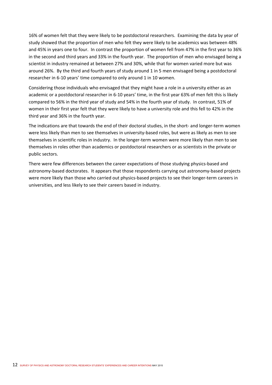16% of women felt that they were likely to be postdoctoral researchers. Examining the data by year of study showed that the proportion of men who felt they were likely to be academics was between 48% and 45% in years one to four. In contrast the proportion of women fell from 47% in the first year to 36% in the second and third years and 33% in the fourth year. The proportion of men who envisaged being a scientist in industry remained at between 27% and 30%, while that for women varied more but was around 26%. By the third and fourth years of study around 1 in 5 men envisaged being a postdoctoral researcher in 6‐10 years' time compared to only around 1 in 10 women.

Considering those individuals who envisaged that they might have a role in a university either as an academic or a postdoctoral researcher in 6‐10 years' time, in the first year 63% of men felt this is likely compared to 56% in the third year of study and 54% in the fourth year of study. In contrast, 51% of women in their first year felt that they were likely to have a university role and this fell to 42% in the third year and 36% in the fourth year.

The indications are that towards the end of their doctoral studies, in the short- and longer-term women were less likely than men to see themselves in university‐based roles, but were as likely as men to see themselves in scientific roles in industry. In the longer‐term women were more likely than men to see themselves in roles other than academics or postdoctoral researchers or as scientists in the private or public sectors.

There were few differences between the career expectations of those studying physics-based and astronomy‐based doctorates. It appears that those respondents carrying out astronomy‐based projects were more likely than those who carried out physics-based projects to see their longer-term careers in universities, and less likely to see their careers based in industry.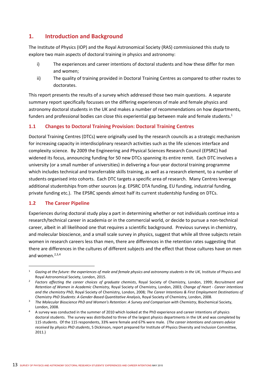# **1. Introduction and Background**

The Institute of Physics (IOP) and the Royal Astronomical Society (RAS) commissioned this study to explore two main aspects of doctoral training in physics and astronomy:

- i) The experiences and career intentions of doctoral students and how these differ for men and women;
- ii) The quality of training provided in Doctoral Training Centres as compared to other routes to doctorates.

This report presents the results of a survey which addressed those two main questions. A separate summary report specifically focusses on the differing experiences of male and female physics and astronomy doctoral students in the UK and makes a number of recommendations on how departments, funders and professional bodies can close this experiential gap between male and female students.<sup>1</sup>

## **1.1 Changes to Doctoral Training Provision: Doctoral Training Centres**

Doctoral Training Centres (DTCs) were originally used by the research councils as a strategic mechanism for increasing capacity in interdisciplinary research activities such as the life sciences interface and complexity science. By 2009 the Engineering and Physical Sciences Research Council (EPSRC) had widened its focus, announcing funding for 50 new DTCs spanning its entire remit. Each DTC involves a university (or a small number of universities) in delivering a four‐year doctoral training programme which includes technical and transferrable skills training, as well as a research element, to a number of students organised into cohorts. Each DTC targets a specific area of research. Many Centres leverage additional studentships from other sources (e.g. EPSRC DTA funding, EU funding, industrial funding, private funding etc.). The EPSRC spends almost half its current studentship funding on DTCs.

## **1.2 The Career Pipeline**

Experiences during doctoral study play a part in determining whether or not individuals continue into a research/technical career in academia or in the commercial world, or decide to pursue a non‐technical career, albeit in all likelihood one that requires a scientific background. Previous surveys in chemistry, and molecular bioscience, and a small scale survey in physics, suggest that while all three subjects retain women in research careers less than men, there are differences in the retention rates suggesting that there are differences in the cultures of different subjects and the effect that those cultures have on men and women. $2,3,4$ 

<sup>&</sup>lt;sup>1</sup> Gazing at the future: the experiences of male and female physics and astronomy students in the UK, Institute of Physics and Royal Astronomical Society, London, 2015.

<sup>2</sup> *Factors affecting the career choices of graduate chemists*, Royal Society of Chemistry, London, 1999; *Recruitment and Retention of Women in Academic Chemistry,* Royal Society of Chemistry, London, 2003*; Change of Heart ‐ Career intentions and the chemistry PhD,* Royal Society of Chemistry, London, 2008*; The Career Intentions & First Employment Destinations of Chemistry PhD Students: A Gender‐Based Quantitative Analysis*, Royal Society of Chemistry, London, 2008.

<sup>3</sup> *The Molecular Bioscience PhD and Women's Retention: A Survey and Comparison with Chemistry*, Biochemical Society, London, 2008.

<sup>&</sup>lt;sup>4</sup> A survey was conducted in the summer of 2010 which looked at the PhD experience and career intentions of physics doctoral students. The survey was distributed to three of the largest physics departments in the UK and was completed by 115 students. Of the 115 respondents, 33% were female and 67% were male. (*The career intentions and careers advice received by physics PhD students*, S Dickinson, report prepared for Institute of Physics Diversity and Inclusion Committee, 2011.)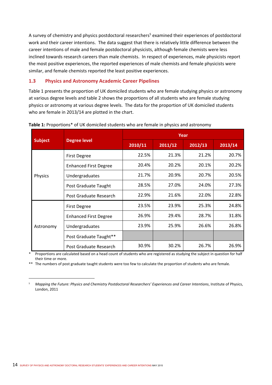A survey of chemistry and physics postdoctoral researchers<sup>5</sup> examined their experiences of postdoctoral work and their career intentions. The data suggest that there is relatively little difference between the career intentions of male and female postdoctoral physicists, although female chemists were less inclined towards research careers than male chemists. In respect of experiences, male physicists report the most positive experiences, the reported experiences of male chemists and female physicists were similar, and female chemists reported the least positive experiences.

## **1.3 Physics and Astronomy Academic Career Pipelines**

Table 1 presents the proportion of UK domiciled students who are female studying physics or astronomy at various degree levels and table 2 shows the proportions of all students who are female studying physics or astronomy at various degree levels. The data for the proportion of UK domiciled students who are female in 2013/14 are plotted in the chart.

|                |                              | Year    |         |         |         |  |  |  |  |
|----------------|------------------------------|---------|---------|---------|---------|--|--|--|--|
| <b>Subject</b> | <b>Degree level</b>          | 2010/11 | 2011/12 | 2012/13 | 2013/14 |  |  |  |  |
|                | <b>First Degree</b>          | 22.5%   | 21.3%   | 21.2%   | 20.7%   |  |  |  |  |
|                | <b>Enhanced First Degree</b> | 20.4%   | 20.2%   | 20.1%   | 20.2%   |  |  |  |  |
| Physics        | Undergraduates               | 21.7%   | 20.9%   | 20.7%   | 20.5%   |  |  |  |  |
|                | Post Graduate Taught         | 28.5%   | 27.0%   | 24.0%   | 27.3%   |  |  |  |  |
|                | Post Graduate Research       | 22.9%   | 21.6%   | 22.0%   | 22.8%   |  |  |  |  |
|                | First Degree                 | 23.5%   | 23.9%   | 25.3%   | 24.8%   |  |  |  |  |
|                | <b>Enhanced First Degree</b> | 26.9%   | 29.4%   | 28.7%   | 31.8%   |  |  |  |  |
| Astronomy      | Undergraduates               | 23.9%   | 25.9%   | 26.6%   | 26.8%   |  |  |  |  |
|                | Post Graduate Taught**       |         |         |         |         |  |  |  |  |
|                | Post Graduate Research       | 30.9%   | 30.2%   | 26.7%   | 26.9%   |  |  |  |  |

## Table 1: Proportions\* of UK domiciled students who are female in physics and astronomy

Proportions are calculated based on a head count of students who are registered as studying the subject in question for half their time or more.

\*\* The numbers of post graduate taught students were too few to calculate the proportion of students who are female.

5 *Mapping the Future: Physics and Chemistry Postdoctoral Researchers' Experiences and Career Intentions*, Institute of Physics, London, 2011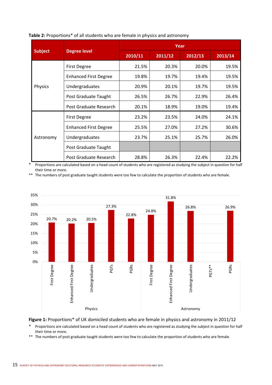|                |                              | Year    |         |         |         |  |  |  |  |
|----------------|------------------------------|---------|---------|---------|---------|--|--|--|--|
| <b>Subject</b> | <b>Degree level</b>          | 2010/11 | 2011/12 | 2012/13 | 2013/14 |  |  |  |  |
|                | <b>First Degree</b>          | 21.5%   | 20.3%   | 20.0%   | 19.5%   |  |  |  |  |
|                | <b>Enhanced First Degree</b> | 19.8%   | 19.7%   | 19.4%   | 19.5%   |  |  |  |  |
| Physics        | Undergraduates               | 20.9%   | 20.1%   | 19.7%   | 19.5%   |  |  |  |  |
|                | Post Graduate Taught         | 26.5%   | 26.7%   | 22.9%   | 26.4%   |  |  |  |  |
|                | Post Graduate Research       | 20.1%   | 18.9%   | 19.0%   | 19.4%   |  |  |  |  |
|                | <b>First Degree</b>          | 23.2%   | 23.5%   | 24.0%   | 24.1%   |  |  |  |  |
|                | <b>Enhanced First Degree</b> | 25.5%   | 27.0%   | 27.2%   | 30.6%   |  |  |  |  |
| Astronomy      | Undergraduates               | 23.7%   | 25.1%   | 25.7%   | 26.0%   |  |  |  |  |
|                | Post Graduate Taught         |         |         |         |         |  |  |  |  |
|                | Post Graduate Research       | 28.8%   | 26.3%   | 22.4%   | 22.2%   |  |  |  |  |

#### **Table 2:** Proportions\* of all students who are female in physics and astronomy

Proportions are calculated based on a head count of students who are registered as studying the subject in question for half their time or more.

\*\* The numbers of post graduate taught students were too few to calculate the proportion of students who are female.



Figure 1: Proportions\* of UK domiciled students who are female in physics and astronomy in 2011/12

Proportions are calculated based on a head count of students who are registered as studying the subject in question for half their time or more.

\*\* The numbers of post graduate taught students were too few to calculate the proportion of students who are female.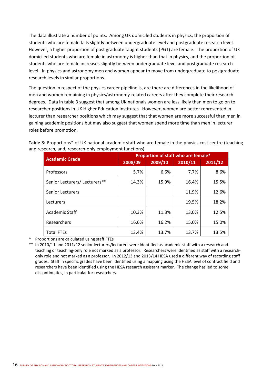The data illustrate a number of points. Among UK domiciled students in physics, the proportion of students who are female falls slightly between undergraduate level and postgraduate research level. However, a higher proportion of post graduate taught students (PGT) are female. The proportion of UK domiciled students who are female in astronomy is higher than that in physics, and the proportion of students who are female increases slightly between undergraduate level and postgraduate research level. In physics and astronomy men and women appear to move from undergraduate to postgraduate research levels in similar proportions.

The question in respect of the physics career pipeline is, are there are differences in the likelihood of men and women remaining in physics/astronomy-related careers after they complete their research degrees. Data in table 3 suggest that among UK nationals women are less likely than men to go on to researcher positions in UK Higher Education Institutes. However, women are better represented in lecturer than researcher positions which may suggest that that women are more successful than men in gaining academic positions but may also suggest that women spend more time than men in lecturer roles before promotion.

**Table 3:** Proportions\* of UK national academic staff who are female in the physics cost centre (teaching and research, and, research-only employment functions)

| <b>Academic Grade</b>         |         | Proportion of staff who are female* |         |         |  |  |  |  |  |
|-------------------------------|---------|-------------------------------------|---------|---------|--|--|--|--|--|
|                               | 2008/09 | 2009/10                             | 2010/11 | 2011/12 |  |  |  |  |  |
| Professors                    | 5.7%    | 6.6%                                | 7.7%    | 8.6%    |  |  |  |  |  |
| Senior Lecturers/ Lecturers** | 14.3%   | 15.9%                               | 16.4%   | 15.5%   |  |  |  |  |  |
| <b>Senior Lecturers</b>       |         |                                     | 11.9%   | 12.6%   |  |  |  |  |  |
| Lecturers                     |         |                                     | 19.5%   | 18.2%   |  |  |  |  |  |
| Academic Staff                | 10.3%   | 11.3%                               | 13.0%   | 12.5%   |  |  |  |  |  |
| Researchers                   | 16.6%   | 16.2%                               | 15.0%   | 15.0%   |  |  |  |  |  |
| <b>Total FTEs</b>             | 13.4%   | 13.7%                               | 13.7%   | 13.5%   |  |  |  |  |  |

\* Proportions are calculated using staff FTEs

\*\* In 2010/11 and 2011/12 senior lecturers/lecturers were identified as academic staff with a research and teaching or teaching‐only role not marked as a professor. Researchers were identified as staff with a research‐ only role and not marked as a professor. In 2012/13 and 2013/14 HESA used a different way of recording staff grades. Staff in specific grades have been identified using a mapping using the HESA level of contract field and researchers have been identified using the HESA research assistant marker. The change has led to some discontinuities, in particular for researchers.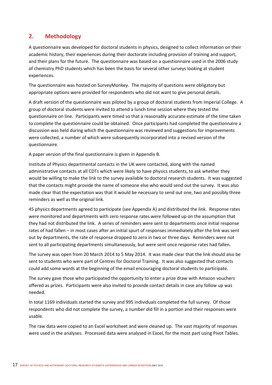# **2. Methodology**

A questionnaire was developed for doctoral students in physics, designed to collect information on their academic history, their experiences during their doctorate including provision of training and support, and their plans for the future. The questionnaire was based on a questionnaire used in the 2006 study of chemistry PhD students which has been the basis for several other surveys looking at student experiences.

The questionnaire was hosted on SurveyMonkey. The majority of questions were obligatory but appropriate options were provided for respondents who did not want to give personal details.

A draft version of the questionnaire was piloted by a group of doctoral students from Imperial College. A group of doctoral students were invited to attend a lunch time session where they tested the questionnaire on line. Participants were timed so that a reasonably accurate estimate of the time taken to complete the questionnaire could be obtained. Once participants had completed the questionnaire a discussion was held during which the questionnaire was reviewed and suggestions for improvements were collected, a number of which were subsequently incorporated into a revised version of the questionnaire.

A paper version of the final questionnaire is given in Appendix B.

Institute of Physics departmental contacts in the UK were contacted, along with the named administrative contacts at all CDTs which were likely to have physics students, to ask whether they would be willing to make the link to the survey available to doctoral research students. It was suggested that the contacts might provide the name of someone else who would send out the survey. It was also made clear that the expectation was that it would be necessary to send out one, two and possibly three reminders as well as the original link.

45 physics departments agreed to participate (see Appendix A) and distributed the link. Response rates were monitored and departments with zero response rates were followed up on the assumption that they had not distributed the link. A series of reminders were sent to departments once initial response rates of had fallen – in most cases after an initial spurt of responses immediately after the link was sent out by departments, the rate of response dropped to zero in two or three days. Reminders were not sent to all participating departments simultaneously, but were sent once response rates had fallen.

The survey was open from 20 March 2014 to 5 May 2014. It was made clear that the link should also be sent to students who were part of Centres for Doctoral Training. It was also suggested that contacts could add some words at the beginning of the email encouraging doctoral students to participate.

The survey gave those who participated the opportunity to enter a prize draw with Amazon vouchers offered as prizes. Participants were also invited to provide contact details in case any follow up was needed.

In total 1169 individuals started the survey and 995 individuals completed the full survey. Of those respondents who did not complete the survey, a number did fill in a portion and their responses were usable.

The raw data were copied to an Excel worksheet and were cleaned up. The vast majority of responses were used in the analyses. Processed data were analysed in Excel, for the most part using Pivot Tables.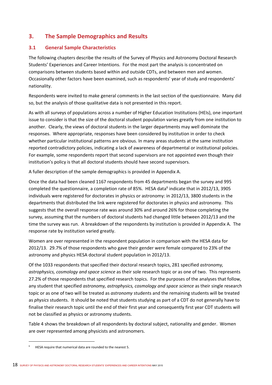# **3. The Sample Demographics and Results**

## **3.1 General Sample Characteristics**

The following chapters describe the results of the Survey of Physics and Astronomy Doctoral Research Students' Experiences and Career Intentions. For the most part the analysis is concentrated on comparisons between students based within and outside CDTs, and between men and women. Occasionally other factors have been examined, such as respondents' year of study and respondents' nationality.

Respondents were invited to make general comments in the last section of the questionnaire. Many did so, but the analysis of those qualitative data is not presented in this report.

As with all surveys of populations across a number of Higher Education Institutions (HEIs), one important issue to consider is that the size of the doctoral student population varies greatly from one institution to another. Clearly, the views of doctoral students in the larger departments may well dominate the responses. Where appropriate, responses have been considered by institution in order to check whether particular institutional patterns are obvious. In many areas students at the same institution reported contradictory policies, indicating a lack of awareness of departmental or institutional policies. For example, some respondents report that second supervisors are not appointed even though their institution's policy is that all doctoral students should have second supervisors.

A fuller description of the sample demographics is provided in Appendix A.

Once the data had been cleaned 1167 respondents from 45 departments began the survey and 995 completed the questionnaire, a completion rate of 85%. HESA data<sup>6</sup> indicate that in 2012/13, 3905 individuals were registered for doctorates in physics or astronomy: in 2012/13, 3800 students in the departments that distributed the link were registered for doctorates in physics and astronomy. This suggests that the overall response rate was around 30% and around 26% for those completing the survey, assuming that the numbers of doctoral students had changed little between 2012/13 and the time the survey was run. A breakdown of the respondents by institution is provided in Appendix A. The response rate by institution varied greatly.

Women are over represented in the respondent population in comparison with the HESA data for 2012/13. 29.7% of those respondents who gave their gender were female compared to 23% of the astronomy and physics HESA doctoral student population in 2012/13.

Of the 1033 respondents that specified their doctoral research topics, 281 specified *astronomy, astrophysics, cosmology and space science* as their sole research topic or as one of two. This represents 27.2% of those respondents that specified research topics. For the purposes of the analyses that follow, any student that specified *astronomy, astrophysics, cosmology and space science* as their single research topic or as one of two will be treated as *astronomy* students and the remaining students will be treated as *physics* students. It should be noted that students studying as part of a CDT do not generally have to finalise their research topic until the end of their first year and consequently first year CDT students will not be classified as physics or astronomy students.

Table 4 shows the breakdown of all respondents by doctoral subject, nationality and gender. Women are over represented among physicists and astronomers.

<sup>6</sup> HESA require that numerical data are rounded to the nearest 5.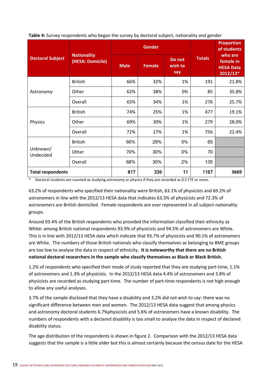|                          |                                        |             | <b>Gender</b> |                          | <b>Proportion</b><br>of students |                                                        |
|--------------------------|----------------------------------------|-------------|---------------|--------------------------|----------------------------------|--------------------------------------------------------|
| <b>Doctoral Subject</b>  | <b>Nationality</b><br>(HESA: Domicile) | <b>Male</b> | <b>Female</b> | Do not<br>wish to<br>say | <b>Totals</b>                    | who are<br>female in<br><b>HESA Data</b><br>$2012/13*$ |
|                          | <b>British</b>                         | 66%         | 32%           | 1%                       | 191                              | 21.8%                                                  |
| Astronomy                | Other                                  | 62%         | 38%           | 0%                       | 85                               | 35.8%                                                  |
|                          | Overall                                | 65%         | 34%           | 1%                       | 276                              | 25.7%                                                  |
|                          | <b>British</b>                         | 74%         | 25%           | 1%                       | 477                              | 19.1%                                                  |
| Physics                  | Other                                  | 69%         | 30%           | 1%                       | 279                              | 28.0%                                                  |
|                          | Overall                                | 72%         | 27%           | 1%                       | 756                              | 22.4%                                                  |
|                          | <b>British</b>                         | 66%         | 29%           | 5%                       | 65                               |                                                        |
| Unknown/<br>Undecided    | Other                                  | 70%         | 30%           | 0%                       | 70                               |                                                        |
|                          | Overall                                | 68%         | 30%           | 2%                       | 135                              |                                                        |
| <b>Total respondents</b> |                                        | 817         | 339           | 11                       | 1167                             | 3669                                                   |

**Table 4:** Survey respondents who began the survey by doctoral subject, nationality and gender

\* Doctoral students are counted as studying astronomy or physics if they are recorded as 0.5 FTE or more.

63.2% of respondents who specified their nationality were British, 63.1% of physicists and 69.2% of astronomers in line with the 2012/13 HESA data that indicates 63.3% of physicists and 72.3% of astronomers are British domiciled. Female respondents are over represented in all subject-nationality groups.

Around 93.4% of the British respondents who provided the information classified their ethnicity as White: among British national respondents 93.9% of physicists and 94.5% of astronomers are White. This is in line with 2012/13 HESA data which indicate that 93.7% of physicists and 90.1% of astronomers are White. The numbers of those British nationals who classify themselves as belonging to BME groups are too low to analyse the data in respect of ethnicity. **It is noteworthy that there are no British national doctoral researchers in the sample who classify themselves as Black or Black British.**

1.2% of respondents who specified their mode of study reported that they are studying part-time, 1.1% of astronomers and 1.3% of physicists. In the 2012/13 HESA data 4.4% of astronomers and 3.8% of physicists are recorded as studying part‐time. The number of part‐time respondents is not high enough to allow any useful analyses.

3.7% of the sample disclosed that they have a disability and 3.2% did not wish to say: there was no significant difference between men and women. The 2012/13 HESA data suggest that among physics and astronomy doctoral students 6.7%physicists and 5.6% of astronomers have a known disability. The numbers of respondents with a declared disability is too small to analyse the data in respect of declared disability status.

The age distribution of the respondents is shown in figure 2. Comparison with the 2012/13 HESA data suggests that the sample is a little older but this is almost certainly because the census date for the HESA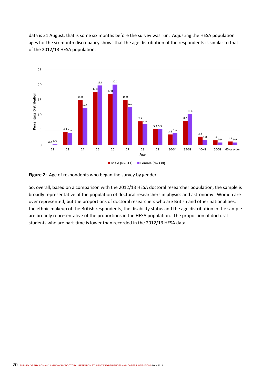data is 31 August, that is some six months before the survey was run. Adjusting the HESA population ages for the six month discrepancy shows that the age distribution of the respondents is similar to that of the 2012/13 HESA population.





So, overall, based on a comparison with the 2012/13 HESA doctoral researcher population, the sample is broadly representative of the population of doctoral researchers in physics and astronomy. Women are over represented, but the proportions of doctoral researchers who are British and other nationalities, the ethnic makeup of the British respondents, the disability status and the age distribution in the sample are broadly representative of the proportions in the HESA population. The proportion of doctoral students who are part-time is lower than recorded in the 2012/13 HESA data.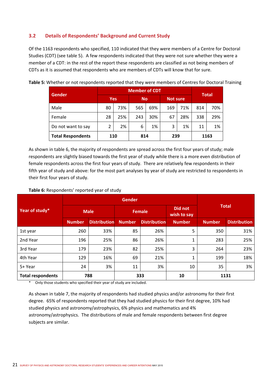## **3.2 Details of Respondents' Background and Current Study**

Of the 1163 respondents who specified, 110 indicated that they were members of a Centre for Doctoral Studies (CDT) (see table 5). A few respondents indicated that they were not sure whether they were a member of a CDT: in the rest of the report these respondents are classified as not being members of CDTs as it is assumed that respondents who are members of CDTs will know that for sure.

|                          |                |     | <b>Member of CDT</b> |     |                 |     |     |              |
|--------------------------|----------------|-----|----------------------|-----|-----------------|-----|-----|--------------|
| <b>Gender</b>            | <b>Yes</b>     |     | <b>No</b>            |     | <b>Not sure</b> |     |     | <b>Total</b> |
| Male                     | 80             | 73% | 565                  | 69% | 169             | 71% | 814 | 70%          |
| Female                   | 28             | 25% | 243                  | 30% | 67              | 28% | 338 | 29%          |
| Do not want to say       | $\overline{2}$ | 2%  | 6                    | 1%  | 3               | 1%  | 11  | 1%           |
| <b>Total Respondents</b> | 110            |     | 814                  |     | 239             |     |     | 1163         |

**Table 5:** Whether or not respondents reported that they were members of Centres for Doctoral Training

As shown in table 6, the majority of respondents are spread across the first four years of study; male respondents are slightly biased towards the first year of study while there is a more even distribution of female respondents across the first four years of study. There are relatively few respondents in their fifth year of study and above: for the most part analyses by year of study are restricted to respondents in their first four years of study.

#### **Table 6:** Respondents' reported year of study

| Year of study*           |                                                                              | <b>Male</b> |               | <b>Female</b> | Did not<br>wish to say | <b>Total</b> |      |
|--------------------------|------------------------------------------------------------------------------|-------------|---------------|---------------|------------------------|--------------|------|
|                          | <b>Distribution</b><br><b>Number</b><br><b>Distribution</b><br><b>Number</b> |             | <b>Number</b> | <b>Number</b> | <b>Distribution</b>    |              |      |
| 1st year                 | 260                                                                          | 33%         | 85            | 26%           | 5                      | 350          | 31%  |
| 2nd Year                 | 196                                                                          | 25%         | 86            | 26%           | 1                      | 283          | 25%  |
| 3rd Year                 | 179                                                                          | 23%         | 82            | 25%           | 3                      | 264          | 23%  |
| 4th Year                 | 129                                                                          | 16%         | 69            | 21%           | 1                      | 199          | 18%  |
| 5+ Year                  | 24                                                                           | 3%          | 11            | 3%            | 10                     | 35           | 3%   |
| <b>Total respondents</b> |                                                                              | 788         | 333           |               | 10                     |              | 1131 |

\* Only those students who specified their year of study are included.

As shown in table 7, the majority of respondents had studied physics and/or astronomy for their first degree. 65% of respondents reported that they had studied physics for their first degree, 10% had studied physics and astronomy/astrophysics, 6% physics and mathematics and 4% astronomy/astrophysics. The distributions of male and female respondents between first degree subjects are similar.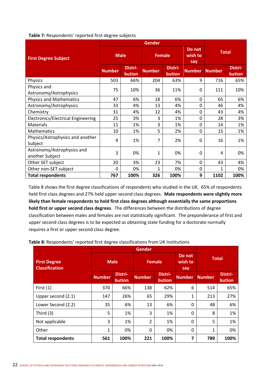| Table 7: Respondents' reported first degree subjects |  |  |
|------------------------------------------------------|--|--|
|------------------------------------------------------|--|--|

| <b>First Degree Subject</b>                   | <b>Male</b>   |                   | <b>Female</b> |                   | Do not<br>wish to<br>say | <b>Total</b>  |                   |
|-----------------------------------------------|---------------|-------------------|---------------|-------------------|--------------------------|---------------|-------------------|
|                                               | <b>Number</b> | Distri-<br>bution | <b>Number</b> | Distri-<br>bution | <b>Number</b>            | <b>Number</b> | Distri-<br>bution |
| Physics                                       | 503           | 66%               | 204           | 63%               | 9                        | 716           | 65%               |
| Physics and<br>Astronomy/Astrophysics         | 75            | 10%               | 36            | 11%               | $\Omega$                 | 111           | 10%               |
| <b>Physics and Mathematics</b>                | 47            | 6%                | 18            | 6%                | 0                        | 65            | 6%                |
| Astronomy/Astrophysics                        | 33            | 4%                | 13            | 4%                | 0                        | 46            | 4%                |
| Chemistry                                     | 31            | 4%                | 12            | 4%                | 0                        | 43            | 4%                |
| <b>Electronics/Electrical Engineering</b>     | 25            | 3%                | 3             | 1%                | 0                        | 28            | 3%                |
| <b>Materials</b>                              | 11            | 1%                | 3             | 1%                | 0                        | 14            | 1%                |
| <b>Mathematics</b>                            | 10            | 1%                | 5             | 2%                | 0                        | 15            | 1%                |
| Physics/Astrophysics and another<br>Subject   | 9             | 1%                | 7             | 2%                | 0                        | 16            | 1%                |
| Astronomy/Astrophysics and<br>another Subject | 3             | 0%                | 1             | 0%                | 0                        | 4             | 0%                |
| Other SET subject                             | 20            | 3%                | 23            | 7%                | $\Omega$                 | 43            | 4%                |
| Other non-SET subject                         | $\mathbf{0}$  | 0%                | 1             | 0%                | 0                        | 1             | 0%                |
| <b>Total respondents</b>                      | 767           | 100%              | 326           | 100%              | 9                        | 1102          | 100%              |

Table 8 shows the first degree classifications of respondents who studied in the UK. 65% of respondents held first class degrees and 27% held upper second class degrees. **Male respondents were slightly more likely than female respondents to hold first class degrees although essentially the same proportions hold first or upper second class degrees**. The differences between the distributions of degree classification between males and females are not statistically significant. The preponderance of first and upper second class degrees is to be expected as obtaining state funding for a doctorate normally requires a first or upper second class degree.

**Table 8:** Respondents' reported first degree classifications from UK Institutions

| <b>First Degree</b><br><b>Classification</b> | <b>Male</b>   |                   | <b>Female</b>  |                   | Do not<br>wish to<br>say | <b>Total</b>  |                   |
|----------------------------------------------|---------------|-------------------|----------------|-------------------|--------------------------|---------------|-------------------|
|                                              | <b>Number</b> | Distri-<br>bution | <b>Number</b>  | Distri-<br>bution | <b>Number</b>            | <b>Number</b> | Distri-<br>bution |
| First $(1)$                                  | 370           | 66%               | 138            | 62%               | 6                        | 514           | 65%               |
| Upper second (2.1)                           | 147           | 26%               | 65             | 29%               | 1                        | 213           | 27%               |
| Lower Second (2.2)                           | 35            | 6%                | 13             | 6%                | 0                        | 48            | 6%                |
| Third $(3)$                                  | 5             | 1%                | 3              | 1%                | 0                        | 8             | 1%                |
| Not applicable                               | 3             | 1%                | $\overline{2}$ | 1%                | 0                        | 5             | 1%                |
| Other                                        | 1             | 0%                | 0%<br>0<br>0   |                   | 1                        | 0%            |                   |
| <b>Total respondents</b>                     | 561           | 100%              | 221            | 100%              | 7                        | 789           | 100%              |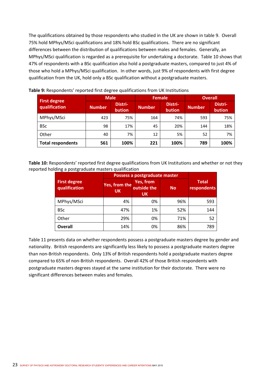The qualifications obtained by those respondents who studied in the UK are shown in table 9. Overall 75% hold MPhys/MSci qualifications and 18% hold BSc qualifications. There are no significant differences between the distribution of qualifications between males and females. Generally, an MPhys/MSci qualification is regarded as a prerequisite for undertaking a doctorate. Table 10 shows that 47% of respondents with a BSc qualification also hold a postgraduate masters, compared to just 4% of those who hold a MPhys/MSci qualification. In other words, just 9% of respondents with first degree qualification from the UK, hold only a BSc qualification without a postgraduate masters.

| <b>First degree</b>      | <b>Male</b>   |                   | <b>Female</b> |                   | <b>Overall</b> |                   |  |
|--------------------------|---------------|-------------------|---------------|-------------------|----------------|-------------------|--|
| qualification            | <b>Number</b> | Distri-<br>bution | <b>Number</b> | Distri-<br>bution | <b>Number</b>  | Distri-<br>bution |  |
| MPhys/MSci               | 423           | 75%               | 164           | 74%               | 593            | 75%               |  |
| <b>BSc</b>               | 98            | 17%               | 45            | 20%               | 144            | 18%               |  |
| Other                    | 40            | 7%                | 12            | 5%                | 52             | 7%                |  |
| <b>Total respondents</b> | 561           | 100%              | 221           | 100%              | 789            | 100%              |  |

### **Table 9:** Respondents' reported first degree qualifications from UK Institutions

**Table 10:** Respondents' reported first degree qualifications from UK Institutions and whether or not they reported holding a postgraduate masters qualification

|                                      |                            | Possess a postgraduate master         |           |                             |  |
|--------------------------------------|----------------------------|---------------------------------------|-----------|-----------------------------|--|
| <b>First degree</b><br>qualification | Yes, from the<br><b>UK</b> | Yes, from<br>outside the<br><b>UK</b> | <b>No</b> | <b>Total</b><br>respondents |  |
| MPhys/MSci                           | 4%                         | 0%                                    | 96%       | 593                         |  |
| <b>BSc</b>                           | 47%                        | 1%                                    | 52%       | 144                         |  |
| Other                                | 29%                        | 0%                                    | 71%       | 52                          |  |
| <b>Overall</b>                       | 14%                        | 0%                                    | 86%       | 789                         |  |

Table 11 presents data on whether respondents possess a postgraduate masters degree by gender and nationality. British respondents are significantly less likely to possess a postgraduate masters degree than non‐British respondents. Only 13% of British respondents hold a postgraduate masters degree compared to 65% of non‐British respondents. Overall 42% of those British respondents with postgraduate masters degrees stayed at the same institution for their doctorate. There were no significant differences between males and females.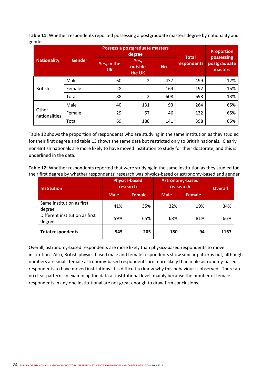**Table 11:** Whether respondents reported possessing a postgraduate masters degree by nationality and gender

|                        |               |                          | Possess a postgraduate masters<br>degree | <b>Total</b> | <b>Proportion</b><br>possessing |                         |  |
|------------------------|---------------|--------------------------|------------------------------------------|--------------|---------------------------------|-------------------------|--|
| <b>Nationality</b>     | <b>Gender</b> | Yes, in the<br><b>UK</b> | Yes,<br>outside<br><b>No</b><br>the UK   |              | respondents                     | postgraduate<br>masters |  |
|                        | Male          | 60                       | $\overline{2}$                           | 437          | 499                             | 12%                     |  |
| <b>British</b>         | Female        | 28                       |                                          | 164          | 192                             | 15%                     |  |
|                        | Total         | 88                       | 2                                        | 608          | 698                             | 13%                     |  |
|                        | Male          | 40                       | 131                                      | 93           | 264                             | 65%                     |  |
| Other<br>nationalities | Female        | 29                       | 57                                       | 46           | 132                             | 65%                     |  |
|                        | Total         | 69                       | 188                                      | 141          | 398                             | 65%                     |  |

Table 12 shows the proportion of respondents who are studying in the same institution as they studied for their first degree and table 13 shows the same data but restricted only to British nationals. Clearly non‐British nationals are more likely to have moved institution to study for their doctorate, and this is underlined in the data.

**Table 12:** Whether respondents reported that were studying in the same institution as they studied for their first degree by whether respondents' research was physics‐based or astronomy‐based and gender

| <b>Institution</b>                       |             | <b>Physics-based</b><br>research | <b>Astronomy-based</b><br>reasearch | <b>Overall</b> |      |
|------------------------------------------|-------------|----------------------------------|-------------------------------------|----------------|------|
|                                          | <b>Male</b> | <b>Female</b>                    | <b>Male</b>                         | <b>Female</b>  |      |
| Same institution as first<br>degree      | 41%         | 35%                              | 32%                                 | 19%            | 34%  |
| Different institution as first<br>degree | 59%         | 65%                              | 68%                                 | 81%            | 66%  |
| <b>Total respondents</b>                 | 545         | 205                              | 180                                 | 94             | 1167 |

Overall, astronomy‐based respondents are more likely than physics‐based respondents to move institution. Also, British physics‐based male and female respondents show similar patterns but, although numbers are small, female astronomy‐based respondents are more likely than male astronomy‐based respondents to have moved institutions. It is difficult to know why this behaviour is observed. There are no clear patterns in examining the data at institutional level, mainly because the number of female respondents in any one institutional are not great enough to draw firm conclusions.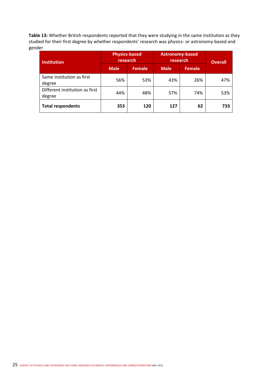**Table 13:** Whether British respondents reported that they were studying in the same institution as they studied for their first degree by whether respondents' research was physics‐ or astronomy‐based and gender

| <b>Institution</b>                       | <b>Physics-based</b><br>research |               | <b>Astronomy-based</b><br>research | <b>Overall</b> |     |
|------------------------------------------|----------------------------------|---------------|------------------------------------|----------------|-----|
|                                          | <b>Male</b>                      | <b>Female</b> | Male.                              | <b>Female</b>  |     |
| Same institution as first<br>degree      | 56%                              | 53%           | 43%                                | 26%            | 47% |
| Different institution as first<br>degree | 44%                              | 48%           | 57%                                | 74%            | 53% |
| <b>Total respondents</b>                 | 353                              | 120           | 127                                | 62             | 733 |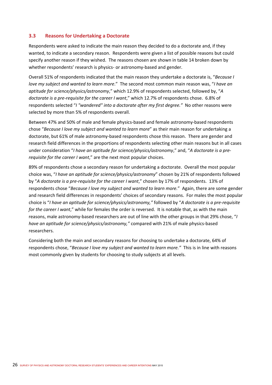## **3.3 Reasons for Undertaking a Doctorate**

Respondents were asked to indicate the main reason they decided to do a doctorate and, if they wanted, to indicate a secondary reason. Respondents were given a list of possible reasons but could specify another reason if they wished. The reasons chosen are shown in table 14 broken down by whether respondents' research is physics- or astronomy-based and gender.

Overall 51% of respondents indicated that the main reason they undertake a doctorate is, "*Because I love my subject and wanted to learn more*." The second most common main reason was, "*I have an aptitude for science/physics/astronomy*," which 12.9% of respondents selected, followed by, "*A doctorate is a pre‐requisite for the career I want*," which 12.7% of respondents chose. 6.8% of respondents selected "*I "wandered" into a doctorate after my first degree."* No other reasons were selected by more than 5% of respondents overall.

Between 47% and 50% of male and female physics-based and female astronomy-based respondents chose "*Because I love my subject and wanted to learn more*" as their main reason for undertaking a doctorate, but 61% of male astronomy‐based respondents chose this reason. There are gender and research field differences in the proportions of respondents selecting other main reasons but in all cases under consideration "*I have an aptitude for science/physics/astronomy*," and, "*A doctorate is a pre‐ requisite for the career I want*," are the next most popular choices.

89% of respondents chose a secondary reason for undertaking a doctorate. Overall the most popular choice was, "*I have an aptitude for science/physics/astronomy*" chosen by 21% of respondents followed by "*A doctorate is a pre‐requisite for the career I want*," chosen by 17% of respondents. 13% of respondents chose "*Because I love my subject and wanted to learn more.*" Again, there are some gender and research field differences in respondents' choices of secondary reasons. For males the most popular choice is "*I have an aptitude for science/physics/astronomy,"* followed by "*A doctorate is a pre‐requisite for the career I want*," while for females the order is reversed. It is notable that, as with the main reasons, male astronomy‐based researchers are out of line with the other groups in that 29% chose, "*I have an aptitude for science/physics/astronomy,"* compared with 21% of male physics-based researchers.

Considering both the main and secondary reasons for choosing to undertake a doctorate, 64% of respondents chose, "*Because I love my subject and wanted to learn more."* This is in line with reasons most commonly given by students for choosing to study subjects at all levels.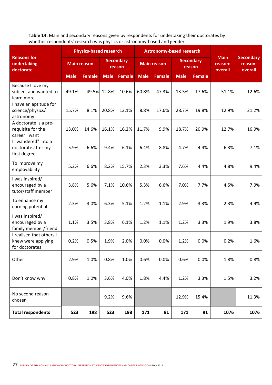**Table 14:** Main and secondary reasons given by respondents for undertaking their doctorates by whether respondents' research was physics or astronomy‐based and gender

|                                                                  | <b>Physics-based research</b> |                    |                            | <b>Astronomy-based research</b> |             |                    |             |                            |                        |                             |
|------------------------------------------------------------------|-------------------------------|--------------------|----------------------------|---------------------------------|-------------|--------------------|-------------|----------------------------|------------------------|-----------------------------|
| <b>Reasons for</b><br>undertaking<br>doctorate                   |                               | <b>Main reason</b> | <b>Secondary</b><br>reason |                                 |             | <b>Main reason</b> |             | <b>Secondary</b><br>reason | <b>Main</b><br>reason: | <b>Secondary</b><br>reason: |
|                                                                  | <b>Male</b>                   | <b>Female</b>      | <b>Male</b>                | <b>Female</b>                   | <b>Male</b> | <b>Female</b>      | <b>Male</b> | Female                     | overall                | overall                     |
| Because I love my<br>subject and wanted to<br>learn more         | 49.1%                         | 49.5%              | 12.8%                      | 10.6%                           | 60.8%       | 47.3%              | 13.5%       | 17.6%                      | 51.1%                  | 12.6%                       |
| I have an aptitude for<br>science/physics/<br>astronomy          | 15.7%                         | 8.1%               | 20.8%                      | 13.1%                           | 8.8%        | 17.6%              | 28.7%       | 19.8%                      | 12.9%                  | 21.2%                       |
| A doctorate is a pre-<br>requisite for the<br>career I want      | 13.0%                         | 14.6%              | 16.1%                      | 16.2%                           | 11.7%       | 9.9%               | 18.7%       | 20.9%                      | 12.7%                  | 16.9%                       |
| I "wandered" into a<br>doctorate after my<br>first degree        | 5.9%                          | 6.6%               | 9.4%                       | 6.1%                            | 6.4%        | 8.8%               | 4.7%        | 4.4%                       | 6.3%                   | 7.1%                        |
| To improve my<br>employability                                   | 5.2%                          | 6.6%               | 8.2%                       | 15.7%                           | 2.3%        | 3.3%               | 7.6%        | 4.4%                       | 4.8%                   | 9.4%                        |
| I was inspired/<br>encouraged by a<br>tutor/staff member         | 3.8%                          | 5.6%               | 7.1%                       | 10.6%                           | 5.3%        | 6.6%               | 7.0%        | 7.7%                       | 4.5%                   | 7.9%                        |
| To enhance my<br>earning potential                               | 2.3%                          | 3.0%               | 6.3%                       | 5.1%                            | 1.2%        | 1.1%               | 2.9%        | 3.3%                       | 2.3%                   | 4.9%                        |
| I was inspired/<br>encouraged by a<br>family member/friend       | 1.1%                          | 3.5%               | 3.8%                       | 6.1%                            | 1.2%        | 1.1%               | 1.2%        | 3.3%                       | 1.9%                   | 3.8%                        |
| I realised that others I<br>knew were applying<br>for doctorates | 0.2%                          | 0.5%               | 1.9%                       | 2.0%                            | 0.0%        | 0.0%               | 1.2%        | 0.0%                       | 0.2%                   | 1.6%                        |
| Other                                                            | 2.9%                          | 1.0%               | 0.8%                       | 1.0%                            | 0.6%        | 0.0%               | 0.6%        | 0.0%                       | 1.8%                   | 0.8%                        |
| Don't know why                                                   | 0.8%                          | 1.0%               | 3.6%                       | 4.0%                            | 1.8%        | 4.4%               | 1.2%        | 3.3%                       | 1.5%                   | 3.2%                        |
| No second reason<br>chosen                                       |                               |                    | 9.2%                       | 9.6%                            |             |                    | 12.9%       | 15.4%                      |                        | 11.3%                       |
| <b>Total respondents</b>                                         | 523                           | 198                | 523                        | 198                             | 171         | 91                 | 171         | 91                         | 1076                   | 1076                        |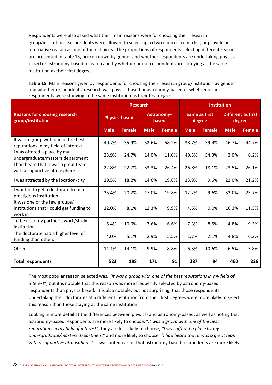Respondents were also asked what their main reasons were for choosing their research group/institution. Respondents were allowed to select up to two choices from a list, or provide an alternative reason as one of their choices. The proportions of respondents selecting different reasons are presented in table 15, broken down by gender and whether respondents are undertaking physicsbased or astronomy‐based research and by whether or not respondents are studying at the same institution as their first degree.

**Table 15:** Main reasons given by respondents for choosing their research group/institution by gender and whether respondents' research was physics-based or astronomy-based or whether or not respondents were studying in the same institution as their first degree

|                                                                                      |                      | <b>Research</b> |                            |        | <b>Institution</b>      |               |                                     |               |
|--------------------------------------------------------------------------------------|----------------------|-----------------|----------------------------|--------|-------------------------|---------------|-------------------------------------|---------------|
| <b>Reasons for choosing research</b><br>group/institution                            | <b>Physics-based</b> |                 | <b>Astronomy-</b><br>based |        | Same as first<br>degree |               | <b>Different as first</b><br>degree |               |
|                                                                                      | <b>Male</b>          | <b>Female</b>   | <b>Male</b>                | Female | <b>Male</b>             | <b>Female</b> | <b>Male</b>                         | <b>Female</b> |
| It was a group with one of the best<br>reputations in my field of interest           | 40.7%                | 35.9%           | 52.6%                      | 58.2%  | 38.7%                   | 39.4%         | 46.7%                               | 44.7%         |
| I was offered a place by my<br>undergraduate/masters department                      | 23.9%                | 24.7%           | 14.0%                      | 11.0%  | 49.5%                   | 54.3%         | 3.0%                                | 6.2%          |
| I had heard that it was a great team<br>with a supportive atmosphere                 | 22.8%                | 22.7%           | 33.3%                      | 26.4%  | 26.8%                   | 18.1%         | 23.5%                               | 26.1%         |
| I was attracted by the location/city                                                 | 19.5%                | 18.2%           | 14.6%                      | 19.8%  | 13.9%                   | 9.6%          | 22.0%                               | 21.2%         |
| I wanted to get a doctorate from a<br>prestigious institution                        | 25.4%                | 20.2%           | 17.0%                      | 19.8%  | 12.2%                   | 9.6%          | 32.0%                               | 25.7%         |
| It was one of the few groups/<br>institutions that I could get funding to<br>work in | 12.0%                | 8.1%            | 12.3%                      | 9.9%   | 4.5%                    | 0.0%          | 16.3%                               | 11.5%         |
| To be near my partner's work/study<br>institution                                    | 5.4%                 | 10.6%           | 7.6%                       | 6.6%   | 7.3%                    | 8.5%          | 4.8%                                | 9.3%          |
| The doctorate had a higher level of<br>funding than others                           | 4.0%                 | 5.1%            | 2.9%                       | 5.5%   | 1.7%                    | 2.1%          | 4.8%                                | 6.2%          |
| Other                                                                                | 11.1%                | 14.1%           | 9.9%                       | 8.8%   | 6.3%                    | 10.6%         | 6.5%                                | 5.8%          |
| <b>Total respondents</b>                                                             | 523                  | 198             | 171                        | 91     | 287                     | 94            | 460                                 | 226           |

The most popular reason selected was, "*It was a group with one of the best reputations in my field of interest*", but it is notable that this reason was more frequently selected by astronomy‐based respondents than physics based. It is also notable, but not surprising, that those respondents undertaking their doctorates at a different institution from their first degrees were more likely to select this reason than those staying at the same institution.

Looking in more detail at the differences between physics- and astronomy-based, as well as noting that astronomy‐based respondents are more likely to choose, "*It was a group with one of the best reputations in my field of interest*", they are less likely to choose, *"I was offered a place by my undergraduate/masters department"* and more likely to choose, *"I had heard that it was a great team*  with a supportive atmosphere." It was noted earlier that astronomy-based respondents are more likely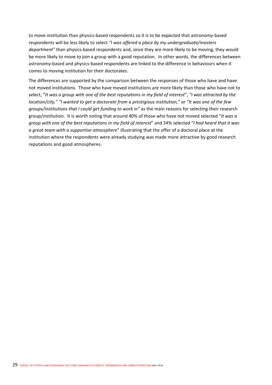to move institution than physics-based respondents so it is to be expected that astronomy-based respondents will be less likely to select *"I was offered a place by my undergraduate/masters department"* than physics‐based respondents and, since they are more likely to be moving, they would be more likely to move to join a group with a good reputation. In other words, the differences between astronomy‐based and physics‐based respondents are linked to the difference in behaviours when it comes to moving institution for their doctorates.

The differences are supported by the comparison between the responses of those who have and have not moved institutions. Those who have moved institutions are more likely than those who have not to select, "*It was a group with one of the best reputations in my field of interest*", *"I was attracted by the location/city," "I wanted to get a doctorate from a prestigious institution," or "It was one of the few groups/institutions that I could get funding to work in"* as the main reasons for selecting their research group/institution. It is worth noting that around 40% of those who have not moved selected "*It was a group with one of the best reputations in my field of interest*" and 24% selected "*I had heard that it was a great team with a supportive atmosphere*" illustrating that the offer of a doctoral place at the institution where the respondents were already studying was made more attractive by good research reputations and good atmospheres.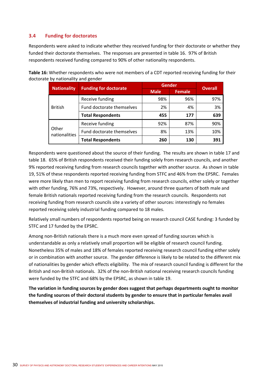## **3.4 Funding for doctorates**

Respondents were asked to indicate whether they received funding for their doctorate or whether they funded their doctorate themselves. The responses are presented in table 16. 97% of British respondents received funding compared to 90% of other nationality respondents.

**Table 16:** Whether respondents who were not members of a CDT reported receiving funding for their doctorate by nationality and gender

| <b>Nationality</b>     | <b>Funding for doctorate</b> | Gender      | <b>Overall</b> |     |
|------------------------|------------------------------|-------------|----------------|-----|
|                        |                              | <b>Male</b> | <b>Female</b>  |     |
|                        | Receive funding              | 98%         | 96%            | 97% |
| <b>British</b>         | Fund doctorate themselves    | 2%          | 4%             | 3%  |
|                        | <b>Total Respondents</b>     | 455         | 177            | 639 |
|                        | Receive funding              | 92%         | 87%            | 90% |
| Other<br>nationalities | Fund doctorate themselves    | 8%          | 13%            | 10% |
|                        | <b>Total Respondents</b>     | 260         | 130            | 391 |

Respondents were questioned about the source of their funding. The results are shown in table 17 and table 18. 65% of British respondents received their funding solely from research councils, and another 9% reported receiving funding from research councils together with another source. As shown in table 19, 51% of these respondents reported receiving funding from STFC and 46% from the EPSRC. Females were more likely than men to report receiving funding from research councils, either solely or together with other funding, 76% and 73%, respectively. However, around three quarters of both male and female British nationals reported receiving funding from the research councils. Respondents not receiving funding from research councils site a variety of other sources: interestingly no females reported receiving solely industrial funding compared to 18 males.

Relatively small numbers of respondents reported being on research council CASE funding: 3 funded by STFC and 17 funded by the EPSRC.

Among non‐British nationals there is a much more even spread of funding sources which is understandable as only a relatively small proportion will be eligible of research council funding. Nonetheless 35% of males and 18% of females reported receiving research council funding either solely or in combination with another source. The gender difference is likely to be related to the different mix of nationalities by gender which effects eligibility. The mix of research council funding is different for the British and non‐British nationals. 32% of the non‐British national receiving research councils funding were funded by the STFC and 68% by the EPSRC, as shown in table 19.

**The variation in funding sources by gender does suggest that perhaps departments ought to monitor the funding sources of their doctoral students by gender to ensure that in particular females avail themselves of industrial funding and university scholarships.**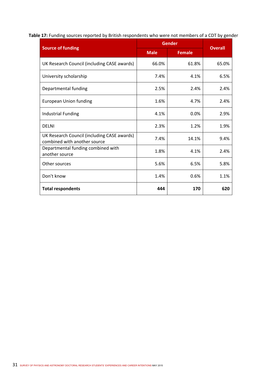|                                                                             | <b>Gender</b> | <b>Overall</b> |       |
|-----------------------------------------------------------------------------|---------------|----------------|-------|
| <b>Source of funding</b>                                                    | <b>Male</b>   | <b>Female</b>  |       |
| UK Research Council (including CASE awards)                                 | 66.0%         | 61.8%          | 65.0% |
| University scholarship                                                      | 7.4%          | 4.1%           | 6.5%  |
| Departmental funding                                                        | 2.5%          | 2.4%           | 2.4%  |
| <b>European Union funding</b>                                               | 1.6%          | 4.7%           | 2.4%  |
| <b>Industrial Funding</b>                                                   | 4.1%          | 0.0%           | 2.9%  |
| <b>DELNI</b>                                                                | 2.3%          | 1.2%           | 1.9%  |
| UK Research Council (including CASE awards)<br>combined with another source | 7.4%          | 14.1%          | 9.4%  |
| Departmental funding combined with<br>another source                        | 1.8%          | 4.1%           | 2.4%  |
| Other sources                                                               | 5.6%          | 6.5%           | 5.8%  |
| Don't know                                                                  | 1.4%          | 0.6%           | 1.1%  |
| <b>Total respondents</b>                                                    | 444           | 170            | 620   |

# **Table 17:** Funding sources reported by British respondents who were not members of a CDT by gender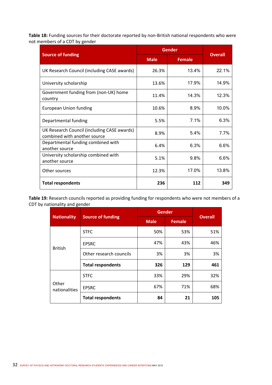**Table 18:** Funding sources for their doctorate reported by non‐British national respondents who were not members of a CDT by gender

| <b>Source of funding</b>                                                    |             | Gender        |                |  |  |
|-----------------------------------------------------------------------------|-------------|---------------|----------------|--|--|
|                                                                             | <b>Male</b> | <b>Female</b> | <b>Overall</b> |  |  |
| UK Research Council (including CASE awards)                                 | 26.3%       | 13.4%         | 22.1%          |  |  |
| University scholarship                                                      | 13.6%       | 17.9%         | 14.9%          |  |  |
| Government funding from (non-UK) home<br>country                            | 11.4%       | 14.3%         | 12.3%          |  |  |
| <b>European Union funding</b>                                               | 10.6%       | 8.9%          | 10.0%          |  |  |
| Departmental funding                                                        | 5.5%        | 7.1%          | 6.3%           |  |  |
| UK Research Council (including CASE awards)<br>combined with another source | 8.9%        | 5.4%          | 7.7%           |  |  |
| Departmental funding combined with<br>another source                        | 6.4%        | 6.3%          | 6.6%           |  |  |
| University scholarship combined with<br>another source                      | 5.1%        | 9.8%          | 6.6%           |  |  |
| Other sources                                                               | 12.3%       | 17.0%         | 13.8%          |  |  |
| <b>Total respondents</b>                                                    | 236         | 112           | 349            |  |  |

**Table 19:** Research councils reported as providing funding for respondents who were not members of a CDT by nationality and gender

|                        |                          | <b>Gender</b> | <b>Overall</b> |     |
|------------------------|--------------------------|---------------|----------------|-----|
| <b>Nationality</b>     | <b>Source of funding</b> | <b>Male</b>   | <b>Female</b>  |     |
|                        | <b>STFC</b>              | 50%           | 53%            | 51% |
| <b>British</b>         | <b>EPSRC</b>             | 47%           | 43%            | 46% |
|                        | Other research councils  | 3%            | 3%             | 3%  |
|                        | <b>Total respondents</b> | 326           | 129            | 461 |
|                        | <b>STFC</b>              | 33%           | 29%            | 32% |
| Other<br>nationalities | <b>EPSRC</b>             | 67%           | 71%            | 68% |
|                        | <b>Total respondents</b> | 84            | 21             | 105 |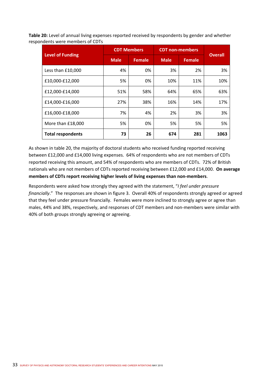**Table 20:** Level of annual living expenses reported received by respondents by gender and whether respondents were members of CDTs

|                          |             | <b>CDT Members</b> | <b>CDT</b> non-members | <b>Overall</b> |      |
|--------------------------|-------------|--------------------|------------------------|----------------|------|
| <b>Level of Funding</b>  | <b>Male</b> | <b>Female</b>      | <b>Male</b>            | <b>Female</b>  |      |
| Less than £10,000        | 4%          | 0%                 | 3%                     | 2%             | 3%   |
| £10,000-£12,000          | 5%          | 0%                 | 10%                    | 11%            | 10%  |
| £12,000-£14,000          | 51%         | 58%                | 64%                    | 65%            | 63%  |
| £14,000-£16,000          | 27%         | 38%                | 16%                    | 14%            | 17%  |
| £16,000-£18,000          | 7%          | 4%                 | 2%                     | 3%             | 3%   |
| More than £18,000        | 5%          | 0%                 | 5%                     | 5%             | 5%   |
| <b>Total respondents</b> | 73          | 26                 | 674                    | 281            | 1063 |

As shown in table 20, the majority of doctoral students who received funding reported receiving between £12,000 and £14,000 living expenses. 64% of respondents who are not members of CDTs reported receiving this amount, and 54% of respondents who are members of CDTs. 72% of British nationals who are not members of CDTs reported receiving between £12,000 and £14,000. **On average members of CDTs report receiving higher levels of living expenses than non‐members**.

Respondents were asked how strongly they agreed with the statement, "*I feel under pressure financially*." The responses are shown in figure 3. Overall 40% of respondents strongly agreed or agreed that they feel under pressure financially. Females were more inclined to strongly agree or agree than males, 44% and 38%, respectively, and responses of CDT members and non‐members were similar with 40% of both groups strongly agreeing or agreeing.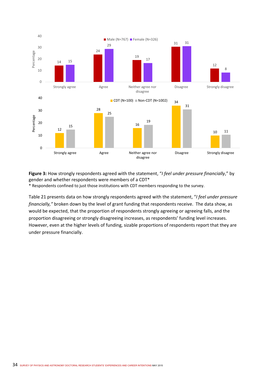

**Figure 3:** How strongly respondents agreed with the statement, "*I feel under pressure financially*," by gender and whether respondents were members of a CDT\*

\* Respondents confined to just those institutions with CDT members responding to the survey.

Table 21 presents data on how strongly respondents agreed with the statement, "*I feel under pressure financially,"* broken down by the level of grant funding that respondents receive. The data show, as would be expected, that the proportion of respondents strongly agreeing or agreeing falls, and the proportion disagreeing or strongly disagreeing increases, as respondents' funding level increases. However, even at the higher levels of funding, sizable proportions of respondents report that they are under pressure financially.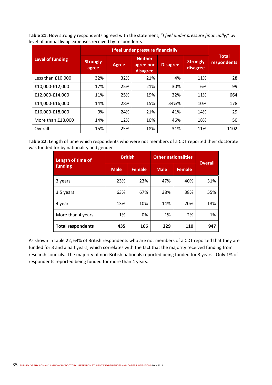**Table 21:** How strongly respondents agreed with the statement, "*I feel under pressure financially*," by level of annual living expenses received by respondents

| <b>Level of funding</b> | <b>Strongly</b><br>agree | <b>Agree</b> | <b>Neither</b><br>agree nor<br>disagree | <b>Disagree</b> | <b>Strongly</b><br>disagree | <b>Total</b><br>respondents |
|-------------------------|--------------------------|--------------|-----------------------------------------|-----------------|-----------------------------|-----------------------------|
| Less than £10,000       | 32%                      | 32%          | 21%                                     | 4%              | 11%                         | 28                          |
| £10,000-£12,000         | 17%                      | 25%          | 21%                                     | 30%             | 6%                          | 99                          |
| £12,000-£14,000         | 11%                      | 25%          | 19%                                     | 32%             | 11%                         | 664                         |
| £14,000-£16,000         | 14%                      | 28%          | 15%                                     | 34%%            | 10%                         | 178                         |
| £16,000-£18,000         | 0%                       | 24%          | 21%                                     | 41%             | 14%                         | 29                          |
| More than £18,000       | 14%                      | 12%          | 10%                                     | 46%             | 18%                         | 50                          |
| Overall                 | 15%                      | 25%          | 18%                                     | 31%             | 11%                         | 1102                        |

**Table 22:** Length of time which respondents who were not members of a CDT reported their doctorate was funded for by nationality and gender

| Length of time of        | <b>British</b> |               | <b>Other nationalities</b> | <b>Overall</b> |     |
|--------------------------|----------------|---------------|----------------------------|----------------|-----|
| funding                  | <b>Male</b>    | <b>Female</b> | <b>Male</b>                | <b>Female</b>  |     |
| 3 years                  | 23%            | 23%           | 47%                        | 40%            | 31% |
| 3.5 years                | 63%            | 67%           | 38%                        | 38%            | 55% |
| 4 year                   | 13%            | 10%           | 14%                        | 20%            | 13% |
| More than 4 years        | 1%             | 0%            | 1%                         | 2%             | 1%  |
| <b>Total respondents</b> | 435            | 166           | 229                        | 110            | 947 |

As shown in table 22, 64% of British respondents who are not members of a CDT reported that they are funded for 3 and a half years, which correlates with the fact that the majority received funding from research councils. The majority of non‐British nationals reported being funded for 3 years. Only 1% of respondents reported being funded for more than 4 years.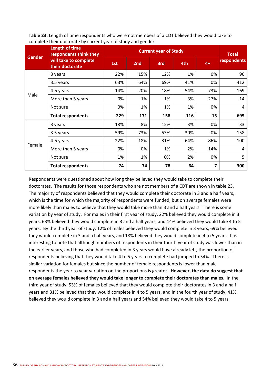**Table 23:** Length of time respondents who were not members of a CDT believed they would take to complete their doctorate by current year of study and gender

| <b>Gender</b> | <b>Length of time</b><br>respondents think they<br>will take to complete<br>their doctorate | <b>Current year of Study</b> |     |     |     |      | <b>Total</b>       |
|---------------|---------------------------------------------------------------------------------------------|------------------------------|-----|-----|-----|------|--------------------|
|               |                                                                                             | 1st                          | 2nd | 3rd | 4th | $4+$ | <b>respondents</b> |
| Male          | 3 years                                                                                     | 22%                          | 15% | 12% | 1%  | 0%   | 96                 |
|               | 3.5 years                                                                                   | 63%                          | 64% | 69% | 41% | 0%   | 412                |
|               | 4-5 years                                                                                   | 14%                          | 20% | 18% | 54% | 73%  | 169                |
|               | More than 5 years                                                                           | 0%                           | 1%  | 1%  | 3%  | 27%  | 14                 |
|               | Not sure                                                                                    | 0%                           | 1%  | 1%  | 1%  | 0%   | 4                  |
|               | <b>Total respondents</b>                                                                    | 229                          | 171 | 158 | 116 | 15   | 695                |
| Female        | 3 years                                                                                     | 18%                          | 8%  | 15% | 3%  | 0%   | 33                 |
|               | 3.5 years                                                                                   | 59%                          | 73% | 53% | 30% | 0%   | 158                |
|               | 4-5 years                                                                                   | 22%                          | 18% | 31% | 64% | 86%  | 100                |
|               | More than 5 years                                                                           | 0%                           | 0%  | 1%  | 2%  | 14%  | 4                  |
|               | Not sure                                                                                    | 1%                           | 1%  | 0%  | 2%  | 0%   | 5                  |
|               | <b>Total respondents</b>                                                                    | 74                           | 74  | 78  | 64  | 7    | 300                |

Respondents were questioned about how long they believed they would take to complete their doctorates. The results for those respondents who are not members of a CDT are shown in table 23. The majority of respondents believed that they would complete their doctorate in 3 and a half years, which is the time for which the majority of respondents were funded, but on average females were more likely than males to believe that they would take more than 3 and a half years. There is some variation by year of study. For males in their first year of study, 22% believed they would complete in 3 years, 63% believed they would complete in 3 and a half years, and 14% believed they would take 4 to 5 years. By the third year of study, 12% of males believed they would complete in 3 years, 69% believed they would complete in 3 and a half years, and 18% believed they would complete in 4 to 5 years. It is interesting to note that although numbers of respondents in their fourth year of study was lower than in the earlier years, and those who had completed in 3 years would have already left, the proportion of respondents believing that they would take 4 to 5 years to complete had jumped to 54%. There is similar variation for females but since the number of female respondents is lower than male respondents the year to year variation on the proportions is greater. **However, the data do suggest that on average females believed they would take longer to complete their doctorates than males**. In the third year of study, 53% of females believed that they would complete their doctorates in 3 and a half years and 31% believed that they would complete in 4 to 5 years, and in the fourth year of study, 41% believed they would complete in 3 and a half years and 54% believed they would take 4 to 5 years.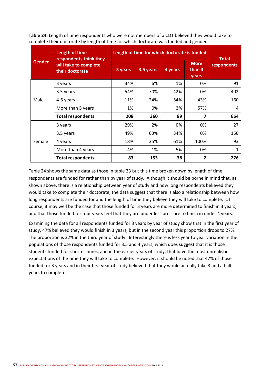|               | complete their doctorate by length or time for which doctorate was funded and genuer |         |                                              |         |                                |                             |  |  |  |
|---------------|--------------------------------------------------------------------------------------|---------|----------------------------------------------|---------|--------------------------------|-----------------------------|--|--|--|
|               | Length of time<br>respondents think they                                             |         | Length of time for which doctorate is funded |         |                                |                             |  |  |  |
| <b>Gender</b> | will take to complete<br>their doctorate                                             | 3 years | 3.5 years                                    | 4 years | <b>More</b><br>than 4<br>years | <b>Total</b><br>respondents |  |  |  |
|               | 3 years                                                                              | 34%     | 6%                                           | 1%      | 0%                             | 91                          |  |  |  |
|               | 3.5 years                                                                            | 54%     | 70%                                          | 42%     | 0%                             | 402                         |  |  |  |
| Male          | 4-5 years                                                                            | 11%     | 24%                                          | 54%     | 43%                            | 160                         |  |  |  |
|               | More than 5 years                                                                    | 1%      | 0%                                           | 3%      | 57%                            | 4                           |  |  |  |
|               | <b>Total respondents</b>                                                             | 208     | 360                                          | 89      | 7                              | 664                         |  |  |  |
|               | 3 years                                                                              | 29%     | 2%                                           | 0%      | 0%                             | 27                          |  |  |  |
|               | 3.5 years                                                                            | 49%     | 63%                                          | 34%     | 0%                             | 150                         |  |  |  |

**Table 24:** Length of time respondents who were not members of a CDT believed they would take to complete their doctorate by length of time for which doctorate was funded and gender

Table 24 shows the same data as those in table 23 but this time broken down by length of time respondents are funded for rather than by year of study. Although it should be borne in mind that, as shown above, there is a relationship between year of study and how long respondents believed they would take to complete their doctorate, the data suggest that there is also a relationship between how long respondents are funded for and the length of time they believe they will take to complete. Of course, it may well be the case that those funded for 3 years are more determined to finish in 3 years, and that those funded for four years feel that they are under less pressure to finish in under 4 years.

4 years | 18% | 35% | 61% | 100% | 93 More than 4 years  $\begin{vmatrix} 4\% & 1\% & 5\% & 0\% \end{vmatrix}$  0%  $\begin{vmatrix} 1 & 0 & 1 \end{vmatrix}$ **Total respondents**  $\begin{array}{|c|c|c|c|c|} \hline \text{Total resonedents} & \text{33} & \text{38} & \text{21} & \text{276} \ \hline \end{array}$ 

Examining the data for all respondents funded for 3 years by year of study show that in the first year of study, 47% believed they would finish in 3 years, but in the second year this proportion drops to 27%. The proportion is 32% in the third year of study. Interestingly there is less year to year variation in the populations of those respondents funded for 3.5 and 4 years, which does suggest that it is those students funded for shorter times, and in the earlier years of study, that have the most unrealistic expectations of the time they will take to complete. However, it should be noted that 47% of those funded for 3 years and in their first year of study believed that they would actually take 3 and a half years to complete.

Female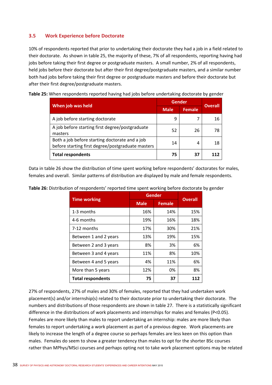# **3.5 Work Experience before Doctorate**

10% of respondents reported that prior to undertaking their doctorate they had a job in a field related to their doctorate. As shown in table 25, the majority of these, 7% of all respondents, reporting having had jobs before taking their first degree or postgraduate masters. A small number, 2% of all respondents, held jobs before their doctorate but after their first degree/postgraduate masters, and a similar number both had jobs before taking their first degree or postgraduate masters and before their doctorate but after their first degree/postgraduate masters.

**Table 25:** When respondents reported having had jobs before undertaking doctorate by gender

|                                                                                                     | <b>Gender</b> | <b>Overall</b> |    |
|-----------------------------------------------------------------------------------------------------|---------------|----------------|----|
| When job was held                                                                                   | <b>Male</b>   | <b>Female</b>  |    |
| A job before starting doctorate                                                                     | 9             | 7              | 16 |
| A job before starting first degree/postgraduate<br>masters                                          | 52            | 26             | 78 |
| Both a job before starting doctorate and a job<br>before starting first degree/postgraduate masters | 14            | 4              | 18 |
| <b>Total respondents</b>                                                                            | 75            | 37             |    |

Data in table 26 show the distribution of time spent working before respondents' doctorates for males, females and overall. Similar patterns of distribution are displayed by male and female respondents.

|                          | <b>Gender</b> | <b>Overall</b> |     |
|--------------------------|---------------|----------------|-----|
| <b>Time working</b>      | <b>Male</b>   | <b>Female</b>  |     |
| 1-3 months               | 16%           | 14%            | 15% |
| 4-6 months               | 19%           | 16%            | 18% |
| 7-12 months              | 17%           | 30%            | 21% |
| Between 1 and 2 years    | 13%           | 19%            | 15% |
| Between 2 and 3 years    | 8%            | 3%             | 6%  |
| Between 3 and 4 years    | 11%           | 8%             | 10% |
| Between 4 and 5 years    | 4%            | 11%            | 6%  |
| More than 5 years        | 12%           | 0%             | 8%  |
| <b>Total respondents</b> | 75            | 37             | 112 |

**Table 26:** Distribution of respondents' reported time spent working before doctorate by gender

27% of respondents, 27% of males and 30% of females, reported that they had undertaken work placement(s) and/or internship(s) related to their doctorate prior to undertaking their doctorate. The numbers and distributions of those respondents are shown in table 27. There is a statistically significant difference in the distributions of work placements and internships for males and females (P<0.05). Females are more likely than males to report undertaking an internship: males are more likely than females to report undertaking a work placement as part of a previous degree. Work placements are likely to increase the length of a degree course so perhaps females are less keen on this option than males. Females do seem to show a greater tendency than males to opt for the shorter BSc courses rather than MPhys/MSci courses and perhaps opting not to take work placement options may be related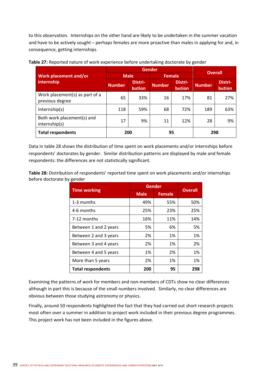to this observation. Internships on the other hand are likely to be undertaken in the summer vacation and have to be actively sought – perhaps females are more proactive than males in applying for and, in consequence, getting internships.

|                                                   |                                    | <b>Gender</b> | <b>Overall</b> |                   |               |                   |  |
|---------------------------------------------------|------------------------------------|---------------|----------------|-------------------|---------------|-------------------|--|
| Work placement and/or                             | <b>Male</b>                        |               |                | <b>Female</b>     |               |                   |  |
| internship                                        | Distri-<br><b>Number</b><br>bution |               | <b>Number</b>  | Distri-<br>bution | <b>Number</b> | Distri-<br>bution |  |
| Work placement(s) as part of a<br>previous degree | 65                                 | 33%           | 16             | 17%               | 81            | 27%               |  |
| Internship(s)                                     | 118                                | 59%           | 68             | 72%               | 189           | 63%               |  |
| Both work placement(s) and<br>internship(s)       | 17                                 | 9%            | 11             | 12%               | 28            | 9%                |  |
| <b>Total respondents</b>                          | 200<br>95                          |               | 298            |                   |               |                   |  |

### **Table 27:** Reported nature of work experience before undertaking doctorate by gender

Data in table 28 shows the distribution of time spent on work placements and/or internships before respondents' doctorates by gender. Similar distribution patterns are displayed by male and female respondents: the differences are not statistically significant.

**Table 28:** Distribution of respondents' reported time spent on work placements and/or internships before doctorate by gender

| <b>Time working</b>      | Gender      | <b>Overall</b> |     |
|--------------------------|-------------|----------------|-----|
|                          | <b>Male</b> | <b>Female</b>  |     |
| 1-3 months               | 49%         | 55%            | 50% |
| 4-6 months               | 25%         | 23%            | 25% |
| 7-12 months              | 16%         | 11%            | 14% |
| Between 1 and 2 years    | 5%          | 6%             | 5%  |
| Between 2 and 3 years    | 2%          | 1%             | 1%  |
| Between 3 and 4 years    | 2%          | 1%             | 2%  |
| Between 4 and 5 years    | 1%          | 2%             | 1%  |
| More than 5 years        | 2%          | 1%             | 1%  |
| <b>Total respondents</b> | 200         | 95             | 298 |

Examining the patterns of work for members and non‐members of CDTs show no clear differences although in part this is because of the small numbers involved. Similarly, no clear differences are obvious between those studying astronomy or physics.

Finally, around 50 respondents highlighted the fact that they had carried out short research projects most often over a summer in addition to project work included in their previous degree programmes. This project work has not been included in the figures above.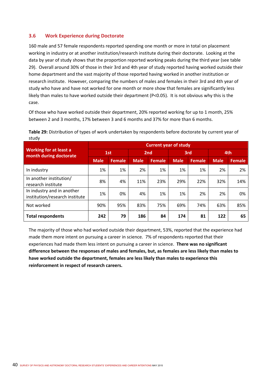# **3.6 Work Experience during Doctorate**

160 male and 57 female respondents reported spending one month or more in total on placement working in industry or at another institution/research institute during their doctorate. Looking at the data by year of study shows that the proportion reported working peaks during the third year (see table 29). Overall around 30% of those in their 3rd and 4th year of study reported having worked outside their home department and the vast majority of those reported having worked in another institution or research institute. However, comparing the numbers of males and females in their 3rd and 4th year of study who have and have not worked for one month or more show that females are significantly less likely than males to have worked outside their department (P<0.05). It is not obvious why this is the case.

Of those who have worked outside their department, 20% reported working for up to 1 month, 25% between 2 and 3 months, 17% between 3 and 6 months and 37% for more than 6 months.

|                                                              | <b>Current year of study</b> |        |             |               |             |        |             |               |  |  |  |  |
|--------------------------------------------------------------|------------------------------|--------|-------------|---------------|-------------|--------|-------------|---------------|--|--|--|--|
| <b>Working for at least a</b><br>month during doctorate      | 1st                          |        | 2nd         |               | 3rd         |        | 4th         |               |  |  |  |  |
|                                                              | <b>Male</b>                  | Female | <b>Male</b> | <b>Female</b> | <b>Male</b> | Female | <b>Male</b> | <b>Female</b> |  |  |  |  |
| In industry                                                  | 1%                           | 1%     | 2%          | 1%            | 1%          | 1%     | 2%          | 2%            |  |  |  |  |
| In another institution/<br>research institute                | 8%                           | 4%     | 11%         | 23%           | 29%         | 22%    | 32%         | 14%           |  |  |  |  |
| In industry and in another<br>institution/research institute | 1%                           | 0%     | 4%          | 1%            | 1%          | 2%     | 2%          | 0%            |  |  |  |  |
| Not worked                                                   | 90%                          | 95%    | 83%         | 75%           | 69%         | 74%    | 63%         | 85%           |  |  |  |  |
| <b>Total respondents</b>                                     | 242                          | 79     | 186         | 84            | 174         | 81     | 122         | 65            |  |  |  |  |

**Table 29:** Distribution of types of work undertaken by respondents before doctorate by current year of study

The majority of those who had worked outside their department, 53%, reported that the experience had made them more intent on pursuing a career in science. 7% of respondents reported that their experiences had made them less intent on pursuing a career in science. **There was no significant difference between the responses of males and females, but, as females are less likely than males to have worked outside the department, females are less likely than males to experience this reinforcement in respect of research careers.**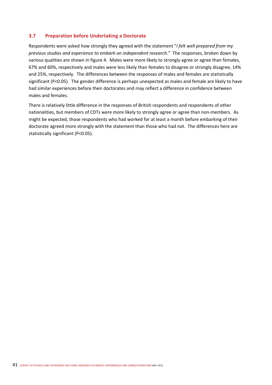## **3.7 Preparation before Undertaking a Doctorate**

Respondents were asked how strongly they agreed with the statement "*I felt well prepared from my previous studies and experience to embark on independent research.*" The responses, broken down by various qualities are shown in figure 4. Males were more likely to strongly agree or agree than females, 67% and 60%, respectively and males were less likely than females to disagree or strongly disagree, 14% and 25%, respectively. The differences between the responses of males and females are statistically significant (P<0.05). The gender difference is perhaps unexpected as males and female are likely to have had similar experiences before their doctorates and may reflect a difference in confidence between males and females.

There is relatively little difference in the responses of British respondents and respondents of other nationalities, but members of CDTs were more likely to strongly agree or agree than non-members. As might be expected, those respondents who had worked for at least a month before embarking of their doctorate agreed more strongly with the statement than those who had not. The differences here are statistically significant (P<0.05).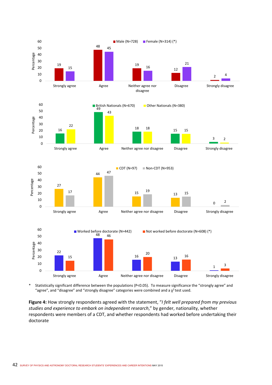

\* Statistically significant difference between the populations (P<0.05). To measure significance the "strongly agree" and "agree", and "disagree" and "strongly disagree" categories were combined and a  $\chi^2$  test used.

**Figure 4:** How strongly respondents agreed with the statement, "*I felt well prepared from my previous studies and experience to embark on independent research*," by gender, nationality, whether respondents were members of a CDT, and whether respondents had worked before undertaking their doctorate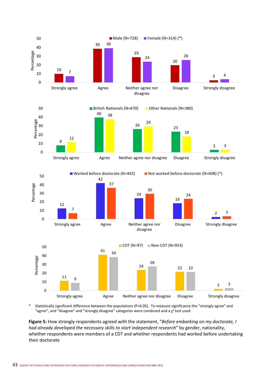

\* Statistically significant difference between the populations (P<0.05). To measure significance the "strongly agree" and "agree", and "disagree" and "strongly disagree" categories were combined and a  $\chi^2$  test used.

**Figure 5:** How strongly respondents agreed with the statement, "*Before embarking on my doctorate, I had already developed the necessary skills to start independent research*" by gender, nationality, whether respondents were members of a CDT and whether respondents had worked before undertaking their doctorate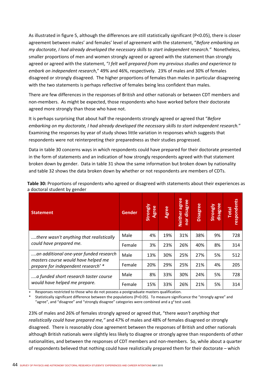As illustrated in figure 5, although the differences are still statistically significant (P<0.05), there is closer agreement between males' and females' level of agreement with the statement, "*Before embarking on my doctorate, I had already developed the necessary skills to start independent research.*" Nonetheless, smaller proportions of men and women strongly agreed or agreed with the statement than strongly agreed or agreed with the statement, "*I felt well prepared from my previous studies and experience to embark on independent research*," 49% and 46%, respectively. 23% of males and 30% of females disagreed or strongly disagreed. The higher proportions of females than males in particular disagreeing with the two statements is perhaps reflective of females being less confident than males.

There are few differences in the responses of British and other nationals or between CDT members and non‐members. As might be expected, those respondents who have worked before their doctorate agreed more strongly than those who have not.

It is perhaps surprising that about half the respondents strongly agreed or agreed that "*Before embarking on my doctorate, I had already developed the necessary skills to start independent research.*" Examining the responses by year of study shows little variation in responses which suggests that respondents were not reinterpreting their preparedness as their studies progressed.

Data in table 30 concerns ways in which respondents could have prepared for their doctorate presented in the form of statements and an indication of how strongly respondents agreed with that statement broken down by gender. Data in table 31 show the same information but broken down by nationality and table 32 shows the data broken down by whether or not respondents are members of CDTs.

| <b>Statement</b>                                                                      | Gender | Strongly<br>Agree | Agree | agree<br>nor disagree<br><b>Neither</b> | <b>Disagree</b> | disagree<br>Strongly | <b>espondents</b><br><b>Total</b> |
|---------------------------------------------------------------------------------------|--------|-------------------|-------|-----------------------------------------|-----------------|----------------------|-----------------------------------|
| there wasn't anything that realistically<br>could have prepared me.                   | Male   | 4%                | 19%   | 31%                                     | 38%             | 9%                   | 728                               |
|                                                                                       | Female | 3%                | 23%   | 26%                                     | 40%             | 8%                   | 314                               |
| an additional one-year funded research                                                | Male   | 13%               | 30%   | 25%                                     | 27%             | 5%                   | 512                               |
| masters course would have helped me<br>prepare for independent research <sup>+*</sup> | Female | 20%               | 29%   | 25%                                     | 21%             | 4%                   | 205                               |
| a funded short research taster course<br>would have helped me prepare.                | Male   | 8%                | 33%   | 30%                                     | 24%             | 5%                   | 728                               |
|                                                                                       | Female | 15%               | 33%   | 26%                                     | 21%             | 5%                   | 314                               |

**Table 30:** Proportions of respondents who agreed or disagreed with statements about their experiences as a doctoral student by gender

Responses restricted to those who do not possess a postgraduate masters qualification.

Statistically significant difference between the populations (P<0.05). To measure significance the "strongly agree" and "agree", and "disagree" and "strongly disagree" categories were combined and a  $\chi^2$  test used.

23% of males and 26% of females strongly agreed or agreed that, "there *wasn't anything that realistically could have prepared me,"* and 47% of males and 48% of females disagreed or strongly disagreed. There is reasonably close agreement between the responses of British and other nationals although British nationals were slightly less likely to disagree or strongly agree than respondents of other nationalities, and between the responses of CDT members and non‐members. So, while about a quarter of respondents believed that nothing could have realistically prepared them for their doctorate – which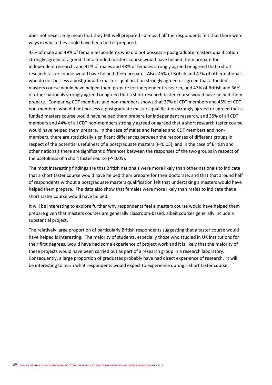does not necessarily mean that they felt well prepared ‐ almost half the respondents felt that there were ways in which they could have been better prepared.

43% of male and 49% of female respondents who did not possess a postgraduate masters qualification strongly agreed or agreed that a funded masters course would have helped them prepare for independent research, and 41% of males and 48% of females strongly agreed or agreed that a short research taster course would have helped them prepare. Also, 45% of British and 47% of other nationals who do not possess a postgraduate masters qualification strongly agreed or agreed that a funded masters course would have helped them prepare for independent research, and 47% of British and 36% of other nationals strongly agreed or agreed that a short research taster course would have helped them prepare. Comparing CDT members and non‐members shows that 37% of CDT members and 45% of CDT non‐members who did not possess a postgraduate masters qualification strongly agreed or agreed that a funded masters course would have helped them prepare for independent research, and 35% of all CDT members and 44% of all CDT non-members strongly agreed or agreed that a short research taster course would have helped them prepare. In the case of males and females and CDT members and non‐ members, there are statistically significant differences between the responses of different groups in respect of the potential usefulness of a postgraduate masters (P<0.05), and in the case of British and other nationals there are significant differences between the responses of the two groups in respect of the usefulness of a short taster course (P<0.05).

The most interesting findings are that British nationals were more likely than other nationals to indicate that a short taster course would have helped them prepare for their doctorate, and that that around half of respondents without a postgraduate masters qualification felt that undertaking a masters would have helped them prepare. The data also show that females were more likely than males to indicate that a short taster course would have helped.

It will be interesting to explore further why respondents feel a masters course would have helped them prepare given that masters courses are generally classroom‐based, albeit courses generally include a substantial project.

The relatively large proportion of particularly British respondents suggesting that a taster course would have helped is interesting. The majority of students, especially those who studied in UK institutions for their first degrees, would have had some experience of project work and it is likely that the majority of these projects would have been carried out as part of a research group in a research laboratory. Consequently, a large proportion of graduates probably have had direct experience of research. It will be interesting to learn what respondents would expect to experience during a short taster course.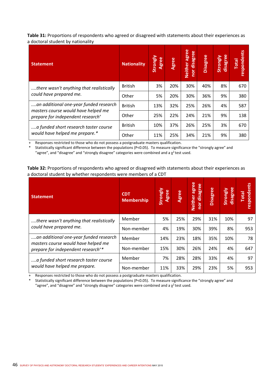**Table 31:** Proportions of respondents who agreed or disagreed with statements about their experiences as a doctoral student by nationality

| <b>Statement</b>                                                                     | <b>Nationality</b> | Strongly<br>Agree | Agree | agree<br>disagree<br><b>Neither</b><br>nor | <b>Disagree</b> | disagree<br>Strongly | respondents<br><b>Total</b> |
|--------------------------------------------------------------------------------------|--------------------|-------------------|-------|--------------------------------------------|-----------------|----------------------|-----------------------------|
| there wasn't anything that realistically<br>could have prepared me.                  | <b>British</b>     | 3%                | 20%   | 30%                                        | 40%             | 8%                   | 670                         |
|                                                                                      | Other              | 5%                | 20%   | 30%                                        | 36%             | 9%                   | 380                         |
| an additional one-year funded research                                               | <b>British</b>     | 13%               | 32%   | 25%                                        | 26%             | 4%                   | 587                         |
| masters course would have helped me<br>prepare for independent research <sup>+</sup> | Other              | 25%               | 22%   | 24%                                        | 21%             | 9%                   | 138                         |
| a funded short research taster course<br>would have helped me prepare.*              | <b>British</b>     | 10%               | 37%   | 26%                                        | 25%             | 3%                   | 670                         |
|                                                                                      | Other              | 11%               | 25%   | 34%                                        | 21%             | 9%                   | 380                         |

Responses restricted to those who do not possess a postgraduate masters qualification.

Statistically significant difference between the populations (P<0.05). To measure significance the "strongly agree" and "agree", and "disagree" and "strongly disagree" categories were combined and a  $\chi^2$  test used.

**Table 32:** Proportions of respondents who agreed or disagreed with statements about their experiences as a doctoral student by whether respondents were members of a CDT

| <b>Statement</b>                                                                      | <b>CDT</b><br><b>Membership</b> | Strongly<br><b>Agree</b> | <b>Agree</b> | agree<br>disagree<br><b>Neither</b><br>nor | <b>Disagree</b> | disagree<br>Strongly | respondents<br><b>Total</b> |
|---------------------------------------------------------------------------------------|---------------------------------|--------------------------|--------------|--------------------------------------------|-----------------|----------------------|-----------------------------|
| there wasn't anything that realistically<br>could have prepared me.                   | Member                          | 5%                       | 25%          | 29%                                        | 31%             | 10%                  | 97                          |
|                                                                                       | Non-member                      | 4%                       | 19%          | 30%                                        | 39%             | 8%                   | 953                         |
| an additional one-year funded research                                                | Member                          | 14%                      | 23%          | 18%                                        | 35%             | 10%                  | 78                          |
| masters course would have helped me<br>prepare for independent research <sup>+*</sup> | Non-member                      | 15%                      | 30%          | 26%                                        | 24%             | 4%                   | 647                         |
| a funded short research taster course<br>would have helped me prepare.                | Member                          | 7%                       | 28%          | 28%                                        | 33%             | 4%                   | 97                          |
|                                                                                       | Non-member                      | 11%                      | 33%          | 29%                                        | 23%             | 5%                   | 953                         |

Responses restricted to those who do not possess a postgraduate masters qualification.

Statistically significant difference between the populations (P<0.05). To measure significance the "strongly agree" and "agree", and "disagree" and "strongly disagree" categories were combined and a  $\chi^2$  test used.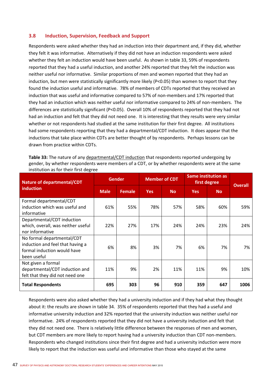## **3.8 Induction, Supervision, Feedback and Support**

Respondents were asked whether they had an induction into their department and, if they did, whether they felt it was informative. Alternatively if they did not have an induction respondents were asked whether they felt an induction would have been useful. As shown in table 33, 59% of respondents reported that they had a useful induction, and another 24% reported that they felt the induction was neither useful nor informative. Similar proportions of men and women reported that they had an induction, but men were statistically significantly more likely (P<0.05) than women to report that they found the induction useful and informative. 78% of members of CDTs reported that they received an induction that was useful and informative compared to 57% of non-members and 17% reported that they had an induction which was neither useful nor informative compared to 24% of non-members. The differences are statistically significant (P<0.05). Overall 10% of respondents reported that they had not had an induction and felt that they did not need one. It is interesting that they results were very similar whether or not respondents had studied at the same institution for their first degree. All institutions had some respondents reporting that they had a departmental/CDT induction. It does appear that the inductions that take place within CDTs are better thought of by respondents. Perhaps lessons can be drawn from practice within CDTs.

| Table 33: The nature of any departmental/CDT induction that respondents reported undergoing by   |
|--------------------------------------------------------------------------------------------------|
| gender, by whether respondents were members of a CDT, or by whether respondents were at the same |
| institution as for their first degree                                                            |

| <b>Nature of departmental/CDT</b>                                                                            | Gender      |               |            | <b>Member of CDT</b> | <b>Same institution as</b><br>first degree | <b>Overall</b> |      |
|--------------------------------------------------------------------------------------------------------------|-------------|---------------|------------|----------------------|--------------------------------------------|----------------|------|
| induction                                                                                                    | <b>Male</b> | <b>Female</b> | <b>Yes</b> | <b>No</b>            | <b>Yes</b>                                 | <b>No</b>      |      |
| Formal departmental/CDT<br>induction which was useful and<br>informative                                     | 61%         | 55%           | 78%        | 57%                  | 58%                                        | 60%            | 59%  |
| Departmental/CDT induction<br>which, overall, was neither useful<br>nor informative                          | 22%         | 27%           | 17%        | 24%                  | 24%                                        | 23%            | 24%  |
| No formal departmental/CDT<br>induction and feel that having a<br>formal induction would have<br>been useful | 6%          | 8%            | 3%         | 7%                   | 6%                                         | 7%             | 7%   |
| Not given a formal<br>departmental/CDT induction and<br>felt that they did not need one                      | 11%         | 9%            | 2%         | 11%                  | 11%                                        | 9%             | 10%  |
| <b>Total Respondents</b>                                                                                     | 695         | 303           | 96         | 910                  | 359                                        | 647            | 1006 |

Respondents were also asked whether they had a university induction and if they had what they thought about it: the results are shown in table 34. 35% of respondents reported that they had a useful and informative university induction and 32% reported that the university induction was neither useful nor informative. 24% of respondents reported that they did not have a university induction and felt that they did not need one. There is relatively little difference between the responses of men and women, but CDT members are more likely to report having had a university induction than CDT non-members. Respondents who changed institutions since their first degree and had a university induction were more likely to report that the induction was useful and informative than those who stayed at the same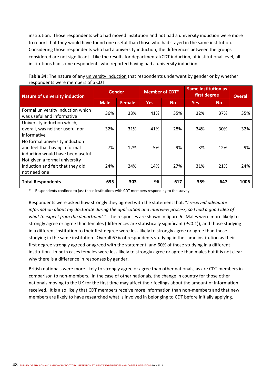institution. Those respondents who had moved institution and not had a university induction were more to report that they would have found one useful than those who had stayed in the same institution. Considering those respondents who had a university induction, the differences between the groups considered are not significant. Like the results for departmental/CDT induction, at institutional level, all institutions had some respondents who reported having had a university induction.

| <b>Nature of university induction</b>                                                               | <b>Gender</b> |               | <b>Member of CDT*</b> |           | <b>Same institution as</b><br>first degree | <b>Overall</b> |      |
|-----------------------------------------------------------------------------------------------------|---------------|---------------|-----------------------|-----------|--------------------------------------------|----------------|------|
|                                                                                                     | <b>Male</b>   | <b>Female</b> | <b>Yes</b>            | <b>No</b> | <b>Yes</b>                                 | <b>No</b>      |      |
| Formal university induction which<br>was useful and informative                                     | 36%           | 33%           | 41%                   | 35%       | 32%                                        | 37%            | 35%  |
| University induction which,<br>overall, was neither useful nor<br>informative                       | 32%           | 31%           | 41%                   | 28%       | 34%                                        | 30%            | 32%  |
| No formal university induction<br>and feel that having a formal<br>induction would have been useful | 7%            | 12%           | 5%                    | 9%        | 3%                                         | 12%            | 9%   |
| Not given a formal university<br>induction and felt that they did<br>not need one                   | 24%           | 24%           | 14%                   | 27%       | 31%                                        | 21%            | 24%  |
| <b>Total Respondents</b>                                                                            | 695           | 303           | 96                    | 617       | 359                                        | 647            | 1006 |

**Table 34:** The nature of any university induction that respondents underwent by gender or by whether respondents were members of a CDT

Respondents confined to just those institutions with CDT members responding to the survey.

Respondents were asked how strongly they agreed with the statement that, "*I received adequate information about my doctorate during the application and interview process, so I had a good idea of what to expect from the department*." The responses are shown in figure 6. Males were more likely to strongly agree or agree than females (differences are statistically significant (P<0.1)), and those studying in a different institution to their first degree were less likely to strongly agree or agree than those studying in the same institution. Overall 67% of respondents studying in the same institution as their first degree strongly agreed or agreed with the statement, and 60% of those studying in a different institution. In both cases females were less likely to strongly agree or agree than males but it is not clear why there is a difference in responses by gender.

British nationals were more likely to strongly agree or agree than other nationals, as are CDT members in comparison to non‐members. In the case of other nationals, the change in country for those other nationals moving to the UK for the first time may affect their feelings about the amount of information received. It is also likely that CDT members receive more information than non‐members and that new members are likely to have researched what is involved in belonging to CDT before initially applying.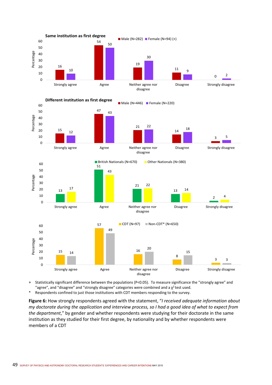

+ Statistically significant difference between the populations (P<0.05). To measure significance the "strongly agree" and "agree", and "disagree" and "strongly disagree" categories were combined and a  $\chi^2$  test used.

\* Respondents confined to just those institutions with CDT members responding to the survey.

**Figure 6:** How strongly respondents agreed with the statement, "*I received adequate information about my doctorate during the application and interview process, so I had a good idea of what to expect from the department*," by gender and whether respondents were studying for their doctorate in the same institution as they studied for their first degree, by nationality and by whether respondents were members of a CDT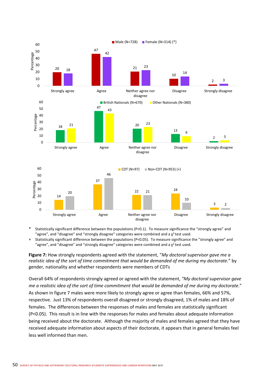

Statistically significant difference between the populations (P<0.1). To measure significance the "strongly agree" and "agree", and "disagree" and "strongly disagree" categories were combined and a  $\chi^2$  test used.

+ Statistically significant difference between the populations (P<0.05). To measure significance the "strongly agree" and "agree", and "disagree" and "strongly disagree" categories were combined and a  $\chi^2$  test used.

**Figure 7:** How strongly respondents agreed with the statement, "*My doctoral supervisor gave me a realistic idea of the sort of time commitment that would be demanded of me during my doctorate*." by gender, nationality and whether respondents were members of CDTs

Overall 64% of respondents strongly agreed or agreed with the statement, *"My doctoral supervisor gave me a realistic idea of the sort of time commitment that would be demanded of me during my doctorate*." As shown in figure 7 males were more likely to strongly agree or agree than females, 66% and 57%, respective. Just 13% of respondents overall disagreed or strongly disagreed, 1% of males and 18% of females. The differences between the responses of males and females are statistically significant (P<0.05). This result is in line with the responses for males and females about adequate information being received about the doctorate. Although the majority of males and females agreed that they have received adequate information about aspects of their doctorate, it appears that in general females feel less well informed than men.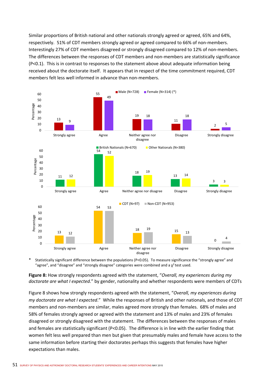Similar proportions of British national and other nationals strongly agreed or agreed, 65% and 64%, respectively. 51% of CDT members strongly agreed or agreed compared to 66% of non-members. Interestingly 27% of CDT members disagreed or strongly disagreed compared to 12% of non‐members. The differences between the responses of CDT members and non‐members are statistically significance (P<0.1). This is in contrast to responses to the statement above about adequate information being received about the doctorate itself. It appears that in respect of the time commitment required, CDT members felt less well informed in advance than non‐members.



Statistically significant difference between the populations (P<0.05). To measure significance the "strongly agree" and "agree", and "disagree" and "strongly disagree" categories were combined and a  $\chi^2$  test used.

**Figure 8:** How strongly respondents agreed with the statement, "*Overall, my experiences during my doctorate are what I expected*." by gender, nationality and whether respondents were members of CDTs

Figure 8 shows how strongly respondents agreed with the statement, "*Overall, my experiences during my doctorate are what I expected*." While the responses of British and other nationals, and those of CDT members and non‐members are similar, males agreed more strongly than females. 68% of males and 58% of females strongly agreed or agreed with the statement and 13% of males and 23% of females disagreed or strongly disagreed with the statement. The differences between the responses of males and females are statistically significant (P<0.05). The difference is in line with the earlier finding that women felt less well prepared than men but given that presumably males and female have access to the same information before starting their doctorates perhaps this suggests that females have higher expectations than males.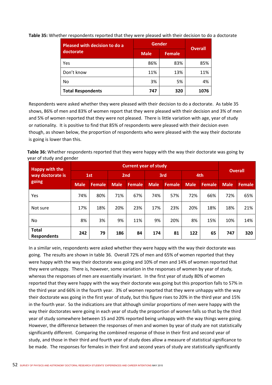| Pleased with decision to do a | <b>Gender</b> | <b>Overall</b> |      |  |
|-------------------------------|---------------|----------------|------|--|
| doctorate                     | <b>Male</b>   | <b>Female</b>  |      |  |
| Yes                           | 86%           | 83%            | 85%  |  |
| Don't know                    | 11%           | 13%            | 11%  |  |
| No                            | 3%            | 5%             | 4%   |  |
| <b>Total Respondents</b>      | 747           | 320            | 1076 |  |

**Table 35:** Whether respondents reported that they were pleased with their decision to do a doctorate

Respondents were asked whether they were pleased with their decision to do a doctorate. As table 35 shows, 86% of men and 83% of women report that they were pleased with their decision and 3% of men and 5% of women reported that they were not pleased. There is little variation with age, year of study or nationality. It is positive to find that 85% of respondents were pleased with their decision even though, as shown below, the proportion of respondents who were pleased with the way their doctorate is going is lower than this.

**Table 36:** Whether respondents reported that they were happy with the way their doctorate was going by year of study and gender

| <b>Happy with the</b>              | <b>Current year of study</b> |        |             |               |             |        |             |        |                |               |
|------------------------------------|------------------------------|--------|-------------|---------------|-------------|--------|-------------|--------|----------------|---------------|
| way doctorate is<br>going          | 1st                          |        | 2nd         |               | 3rd         |        | 4th         |        | <b>Overall</b> |               |
|                                    | <b>Male</b>                  | Female | <b>Male</b> | <b>Female</b> | <b>Male</b> | Female | <b>Male</b> | Female | <b>Male</b>    | <b>Female</b> |
| Yes                                | 74%                          | 80%    | 71%         | 67%           | 74%         | 57%    | 72%         | 66%    | 72%            | 65%           |
| Not sure                           | 17%                          | 18%    | 20%         | 23%           | 17%         | 23%    | 20%         | 18%    | 18%            | 21%           |
| No                                 | 8%                           | 3%     | 9%          | 11%           | 9%          | 20%    | 8%          | 15%    | 10%            | 14%           |
| <b>Total</b><br><b>Respondents</b> | 242                          | 79     | 186         | 84            | 174         | 81     | 122         | 65     | 747            | 320           |

In a similar vein, respondents were asked whether they were happy with the way their doctorate was going. The results are shown in table 36. Overall 72% of men and 65% of women reported that they were happy with the way their doctorate was going and 10% of men and 14% of women reported that they were unhappy. There is, however, some variation in the responses of women by year of study, whereas the responses of men are essentially invariant. In the first year of study 80% of women reported that they were happy with the way their doctorate was going but this proportion falls to 57% in the third year and 66% in the fourth year. 3% of women reported that they were unhappy with the way their doctorate was going in the first year of study, but this figure rises to 20% in the third year and 15% in the fourth year. So the indications are that although similar proportions of men were happy with the way their doctorates were going in each year of study the proportion of women falls so that by the third year of study somewhere between 15 and 20% reported being unhappy with the way things were going. However, the difference between the responses of men and women by year of study are not statistically significantly different. Comparing the combined response of those in their first and second year of study, and those in their third and fourth year of study does allow a measure of statistical significance to be made. The responses for females in their first and second years of study are statistically significantly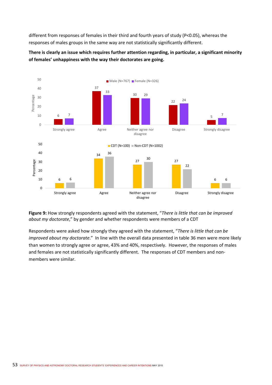different from responses of females in their third and fourth years of study (P<0.05), whereas the responses of males groups in the same way are not statistically significantly different.



**There is clearly an issue which requires further attention regarding, in particular, a significant minority of females' unhappiness with the way their doctorates are going.** 

**Figure 9:** How strongly respondents agreed with the statement, "*There is little that can be improved about my doctorate*," by gender and whether respondents were members of a CDT

Respondents were asked how strongly they agreed with the statement, "*There is little that can be improved about my doctorate*." In line with the overall data presented in table 36 men were more likely than women to strongly agree or agree, 43% and 40%, respectively. However, the responses of males and females are not statistically significantly different. The responses of CDT members and non‐ members were similar.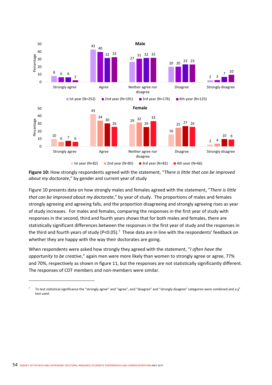

**Figure 10:** How strongly respondents agreed with the statement, "*There is little that can be improved about my doctorate*," by gender and current year of study

Figure 10 presents data on how strongly males and females agreed with the statement, "*There is little that can be improved about my doctorate*," by year of study. The proportions of males and females strongly agreeing and agreeing falls, and the proportion disagreeing and strongly agreeing rises as year of study increases. For males and females, comparing the responses in the first year of study with responses in the second, third and fourth years shows that for both males and females, there are statistically significant differences between the responses in the first year of study and the responses in the third and fourth years of study (P<0.05).<sup>7</sup> These data are in line with the respondents' feedback on whether they are happy with the way their doctorates are going.

When respondents were asked how strongly they agreed with the statement, "*I often have the opportunity to be creative*," again men were more likely than women to strongly agree or agree, 77% and 70%, respectively as shown in figure 11, but the responses are not statistically significantly different. The responses of CDT members and non‐members were similar.

<sup>7</sup> To test statistical significance the "strongly agree" and "agree", and "disagree" and "strongly disagree" categories were combined and a  $\chi^2$ test used.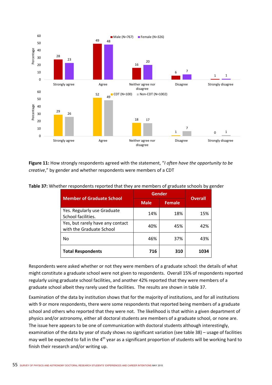

**Figure 11:** How strongly respondents agreed with the statement, "*I often have the opportunity to be creative*," by gender and whether respondents were members of a CDT

| <b>Member of Graduate School</b>                             | Gender      | <b>Overall</b> |      |
|--------------------------------------------------------------|-------------|----------------|------|
|                                                              | <b>Male</b> | <b>Female</b>  |      |
| Yes. Regularly use Graduate<br>School facilities.            | 14%         | 18%            | 15%  |
| Yes, but rarely have any contact<br>with the Graduate School | 40%         | 45%            | 42%  |
| No                                                           | 46%         | 37%            | 43%  |
| <b>Total Respondents</b>                                     | 716         | 310            | 1034 |

**Table 37:** Whether respondents reported that they are members of graduate schools by gender

Respondents were asked whether or not they were members of a graduate school: the details of what might constitute a graduate school were not given to respondents. Overall 15% of respondents reported regularly using graduate school facilities, and another 42% reported that they were members of a graduate school albeit they rarely used the facilities. The results are shown in table 37.

Examination of the data by institution shows that for the majority of institutions, and for all institutions with 9 or more respondents, there were some respondents that reported being members of a graduate school and others who reported that they were not. The likelihood is that within a given department of physics and/or astronomy, either all doctoral students are members of a graduate school, or none are. The issue here appears to be one of communication with doctoral students although interestingly, examination of the data by year of study shows no significant variation (see table 38) – usage of facilities may well be expected to fall in the 4<sup>th</sup> year as a significant proportion of students will be working hard to finish their research and/or writing up.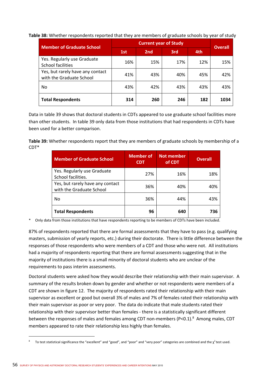**Table 38:** Whether respondents reported that they are members of graduate schools by year of study

| <b>Member of Graduate School</b>                             |     | <b>Overall</b>  |     |     |      |
|--------------------------------------------------------------|-----|-----------------|-----|-----|------|
|                                                              | 1st | 2 <sub>nd</sub> | 3rd | 4th |      |
| Yes. Regularly use Graduate<br>School facilities             | 16% | 15%             | 17% | 12% | 15%  |
| Yes, but rarely have any contact<br>with the Graduate School | 41% | 43%             | 40% | 45% | 42%  |
| No                                                           | 43% | 42%             | 43% | 43% | 43%  |
| <b>Total Respondents</b>                                     | 314 | 260             | 246 | 182 | 1034 |

Data in table 39 shows that doctoral students in CDTs appeared to use graduate school facilities more than other students. In table 39 only data from those institutions that had respondents in CDTs have been used for a better comparison.

**Table 39:** Whether respondents report that they are members of graduate schools by membership of a CDT\*

| <b>Member of Graduate School</b>                             | <b>Member of</b><br><b>CDT</b> | <b>Not member</b><br>of CDT | <b>Overall</b> |
|--------------------------------------------------------------|--------------------------------|-----------------------------|----------------|
| Yes. Regularly use Graduate<br>School facilities.            | 27%                            | 16%                         | 18%            |
| Yes, but rarely have any contact<br>with the Graduate School | 36%                            | 40%                         | 40%            |
| No                                                           | 36%                            | 44%                         | 43%            |
| <b>Total Respondents</b>                                     | 96                             | 640                         | 736            |

\* Only data from those institutions that have respondents reporting to be members of CDTs have been included.

87% of respondents reported that there are formal assessments that they have to pass (e.g. qualifying masters, submission of yearly reports, etc.) during their doctorate. There is little difference between the responses of those respondents who were members of a CDT and those who were not. All institutions had a majority of respondents reporting that there are formal assessments suggesting that in the majority of institutions there is a small minority of doctoral students who are unclear of the requirements to pass interim assessments.

Doctoral students were asked how they would describe their relationship with their main supervisor. A summary of the results broken down by gender and whether or not respondents were members of a CDT are shown in figure 12. The majority of respondents rated their relationship with their main supervisor as excellent or good but overall 3% of males and 7% of females rated their relationship with their main supervisor as poor or very poor. The data do indicate that male students rated their relationship with their supervisor better than females ‐ there is a statistically significant different between the responses of males and females among CDT non-members (P<0.1).<sup>8</sup> Among males, CDT members appeared to rate their relationship less highly than females.

<sup>8</sup> To test statistical significance the "excellent" and "good", and "poor" and "very poor" categories are combined and the  $\chi^2$  test used.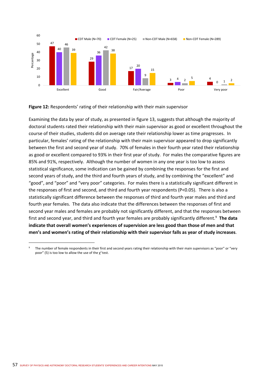

**Figure 12:** Respondents' rating of their relationship with their main supervisor

Examining the data by year of study, as presented in figure 13, suggests that although the majority of doctoral students rated their relationship with their main supervisor as good or excellent throughout the course of their studies, students did on average rate their relationship lower as time progresses. In particular, females' rating of the relationship with their main supervisor appeared to drop significantly between the first and second year of study. 70% of females in their fourth year rated their relationship as good or excellent compared to 93% in their first year of study. For males the comparative figures are 85% and 91%, respectively. Although the number of women in any one year is too low to assess statistical significance, some indication can be gained by combining the responses for the first and second years of study, and the third and fourth years of study, and by combining the "excellent" and "good", and "poor" and "very poor" categories. For males there is a statistically significant different in the responses of first and second, and third and fourth year respondents (P<0.05). There is also a statistically significant difference between the responses of third and fourth year males and third and fourth year females. The data also indicate that the differences between the responses of first and second year males and females are probably not significantly different, and that the responses between first and second year, and third and fourth year females are probably significantly different.<sup>9</sup> The data **indicate that overall women's experiences of supervision are less good than those of men and that men's and women's rating of their relationship with their supervisor falls as year of study increases**.

<sup>9</sup> The number of female respondents in their first and second years rating their relationship with their main supervisors as "poor" or "very poor" (5) is too low to allow the use of the  $\chi^2$  test.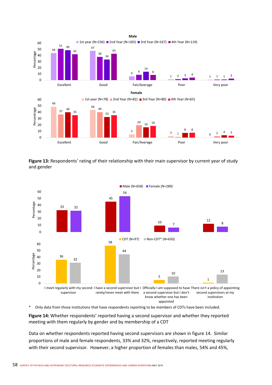

**Figure 13:** Respondents' rating of their relationship with their main supervisor by current year of study and gender



\* Only data from those institutions that have respondents reporting to be members of CDTs have been included.

**Figure 14:** Whether respondents' reported having a second supervisor and whether they reported meeting with them regularly by gender and by membership of a CDT

Data on whether respondents reported having second supervisors are shown in figure 14. Similar proportions of male and female respondents, 33% and 32%, respectively, reported meeting regularly with their second supervisor. However, a higher proportion of females than males, 54% and 45%,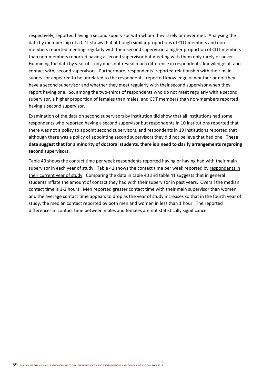respectively, reported having a second supervisor with whom they rarely or never met. Analysing the data by membership of a CDT shows that although similar proportions of CDT members and non‐ members reported meeting regularly with their second supervisor, a higher proportion of CDT members than non-members reported having a second supervisor but meeting with them only rarely or never. Examining the data by year of study does not reveal much difference in respondents' knowledge of, and contact with, second supervisors. Furthermore, respondents' reported relationship with their main supervisor appeared to be unrelated to the respondents' reported knowledge of whether or not they have a second supervisor and whether they meet regularly with their second supervisor when they report having one. So, among the two-thirds of respondents who do not meet regularly with a second supervisor, a higher proportion of females than males, and CDT members than non-members reported having a second supervisor.

Examination of the data on second supervisors by institution did show that all institutions had some respondents who reported having a second supervisor but respondents in 10 institutions reported that there was not a policy to appoint second supervisors, and respondents in 19 institutions reported that although there was a policy of appointing second supervisors they did not believe that had one. **These data suggest that for a minority of doctoral students, there is a need to clarify arrangements regarding second supervisors.**

Table 40 shows the contact time per week respondents reported having or having had with their main supervisor in each year of study. Table 41 shows the contact time per week reported by respondents in their current year of study. Comparing the data in table 40 and table 41 suggests that in general students inflate the amount of contact they had with their supervisor in past years. Overall the median contact time is 1‐2 hours. Men reported greater contact time with their main supervisor than women and the average contact time appears to drop as the year of study increases so that in the fourth year of study, the median contact reported by both men and women in less than 1 hour. The reported differences in contact time between males and females are not statistically significance.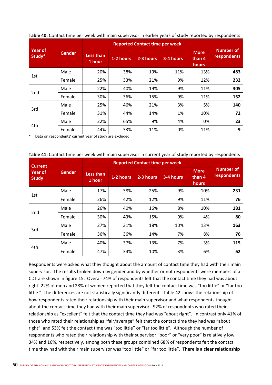|                   |        |               | <b>Reported Contact time per week</b> |           |           |           |                                |                                 |  |
|-------------------|--------|---------------|---------------------------------------|-----------|-----------|-----------|--------------------------------|---------------------------------|--|
| Year of<br>Study* |        | <b>Gender</b> | <b>Less than</b><br>1 hour            | 1-2 hours | 2-3 hours | 3-4 hours | <b>More</b><br>than 4<br>hours | <b>Number of</b><br>respondents |  |
|                   | Male   | 20%           | 38%                                   | 19%       | 11%       | 13%       | 483                            |                                 |  |
| 1st               | Female | 25%           | 33%                                   | 21%       | 9%        | 12%       | 232                            |                                 |  |
|                   | Male   | 22%           | 40%                                   | 19%       | 9%        | 11%       | 305                            |                                 |  |
| 2nd               | Female | 30%           | 36%                                   | 15%       | 9%        | 11%       | 152                            |                                 |  |
|                   | Male   | 25%           | 46%                                   | 21%       | 3%        | 5%        | 140                            |                                 |  |
| 3rd               | Female | 31%           | 44%                                   | 14%       | 1%        | 10%       | 72                             |                                 |  |
|                   | Male   | 22%           | 65%                                   | 9%        | 4%        | 0%        | 23                             |                                 |  |
| 4th               | Female | 44%           | 33%                                   | 11%       | 0%        | 11%       | 9                              |                                 |  |

**Table 40:** Contact time per week with main supervisor in earlier years of study reported by respondents

Data on respondents' current year of study are excluded.

| Table 41: Contact time per week with main supervisor in current year of study reported by respondents |  |  |  |
|-------------------------------------------------------------------------------------------------------|--|--|--|
|-------------------------------------------------------------------------------------------------------|--|--|--|

| <b>Current</b>                 |        |               |                            |           |           |           |                                |                          |
|--------------------------------|--------|---------------|----------------------------|-----------|-----------|-----------|--------------------------------|--------------------------|
| <b>Year of</b><br><b>Study</b> |        | <b>Gender</b> | <b>Less than</b><br>1 hour | 1-2 hours | 2-3 hours | 3-4 hours | <b>More</b><br>than 4<br>hours | Number of<br>respondents |
|                                | Male   | 17%           | 38%                        | 25%       | 9%        | 10%       | 231                            |                          |
| 1st                            | Female | 26%           | 42%                        | 12%       | 9%        | 11%       | 76                             |                          |
| 2nd                            | Male   | 26%           | 40%                        | 16%       | 8%        | 10%       | 181                            |                          |
|                                | Female | 30%           | 43%                        | 15%       | 9%        | 4%        | 80                             |                          |
|                                | Male   | 27%           | 31%                        | 18%       | 10%       | 13%       | 163                            |                          |
| 3rd                            | Female | 36%           | 36%                        | 14%       | 7%        | 8%        | 76                             |                          |
|                                | Male   | 40%           | 37%                        | 13%       | 7%        | 3%        | 115                            |                          |
| 4th                            | Female | 47%           | 34%                        | 10%       | 3%        | 6%        | 62                             |                          |

Respondents were asked what they thought about the amount of contact time they had with their main supervisor. The results broken down by gender and by whether or not respondents were members of a CDT are shown in figure 15. Overall 74% of respondents felt that the contact time they had was about right: 22% of men and 28% of women reported that they felt the contact time was "too little" or "far too little." The differences are not statistically significantly different. Table 42 shows the relationship of how respondents rated their relationship with their main supervisor and what respondents thought about the contact time they had with their main supervisor. 92% of respondents who rated their relationship as "excellent" felt that the contact time they had was "about right". In contrast only 41% of those who rated their relationship as "fair/average" felt that the contact time they had was "about right", and 53% felt the contact time was "too little" or "far too little". Although the number of respondents who rated their relationship with their supervisor "poor" or "very poor" is relatively low, 34% and 16%, respectively, among both these groups combined 68% of respondents felt the contact time they had with their main supervisor was "too little" or "far too little". **There is a clear relationship**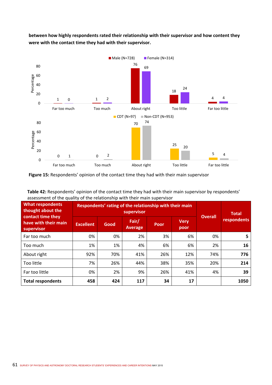

**between how highly respondents rated their relationship with their supervisor and how content they were with the contact time they had with their supervisor.** 

**Figure 15:** Respondents' opinion of the contact time they had with their main supervisor

| Table 42: Respondents' opinion of the contact time they had with their main supervisor by respondents' |
|--------------------------------------------------------------------------------------------------------|
| assessment of the quality of the relationship with their main supervisor                               |

| <b>What respondents</b><br>thought about the<br>contact time they |                  | Respondents' rating of the relationship with their main | <b>Overall</b>          | <b>Total</b> |                     |     |             |
|-------------------------------------------------------------------|------------------|---------------------------------------------------------|-------------------------|--------------|---------------------|-----|-------------|
| have with their main<br>supervisor                                | <b>Excellent</b> | Good                                                    | Fair/<br><b>Average</b> | Poor         | <b>Very</b><br>poor |     | respondents |
| Far too much                                                      | 0%               | 0%                                                      | 2%                      | 3%           | 6%                  | 0%  | 5           |
| Too much                                                          | 1%               | 1%                                                      | 4%                      | 6%           | 6%                  | 2%  | 16          |
| About right                                                       | 92%              | 70%                                                     | 41%                     | 26%          | 12%                 | 74% | 776         |
| Too little                                                        | 7%               | 26%                                                     | 44%                     | 38%          | 35%                 | 20% | 214         |
| Far too little                                                    | 0%               | 2%                                                      | 9%                      | 26%          | 41%                 | 4%  | 39          |
| <b>Total respondents</b>                                          | 458              | 424                                                     | 117                     | 34           | 17                  |     | 1050        |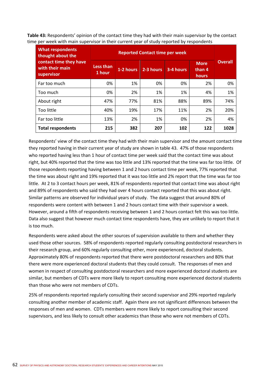**Table 43:** Respondents' opinion of the contact time they had with their main supervisor by the contact time per week with main supervisor in their current year of study reported by respondents

| <b>What respondents</b><br>thought about the            | <b>Reported Contact time per week</b> |           |           |           |                                |                |  |  |
|---------------------------------------------------------|---------------------------------------|-----------|-----------|-----------|--------------------------------|----------------|--|--|
| contact time they have<br>with their main<br>supervisor | Less than<br>1 hour                   | 1-2 hours | 2-3 hours | 3-4 hours | <b>More</b><br>than 4<br>hours | <b>Overall</b> |  |  |
| Far too much                                            | 0%                                    | 1%        | 0%        | 0%        | 2%                             | 0%             |  |  |
| Too much                                                | 0%                                    | 2%        | 1%        | 1%        | 4%                             | 1%             |  |  |
| About right                                             | 47%                                   | 77%       | 81%       | 88%       | 89%                            | 74%            |  |  |
| Too little                                              | 40%                                   | 19%       | 17%       | 11%       | 2%                             | 20%            |  |  |
| Far too little                                          | 13%                                   | 2%        | 1%        | 0%        | 2%                             | 4%             |  |  |
| <b>Total respondents</b>                                | 215                                   | 382       | 207       | 102       | 122                            | 1028           |  |  |

Respondents' view of the contact time they had with their main supervisor and the amount contact time they reported having in their current year of study are shown in table 43. 47% of those respondents who reported having less than 1 hour of contact time per week said that the contact time was about right, but 40% reported that the time was too little and 13% reported that the time was far too little. Of those respondents reporting having between 1 and 2 hours contact time per week, 77% reported that the time was about right and 19% reported that it was too little and 2% report that the time was far too little. At 2 to 3 contact hours per week, 81% of respondents reported that contact time was about right and 89% of respondents who said they had over 4 hours contact reported that this was about right. Similar patterns are observed for individual years of study. The data suggest that around 80% of respondents were content with between 1 and 2 hours contact time with their supervisor a week. However, around a fifth of respondents receiving between 1 and 2 hours contact felt this was too little. Data also suggest that however much contact time respondents have, they are unlikely to report that it is too much.

Respondents were asked about the other sources of supervision available to them and whether they used those other sources. 58% of respondents reported regularly consulting postdoctoral researchers in their research group, and 60% regularly consulting other, more experienced, doctoral students. Approximately 80% of respondents reported that there were postdoctoral researchers and 80% that there were more experienced doctoral students that they could consult. The responses of men and women in respect of consulting postdoctoral researchers and more experienced doctoral students are similar, but members of CDTs were more likely to report consulting more experienced doctoral students than those who were not members of CDTs.

25% of respondents reported regularly consulting their second supervisor and 29% reported regularly consulting another member of academic staff. Again there are not significant differences between the responses of men and women. CDTs members were more likely to report consulting their second supervisors, and less likely to consult other academics than those who were not members of CDTs.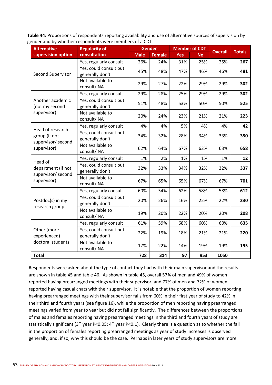**Table 44:** Proportions of respondents reporting availability and use of alternative sources of supervision by gender and by whether respondents were members of a CDT

| <b>Alternative</b>                                                     | <b>Regularity of</b>                      |             | <b>Gender</b> | <b>Member of CDT</b> |           | <b>Overall</b> | <b>Totals</b> |
|------------------------------------------------------------------------|-------------------------------------------|-------------|---------------|----------------------|-----------|----------------|---------------|
| supervision option                                                     | consultation                              | <b>Male</b> | <b>Female</b> | <b>Yes</b>           | <b>No</b> |                |               |
|                                                                        | Yes, regularly consult                    | 26%         | 24%           | 31%                  | 25%       | 25%            | 267           |
| Second Supervisor                                                      | Yes, could consult but<br>generally don't | 45%         | 48%           | 47%                  | 46%       | 46%            | 481           |
|                                                                        | Not available to<br>consult/NA            | 29%         | 27%           | 22%                  | 29%       | 29%            | 302           |
|                                                                        | Yes, regularly consult                    | 29%         | 28%           | 25%                  | 29%       | 29%            | 302           |
| Another academic<br>(not my second                                     | Yes, could consult but<br>generally don't | 51%         | 48%           | 53%                  | 50%       | 50%            | 525           |
| supervisor)                                                            | Not available to<br>consult/NA            | 20%         | 24%           | 23%                  | 21%       | 21%            | 223           |
|                                                                        | Yes, regularly consult                    | 4%          | 4%            | 5%                   | 4%        | 4%             | 42            |
| Head of research<br>group (if not<br>supervisor/ second<br>supervisor) | Yes, could consult but<br>generally don't | 34%         | 32%           | 28%                  | 34%       | 33%            | 350           |
|                                                                        | Not available to<br>consult/NA            | 62%         | 64%           | 67%                  | 62%       | 63%            | 658           |
|                                                                        | Yes, regularly consult                    | 1%          | 2%            | 1%                   | 1%        | 1%             | 12            |
| Head of<br>department (if not<br>supervisor/ second                    | Yes, could consult but<br>generally don't | 32%         | 33%           | 34%                  | 32%       | 32%            | 337           |
| supervisor)                                                            | Not available to<br>consult/NA            | 67%         | 65%           | 65%                  | 67%       | 67%            | 701           |
|                                                                        | Yes, regularly consult                    | 60%         | 54%           | 62%                  | 58%       | 58%            | 612           |
| Postdoc(s) in my<br>research group                                     | Yes, could consult but<br>generally don't | 20%         | 26%           | 16%                  | 22%       | 22%            | 230           |
|                                                                        | Not available to<br>consult/NA            | 19%         | 20%           | 22%                  | 20%       | 20%            | 208           |
|                                                                        | Yes, regularly consult                    | 61%         | 59%           | 68%                  | 60%       | 60%            | 635           |
| Other (more<br>experienced)                                            | Yes, could consult but<br>generally don't | 22%         | 19%           | 18%                  | 21%       | 21%            | 220           |
| doctoral students                                                      | Not available to<br>consult/NA            | 17%         | 22%           | 14%                  | 19%       | 19%            | 195           |
| <b>Total</b>                                                           |                                           | 728         | 314           | 97                   | 953       | 1050           |               |

Respondents were asked about the type of contact they had with their main supervisor and the results are shown in table 45 and table 46. As shown in table 45, overall 57% of men and 49% of women reported having prearranged meetings with their supervisor, and 77% of men and 72% of women reported having casual chats with their supervisor. It is notable that the proportion of women reporting having prearranged meetings with their supervisor falls from 60% in their first year of study to 42% in their third and fourth years (see figure 16), while the proportion of men reporting having prearranged meetings varied from year to year but did not fall significantly. The differences between the proportions of males and females reporting having prearranged meetings in the third and fourth years of study are statistically significant (3<sup>rd</sup> year P<0.05; 4<sup>th</sup> year P<0.1). Clearly there is a question as to whether the fall in the proportion of females reporting prearranged meetings as year of study increases is observed generally, and, if so, why this should be the case. Perhaps in later years of study supervisors are more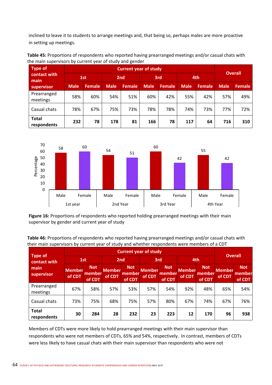inclined to leave it to students to arrange meetings and, that being so, perhaps males are more proactive in setting up meetings.

**Table 45:** Proportions of respondents who reported having prearranged meetings and/or casual chats with the main supervisors by current year of study and gender

| <b>Type of</b>                     |             | <b>Overall</b> |                 |               |             |         |             |               |             |               |
|------------------------------------|-------------|----------------|-----------------|---------------|-------------|---------|-------------|---------------|-------------|---------------|
| contact with<br>main<br>supervisor | 1st         |                | 2 <sub>nd</sub> |               | 3rd         |         | 4th         |               |             |               |
|                                    | <b>Male</b> | <b>Female</b>  | <b>Male</b>     | <b>Female</b> | <b>Male</b> | Female. | <b>Male</b> | <b>Female</b> | <b>Male</b> | <b>Female</b> |
| Prearranged<br>meetings            | 58%         | 60%            | 54%             | 51%           | 60%         | 42%     | 55%         | 42%           | 57%         | 49%           |
| Casual chats                       | 78%         | 67%            | 75%             | 73%           | 78%         | 78%     | 74%         | 73%           | 77%         | 72%           |
| <b>Total</b><br>respondents        | 232         | 78             | 178             | 81            | 166         | 78      | 117         | 64            | 716         | 310           |



**Figure 16:** Proportions of respondents who reported holding prearranged meetings with their main supervisor by gender and current year of study

| Table 46: Proportions of respondents who reported having prearranged meetings and/or casual chats with |
|--------------------------------------------------------------------------------------------------------|
| their main supervisors by current year of study and whether respondents were members of a CDT          |

|                                | <b>Current year of study</b> |                                |                         |                                |                         |                                       |                         |                                |                         | <b>Overall</b>                 |  |
|--------------------------------|------------------------------|--------------------------------|-------------------------|--------------------------------|-------------------------|---------------------------------------|-------------------------|--------------------------------|-------------------------|--------------------------------|--|
| <b>Type of</b><br>contact with |                              | 1st                            |                         | 2 <sub>nd</sub>                |                         | 3rd                                   |                         | 4th                            |                         |                                |  |
| main<br>supervisor             | <b>Member</b><br>of CDT      | <b>Not</b><br>member<br>of CDT | <b>Member</b><br>of CDT | <b>Not</b><br>member<br>of CDT | <b>Member</b><br>of CDT | <b>Not</b><br><u>member</u><br>of CDT | <b>Member</b><br>of CDT | <b>Not</b><br>member<br>of CDT | <b>Member</b><br>of CDT | <b>Not</b><br>member<br>of CDT |  |
| Prearranged<br>meetings        | 67%                          | 58%                            | 57%                     | 53%                            | 57%                     | 54%                                   | 92%                     | 48%                            | 65%                     | 54%                            |  |
| Casual chats                   | 73%                          | 75%                            | 68%                     | 75%                            | 57%                     | 80%                                   | 67%                     | 74%                            | 67%                     | 76%                            |  |
| <b>Total</b><br>respondents    | 30                           | 284                            | 28                      | 232                            | 23                      | 223                                   | 12                      | 170                            | 96                      | 938                            |  |

Members of CDTs were more likely to hold prearranged meetings with their main supervisor than respondents who were not members of CDTs, 65% and 54%, respectively. In contrast, members of CDTs were less likely to have casual chats with their main supervisor than respondents who were not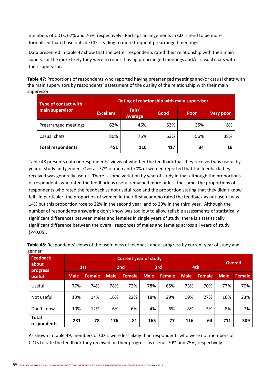members of CDTs, 67% and 76%, respectively. Perhaps arrangements in CDTs tend to be more formalised than those outside CDT leading to more frequent prearranged meetings.

Data presented in table 47 show that the better respondents rated their relationship with their main supervisor the more likely they were to report having prearranged meetings and/or casual chats with their supervisor.

**Table 47:** Proportions of respondents who reported having prearranged meetings and/or casual chats with the main supervisors by respondents' assessment of the quality of the relationship with their main supervisor

| Type of contact with     | Rating of relationship with main supervisor |                         |      |      |                  |  |  |  |  |
|--------------------------|---------------------------------------------|-------------------------|------|------|------------------|--|--|--|--|
| main supervisor          | <b>Excellent</b>                            | Fair/<br><b>Average</b> | Good | Poor | <b>Very poor</b> |  |  |  |  |
| Prearranged meetings     | 62%                                         | 46%                     | 53%  | 35%  | 6%               |  |  |  |  |
| Casual chats             | 80%                                         | 76%                     | 63%  | 56%  | 38%              |  |  |  |  |
| <b>Total respondents</b> | 451                                         | 116                     | 417  | 34   | 16               |  |  |  |  |

Table 48 presents data on respondents' views of whether the feedback that they received was useful by year of study and gender. Overall 77% of men and 70% of women reported that the feedback they received was generally useful. There is some variation by year of study in that although the proportions of respondents who rated the feedback as useful remained more or less the same, the proportions of respondents who rated the feedback as not useful rose and the proportion stating that they didn't know fell. In particular, the proportion of women in their first year who rated the feedback as not useful was 14% but this proportion rose to 22% in the second year, and to 29% in the third year. Although the number of respondents answering don't know was too low to allow reliable assessments of statistically significant differences between males and females in single years of study, there is a statistically significant difference between the overall responses of males and females across all years of study (P<0.05).

| o-…<br><b>Feedback</b><br>about<br>progress<br>useful | <b>Current year of study</b> |               |             |                 |             |               |             |               |                |               |
|-------------------------------------------------------|------------------------------|---------------|-------------|-----------------|-------------|---------------|-------------|---------------|----------------|---------------|
|                                                       |                              | 1st           |             | 2 <sub>nd</sub> |             | 3rd           |             | 4th           | <b>Overall</b> |               |
|                                                       | <b>Male</b>                  | <b>Female</b> | <b>Male</b> | <b>Female</b>   | <b>Male</b> | <b>Female</b> | <b>Male</b> | <b>Female</b> | <b>Male</b>    | <b>Female</b> |
| Useful                                                | 77%                          | 74%           | 78%         | 72%             | 78%         | 65%           | 73%         | 70%           | 77%            | 70%           |
| Not useful                                            | 13%                          | 14%           | 16%         | 22%             | 18%         | 29%           | 19%         | 27%           | 16%            | 23%           |
| Don't know                                            | 10%                          | 12%           | 6%          | 6%              | 4%          | 6%            | 8%          | 3%            | 8%             | 7%            |
| <b>Total</b><br>respondents                           | 231                          | 78            | 176         | 81              | 165         | 77            | 116         | 64            | 711            | 309           |

**Table 48:** Respondents' views of the usefulness of feedback about progress by current year of study and gender

As shown in table 49, members of CDTs were less likely than respondents who were not members of CDTs to rate the feedback they received on their progress as useful, 70% and 75%, respectively.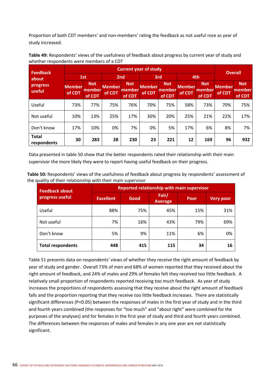Proportion of both CDT members' and non‐members' rating the feedback as not useful rose as year of study increased.

| Table 49: Respondents' views of the usefulness of feedback about progress by current year of study and |  |
|--------------------------------------------------------------------------------------------------------|--|
| whether respondents were members of a CDT                                                              |  |

| <b>Feedback</b>             |                         | <b>Overall</b>                 |                  |                                |                  |                                        |                         |                                |                         |                                |  |
|-----------------------------|-------------------------|--------------------------------|------------------|--------------------------------|------------------|----------------------------------------|-------------------------|--------------------------------|-------------------------|--------------------------------|--|
| about                       |                         | 1st                            |                  | 2 <sub>nd</sub>                |                  | 3rd                                    |                         | 4th                            |                         |                                |  |
| progress<br>useful          | <b>Member</b><br>of CDT | <b>Not</b><br>member<br>of CDT | Member<br>of CDT | <b>Not</b><br>member<br>of CDT | Member<br>of CDT | <b>Not</b><br>memb <u>er</u><br>of CDT | <b>Member</b><br>of CDT | <b>Not</b><br>member<br>of CDT | <b>Member</b><br>of CDT | <b>Not</b><br>member<br>of CDT |  |
| Useful                      | 73%                     | 77%                            | 75%              | 76%                            | 70%              | 75%                                    | 58%                     | 73%                            | 70%                     | 75%                            |  |
| Not useful                  | 10%                     | 13%                            | 25%              | 17%                            | 30%              | 20%                                    | 25%                     | 21%                            | 22%                     | 17%                            |  |
| Don't know                  | 17%                     | 10%                            | 0%               | 7%                             | 0%               | 5%                                     | 17%                     | 6%                             | 8%                      | 7%                             |  |
| <b>Total</b><br>respondents | 30                      | 283                            | 28               | 230                            | 23               | 221                                    | 12                      | 169                            | 96                      | 932                            |  |

Data presented in table 50 show that the better respondents rated their relationship with their main supervisor the more likely they were to report having useful feedback on their progress.

**Table 50:** Respondents' views of the usefulness of feedback about progress by respondents' assessment of the quality of their relationship with their main supervisor

| <b>Feedback about</b>    | <b>Reported relationship with main supervisor</b> |      |                         |      |                  |  |  |  |  |  |
|--------------------------|---------------------------------------------------|------|-------------------------|------|------------------|--|--|--|--|--|
| progress useful          | <b>Excellent</b>                                  | Good | Fair/<br><b>Average</b> | Poor | <b>Very poor</b> |  |  |  |  |  |
| Useful                   | 88%                                               | 75%  | 45%                     | 15%  | 31%              |  |  |  |  |  |
| Not useful               | 7%                                                | 16%  | 43%                     | 79%  | 69%              |  |  |  |  |  |
| Don't know               | 5%                                                | 9%   | 11%                     | 6%   | 0%               |  |  |  |  |  |
| <b>Total respondents</b> | 448                                               | 415  | 115                     | 34   | 16               |  |  |  |  |  |

Table 51 presents data on respondents' views of whether they receive the right amount of feedback by year of study and gender. Overall 73% of men and 68% of women reported that they received about the right amount of feedback, and 24% of males and 29% of females felt they received too little feedback. A relatively small proportion of respondents reported receiving too much feedback. As year of study increases the proportions of respondents assessing that they receive about the right amount of feedback falls and the proportion reporting that they receive too little feedback increases. There are statistically significant differences (P<0.05) between the responses of males in the first year of study and in the third and fourth years combined (the responses for "too much" and "about right" were combined for the purposes of the analyses) and for females in the first year of study and third and fourth years combined. The differences between the responses of males and females in any one year are not statistically significant.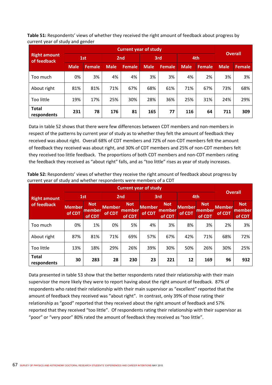**Table 51:** Respondents' views of whether they received the right amount of feedback about progress by current year of study and gender

|                                    | <b>Current year of study</b> |               |                 |        |             |               |             |         |                |               |  |
|------------------------------------|------------------------------|---------------|-----------------|--------|-------------|---------------|-------------|---------|----------------|---------------|--|
| <b>Right amount</b><br>of feedback | 1st                          |               | 2 <sub>nd</sub> |        | 3rd         |               | 4th         |         | <b>Overall</b> |               |  |
|                                    | <b>Male</b>                  | <b>Female</b> | <b>Male</b>     | Female | <b>Male</b> | <b>Female</b> | <b>Male</b> | Female. | <b>Male</b>    | <b>Female</b> |  |
| Too much                           | 0%                           | 3%            | 4%              | 4%     | 3%          | 3%            | 4%          | 2%      | 3%             | 3%            |  |
| About right                        | 81%                          | 81%           | 71%             | 67%    | 68%         | 61%           | 71%         | 67%     | 73%            | 68%           |  |
| Too little                         | 19%                          | 17%           | 25%             | 30%    | 28%         | 36%           | 25%         | 31%     | 24%            | 29%           |  |
| <b>Total</b><br>respondents        | 231                          | 78            | 176             | 81     | 165         | 77            | 116         | 64      | 711            | 309           |  |

Data in table 52 shows that there were few differences between CDT members and non‐members in respect of the patterns by current year of study as to whether they felt the amount of feedback they received was about right. Overall 68% of CDT members and 72% of non‐CDT members felt the amount of feedback they received was about right, and 30% of CDT members and 25% of non‐CDT members felt they received too little feedback. The proportions of both CDT members and non‐CDT members rating the feedback they received as "about right" falls, and as "too little" rises as year of study increases.

| <b>Right amount</b>         |                         | 1st                            |                         | 2 <sub>nd</sub>                |                         | 3rd                            |                         | 4th                            |                         | <b>Overall</b>                 |  |
|-----------------------------|-------------------------|--------------------------------|-------------------------|--------------------------------|-------------------------|--------------------------------|-------------------------|--------------------------------|-------------------------|--------------------------------|--|
| of feedback                 | <b>Member</b><br>of CDT | <b>Not</b><br>member<br>of CDT | <b>Member</b><br>of CDT | <b>Not</b><br>member<br>of CDT | <b>Member</b><br>of CDT | <b>Not</b><br>member<br>of CDT | <b>Member</b><br>of CDT | <b>Not</b><br>member<br>of CDT | <b>Member</b><br>of CDT | <b>Not</b><br>member<br>of CDT |  |
| Too much                    | 0%                      | 1%                             | 0%                      | 5%                             | 4%                      | 3%                             | 8%                      | 3%                             | 2%                      | 3%                             |  |
| About right                 | 87%                     | 81%                            | 71%                     | 69%                            | 57%                     | 67%                            | 42%                     | 71%                            | 68%                     | 72%                            |  |
| Too little                  | 13%                     | 18%                            | 29%                     | 26%                            | 39%                     | 30%                            | 50%                     | 26%                            | 30%                     | 25%                            |  |
| <b>Total</b><br>respondents | 30                      | 283                            | 28                      | 230                            | 23                      | 221                            | 12                      | 169                            | 96                      | 932                            |  |

**Table 52:** Respondents' views of whether they receive the right amount of feedback about progress by current year of study and whether respondents were members of a CDT

Data presented in table 53 show that the better respondents rated their relationship with their main supervisor the more likely they were to report having about the right amount of feedback. 87% of respondents who rated their relationship with their main supervisor as "excellent" reported that the amount of feedback they received was "about right". In contrast, only 39% of those rating their relationship as "good" reported that they received about the right amount of feedback and 57% reported that they received "too little". Of respondents rating their relationship with their supervisor as "poor" or "very poor" 80% rated the amount of feedback they received as "too little".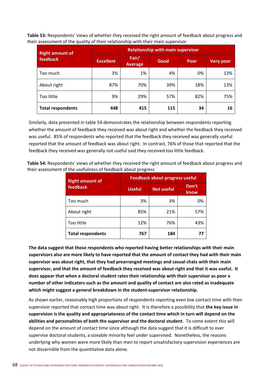**Table 53:** Respondents' views of whether they received the right amount of feedback about progress and their assessment of the quality of their relationship with their main supervisor

| <b>Right amount of</b>   | <b>Relationship with main supervisor</b> |                         |      |             |                  |  |  |  |  |
|--------------------------|------------------------------------------|-------------------------|------|-------------|------------------|--|--|--|--|
| feedback                 | <b>Excellent</b>                         | Fair/<br><b>Average</b> | Good | <b>Poor</b> | <b>Very poor</b> |  |  |  |  |
| Too much                 | 3%                                       | 1%                      | 4%   | 0%          | 13%              |  |  |  |  |
| About right              | 87%                                      | 70%                     | 39%  | 18%         | 13%              |  |  |  |  |
| Too little               | 9%                                       | 29%                     | 57%  | 82%         | 75%              |  |  |  |  |
| <b>Total respondents</b> | 448                                      | 415                     | 115  | 34          | 16               |  |  |  |  |

Similarly, data presented in table 54 demonstrates the relationship between respondents reporting whether the amount of feedback they received was about right and whether the feedback they received was useful. 85% of respondents who reported that the feedback they received was generally useful reported that the amount of feedback was about right. In contrast, 76% of those that reported that the feedback they received was generally not useful said they received too little feedback.

**Table 54:** Respondents' views of whether they received the right amount of feedback about progress and their assessment of the usefulness of feedback about progress

| <b>Right amount of</b>   | <b>Feedback about progress useful</b> |                   |               |  |  |  |  |
|--------------------------|---------------------------------------|-------------------|---------------|--|--|--|--|
| feedback                 | <b>Useful</b>                         | <b>Not useful</b> | Don't<br>know |  |  |  |  |
| Too much                 | 3%                                    | 3%                | 0%            |  |  |  |  |
| About right              | 85%                                   | 21%               | 57%           |  |  |  |  |
| Too little               | 12%                                   | 76%               | 43%           |  |  |  |  |
| <b>Total respondents</b> | 767                                   | 184               |               |  |  |  |  |

**The data suggest that those respondents who reported having better relationships with their main supervisors also are more likely to have reported that the amount of contact they had with their main supervisor was about right, that they had prearranged meetings and casual chats with their main supervisor, and that the amount of feedback they received was about right and that it was useful. It does appear that when a doctoral student rates their relationship with their supervisor as poor a number of other indicators such as the amount and quality of contact are also rated as inadequate which might suggest a general breakdown in the student‐supervisor relationship.**

As shown earlier, reasonably high proportions of respondents reporting even low contact time with their supervisor reported that contact time was about right. It is therefore a possibility that **the key issue in supervision is the quality and appropriateness of the contact time which in turn will depend on the abilities and personalities of both the supervisor and the doctoral student**. To some extent this will depend on the amount of contact time since although the data suggest that it is difficult to over supervise doctoral students, a sizeable minority feel under supervised. Nonetheless, the reasons underlying why women were more likely than men to report unsatisfactory supervision experiences are not discernible from the quantitative data alone.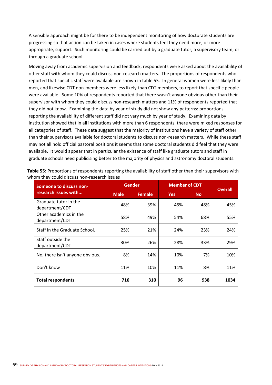A sensible approach might be for there to be independent monitoring of how doctorate students are progressing so that action can be taken in cases where students feel they need more, or more appropriate, support. Such monitoring could be carried out by a graduate tutor, a supervisory team, or through a graduate school.

Moving away from academic supervision and feedback, respondents were asked about the availability of other staff with whom they could discuss non‐research matters. The proportions of respondents who reported that specific staff were available are shown in table 55. In general women were less likely than men, and likewise CDT non‐members were less likely than CDT members, to report that specific people were available. Some 10% of respondents reported that there wasn't anyone obvious other than their supervisor with whom they could discuss non-research matters and 11% of respondents reported that they did not know. Examining the data by year of study did not show any patterns: proportions reporting the availability of different staff did not vary much by year of study. Examining data by institution showed that in all institutions with more than 6 respondents, there were mixed responses for all categories of staff. These data suggest that the majority of institutions have a variety of staff other than their supervisors available for doctoral students to discuss non-research matters. While these staff may not all hold official pastoral positions it seems that some doctoral students did feel that they were available. It would appear that in particular the existence of staff like graduate tutors and staff in graduate schools need publicising better to the majority of physics and astronomy doctoral students.

| Someone to discuss non-                  |             | <b>Gender</b> | <b>Member of CDT</b> | <b>Overall</b> |      |  |
|------------------------------------------|-------------|---------------|----------------------|----------------|------|--|
| research issues with                     | <b>Male</b> | <b>Female</b> | <b>Yes</b>           | <b>No</b>      |      |  |
| Graduate tutor in the<br>department/CDT  | 48%         | 39%           | 45%                  | 48%            | 45%  |  |
| Other academics in the<br>department/CDT | 58%         | 49%           | 54%                  | 68%            | 55%  |  |
| Staff in the Graduate School.            | 25%         | 21%           | 24%                  | 23%            | 24%  |  |
| Staff outside the<br>department/CDT      | 30%         | 26%           | 28%                  | 33%            | 29%  |  |
| No, there isn't anyone obvious.          | 8%          | 14%           | 10%                  | 7%             | 10%  |  |
| Don't know                               | 11%         | 10%           | 11%                  | 8%             | 11%  |  |
| <b>Total respondents</b>                 | 716         | 310           | 96                   | 938            | 1034 |  |

**Table 55:** Proportions of respondents reporting the availability of staff other than their supervisors with whom they could discuss non-research issues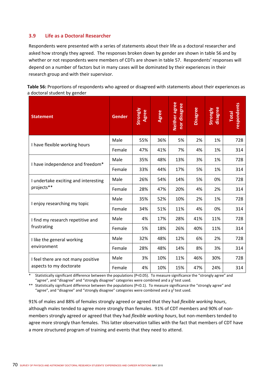## **3.9 Life as a Doctoral Researcher**

Respondents were presented with a series of statements about their life as a doctoral researcher and asked how strongly they agreed. The responses broken down by gender are shown in table 56 and by whether or not respondents were members of CDTs are shown in table 57. Respondents' responses will depend on a number of factors but in many cases will be dominated by their experiences in their research group and with their supervisor.

| Table 56: Proportions of respondents who agreed or disagreed with statements about their experiences as |  |
|---------------------------------------------------------------------------------------------------------|--|
| a doctoral student by gender                                                                            |  |

| <b>Statement</b>                                              | <b>Gender</b> | Strongly<br>Agree | Agree | Neither agree<br>nor disagree | <b>Disagree</b> | disagree<br>Strongly | respondents<br><b>Total</b> |
|---------------------------------------------------------------|---------------|-------------------|-------|-------------------------------|-----------------|----------------------|-----------------------------|
| I have flexible working hours                                 | Male          | 55%               | 36%   | 5%                            | 2%              | 1%                   | 728                         |
|                                                               | Female        | 47%               | 41%   | 7%                            | 4%              | 1%                   | 314                         |
| I have independence and freedom*                              | Male          | 35%               | 48%   | 13%                           | 3%              | 1%                   | 728                         |
|                                                               | Female        | 33%               | 44%   | 17%                           | 5%              | 1%                   | 314                         |
| I undertake exciting and interesting<br>projects**            | Male          | 26%               | 54%   | 14%                           | 5%              | 0%                   | 728                         |
|                                                               | Female        | 28%               | 47%   | 20%                           | 4%              | 2%                   | 314                         |
| I enjoy researching my topic                                  | Male          | 35%               | 52%   | 10%                           | 2%              | 1%                   | 728                         |
|                                                               | Female        | 34%               | 51%   | 11%                           | 4%              | 0%                   | 314                         |
| I find my research repetitive and<br>frustrating              | Male          | 4%                | 17%   | 28%                           | 41%             | 11%                  | 728                         |
|                                                               | Female        | 5%                | 18%   | 26%                           | 40%             | 11%                  | 314                         |
| I like the general working<br>environment                     | Male          | 32%               | 48%   | 12%                           | 6%              | 2%                   | 728                         |
|                                                               | Female        | 28%               | 48%   | 14%                           | 8%              | 3%                   | 314                         |
| I feel there are not many positive<br>aspects to my doctorate | Male          | 3%                | 10%   | 11%                           | 46%             | 30%                  | 728                         |
|                                                               | Female        | 4%                | 10%   | 15%                           | 47%             | 24%                  | 314                         |

Statistically significant difference between the populations (P<0.05). To measure significance the "strongly agree" and "agree", and "disagree" and "strongly disagree" categories were combined and a  $\chi^2$  test used.

\*\* Statistically significant difference between the populations (P<0.1). To measure significance the "strongly agree" and "agree", and "disagree" and "strongly disagree" categories were combined and a  $\chi^2$  test used.

91% of males and 88% of females strongly agreed or agreed that they had *flexible working hours*, although males tended to agree more strongly than females. 91% of CDT members and 90% of non‐ members strongly agreed or agreed that they had *flexible working hours*, but non‐members tended to agree more strongly than females. This latter observation tallies with the fact that members of CDT have a more structured program of training and events that they need to attend.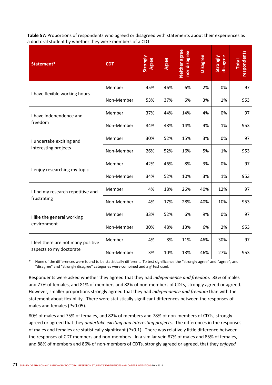**Table 57:** Proportions of respondents who agreed or disagreed with statements about their experiences as a doctoral student by whether they were members of a CDT

| Statement*                                                    | <b>CDT</b> | Strongly<br>Agree | Agree | Neither agree<br>nor disagree | <b>Disagree</b> | disagree<br>Strongly | respondents<br><b>Total</b> |
|---------------------------------------------------------------|------------|-------------------|-------|-------------------------------|-----------------|----------------------|-----------------------------|
| I have flexible working hours                                 | Member     | 45%               | 46%   | 6%                            | 2%              | 0%                   | 97                          |
|                                                               | Non-Member | 53%               | 37%   | 6%                            | 3%              | 1%                   | 953                         |
| I have independence and<br>freedom                            | Member     | 37%               | 44%   | 14%                           | 4%              | 0%                   | 97                          |
|                                                               | Non-Member | 34%               | 48%   | 14%                           | 4%              | 1%                   | 953                         |
| I undertake exciting and<br>interesting projects              | Member     | 30%               | 52%   | 15%                           | 3%              | 0%                   | 97                          |
|                                                               | Non-Member | 26%               | 52%   | 16%                           | 5%              | 1%                   | 953                         |
| I enjoy researching my topic                                  | Member     | 42%               | 46%   | 8%                            | 3%              | 0%                   | 97                          |
|                                                               | Non-Member | 34%               | 52%   | 10%                           | 3%              | 1%                   | 953                         |
| I find my research repetitive and<br>frustrating              | Member     | 4%                | 18%   | 26%                           | 40%             | 12%                  | 97                          |
|                                                               | Non-Member | 4%                | 17%   | 28%                           | 40%             | 10%                  | 953                         |
| I like the general working<br>environment                     | Member     | 33%               | 52%   | 6%                            | 9%              | 0%                   | 97                          |
|                                                               | Non-Member | 30%               | 48%   | 13%                           | 6%              | 2%                   | 953                         |
| I feel there are not many positive<br>aspects to my doctorate | Member     | 4%                | 8%    | 11%                           | 46%             | 30%                  | 97                          |
|                                                               | Non-Member | 3%                | 10%   | 13%                           | 46%             | 27%                  | 953                         |

None of the differences were found to be statistically different. To test significance the "strongly agree" and "agree", and "disagree" and "strongly disagree" categories were combined and a  $\chi^2$  test used.

Respondents were asked whether they agreed that they had *independence and freedom*. 83% of males and 77% of females, and 81% of members and 82% of non‐members of CDTs, strongly agreed or agreed. However, smaller proportions strongly agreed that they had *independence and freedom* than with the statement about flexibility. There were statistically significant differences between the responses of males and females (P<0.05).

80% of males and 75% of females, and 82% of members and 78% of non-members of CDTs, strongly agreed or agreed that they *undertake exciting and interesting projects*. The differences in the responses of males and females are statistically significant (P<0.1). There was relatively little difference between the responses of CDT members and non-members. In a similar vein 87% of males and 85% of females, and 88% of members and 86% of non‐members of CDTs, strongly agreed or agreed, that they *enjoyed*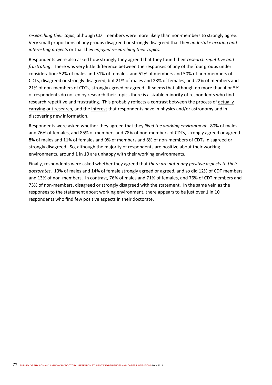*researching their topic,* although CDT members were more likely than non-members to strongly agree. Very small proportions of any groups disagreed or strongly disagreed that they *undertake exciting and interesting projects* or that they *enjoyed researching their topics*.

Respondents were also asked how strongly they agreed that they found their *research repetitive and frustrating*. There was very little difference between the responses of any of the four groups under consideration: 52% of males and 51% of females, and 52% of members and 50% of non‐members of CDTs, disagreed or strongly disagreed, but 21% of males and 23% of females, and 22% of members and 21% of non-members of CDTs, strongly agreed or agreed. It seems that although no more than 4 or 5% of respondents do not enjoy research their topics there is a sizable minority of respondents who find research repetitive and frustrating. This probably reflects a contrast between the process of actually carrying out research, and the interest that respondents have in physics and/or astronomy and in discovering new information.

Respondents were asked whether they agreed that they *liked the working environment*. 80% of males and 76% of females, and 85% of members and 78% of non‐members of CDTs, strongly agreed or agreed. 8% of males and 11% of females and 9% of members and 8% of non-members of CDTs, disagreed or strongly disagreed. So, although the majority of respondents are positive about their working environments, around 1 in 10 are unhappy with their working environments.

Finally, respondents were asked whether they agreed that *there are not many positive aspects to their doctorates*. 13% of males and 14% of female strongly agreed or agreed, and so did 12% of CDT members and 13% of non‐members. In contrast, 76% of males and 71% of females, and 76% of CDT members and 73% of non-members, disagreed or strongly disagreed with the statement. In the same vein as the responses to the statement about working environment, there appears to be just over 1 in 10 respondents who find few positive aspects in their doctorate.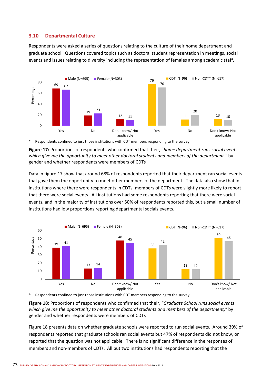## **3.10 Departmental Culture**

Respondents were asked a series of questions relating to the culture of their home department and graduate school. Questions covered topics such as doctoral student representation in meetings, social events and issues relating to diversity including the representation of females among academic staff.



Respondents confined to just those institutions with CDT members responding to the survey.

**Figure 17:** Proportions of respondents who confirmed that their, "*home department runs social events which give me the opportunity to meet other doctoral students and members of the department,"* by gender and whether respondents were members of CDTs

Data in figure 17 show that around 68% of respondents reported that their department ran social events that gave them the opportunity to meet other members of the department. The data also show that in institutions where there were respondents in CDTs, members of CDTs were slightly more likely to report that there were social events. All institutions had some respondents reporting that there were social events, and in the majority of institutions over 50% of respondents reported this, but a small number of institutions had low proportions reporting departmental socials events.



Respondents confined to just those institutions with CDT members responding to the survey.

**Figure 18:** Proportions of respondents who confirmed that their, "*Graduate School runs social events which give me the opportunity to meet other doctoral students and members of the department,"* by gender and whether respondents were members of CDTs

Figure 18 presents data on whether graduate schools were reported to run social events. Around 39% of respondents reported that graduate schools ran social events but 47% of respondents did not know, or reported that the question was not applicable. There is no significant difference in the responses of members and non-members of CDTs. All but two institutions had respondents reporting that the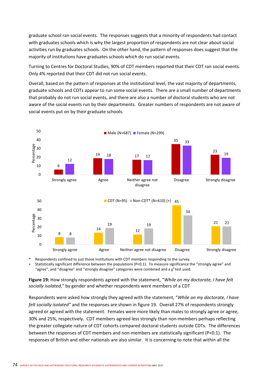graduate school ran social events. The responses suggests that a minority of respondents had contact with graduates schools which is why the largest proportion of respondents are not clear about social activities run by graduates schools. On the other hand, the pattern of responses does suggest that the majority of institutions have graduates schools which do run social events.

Turning to Centres for Doctoral Studies, 90% of CDT members reported that their CDT ran social events. Only 4% reported that their CDT did not run social events.

Overall, based on the pattern of responses at the institutional level, the vast majority of departments, graduate schools and CDTs appear to run some social events. There are a small number of departments that probably do not run social events, and there are also a number of doctoral students who are not aware of the social events run by their departments. Greater numbers of respondents are not aware of social events put on by their graduate schools.



Respondents confined to just those institutions with CDT members responding to the survey.

+ Statistically significant difference between the populations (P<0.1). To measure significance the "strongly agree" and "agree", and "disagree" and "strongly disagree" categories were combined and a  $\chi^2$  test used.

**Figure 19:** How strongly respondents agreed with the statement, "*While on my doctorate, I have felt socially isolated*," by gender and whether respondents were members of a CDT

Respondents were asked how strongly they agreed with the statement, "*While on my doctorate, I have felt socially isolated"* and the responses are shown in figure 19. Overall 27% of respondents strongly agreed or agreed with the statement. Females were more likely than males to strongly agree or agree, 30% and 25%, respectively. CDT members agreed less strongly than non‐members perhaps reflecting the greater collegiate nature of CDT cohorts compared doctoral students outside CDTs. The differences between the responses of CDT members and non-members are statistically significant (P<0.1). The responses of British and other nationals are also similar. It is concerning to note that within all the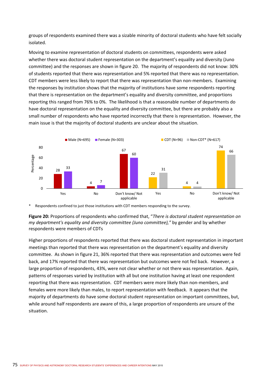groups of respondents examined there was a sizable minority of doctoral students who have felt socially isolated.

Moving to examine representation of doctoral students on committees, respondents were asked whether there was doctoral student representation on the department's equality and diversity (Juno committee) and the responses are shown in figure 20. The majority of respondents did not know: 30% of students reported that there was representation and 5% reported that there was no representation. CDT members were less likely to report that there was representation than non‐members. Examining the responses by institution shows that the majority of institutions have some respondents reporting that there is representation on the department's equality and diversity committee, and proportions reporting this ranged from 76% to 0%. The likelihood is that a reasonable number of departments do have doctoral representation on the equality and diversity committee, but there are probably also a small number of respondents who have reported incorrectly that there is representation. However, the main issue is that the majority of doctoral students are unclear about the situation.



Respondents confined to just those institutions with CDT members responding to the survey.

**Figure 20:** Proportions of respondents who confirmed that, "*There is doctoral student representation on my department's equality and diversity committee (Juno committee),"* by gender and by whether respondents were members of CDTs

Higher proportions of respondents reported that there was doctoral student representation in important meetings than reported that there was representation on the department's equality and diversity committee. As shown in figure 21, 36% reported that there was representation and outcomes were fed back, and 17% reported that there was representation but outcomes were not fed back. However, a large proportion of respondents, 43%, were not clear whether or not there was representation. Again, patterns of responses varied by institution with all but one institution having at least one respondent reporting that there was representation. CDT members were more likely than non‐members, and females were more likely than males, to report representation with feedback. It appears that the majority of departments do have some doctoral student representation on important committees, but, while around half respondents are aware of this, a large proportion of respondents are unsure of the situation.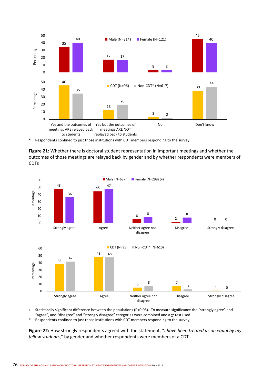

\* Respondents confined to just those institutions with CDT members responding to the survey.

**Figure 21:** Whether there is doctoral student representation in important meetings and whether the outcomes of those meetings are relayed back by gender and by whether respondents were members of CDTs



+ Statistically significant difference between the populations (P<0.05). To measure significance the "strongly agree" and "agree", and "disagree" and "strongly disagree" categories were combined and a  $\chi^2$  test used.

\* Respondents confined to just those institutions with CDT members responding to the survey.

**Figure 22:** How strongly respondents agreed with the statement, "*I have been treated as an equal by my fellow students*," by gender and whether respondents were members of a CDT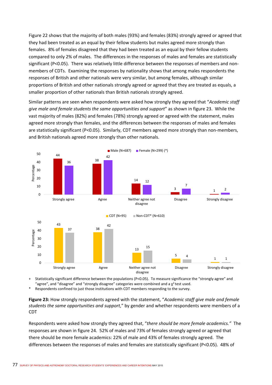Figure 22 shows that the majority of both males (93%) and females (83%) strongly agreed or agreed that they had been treated as an equal by their fellow students but males agreed more strongly than females. 8% of females disagreed that they had been treated as an equal by their fellow students compared to only 2% of males. The differences in the responses of males and females are statistically significant (P<0.05). There was relatively little difference between the responses of members and nonmembers of CDTs. Examining the responses by nationality shows that among males respondents the responses of British and other nationals were very similar, but among females, although similar proportions of British and other nationals strongly agreed or agreed that they are treated as equals, a smaller proportion of other nationals than British nationals strongly agreed.

Similar patterns are seen when respondents were asked how strongly they agreed that "*Academic staff give male and female students the same opportunities and support*" as shown in figure 23. While the vast majority of males (82%) and females (78%) strongly agreed or agreed with the statement, males agreed more strongly than females, and the differences between the responses of males and females are statistically significant (P<0.05). Similarly, CDT members agreed more strongly than non-members, and British nationals agreed more strongly than other nationals.



Statistically significant difference between the populations (P<0.05). To measure significance the "strongly agree" and "agree", and "disagree" and "strongly disagree" categories were combined and a  $\chi^2$  test used.

Respondents confined to just those institutions with CDT members responding to the survey.

**Figure 23:** How strongly respondents agreed with the statement, "*Academic staff give male and female students the same opportunities and support*," by gender and whether respondents were members of a CDT

Respondents were asked how strongly they agreed that, "*there should be more female academics."* The responses are shown in figure 24. 52% of males and 73% of females strongly agreed or agreed that there should be more female academics: 22% of male and 43% of females strongly agreed. The differences between the responses of males and females are statistically significant (P<0.05). 48% of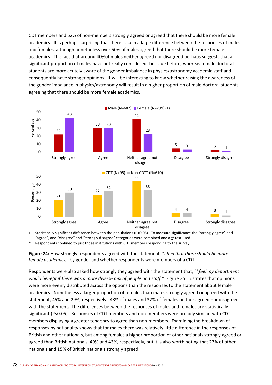CDT members and 62% of non‐members strongly agreed or agreed that there should be more female academics. It is perhaps surprising that there is such a large difference between the responses of males and females, although nonetheless over 50% of males agreed that there should be more female academics. The fact that around 40%of males neither agreed nor disagreed perhaps suggests that a significant proportion of males have not really considered the issue before, whereas female doctoral students are more acutely aware of the gender imbalance in physics/astronomy academic staff and consequently have stronger opinions. It will be interesting to know whether raising the awareness of the gender imbalance in physics/astronomy will result in a higher proportion of male doctoral students agreeing that there should be more female academics.



Statistically significant difference between the populations (P<0.05). To measure significance the "strongly agree" and "agree", and "disagree" and "strongly disagree" categories were combined and a  $\chi^2$  test used.

Respondents confined to just those institutions with CDT members responding to the survey.

**Figure 24:** How strongly respondents agreed with the statement, "*I feel that there should be more female academics*," by gender and whether respondents were members of a CDT

Respondents were also asked how strongly they agreed with the statement that, "*I feel my department would benefit if there was a more diverse mix of people and staff."* Figure 25 illustrates that opinions were more evenly distributed across the options than the responses to the statement about female academics. Nonetheless a larger proportion of females than males strongly agreed or agreed with the statement, 45% and 29%, respectively. 48% of males and 37% of females neither agreed nor disagreed with the statement. The differences between the responses of males and females are statistically significant (P<0.05). Responses of CDT members and non-members were broadly similar, with CDT members displaying a greater tendency to agree than non-members. Examining the breakdown of responses by nationality shows that for males there was relatively little difference in the responses of British and other nationals, but among females a higher proportion of other nationals strongly agreed or agreed than British nationals, 49% and 43%, respectively, but it is also worth noting that 23% of other nationals and 15% of British nationals strongly agreed.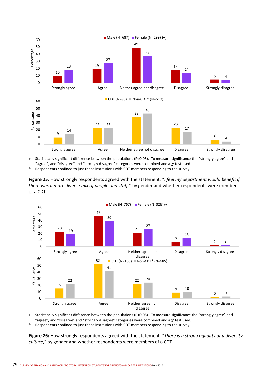

+ Statistically significant difference between the populations (P<0.05). To measure significance the "strongly agree" and "agree", and "disagree" and "strongly disagree" categories were combined and a  $\chi^2$  test used.

Respondents confined to just those institutions with CDT members responding to the survey.

**Figure 25:** How strongly respondents agreed with the statement, "*I feel my department would benefit if there was a more diverse mix of people and staff*," by gender and whether respondents were members of a CDT



+ Statistically significant difference between the populations (P<0.05). To measure significance the "strongly agree" and "agree", and "disagree" and "strongly disagree" categories were combined and a  $\chi^2$  test used.

Respondents confined to just those institutions with CDT members responding to the survey.

**Figure 26:** How strongly respondents agreed with the statement, "*There is a strong equality and diversity culture*," by gender and whether respondents were members of a CDT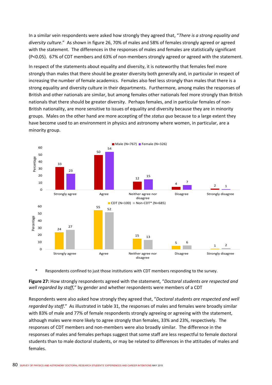In a similar vein respondents were asked how strongly they agreed that, "*There is a strong equality and diversity culture*." As shown in figure 26, 70% of males and 58% of females strongly agreed or agreed with the statement. The differences in the responses of males and females are statistically significant (P<0.05). 67% of CDT members and 63% of non‐members strongly agreed or agreed with the statement.

In respect of the statements about equality and diversity, it is noteworthy that females feel more strongly than males that there should be greater diversity both generally and, in particular in respect of increasing the number of female academics. Females also feel less strongly than males that there is a strong equality and diversity culture in their departments. Furthermore, among males the responses of British and other nationals are similar, but among females other nationals feel more strongly than British nationals that there should be greater diversity. Perhaps females, and in particular females of non‐ British nationality, are more sensitive to issues of equality and diversity because they are in minority groups. Males on the other hand are more accepting of the *status quo* because to a large extent they have become used to an environment in physics and astronomy where women, in particular, are a minority group.



\* Respondents confined to just those institutions with CDT members responding to the survey.

**Figure 27:** How strongly respondents agreed with the statement, "*Doctoral students are respected and well regarded by staff*," by gender and whether respondents were members of a CDT

Respondents were also asked how strongly they agreed that, "*Doctoral students are respected and well regarded by staff*." As illustrated in table 31, the responses of males and females were broadly similar with 83% of male and 77% of female respondents strongly agreeing or agreeing with the statement, although males were more likely to agree strongly than females, 33% and 23%, respectively. The responses of CDT members and non‐members were also broadly similar. The difference in the responses of males and females perhaps suggest that some staff are less respectful to female doctoral students than to male doctoral students, or may be related to differences in the attitudes of males and females.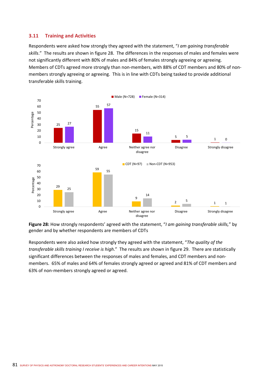# **3.11 Training and Activities**

Respondents were asked how strongly they agreed with the statement, "*I am gaining transferable skills*." The results are shown in figure 28. The differences in the responses of males and females were not significantly different with 80% of males and 84% of females strongly agreeing or agreeing. Members of CDTs agreed more strongly than non-members, with 88% of CDT members and 80% of nonmembers strongly agreeing or agreeing. This is in line with CDTs being tasked to provide additional transferable skills training.



**Figure 28:** How strongly respondents' agreed with the statement, "*I am gaining transferable skills,*" by gender and by whether respondents are members of CDTs

Respondents were also asked how strongly they agreed with the statement, "*The quality of the transferable skills training I receive is high*." The results are shown in figure 29. There are statistically significant differences between the responses of males and females, and CDT members and non‐ members. 65% of males and 64% of females strongly agreed or agreed and 81% of CDT members and 63% of non‐members strongly agreed or agreed.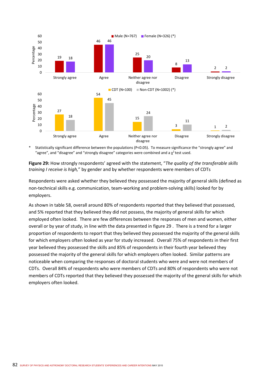

Statistically significant difference between the populations (P<0.05). To measure significance the "strongly agree" and "agree", and "disagree" and "strongly disagree" categories were combined and a  $\chi^2$  test used.

**Figure 29:** How strongly respondents' agreed with the statement, "*The quality of the transferable skills training I receive is high,*" by gender and by whether respondents were members of CDTs

Respondents were asked whether they believed they possessed the majority of general skills (defined as non‐technical skills e.g. communication, team‐working and problem‐solving skills) looked for by employers.

As shown in table 58, overall around 80% of respondents reported that they believed that possessed, and 5% reported that they believed they did not possess, the majority of general skills for which employed often looked. There are few differences between the responses of men and women, either overall or by year of study, in line with the data presented in figure 29 . There is a trend for a larger proportion of respondents to report that they believed they possessed the majority of the general skills for which employers often looked as year for study increased. Overall 75% of respondents in their first year believed they possessed the skills and 85% of respondents in their fourth year believed they possessed the majority of the general skills for which employers often looked. Similar patterns are noticeable when comparing the responses of doctoral students who were and were not members of CDTs. Overall 84% of respondents who were members of CDTs and 80% of respondents who were not members of CDTs reported that they believed they possessed the majority of the general skills for which employers often looked.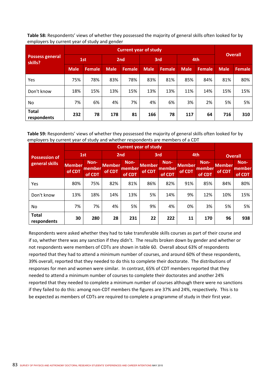**Table 58:** Respondents' views of whether they possessed the majority of general skills often looked for by employers by current year of study and gender

|                                   |             | <b>Current year of study</b> |             |        |             |               |             |               |                |               |  |
|-----------------------------------|-------------|------------------------------|-------------|--------|-------------|---------------|-------------|---------------|----------------|---------------|--|
| <b>Possess general</b><br>skills? | 1st         |                              | 2nd         |        | 3rd         |               | 4th         |               | <b>Overall</b> |               |  |
|                                   | <b>Male</b> | Female                       | <b>Male</b> | Female | <b>Male</b> | <b>Female</b> | <b>Male</b> | <b>Female</b> | <b>Male</b>    | <b>Female</b> |  |
| Yes                               | 75%         | 78%                          | 83%         | 78%    | 83%         | 81%           | 85%         | 84%           | 81%            | 80%           |  |
| Don't know                        | 18%         | 15%                          | 13%         | 15%    | 13%         | 13%           | 11%         | 14%           | 15%            | 15%           |  |
| No.                               | 7%          | 6%                           | 4%          | 7%     | 4%          | 6%            | 3%          | 2%            | 5%             | 5%            |  |
| <b>Total</b><br>respondents       | 232         | 78                           | 178         | 81     | 166         | 78            | 117         | 64            | 716            | 310           |  |

**Table 59:** Respondents' views of whether they possessed the majority of general skills often looked for by employers by current year of study and whether respondents are members of a CDT

| <b>Possession of</b>        |                  | 1st                      |                         | 2 <sub>nd</sub>          |                         | 3rd                      |                         | 4th                      | <b>Overall</b>          |                          |
|-----------------------------|------------------|--------------------------|-------------------------|--------------------------|-------------------------|--------------------------|-------------------------|--------------------------|-------------------------|--------------------------|
| general skills              | Member<br>of CDT | Non-<br>member<br>of CDT | <b>Member</b><br>of CDT | Non-<br>member<br>of CDT | <b>Member</b><br>of CDT | Non-<br>member<br>of CDT | <b>Member</b><br>of CDT | Non-<br>member<br>of CDT | <b>Member</b><br>of CDT | Non-<br>member<br>of CDT |
| Yes                         | 80%              | 75%                      | 82%                     | 81%                      | 86%                     | 82%                      | 91%                     | 85%                      | 84%                     | 80%                      |
| Don't know                  | 13%              | 18%                      | 14%                     | 13%                      | 5%                      | 14%                      | 9%                      | 12%                      | 10%                     | 15%                      |
| No.                         | 7%               | 7%                       | 4%                      | 5%                       | 9%                      | 4%                       | 0%                      | 3%                       | 5%                      | 5%                       |
| <b>Total</b><br>respondents | 30               | 280                      | 28                      | 231                      | 22                      | 222                      | 11                      | 170                      | 96                      | 938                      |

Respondents were asked whether they had to take transferable skills courses as part of their course and if so, whether there was any sanction if they didn't. The results broken down by gender and whether or not respondents were members of CDTs are shown in table 60. Overall about 63% of respondents reported that they had to attend a minimum number of courses, and around 60% of these respondents, 39% overall, reported that they needed to do this to complete their doctorate. The distributions of responses for men and women were similar. In contrast, 65% of CDT members reported that they needed to attend a minimum number of courses to complete their doctorates and another 24% reported that they needed to complete a minimum number of courses although there were no sanctions if they failed to do this: among non‐CDT members the figures are 37% and 24%, respectively. This is to be expected as members of CDTs are required to complete a programme of study in their first year.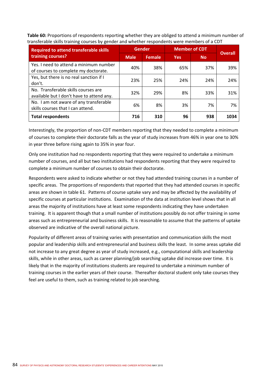**Table 60:** Proportions of respondents reporting whether they are obliged to attend a minimum number of transferable skills training courses by gender and whether respondents were members of a CDT

| <b>Required to attend transferable skills</b>                                    |             | <b>Gender</b> |            | <b>Member of CDT</b> | <b>Overall</b> |
|----------------------------------------------------------------------------------|-------------|---------------|------------|----------------------|----------------|
| training courses?                                                                | <b>Male</b> | <b>Female</b> | <b>Yes</b> | <b>No</b>            |                |
| Yes. I need to attend a minimum number<br>of courses to complete my doctorate.   | 40%         | 38%           | 65%        | 37%                  | 39%            |
| Yes, but there is no real sanction if I<br>don't.                                | 23%         | 25%           | 24%        | 24%                  | 24%            |
| No. Transferable skills courses are<br>available but I don't have to attend any. | 32%         | 29%           | 8%         | 33%                  | 31%            |
| No. I am not aware of any transferable<br>skills courses that I can attend.      | 6%          | 8%            | 3%         | 7%                   | 7%             |
| <b>Total respondents</b>                                                         | 716         | 310           | 96         | 938                  | 1034           |

Interestingly, the proportion of non‐CDT members reporting that they needed to complete a minimum of courses to complete their doctorate falls as the year of study increases from 46% in year one to 30% in year three before rising again to 35% in year four.

Only one institution had no respondents reporting that they were required to undertake a minimum number of courses, and all but two institutions had respondents reporting that they were required to complete a minimum number of courses to obtain their doctorate.

Respondents were asked to indicate whether or not they had attended training courses in a number of specific areas. The proportions of respondents that reported that they had attended courses in specific areas are shown in table 61. Patterns of course uptake vary and may be affected by the availability of specific courses at particular institutions. Examination of the data at institution level shows that in all areas the majority of institutions have at least some respondents indicating they have undertaken training. It is apparent though that a small number of institutions possibly do not offer training in some areas such as entrepreneurial and business skills. It is reasonable to assume that the patterns of uptake observed are indicative of the overall national picture.

Popularity of different areas of training varies with presentation and communication skills the most popular and leadership skills and entrepreneurial and business skills the least. In some areas uptake did not increase to any great degree as year of study increased, e.g., computational skills and leadership skills, while in other areas, such as career planning/job searching uptake did increase over time. It is likely that in the majority of institutions students are required to undertake a minimum number of training courses in the earlier years of their course. Thereafter doctoral student only take courses they feel are useful to them, such as training related to job searching.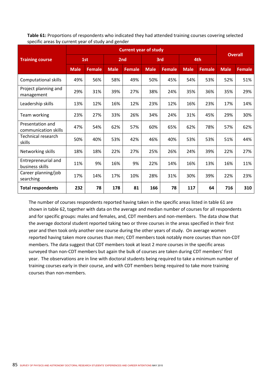**Table 61:** Proportions of respondents who indicated they had attended training courses covering selected specific areas by current year of study and gender

|                                          |             |               |             | <b>Current year of study</b> |             |               |             |               |             | <b>Overall</b> |
|------------------------------------------|-------------|---------------|-------------|------------------------------|-------------|---------------|-------------|---------------|-------------|----------------|
| <b>Training course</b>                   |             | 1st           |             | 2nd                          |             | 3rd           |             | 4th           |             |                |
|                                          | <b>Male</b> | <b>Female</b> | <b>Male</b> | <b>Female</b>                | <b>Male</b> | <b>Female</b> | <b>Male</b> | <b>Female</b> | <b>Male</b> | <b>Female</b>  |
| <b>Computational skills</b>              | 49%         | 56%           | 58%         | 49%                          | 50%         | 45%           | 54%         | 53%           | 52%         | 51%            |
| Project planning and<br>management       | 29%         | 31%           | 39%         | 27%                          | 38%         | 24%           | 35%         | 36%           | 35%         | 29%            |
| Leadership skills                        | 13%         | 12%           | 16%         | 12%                          | 23%         | 12%           | 16%         | 23%           | 17%         | 14%            |
| Team working                             | 23%         | 27%           | 33%         | 26%                          | 34%         | 24%           | 31%         | 45%           | 29%         | 30%            |
| Presentation and<br>communication skills | 47%         | 54%           | 62%         | 57%                          | 60%         | 65%           | 62%         | 78%           | 57%         | 62%            |
| Technical research<br>skills             | 50%         | 40%           | 53%         | 42%                          | 46%         | 40%           | 53%         | 53%           | 51%         | 44%            |
| Networking skills                        | 18%         | 18%           | 22%         | 27%                          | 25%         | 26%           | 24%         | 39%           | 22%         | 27%            |
| Entrepreneurial and<br>business skills   | 11%         | 9%            | 16%         | 9%                           | 22%         | 14%           | 16%         | 13%           | 16%         | 11%            |
| Career planning/job<br>searching         | 17%         | 14%           | 17%         | 10%                          | 28%         | 31%           | 30%         | 39%           | 22%         | 23%            |
| <b>Total respondents</b>                 | 232         | 78            | 178         | 81                           | 166         | 78            | 117         | 64            | 716         | 310            |

The number of courses respondents reported having taken in the specific areas listed in table 61 are shown in table 62, together with data on the average and median number of courses for all respondents and for specific groups: males and females, and, CDT members and non-members. The data show that the average doctoral student reported taking two or three courses in the areas specified in their first year and then took only another one course during the other years of study. On average women reported having taken more courses than men; CDT members took notably more courses than non‐CDT members. The data suggest that CDT members took at least 2 more courses in the specific areas surveyed than non-CDT members but again the bulk of courses are taken during CDT members' first year. The observations are in line with doctoral students being required to take a minimum number of training courses early in their course, and with CDT members being required to take more training courses than non‐members.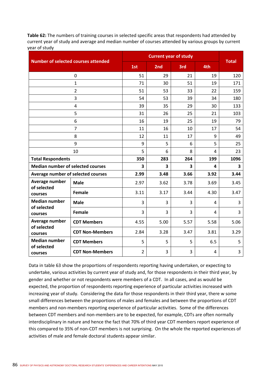**Table 62:** The numbers of training courses in selected specific areas that respondents had attended by current year of study and average and median number of courses attended by various groups by current year of study

|                                          | <b>Number of selected courses attended</b> |                |                         | <b>Current year of study</b> |      |              |
|------------------------------------------|--------------------------------------------|----------------|-------------------------|------------------------------|------|--------------|
|                                          |                                            | 1st            | 2nd                     | 3rd                          | 4th  | <b>Total</b> |
|                                          | $\mathbf 0$                                | 51             | 29                      | 21                           | 19   | 120          |
|                                          | $\mathbf{1}$                               | 71             | 30                      | 51                           | 19   | 171          |
|                                          | $\overline{2}$                             | 51             | 53                      | 33                           | 22   | 159          |
| 3                                        |                                            | 54             | 53                      | 39                           | 34   | 180          |
| 4                                        |                                            | 39             | 35                      | 29                           | 30   | 133          |
|                                          | 5                                          | 31             | 26                      | 25                           | 21   | 103          |
|                                          | 6                                          | 16             | 19                      | 25                           | 19   | 79           |
|                                          | $\overline{7}$                             | 11             | 16                      | 10                           | 17   | 54           |
|                                          | 8                                          | 12             | 11                      | 17                           | 9    | 49           |
| 9                                        |                                            | 9              | 5                       | 6                            | 5    | 25           |
|                                          | 10                                         | 5              | 6                       | 8                            | 4    | 23           |
| <b>Total Respondents</b>                 |                                            | 350            | 283                     | 264                          | 199  | 1096         |
| <b>Median number of selected courses</b> |                                            | 3              | $\overline{\mathbf{3}}$ | 3                            | 4    | 3            |
| Average number of selected courses       |                                            | 2.99           | 3.48                    | 3.66                         | 3.92 | 3.44         |
| Average number<br>of selected            | <b>Male</b>                                | 2.97           | 3.62                    | 3.78                         | 3.69 | 3.45         |
| courses                                  | <b>Female</b>                              | 3.11           | 3.17                    | 3.44                         | 4.30 | 3.47         |
| <b>Median number</b><br>of selected      | <b>Male</b>                                | 3              | 3                       | 3                            | 4    | 3            |
| courses                                  | <b>Female</b>                              | 3              | 3                       | 3                            | 4    | 3            |
| Average number                           | <b>CDT Members</b>                         | 4.55           | 5.00                    | 5.57                         | 5.58 | 5.06         |
| of selected<br>courses                   | <b>CDT Non-Members</b>                     | 2.84           | 3.28                    | 3.47                         | 3.81 | 3.29         |
| <b>Median number</b>                     | <b>CDT Members</b>                         | 5              | 5                       | 5                            | 6.5  | 5            |
| of selected<br>courses                   | <b>CDT Non-Members</b>                     | $\overline{2}$ | 3                       | 3                            | 4    | 3            |

Data in table 63 show the proportions of respondents reporting having undertaken, or expecting to undertake, various activities by current year of study and, for those respondents in their third year, by gender and whether or not respondents were members of a CDT. In all cases, and as would be expected, the proportion of respondents reporting experience of particular activities increased with increasing year of study. Considering the data for those respondents in their third year, there w some small differences between the proportions of males and females and between the proportions of CDT members and non‐members reporting experience of particular activities. Some of the differences between CDT members and non-members are to be expected, for example, CDTs are often normally interdisciplinary in nature and hence the fact that 70% of third year CDT members report experience of this compared to 35% of non‐CDT members is not surprising. On the whole the reported experiences of activities of male and female doctoral students appear similar.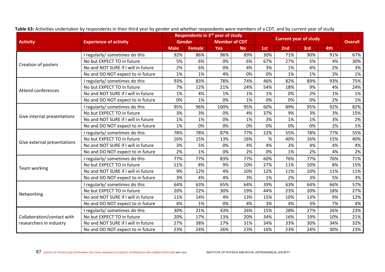|                                                       |                                     |             |               | Respondents in 3rd year of study |           | <b>Current year of study</b> |     |     |     |                |
|-------------------------------------------------------|-------------------------------------|-------------|---------------|----------------------------------|-----------|------------------------------|-----|-----|-----|----------------|
| <b>Activity</b>                                       | <b>Experience of activity</b>       |             | <b>Gender</b> | <b>Member of CDT</b>             |           |                              |     |     |     | <b>Overall</b> |
|                                                       |                                     | <b>Male</b> | <b>Female</b> | <b>Yes</b>                       | <b>No</b> | 1st                          | 2nd | 3rd | 4th |                |
|                                                       | I regularly/ sometimes do this      | 92%         | 86%           | 96%                              | 89%       | 30%                          | 71% | 90% | 91% | 67%            |
|                                                       | No but EXPECT TO in future          | 5%          | 6%            | 0%                               | 6%        | 67%                          | 27% | 5%  | 4%  | 30%            |
| Creation of posters                                   | No and NOT SURE if I will in future | 2%          | 6%            | 0%                               | 4%        | 3%                           | 1%  | 4%  | 2%  | 3%             |
|                                                       | No and DO NOT expect to in future   | 1%          | 1%            | 4%                               | 0%        | 0%                           | 1%  | 1%  | 3%  | 1%             |
|                                                       | regularly/sometimes do this         | 93%         | 83%           | 78%                              | 74%       | 46%                          | 82% | 89% | 93% | 75%            |
|                                                       | No but EXPECT TO in future          | 7%          | 12%           | 21%                              | 24%       | 54%                          | 18% | 9%  | 4%  | 24%            |
| Attend conferences                                    | No and NOT SURE if I will in future | 1%          | 4%            | 1%                               | 1%        | 1%                           | 0%  | 2%  | 1%  | 1%             |
|                                                       | No and DO NOT expect to in future   | 0%          | 1%            | 0%                               | 1%        | 0%                           | 0%  | 0%  | 2%  | 1%             |
|                                                       | I regularly/ sometimes do this      | 95%         | 96%           | 100%                             | 95%       | 60%                          | 89% | 95% | 92% | 82%            |
|                                                       | No but EXPECT TO in future          | 3%          | 3%            | 0%                               | 4%        | 37%                          | 9%  | 3%  | 3%  | 15%            |
| Give internal presentations                           | No and NOT SURE if I will in future | 1%          | 1%            | 0%                               | 1%        | 3%                           | 1%  | 1%  | 3%  | 2%             |
|                                                       | No and DO NOT expect to in future   | 1%          | 0%            | 0%                               | 0%        | 0%                           | 0%  | 0%  | 2%  | 1%             |
|                                                       | I regularly/ sometimes do this      | 78%         | 78%           | 87%                              | 77%       | 22%                          | 55% | 78% | 77% | 55%            |
|                                                       | No but EXPECT TO in future          | 16%         | 15%           | 13%                              | 16%       | $\%$                         | 40% | 16% | 15% | 40%            |
| Give external presentations                           | No and NOT SURE if I will in future | 3%          | 5%            | 0%                               | 4%        | 4%                           | 3%  | 4%  | 4%  | 4%             |
|                                                       | No and DO NOT expect to in future   | 2%          | 1%            | 0%                               | 2%        | 0%                           | 1%  | 2%  | 4%  | 2%             |
|                                                       | I regularly/ sometimes do this      | 77%         | 77%           | 83%                              | 77%       | 60%                          | 76% | 77% | 76% | 71%            |
|                                                       | No but EXPECT TO in future          | 11%         | 8%            | 9%                               | 10%       | 27%                          | 11% | 10% | 8%  | 15%            |
| Team working                                          | No and NOT SURE if I will in future | 9%          | 12%           | 4%                               | 10%       | 12%                          | 11% | 10% | 11% | 11%            |
|                                                       | No and DO NOT expect to in future   | 3%          | 4%            | 4%                               | 3%        | 1%                           | 2%  | 3%  | 5%  | 3%             |
|                                                       | I regularly/sometimes do this       | 64%         | 63%           | 65%                              | 64%       | 39%                          | 63% | 64% | 66% | 57%            |
|                                                       | No but EXPECT TO in future          | 20%         | 22%           | 30%                              | 19%       | 44%                          | 23% | 20% | 18% | 27%            |
| Networking                                            | No and NOT SURE if I will in future | 11%         | 14%           | 4%                               | 13%       | 15%                          | 10% | 13% | 9%  | 12%            |
|                                                       | No and DO NOT expect to in future   | 4%          | 1%            | 0%                               | 4%        | 3%                           | 4%  | 3%  | 7%  | 4%             |
|                                                       | I regularly/ sometimes do this      | 30%         | 21%           | 43%                              | 26%       | 15%                          | 28% | 27% | 26% | 23%            |
| Collaboration/contact with<br>researchers in industry | No but EXPECT TO in future          | 20%         | 17%           | 13%                              | 20%       | 34%                          | 16% | 19% | 10% | 21%            |
|                                                       | No and NOT SURE if I will in future | 27%         | 38%           | 17%                              | 31%       | 34%                          | 33% | 30% | 34% | 32%            |
|                                                       | No and DO NOT expect to in future   | 23%         | 24%           | 26%                              | 23%       | 16%                          | 23% | 24% | 30% | 23%            |

Table 63: Activities undertaken by respondents in their third year by gender and whether respondents were members of a CDT, and by current year of study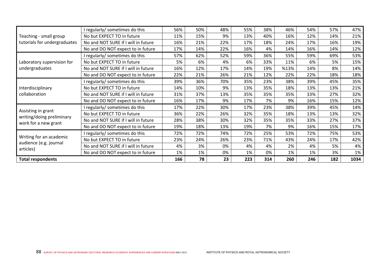|                                                 | regularly/sometimes do this         | 56% | 50% | 48% | 55% | 38% | 46%  | 54% | 57% | 47%  |
|-------------------------------------------------|-------------------------------------|-----|-----|-----|-----|-----|------|-----|-----|------|
| Teaching - small group                          | No but EXPECT TO in future          | 11% | 15% | 9%  | 13% | 40% | 16%  | 12% | 14% | 21%  |
| tutorials for undergraduates                    | No and NOT SURE if I will in future | 16% | 21% | 22% | 17% | 18% | 24%  | 17% | 16% | 19%  |
|                                                 | No and DO NOT expect to in future   | 17% | 14% | 22% | 16% | 4%  | 14%  | 16% | 14% | 12%  |
|                                                 | I regularly/sometimes do this       | 57% | 62% | 52% | 59% | 36% | 55%  | 59% | 69% | 53%  |
| Laboratory supervision for                      | No but EXPECT TO in future          | 5%  | 6%  | 4%  | 6%  | 33% | 11%  | 6%  | 5%  | 15%  |
| undergraduates                                  | No and NOT SURE if I will in future | 16% | 12% | 17% | 14% | 19% | %13% | 14% | 8%  | 14%  |
|                                                 | No and DO NOT expect to in future   | 22% | 21% | 26% | 21% | 12% | 22%  | 22% | 18% | 18%  |
|                                                 | I regularly/sometimes do this       | 39% | 36% | 70% | 35% | 23% | 38%  | 39% | 45% | 35%  |
| Interdisciplinary                               | No but EXPECT TO in future          | 14% | 10% | 9%  | 13% | 35% | 18%  | 13% | 13% | 21%  |
| collaboration                                   | No and NOT SURE if I will in future | 31% | 37% | 13% | 35% | 35% | 35%  | 33% | 27% | 32%  |
|                                                 | No and DO NOT expect to in future   | 16% | 17% | 9%  | 17% | 7%  | 9%   | 16% | 15% | 12%  |
|                                                 | regularly/sometimes do this         | 17% | 22% | 30% | 17% | 23% | 38%  | 39% | 45% | 14%  |
| Assisting in grant<br>writing/doing preliminary | No but EXPECT TO in future          | 36% | 22% | 26% | 32% | 35% | 18%  | 13% | 13% | 32%  |
| work for a new grant                            | No and NOT SURE if I will in future | 28% | 38% | 30% | 32% | 35% | 35%  | 33% | 27% | 37%  |
|                                                 | No and DO NOT expect to in future   | 19% | 18% | 13% | 19% | 7%  | 9%   | 16% | 15% | 17%  |
|                                                 | I regularly/sometimes do this       | 72% | 72% | 74% | 72% | 25% | 53%  | 72% | 75% | 53%  |
| Writing for an academic                         | No but EXPECT TO in future          | 23% | 24% | 26% | 23% | 71% | 43%  | 24% | 17% | 42%  |
| audience (e.g. journal                          | No and NOT SURE if I will in future | 4%  | 3%  | 0%  | 4%  | 4%  | 2%   | 4%  | 5%  | 4%   |
| articles)                                       | No and DO NOT expect to in future   | 1%  | 1%  | 0%  | 1%  | 0%  | 1%   | 1%  | 3%  | 1%   |
| <b>Total respondents</b>                        |                                     | 166 | 78  | 23  | 223 | 314 | 260  | 246 | 182 | 1034 |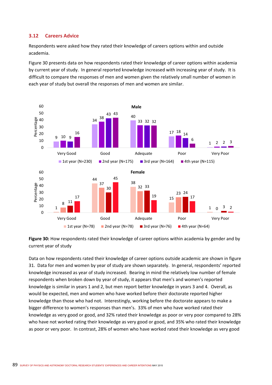# **3.12 Careers Advice**

Respondents were asked how they rated their knowledge of careers options within and outside academia.

Figure 30 presents data on how respondents rated their knowledge of career options within academia by current year of study. In general reported knowledge increased with increasing year of study. It is difficult to compare the responses of men and women given the relatively small number of women in each year of study but overall the responses of men and women are similar.



**Figure 30:** How respondents rated their knowledge of career options within academia by gender and by current year of study

Data on how respondents rated their knowledge of career options outside academic are shown in figure 31. Data for men and women by year of study are shown separately. In general, respondents' reported knowledge increased as year of study increased. Bearing in mind the relatively low number of female respondents when broken down by year of study, it appears that men's and women's reported knowledge is similar in years 1 and 2, but men report better knowledge in years 3 and 4. Overall, as would be expected, men and women who have worked before their doctorate reported higher knowledge than those who had not. Interestingly, working before the doctorate appears to make a bigger difference to women's responses than men's. 33% of men who have worked rated their knowledge as very good or good, and 32% rated their knowledge as poor or very poor compared to 28% who have not worked rating their knowledge as very good or good, and 35% who rated their knowledge as poor or very poor. In contrast, 28% of women who have worked rated their knowledge as very good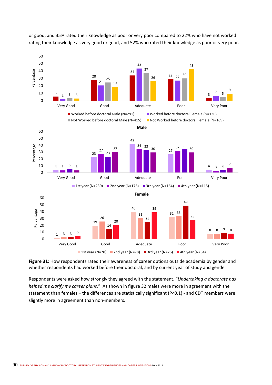

or good, and 35% rated their knowledge as poor or very poor compared to 22% who have not worked rating their knowledge as very good or good, and 52% who rated their knowledge as poor or very poor.

**Figure 31:** How respondents rated their awareness of career options outside academia by gender and whether respondents had worked before their doctoral, and by current year of study and gender

Respondents were asked how strongly they agreed with the statement, "*Undertaking a doctorate has helped me clarify my career plans.*" As shown in figure 32 males were more in agreement with the statement than females – the differences are statistically significant (P<0.1) ‐ and CDT members were slightly more in agreement than non-members.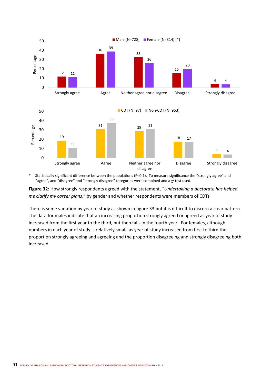

\* Statistically significant difference between the populations (P<0.1). To measure significance the "strongly agree" and "agree", and "disagree" and "strongly disagree" categories were combined and a  $\chi^2$  test used.

**Figure 32:** How strongly respondents agreed with the statement, "*Undertaking a doctorate has helped me clarify my career plans*," by gender and whether respondents were members of CDTs

There is some variation by year of study as shown in figure 33 but it is difficult to discern a clear pattern. The data for males indicate that an increasing proportion strongly agreed or agreed as year of study increased from the first year to the third, but then falls in the fourth year. For females, although numbers in each year of study is relatively small, as year of study increased from first to third the proportion strongly agreeing and agreeing and the proportion disagreeing and strongly disagreeing both increased.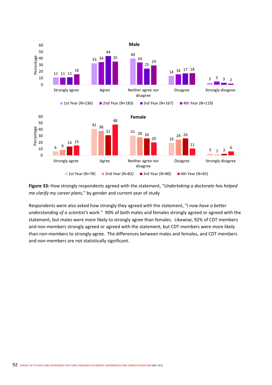

**Figure 33:** How strongly respondents agreed with the statement, "*Undertaking a doctorate has helped me clarify my career plans*," by gender and current year of study

Respondents were also asked how strongly they agreed with the statement, "*I now have a better understanding of a scientist's work*." 90% of both males and females strongly agreed or agreed with the statement, but males were more likely to strongly agree than females. Likewise, 92% of CDT members and non-members strongly agreed or agreed with the statement, but CDT members were more likely than non‐members to strongly agree. The differences between males and females, and CDT members and non‐members are not statistically significant.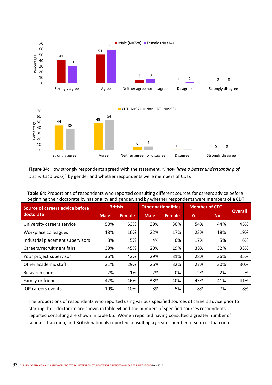

**Figure 34:** How strongly respondents agreed with the statement, "*I now have a better understanding of a scientist's work,*" by gender and whether respondents were members of CDTs

| <b>Source of careers advice before</b> | <b>British</b> |               | <b>Other nationalities</b> |               | <b>Member of CDT</b> | <b>Overall</b> |     |
|----------------------------------------|----------------|---------------|----------------------------|---------------|----------------------|----------------|-----|
| doctorate                              | <b>Male</b>    | <b>Female</b> | <b>Male</b>                | <b>Female</b> | <b>Yes</b>           | <b>No</b>      |     |
| University careers service             | 50%            | 53%           | 39%                        | 30%           | 54%                  | 44%            | 45% |
| Workplace colleagues                   | 18%            | 16%           | 22%                        | 17%           | 23%                  | 18%            | 19% |
| Industrial placement supervisors       | 8%             | 5%            | 4%                         | 6%            | 17%                  | 5%             | 6%  |
| Careers/recruitment fairs              | 39%            | 45%           | 20%                        | 19%           | 38%                  | 32%            | 33% |
| Your project supervisor                | 36%            | 42%           | 29%                        | 31%           | 28%                  | 36%            | 35% |
| Other academic staff                   | 31%            | 29%           | 26%                        | 32%           | 27%                  | 30%            | 30% |
| Research council                       | 2%             | 1%            | 2%                         | 0%            | 2%                   | 2%             | 2%  |
| Family or friends                      | 42%            | 46%           | 38%                        | 40%           | 43%                  | 41%            | 41% |
| <b>IOP</b> careers events              | 10%            | 10%           | 3%                         | 5%            | 8%                   | 7%             | 8%  |

**Table 64:** Proportions of respondents who reported consulting different sources for careers advice before beginning their doctorate by nationality and gender, and by whether respondents were members of a CDT.

The proportions of respondents who reported using various specified sources of careers advice prior to starting their doctorate are shown in table 64 and the numbers of specified sources respondents reported consulting are shown in table 65. Women reported having consulted a greater number of sources than men, and British nationals reported consulting a greater number of sources than non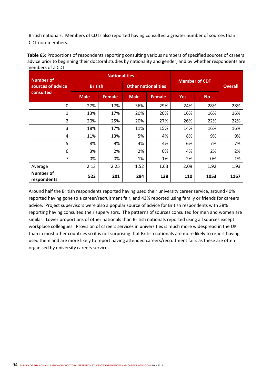British nationals. Members of CDTs also reported having consulted a greater number of sources than CDT non‐members.

**Table 65:** Proportions of respondents reporting consulting various numbers of specified sources of careers advice prior to beginning their doctoral studies by nationality and gender, and by whether respondents are members of a CDT

| Number of                       |                | <b>Nationalities</b> |                            |               |            | <b>Member of CDT</b> |      |  |
|---------------------------------|----------------|----------------------|----------------------------|---------------|------------|----------------------|------|--|
| sources of advice               | <b>British</b> |                      | <b>Other nationalities</b> |               |            | <b>Overall</b>       |      |  |
| consulted                       | <b>Male</b>    | <b>Female</b>        | <b>Male</b>                | <b>Female</b> | <b>Yes</b> | <b>No</b>            |      |  |
| 0                               | 27%            | 17%                  | 36%                        | 29%           | 24%        | 28%                  | 28%  |  |
| 1                               | 13%            | 17%                  | 20%                        | 20%           | 16%        | 16%                  | 16%  |  |
| $\overline{2}$                  | 20%            | 25%                  | 20%                        | 27%           | 26%        | 22%                  | 22%  |  |
| 3                               | 18%            | 17%                  | 11%                        | 15%           | 14%        | 16%                  | 16%  |  |
| 4                               | 11%            | 13%                  | 5%                         | 4%            | 8%         | 9%                   | 9%   |  |
| 5                               | 8%             | 9%                   | 4%                         | 4%            | 6%         | 7%                   | 7%   |  |
| 6                               | 3%             | 2%                   | 2%                         | 0%            | 4%         | 2%                   | 2%   |  |
| 7                               | 0%             | 0%                   | 1%                         | 1%            | 2%         | 0%                   | 1%   |  |
| Average                         | 2.13           | 2.25                 | 1.52                       | 1.63          | 2.09       | 1.92                 | 1.93 |  |
| <b>Number of</b><br>respondents | 523            | 201                  | 294                        | 138           | 110        | 1053                 | 1167 |  |

Around half the British respondents reported having used their university career service, around 40% reported having gone to a career/recruitment fair, and 43% reported using family or friends for careers advice. Project supervisors were also a popular source of advice for British respondents with 38% reporting having consulted their supervisors. The patterns of sources consulted for men and women are similar. Lower proportions of other nationals than British nationals reported using all sources except workplace colleagues. Provision of careers services in universities is much more widespread in the UK than in most other countries so it is not surprising that British nationals are more likely to report having used them and are more likely to report having attended careers/recruitment fairs as these are often organised by university careers services.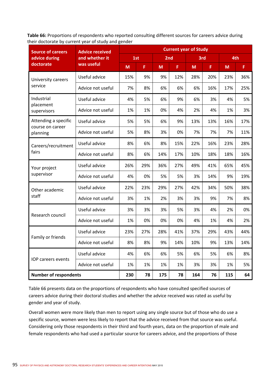**Table 66:** Proportions of respondents who reported consulting different sources for careers advice during their doctorate by current year of study and gender

| <b>Source of careers</b>     | <b>Advice received</b> |     |     |                 | <b>Current year of Study</b> |     |     |     |     |
|------------------------------|------------------------|-----|-----|-----------------|------------------------------|-----|-----|-----|-----|
| advice during                | and whether it         |     | 1st | 2 <sub>nd</sub> |                              | 3rd |     |     | 4th |
| doctorate                    | was useful             | M   | F.  | M               | F                            | M   | F   | M   | F.  |
| University careers           | Useful advice          | 15% | 9%  | 9%              | 12%                          | 28% | 20% | 23% | 36% |
| service                      | Advice not useful      | 7%  | 8%  | 6%              | 6%                           | 6%  | 16% | 17% | 25% |
| Industrial                   | Useful advice          | 4%  | 5%  | 6%              | 9%                           | 6%  | 3%  | 4%  | 5%  |
| placement<br>supervisors     | Advice not useful      | 1%  | 1%  | 0%              | 4%                           | 2%  | 4%  | 1%  | 3%  |
| Attending a specific         | Useful advice          | 5%  | 5%  | 6%              | 9%                           | 13% | 13% | 16% | 17% |
| course on career<br>planning | Advice not useful      | 5%  | 8%  | 3%              | 0%                           | 7%  | 7%  | 7%  | 11% |
| Careers/recruitment          | Useful advice          | 8%  | 6%  | 8%              | 15%                          | 22% | 16% | 23% | 28% |
| fairs                        | Advice not useful      | 8%  | 6%  | 14%             | 17%                          | 10% | 18% | 18% | 16% |
| Your project                 | Useful advice          | 26% | 29% | 36%             | 27%                          | 49% | 41% | 65% | 45% |
| supervisor                   | Advice not useful      | 4%  | 0%  | 5%              | 5%                           | 3%  | 14% | 9%  | 19% |
| Other academic               | Useful advice          | 22% | 23% | 29%             | 27%                          | 42% | 34% | 50% | 38% |
| staff                        | Advice not useful      | 3%  | 1%  | 2%              | 3%                           | 3%  | 9%  | 7%  | 8%  |
|                              | Useful advice          | 3%  | 3%  | 3%              | 5%                           | 3%  | 4%  | 2%  | 0%  |
| Research council             | Advice not useful      | 1%  | 0%  | 0%              | 0%                           | 4%  | 1%  | 4%  | 2%  |
|                              | Useful advice          | 23% | 27% | 28%             | 41%                          | 37% | 29% | 43% | 44% |
| Family or friends            | Advice not useful      | 8%  | 8%  | 9%              | 14%                          | 10% | 9%  | 13% | 14% |
|                              | Useful advice          | 4%  | 6%  | 6%              | 5%                           | 6%  | 5%  | 6%  | 8%  |
| IOP careers events           | Advice not useful      | 1%  | 1%  | 1%              | 1%                           | 3%  | 3%  | 1%  | 5%  |
| <b>Number of respondents</b> |                        | 230 | 78  | 175             | 78                           | 164 | 76  | 115 | 64  |

Table 66 presents data on the proportions of respondents who have consulted specified sources of careers advice during their doctoral studies and whether the advice received was rated as useful by gender and year of study.

Overall women were more likely than men to report using any single source but of those who do use a specific source, women were less likely to report that the advice received from that source was useful. Considering only those respondents in their third and fourth years, data on the proportion of male and female respondents who had used a particular source for careers advice, and the proportions of those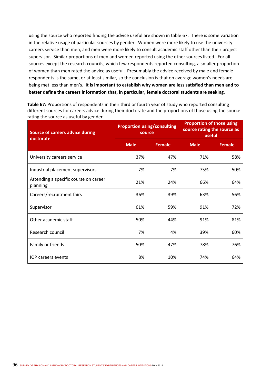using the source who reported finding the advice useful are shown in table 67. There is some variation in the relative usage of particular sources by gender. Women were more likely to use the university careers service than men, and men were more likely to consult academic staff other than their project supervisor. Similar proportions of men and women reported using the other sources listed. For all sources except the research councils, which few respondents reported consulting, a smaller proportion of women than men rated the advice as useful. Presumably the advice received by male and female respondents is the same, or at least similar, so the conclusion is that on average women's needs are being met less than men's. **It is important to establish why women are less satisfied than men and to better define the careers information that, in particular, female doctoral students are seeking**.

**Table 67:** Proportions of respondents in their third or fourth year of study who reported consulting different sources for careers advice during their doctorate and the proportions of those using the source rating the source as useful by gender

| <b>Source of careers advice during</b><br>doctorate | source      | <b>Proportion using/consulting</b> | <b>Proportion of those using</b><br>source rating the source as<br>useful |               |  |
|-----------------------------------------------------|-------------|------------------------------------|---------------------------------------------------------------------------|---------------|--|
|                                                     | <b>Male</b> | <b>Female</b>                      | <b>Male</b>                                                               | <b>Female</b> |  |
| University careers service                          | 37%         | 47%                                | 71%                                                                       | 58%           |  |
| Industrial placement supervisors                    | 7%          | 7%                                 | 75%                                                                       | 50%           |  |
| Attending a specific course on career<br>planning   | 21%         | 24%                                | 66%                                                                       | 64%           |  |
| Careers/recruitment fairs                           | 36%         | 39%                                | 63%                                                                       | 56%           |  |
| Supervisor                                          | 61%         | 59%                                | 91%                                                                       | 72%           |  |
| Other academic staff                                | 50%         | 44%                                | 91%                                                                       | 81%           |  |
| Research council                                    | 7%          | 4%                                 | 39%                                                                       | 60%           |  |
| Family or friends                                   | 50%         | 47%                                | 78%                                                                       | 76%           |  |
| <b>IOP careers events</b>                           | 8%          | 10%                                | 74%                                                                       | 64%           |  |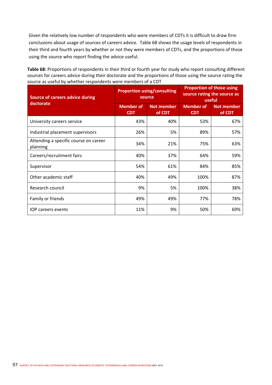Given the relatively low number of respondents who were members of CDTs it is difficult to draw firm conclusions about usage of sources of careers advice. Table 68 shows the usage levels of respondents in their third and fourth years by whether or not they were members of CDTs, and the proportions of those using the source who report finding the advice useful.

**Table 68:** Proportions of respondents in their third or fourth year for study who report consulting different sources for careers advice during their doctorate and the proportions of those using the source rating the source as useful by whether respondents were members of a CDT

| <b>Source of careers advice during</b><br>doctorate | source                         | <b>Proportion using/consulting</b> | <b>Proportion of those using</b><br>source rating the source as<br>useful |                             |  |
|-----------------------------------------------------|--------------------------------|------------------------------------|---------------------------------------------------------------------------|-----------------------------|--|
|                                                     | <b>Member of</b><br><b>CDT</b> | <b>Not member</b><br>of CDT        | Member of<br><b>CDT</b>                                                   | <b>Not member</b><br>of CDT |  |
| University careers service                          | 43%                            | 40%                                | 53%                                                                       | 67%                         |  |
| Industrial placement supervisors                    | 26%                            | 5%                                 | 89%                                                                       | 57%                         |  |
| Attending a specific course on career<br>planning   | 34%                            | 21%                                | 75%                                                                       | 63%                         |  |
| Careers/recruitment fairs                           | 40%                            | 37%                                | 64%                                                                       | 59%                         |  |
| Supervisor                                          | 54%                            | 61%                                | 84%                                                                       | 85%                         |  |
| Other academic staff                                | 40%                            | 49%                                | 100%                                                                      | 87%                         |  |
| Research council                                    | 9%                             | 5%                                 | 100%                                                                      | 38%                         |  |
| Family or friends                                   | 49%                            | 49%                                | 77%                                                                       | 78%                         |  |
| <b>IOP</b> careers events                           | 11%                            | 9%                                 | 50%                                                                       | 69%                         |  |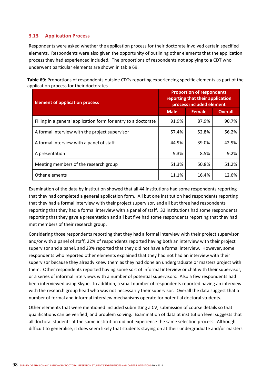# **3.13 Application Process**

Respondents were asked whether the application process for their doctorate involved certain specified elements. Respondents were also given the opportunity of outlining other elements that the application process they had experienced included. The proportions of respondents not applying to a CDT who underwent particular elements are shown in table 69.

| Table 69: Proportions of respondents outside CDTs reporting experiencing specific elements as part of the |  |
|-----------------------------------------------------------------------------------------------------------|--|
| application process for their doctorates                                                                  |  |

| <b>Element of application process</b>                          | <b>Proportion of respondents</b><br>reporting that their application<br>process included element |               |                |  |  |
|----------------------------------------------------------------|--------------------------------------------------------------------------------------------------|---------------|----------------|--|--|
|                                                                | <b>Male</b>                                                                                      | <b>Female</b> | <b>Overall</b> |  |  |
| Filling in a general application form for entry to a doctorate | 91.9%                                                                                            | 87.9%         | 90.7%          |  |  |
| A formal interview with the project supervisor                 | 57.4%                                                                                            | 52.8%         | 56.2%          |  |  |
| A formal interview with a panel of staff                       | 44.9%                                                                                            | 39.0%         | 42.9%          |  |  |
| A presentation                                                 | 9.3%                                                                                             | 8.5%          | 9.2%           |  |  |
| Meeting members of the research group                          | 51.3%                                                                                            | 50.8%         | 51.2%          |  |  |
| Other elements                                                 | 11.1%                                                                                            | 16.4%         | 12.6%          |  |  |

Examination of the data by institution showed that all 44 institutions had some respondents reporting that they had completed a general application form. All but one institution had respondents reporting that they had a formal interview with their project supervisor, and all but three had respondents reporting that they had a formal interview with a panel of staff. 32 institutions had some respondents reporting that they gave a presentation and all but five had some respondents reporting that they had met members of their research group.

Considering those respondents reporting that they had a formal interview with their project supervisor and/or with a panel of staff, 22% of respondents reported having both an interview with their project supervisor and a panel, and 23% reported that they did not have a formal interview. However, some respondents who reported other elements explained that they had not had an interview with their supervisor because they already knew them as they had done an undergraduate or masters project with them. Other respondents reported having some sort of informal interview or chat with their supervisor, or a series of informal interviews with a number of potential supervisors. Also a few respondents had been interviewed using Skype. In addition, a small number of respondents reported having an interview with the research group head who was not necessarily their supervisor. Overall the data suggest that a number of formal and informal interview mechanisms operate for potential doctoral students.

Other elements that were mentioned included submitting a CV, submission of course details so that qualifications can be verified, and problem solving. Examination of data at institution level suggests that all doctoral students at the same institution did not experience the same selection process. Although difficult to generalise, it does seem likely that students staying on at their undergraduate and/or masters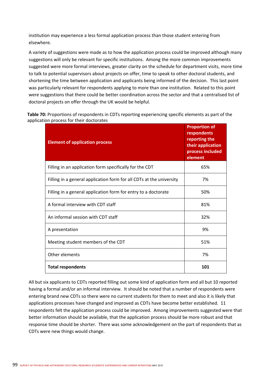institution may experience a less formal application process than those student entering from elsewhere.

A variety of suggestions were made as to how the application process could be improved although many suggestions will only be relevant for specific institutions. Among the more common improvements suggested were more formal interviews, greater clarity on the schedule for department visits, more time to talk to potential supervisors about projects on offer, time to speak to other doctoral students, and shortening the time between application and applicants being informed of the decision. This last point was particularly relevant for respondents applying to more than one institution. Related to this point were suggestions that there could be better coordination across the sector and that a centralised list of doctoral projects on offer through the UK would be helpful.

**Table 70:** Proportions of respondents in CDTs reporting experiencing specific elements as part of the application process for their doctorates

| <b>Element of application process</b>                                | <b>Proportion of</b><br>respondents<br>reporting the<br>their application<br>process included<br>element |
|----------------------------------------------------------------------|----------------------------------------------------------------------------------------------------------|
| Filling in an application form specifically for the CDT              | 65%                                                                                                      |
| Filling in a general application form for all CDTs at the university | 7%                                                                                                       |
| Filling in a general application form for entry to a doctorate       | 50%                                                                                                      |
| A formal interview with CDT staff                                    | 81%                                                                                                      |
| An informal session with CDT staff                                   | 32%                                                                                                      |
| A presentation                                                       | 9%                                                                                                       |
| Meeting student members of the CDT                                   | 51%                                                                                                      |
| Other elements                                                       | 7%                                                                                                       |
| <b>Total respondents</b>                                             | 101                                                                                                      |

All but six applicants to CDTs reported filling out some kind of application form and all but 10 reported having a formal and/or an informal interview. It should be noted that a number of respondents were entering brand new CDTs so there were no current students for them to meet and also it is likely that applications processes have changed and improved as CDTs have become better established. 11 respondents felt the application process could be improved. Among improvements suggested were that better information should be available, that the application process should be more robust and that response time should be shorter. There was some acknowledgement on the part of respondents that as CDTs were new things would change.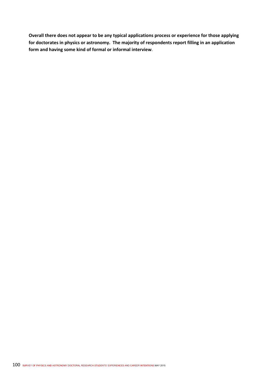**Overall there does not appear to be any typical applications process or experience for those applying for doctorates in physics or astronomy. The majority of respondents report filling in an application form and having some kind of formal or informal interview**.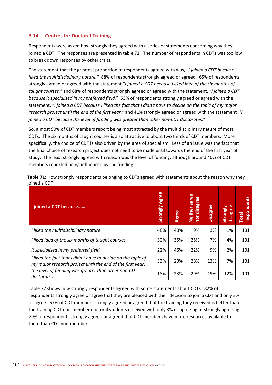# **3.14 Centres for Doctoral Training**

Respondents were asked how strongly they agreed with a series of statements concerning why they joined a CDT. The responses are presented in table 71. The number of respondents in CDTs was too low to break down responses by other traits.

The statement that the greatest proportion of respondents agreed with was, "*I joined a CDT because I*  liked the multidisciplinary nature." 88% of respondents strongly agreed or agreed. 65% of respondents strongly agreed or agreed with the statement "*I joined a CDT because I liked idea of the six months of taught courses,"* and 68% of respondents strongly agreed or agreed with the statement, "*I joined a CDT because it specialised in my preferred field.*" 53% of respondents strongly agreed or agreed with the statement, "*I joined a CDT because I liked the fact that I didn't have to decide on the topic of my major research project until the end of the first year,"* and 41% strongly agreed or agreed with the statement*, "I joined a CDT because the level of funding was greater than other non‐CDT doctorates*."

So, almost 90% of CDT members report being most attracted by the multidisciplinary nature of most CDTs. The six months of taught courses is also attractive to about two thirds of CDT members. More specifically, the choice of CDT is also driven by the area of specialism. Less of an issue was the fact that the final choice of research project does not need to be made until towards the end of the first year of study. The least strongly agreed with reason was the level of funding, although around 40% of CDT members reported being influenced by the funding.

| I joined a CDT because                                                                                                      | <b>Strongly Agree</b> | <b>Agree</b> | agree<br>disagree<br><b>Neither</b><br>ior | <b>Disagree</b> | disagree<br>Strongly | respondents<br><b>Total</b> |
|-----------------------------------------------------------------------------------------------------------------------------|-----------------------|--------------|--------------------------------------------|-----------------|----------------------|-----------------------------|
| I liked the multidisciplinary nature.                                                                                       | 48%                   | 40%          | 9%                                         | 3%              | 1%                   | 101                         |
| I liked idea of the six months of taught courses.                                                                           | 30%                   | 35%          | 25%                                        | 7%              | 4%                   | 101                         |
| it specialised in my preferred field.                                                                                       | 22%                   | 46%          | 22%                                        | 9%              | 2%                   | 101                         |
| I liked the fact that I didn't have to decide on the topic of<br>my major research project until the end of the first year. | 33%                   | 20%          | 28%                                        | 13%             | 7%                   | 101                         |
| the level of funding was greater than other non-CDT<br>doctorates.                                                          | 18%                   | 23%          | 29%                                        | 19%             | 12%                  | 101                         |

**Table 71:** How strongly respondents belonging to CDTs agreed with statements about the reason why they joined a CDT

Table 72 shows how strongly respondents agreed with some statements about CDTs. 82% of respondents strongly agree or agree that they are pleased with their decision to join a CDT and only 3% disagree. 57% of CDT members strongly agreed or agreed that the training they received is better than the training CDT non-member doctoral students received with only 3% disagreeing or strongly agreeing. 79% of respondents strongly agreed or agreed that CDT members have more resources available to them than CDT non‐members.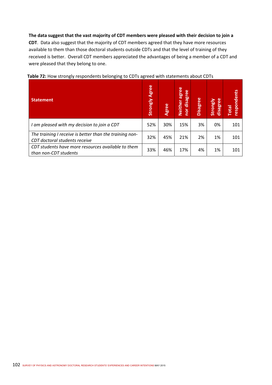**The data suggest that the vast majority of CDT members were pleased with their decision to join a CDT**. Data also suggest that the majority of CDT members agreed that they have more resources available to them than those doctoral students outside CDTs and that the level of training of they received is better. Overall CDT members appreciated the advantages of being a member of a CDT and were pleased that they belong to one.

| <b>Statement</b>                                                                         | Agree<br>Strongly | Agree | agree<br>disagree<br><b>Neither</b><br>nor | <b>Disagree</b> | disagree<br>Strongly | respondents<br><b>Total</b> |
|------------------------------------------------------------------------------------------|-------------------|-------|--------------------------------------------|-----------------|----------------------|-----------------------------|
| I am pleased with my decision to join a CDT                                              | 52%               | 30%   | 15%                                        | 3%              | 0%                   | 101                         |
| The training I receive is better than the training non-<br>CDT doctoral students receive | 32%               | 45%   | 21%                                        | 2%              | 1%                   | 101                         |
| CDT students have more resources available to them<br>than non-CDT students              | 33%               | 46%   | 17%                                        | 4%              | 1%                   | 101                         |

#### **Table 72:** How strongly respondents belonging to CDTs agreed with statements about CDTs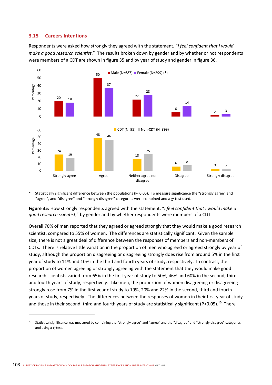## **3.15 Careers Intentions**

Respondents were asked how strongly they agreed with the statement, "*I feel confident that I would make a good research scientist*." The results broken down by gender and by whether or not respondents were members of a CDT are shown in figure 35 and by year of study and gender in figure 36.



Statistically significant difference between the populations (P<0.05). To measure significance the "strongly agree" and "agree", and "disagree" and "strongly disagree" categories were combined and a  $\chi^2$  test used.

**Figure 35:** How strongly respondents agreed with the statement, "*I feel confident that I would make a good research scientist*," by gender and by whether respondents were members of a CDT

Overall 70% of men reported that they agreed or agreed strongly that they would make a good research scientist, compared to 55% of women. The differences are statistically significant. Given the sample size, there is not a great deal of difference between the responses of members and non-members of CDTs. There is relative little variation in the proportion of men who agreed or agreed strongly by year of study, although the proportion disagreeing or disagreeing strongly does rise from around 5% in the first year of study to 11% and 10% in the third and fourth years of study, respectively. In contrast, the proportion of women agreeing or strongly agreeing with the statement that they would make good research scientists varied from 65% in the first year of study to 50%, 46% and 60% in the second, third and fourth years of study, respectively. Like men, the proportion of women disagreeing or disagreeing strongly rose from 7% in the first year of study to 19%, 20% and 22% in the second, third and fourth years of study, respectively. The differences between the responses of women in their first year of study and those in their second, third and fourth years of study are statistically significant (P<0.05).<sup>10</sup> There

<sup>&</sup>lt;sup>10</sup> Statistical significance was measured by combining the "strongly agree" and "agree" and the "disagree" and "strongly disagree" categories and using a  $\chi^2$  test.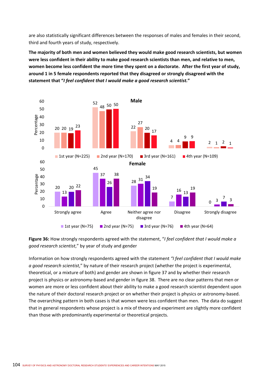are also statistically significant differences between the responses of males and females in their second, third and fourth years of study, respectively.

**The majority of both men and women believed they would make good research scientists, but women were less confident in their ability to make good research scientists than men, and relative to men, women become less confident the more time they spent on a doctorate. After the first year of study, around 1 in 5 female respondents reported that they disagreed or strongly disagreed with the statement that "***I feel confident that I would make a good research scientist.***"** 



**Figure 36:** How strongly respondents agreed with the statement, "*I feel confident that I would make a good research scientist*," by year of study and gender

Information on how strongly respondents agreed with the statement *"I feel confident that I would make a good research scientist*," by nature of their research project (whether the project is experimental, theoretical, or a mixture of both) and gender are shown in figure 37 and by whether their research project is physics or astronomy‐based and gender in figure 38. There are no clear patterns that men or women are more or less confident about their ability to make a good research scientist dependent upon the nature of their doctoral research project or on whether their project is physics or astronomy‐based. The overarching pattern in both cases is that women were less confident than men. The data do suggest that in general respondents whose project is a mix of theory and experiment are slightly more confident than those with predominantly experimental or theoretical projects.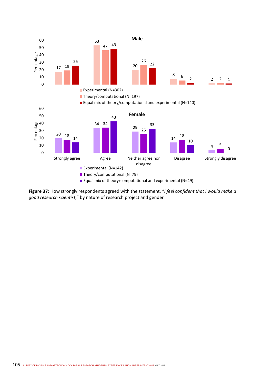

**Figure 37:** How strongly respondents agreed with the statement, "*I feel confident that I would make a good research scientist*," by nature of research project and gender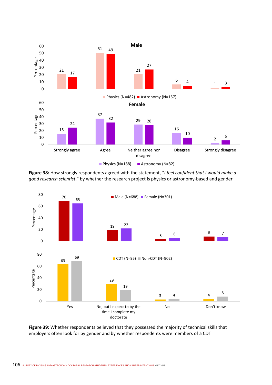

**Figure 38:** How strongly respondents agreed with the statement, "*I feel confident that I would make a good research scientist*," by whether the research project is physics or astronomy‐based and gender



**Figure 39:** Whether respondents believed that they possessed the majority of technical skills that employers often look for by gender and by whether respondents were members of a CDT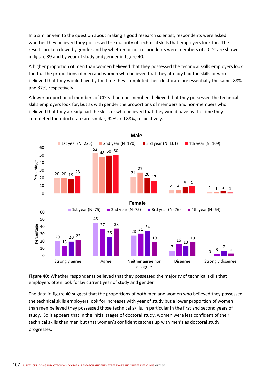In a similar vein to the question about making a good research scientist, respondents were asked whether they believed they possessed the majority of technical skills that employers look for. The results broken down by gender and by whether or not respondents were members of a CDT are shown in figure 39 and by year of study and gender in figure 40.

A higher proportion of men than women believed that they possessed the technical skills employers look for, but the proportions of men and women who believed that they already had the skills or who believed that they would have by the time they completed their doctorate are essentially the same, 88% and 87%, respectively.

A lower proportion of members of CDTs than non‐members believed that they possessed the technical skills employers look for, but as with gender the proportions of members and non‐members who believed that they already had the skills or who believed that they would have by the time they completed their doctorate are similar, 92% and 88%, respectively.





The data in figure 40 suggest that the proportions of both men and women who believed they possessed the technical skills employers look for increases with year of study but a lower proportion of women than men believed they possessed those technical skills, in particular in the first and second years of study. So it appears that in the initial stages of doctoral study, women were less confident of their technical skills than men but that women's confident catches up with men's as doctoral study progresses.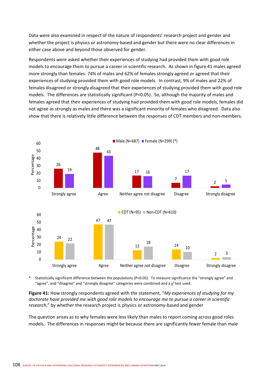Data were also examined in respect of the nature of respondents' research project and gender and whether the project is physics or astronomy-based and gender but there were no clear differences in either case above and beyond those observed for gender.

Respondents were asked whether their experiences of studying had provided them with good role models to encourage them to pursue a career in scientific research. As shown in figure 41 males agreed more strongly than females: 74% of males and 62% of females strongly agreed or agreed that their experiences of studying provided them with good role models. In contrast, 9% of males and 22% of females disagreed or strongly disagreed that their experiences of studying provided them with good role models. The differences are statistically significant (P<0.05). So, although the majority of males and females agreed that their experiences of studying had provided them with good role models, females did not agree as strongly as males and there was a significant minority of females who disagreed. Data also show that there is relatively little difference between the responses of CDT members and non‐members.



Statistically significant difference between the populations (P<0.05). To measure significance the "strongly agree" and "agree", and "disagree" and "strongly disagree" categories were combined and a  $\chi^2$  test used.

**Figure 41:** How strongly respondents agreed with the statement, "*My experiences of studying for my doctorate have provided me with good role models to encourage me to pursue a career in scientific research*," by whether the research project is physics or astronomy‐based and gender

The question arises as to why females were less likely than males to report coming across good roles models. The differences in responses might be because there are significantly fewer female than male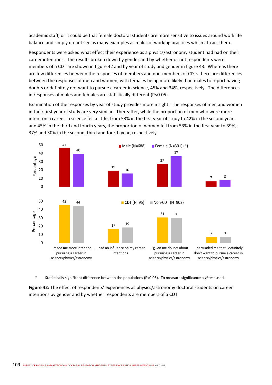academic staff, or it could be that female doctoral students are more sensitive to issues around work life balance and simply do not see as many examples as males of working practices which attract them.

Respondents were asked what effect their experience as a physics/astronomy student had had on their career intentions. The results broken down by gender and by whether or not respondents were members of a CDT are shown in figure 42 and by year of study and gender in figure 43. Whereas there are few differences between the responses of members and non-members of CDTs there are differences between the responses of men and women, with females being more likely than males to report having doubts or definitely not want to pursue a career in science, 45% and 34%, respectively. The differences in responses of males and females are statistically different (P<0.05).

Examination of the responses by year of study provides more insight. The responses of men and women in their first year of study are very similar. Thereafter, while the proportion of men who were more intent on a career in science fell a little, from 53% in the first year of study to 42% in the second year, and 45% in the third and fourth years, the proportion of women fell from 53% in the first year to 39%, 37% and 30% in the second, third and fourth year, respectively.



Statistically significant difference between the populations (P<0.05). To measure significance a  $\chi^2$  test used.

**Figure 42:** The effect of respondents' experiences as physics/astronomy doctoral students on career intentions by gender and by whether respondents are members of a CDT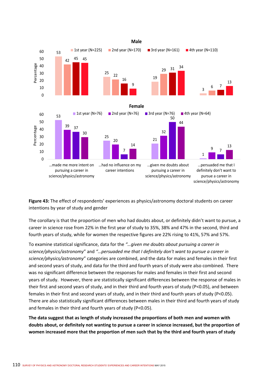

**Figure 43:** The effect of respondents' experiences as physics/astronomy doctoral students on career intentions by year of study and gender

The corollary is that the proportion of men who had doubts about, or definitely didn't want to pursue, a career in science rose from 22% in the first year of study to 35%, 38% and 47% in the second, third and fourth years of study, while for women the respective figures are 22% rising to 41%, 57% and 57%.

To examine statistical significance, data for the *"…given me doubts about pursuing a career in science/physics/astronomy*" and *"…persuaded me that I definitely don't want to pursue a career in science/physics/astronomy*" categories are combined, and the data for males and females in their first and second years of study, and data for the third and fourth years of study were also combined. There was no significant difference between the responses for males and females in their first and second years of study. However, there are statistically significant differences between the response of males in their first and second years of study, and in their third and fourth years of study (P<0.05), and between females in their first and second years of study, and in their third and fourth years of study (P<0.05). There are also statistically significant differences between males in their third and fourth years of study and females in their third and fourth years of study (P<0.05).

**The data suggest that as length of study increased the proportions of both men and women with doubts about, or definitely not wanting to pursue a career in science increased, but the proportion of women increased more that the proportion of men such that by the third and fourth years of study**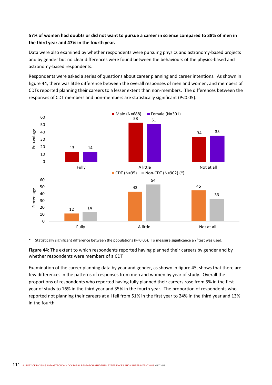### **57% of women had doubts or did not want to pursue a career in science compared to 38% of men in the third year and 47% in the fourth year.**

Data were also examined by whether respondents were pursuing physics and astronomy-based projects and by gender but no clear differences were found between the behaviours of the physics-based and astronomy‐based respondents.

Respondents were asked a series of questions about career planning and career intentions. As shown in figure 44, there was little difference between the overall responses of men and women, and members of CDTs reported planning their careers to a lesser extent than non‐members. The differences between the responses of CDT members and non‐members are statistically significant (P<0.05).



Statistically significant difference between the populations (P<0.05). To measure significance a  $\chi^2$  test was used.

**Figure 44:** The extent to which respondents reported having planned their careers by gender and by whether respondents were members of a CDT

Examination of the career planning data by year and gender, as shown in figure 45, shows that there are few differences in the patterns of responses from men and women by year of study. Overall the proportions of respondents who reported having fully planned their careers rose from 5% in the first year of study to 16% in the third year and 35% in the fourth year. The proportion of respondents who reported not planning their careers at all fell from 51% in the first year to 24% in the third year and 13% in the fourth.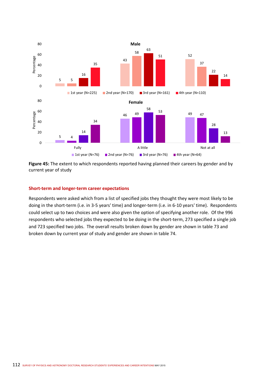

**Figure 45:** The extent to which respondents reported having planned their careers by gender and by current year of study

#### **Short‐term and longer‐term career expectations**

Respondents were asked which from a list of specified jobs they thought they were most likely to be doing in the short-term (i.e. in 3-5 years' time) and longer-term (i.e. in 6-10 years' time). Respondents could select up to two choices and were also given the option of specifying another role. Of the 996 respondents who selected jobs they expected to be doing in the short-term, 273 specified a single job and 723 specified two jobs. The overall results broken down by gender are shown in table 73 and broken down by current year of study and gender are shown in table 74.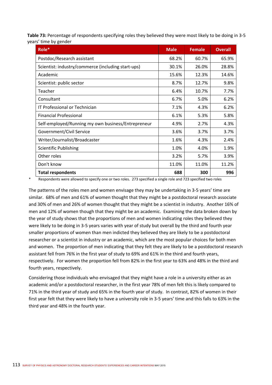**Table 73:** Percentage of respondents specifying roles they believed they were most likely to be doing in 3‐5 years' time by gender

| Role*                                              | <b>Male</b> | <b>Female</b> | <b>Overall</b> |
|----------------------------------------------------|-------------|---------------|----------------|
| Postdoc/Research assistant                         | 68.2%       | 60.7%         | 65.9%          |
| Scientist: industry/commerce (including start-ups) | 30.1%       | 26.0%         | 28.8%          |
| Academic                                           | 15.6%       | 12.3%         | 14.6%          |
| Scientist: public sector                           | 8.7%        | 12.7%         | 9.8%           |
| Teacher                                            | 6.4%        | 10.7%         | 7.7%           |
| Consultant                                         | 6.7%        | 5.0%          | 6.2%           |
| IT Professional or Technician                      | 7.1%        | 4.3%          | 6.2%           |
| <b>Financial Professional</b>                      | 6.1%        | 5.3%          | 5.8%           |
| Self-employed/Running my own business/Entrepreneur | 4.9%        | 2.7%          | 4.3%           |
| Government/Civil Service                           | 3.6%        | 3.7%          | 3.7%           |
| Writer/Journalist/Broadcaster                      | 1.6%        | 4.3%          | 2.4%           |
| <b>Scientific Publishing</b>                       | 1.0%        | 4.0%          | 1.9%           |
| Other roles                                        | 3.2%        | 5.7%          | 3.9%           |
| Don't know                                         | 11.0%       | 11.0%         | 11.2%          |
| <b>Total respondents</b>                           | 688         | 300           | 996            |

Respondents were allowed to specify one or two roles. 273 specified a single role and 723 specified two roles

The patterns of the roles men and women envisage they may be undertaking in 3‐5 years' time are similar. 68% of men and 61% of women thought that they might be a postdoctoral research associate and 30% of men and 26% of women thought that they might be a scientist in industry. Another 16% of men and 12% of women though that they might be an academic. Examining the data broken down by the year of study shows that the proportions of men and women indicating roles they believed they were likely to be doing in 3‐5 years varies with year of study but overall by the third and fourth year smaller proportions of women than men indicted they believed they are likely to be a postdoctoral researcher or a scientist in industry or an academic, which are the most popular choices for both men and women. The proportion of men indicating that they felt they are likely to be a postdoctoral research assistant fell from 76% in the first year of study to 69% and 61% in the third and fourth years, respectively. For women the proportion fell from 82% in the first year to 63% and 48% in the third and fourth years, respectively.

Considering those individuals who envisaged that they might have a role in a university either as an academic and/or a postdoctoral researcher, in the first year 78% of men felt this is likely compared to 71% in the third year of study and 65% in the fourth year of study. In contrast, 82% of women in their first year felt that they were likely to have a university role in 3‐5 years' time and this falls to 63% in the third year and 48% in the fourth year.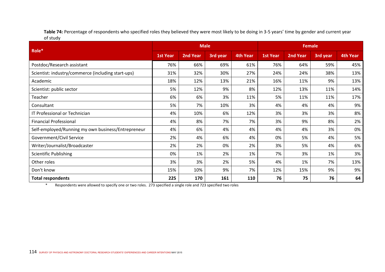Table 74: Percentage of respondents who specified roles they believed they were most likely to be doing in 3-5 years' time by gender and current year of study

|                                                    |                 | <b>Male</b>     |          |                 | <b>Female</b>   |                 |                 |          |
|----------------------------------------------------|-----------------|-----------------|----------|-----------------|-----------------|-----------------|-----------------|----------|
| Role*                                              | <b>1st Year</b> | <b>2nd Year</b> | 3rd year | <b>4th Year</b> | <b>1st Year</b> | <b>2nd Year</b> | <b>3rd year</b> | 4th Year |
| Postdoc/Research assistant                         | 76%             | 66%             | 69%      | 61%             | 76%             | 64%             | 59%             | 45%      |
| Scientist: industry/commerce (including start-ups) | 31%             | 32%             | 30%      | 27%             | 24%             | 24%             | 38%             | 13%      |
| Academic                                           | 18%             | 12%             | 13%      | 21%             | 16%             | 11%             | 9%              | 13%      |
| Scientist: public sector                           | 5%              | 12%             | 9%       | 8%              | 12%             | 13%             | 11%             | 14%      |
| Teacher                                            | 6%              | 6%              | 3%       | 11%             | 5%              | 11%             | 11%             | 17%      |
| Consultant                                         | 5%              | 7%              | 10%      | 3%              | 4%              | 4%              | 4%              | 9%       |
| IT Professional or Technician                      | 4%              | 10%             | 6%       | 12%             | 3%              | 3%              | 3%              | 8%       |
| <b>Financial Professional</b>                      | 4%              | 8%              | 7%       | 7%              | 3%              | 9%              | 8%              | 2%       |
| Self-employed/Running my own business/Entrepreneur | 4%              | 6%              | 4%       | 4%              | 4%              | 4%              | 3%              | 0%       |
| Government/Civil Service                           | 2%              | 4%              | 6%       | 4%              | 0%              | 5%              | 4%              | 5%       |
| Writer/Journalist/Broadcaster                      | 2%              | 2%              | 0%       | 2%              | 3%              | 5%              | 4%              | 6%       |
| <b>Scientific Publishing</b>                       | 0%              | 1%              | 2%       | 1%              | 7%              | 3%              | 1%              | 3%       |
| Other roles                                        | 3%              | 3%              | 2%       | 5%              | 4%              | 1%              | 7%              | 13%      |
| Don't know                                         | 15%             | 10%             | 9%       | 7%              | 12%             | 15%             | 9%              | 9%       |
| <b>Total respondents</b>                           | 225             | 170             | 161      | 110             | 76              | 75              | 76              | 64       |

\* Respondents were allowed to specify one or two roles. 273 specified a single role and 723 specified two roles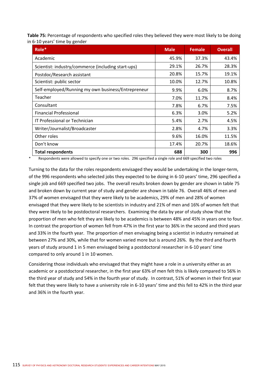Table 75: Percentage of respondents who specified roles they believed they were most likely to be doing in 6‐10 years' time by gender

| Role*                                              | <b>Male</b> | <b>Female</b> | <b>Overall</b> |
|----------------------------------------------------|-------------|---------------|----------------|
| Academic                                           | 45.9%       | 37.3%         | 43.4%          |
| Scientist: industry/commerce (including start-ups) | 29.1%       | 26.7%         | 28.3%          |
| Postdoc/Research assistant                         | 20.8%       | 15.7%         | 19.1%          |
| Scientist: public sector                           | 10.0%       | 12.7%         | 10.8%          |
| Self-employed/Running my own business/Entrepreneur | 9.9%        | 6.0%          | 8.7%           |
| Teacher                                            | 7.0%        | 11.7%         | 8.4%           |
| Consultant                                         | 7.8%        | 6.7%          | 7.5%           |
| <b>Financial Professional</b>                      | 6.3%        | 3.0%          | 5.2%           |
| IT Professional or Technician                      | 5.4%        | 2.7%          | 4.5%           |
| Writer/Journalist/Broadcaster                      | 2.8%        | 4.7%          | 3.3%           |
| Other roles                                        | 9.6%        | 16.0%         | 11.5%          |
| Don't know                                         | 17.4%       | 20.7%         | 18.6%          |
| <b>Total respondents</b>                           | 688         | 300           | 996            |

Respondents were allowed to specify one or two roles. 296 specified a single role and 669 specified two roles

Turning to the data for the roles respondents envisaged they would be undertaking in the longer‐term, of the 996 respondents who selected jobs they expected to be doing in 6‐10 years' time, 296 specified a single job and 669 specified two jobs. The overall results broken down by gender are shown in table 75 and broken down by current year of study and gender are shown in table 76. Overall 46% of men and 37% of women envisaged that they were likely to be academics, 29% of men and 28% of women envisaged that they were likely to be scientists in industry and 21% of men and 16% of women felt that they were likely to be postdoctoral researchers. Examining the data by year of study show that the proportion of men who felt they are likely to be academics is between 48% and 45% in years one to four. In contrast the proportion of women fell from 47% in the first year to 36% in the second and third years and 33% in the fourth year. The proportion of men envisaging being a scientist in industry remained at between 27% and 30%, while that for women varied more but is around 26%. By the third and fourth years of study around 1 in 5 men envisaged being a postdoctoral researcher in 6‐10 years' time compared to only around 1 in 10 women.

Considering those individuals who envisaged that they might have a role in a university either as an academic or a postdoctoral researcher, in the first year 63% of men felt this is likely compared to 56% in the third year of study and 54% in the fourth year of study. In contrast, 51% of women in their first year felt that they were likely to have a university role in 6‐10 years' time and this fell to 42% in the third year and 36% in the fourth year.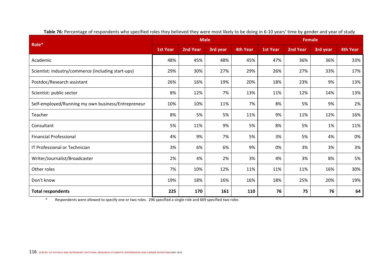|                                                    |                 | <b>Male</b>     |          |                 | <b>Female</b>   |                 |          |          |
|----------------------------------------------------|-----------------|-----------------|----------|-----------------|-----------------|-----------------|----------|----------|
| Role*                                              | <b>1st Year</b> | <b>2nd Year</b> | 3rd year | <b>4th Year</b> | <b>1st Year</b> | <b>2nd Year</b> | 3rd year | 4th Year |
| Academic                                           | 48%             | 45%             | 48%      | 45%             | 47%             | 36%             | 36%      | 33%      |
| Scientist: industry/commerce (including start-ups) | 29%             | 30%             | 27%      | 29%             | 26%             | 27%             | 33%      | 17%      |
| Postdoc/Research assistant                         | 26%             | 16%             | 19%      | 20%             | 18%             | 23%             | 9%       | 13%      |
| Scientist: public sector                           | 8%              | 12%             | 7%       | 13%             | 11%             | 12%             | 14%      | 13%      |
| Self-employed/Running my own business/Entrepreneur | 10%             | 10%             | 11%      | 7%              | 8%              | 5%              | 9%       | 2%       |
| Teacher                                            | 8%              | 5%              | 5%       | 11%             | 9%              | 11%             | 12%      | 16%      |
| Consultant                                         | 5%              | 11%             | 9%       | 5%              | 8%              | 5%              | 1%       | 11%      |
| <b>Financial Professional</b>                      | 4%              | 9%              | 7%       | 5%              | 3%              | 5%              | 4%       | 0%       |
| IT Professional or Technician                      | 3%              | 6%              | 6%       | 9%              | 0%              | 3%              | 3%       | 3%       |
| Writer/Journalist/Broadcaster                      | 2%              | 4%              | 2%       | 3%              | 4%              | 3%              | 8%       | 5%       |
| Other roles                                        | 7%              | 10%             | 12%      | 11%             | 11%             | 11%             | 16%      | 30%      |
| Don't know                                         | 19%             | 18%             | 16%      | 16%             | 18%             | 25%             | 20%      | 19%      |
| <b>Total respondents</b>                           | 225             | 170             | 161      | 110             | 76              | 75              | 76       | 64       |

Table 76: Percentage of respondents who specified roles they believed they were most likely to be doing in 6-10 years' time by gender and year of study

\* Respondents were allowed to specify one or two roles. 296 specified a single role and 669 specified two roles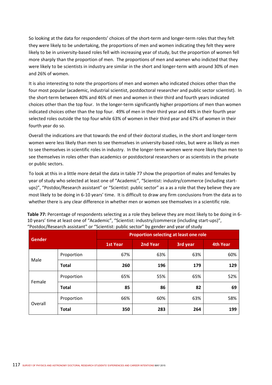So looking at the data for respondents' choices of the short-term and longer-term roles that they felt they were likely to be undertaking, the proportions of men and women indicating they felt they were likely to be in university‐based roles fell with increasing year of study, but the proportion of women fell more sharply than the proportion of men. The proportions of men and women who indicted that they were likely to be scientists in industry are similar in the short and longer-term with around 30% of men and 26% of women.

It is also interesting to note the proportions of men and women who indicated choices other than the four most popular (academic, industrial scientist, postdoctoral researcher and public sector scientist). In the short-term between 40% and 46% of men and women in their third and fourth years indicated choices other than the top four. In the longer‐term significantly higher proportions of men than women indicated choices other than the top four. 49% of men in their third year and 44% in their fourth year selected roles outside the top four while 63% of women in their third year and 67% of women in their fourth year do so.

Overall the indications are that towards the end of their doctoral studies, in the short and longer‐term women were less likely than men to see themselves in university-based roles, but were as likely as men to see themselves in scientific roles in industry. In the longer-term women were more likely than men to see themselves in roles other than academics or postdoctoral researchers or as scientists in the private or public sectors.

To look at this in a little more detail the data in table 77 show the proportion of males and females by year of study who selected at least one of "Academic", "Scientist: industry/commerce (including start‐ ups)", "Postdoc/Research assistant" or "Scientist: public sector" as a as a role that they believe they are most likely to be doing in 6‐10 years' time. It is difficult to draw any firm conclusions from the data as to whether there is any clear difference in whether men or women see themselves in a scientific role.

|               |              |                 | Proportion selecting at least one role |          |          |  |  |  |  |  |  |
|---------------|--------------|-----------------|----------------------------------------|----------|----------|--|--|--|--|--|--|
| <b>Gender</b> |              | <b>1st Year</b> | <b>2nd Year</b>                        | 3rd year | 4th Year |  |  |  |  |  |  |
|               | Proportion   | 67%             | 63%                                    | 63%      | 60%      |  |  |  |  |  |  |
| Male          | <b>Total</b> | 260             | 196                                    | 179      | 129      |  |  |  |  |  |  |
|               | Proportion   | 65%             | 55%                                    | 65%      | 52%      |  |  |  |  |  |  |
| Female        |              |                 |                                        |          |          |  |  |  |  |  |  |

**Total 85 86 82 69**

Proportion 66% 60% 60% 63% 63% 63%

**Total 350 283 264 199**

**Table 77:** Percentage of respondents selecting as a role they believe they are most likely to be doing in 6‐ 10 years' time at least one of "Academic", "Scientist: industry/commerce (including start‐ups)",

Overall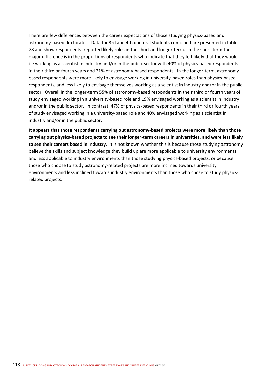There are few differences between the career expectations of those studying physics-based and astronomy-based doctorates. Data for 3rd and 4th doctoral students combined are presented in table 78 and show respondents' reported likely roles in the short and longer‐term. In the short‐term the major difference is in the proportions of respondents who indicate that they felt likely that they would be working as a scientist in industry and/or in the public sector with 40% of physics-based respondents in their third or fourth years and 21% of astronomy-based respondents. In the longer-term, astronomybased respondents were more likely to envisage working in university‐based roles than physics‐based respondents, and less likely to envisage themselves working as a scientist in industry and/or in the public sector. Overall in the longer-term 55% of astronomy-based respondents in their third or fourth years of study envisaged working in a university‐based role and 19% envisaged working as a scientist in industry and/or in the public sector. In contrast, 47% of physics-based respondents in their third or fourth years of study envisaged working in a university‐based role and 40% envisaged working as a scientist in industry and/or in the public sector.

**It appears that those respondents carrying out astronomy‐based projects were more likely than those carrying out physics‐based projects to see their longer‐term careers in universities, and were less likely to see their careers based in industry**. It is not known whether this is because those studying astronomy believe the skills and subject knowledge they build up are more applicable to university environments and less applicable to industry environments than those studying physics-based projects, or because those who choose to study astronomy-related projects are more inclined towards university environments and less inclined towards industry environments than those who chose to study physicsrelated projects.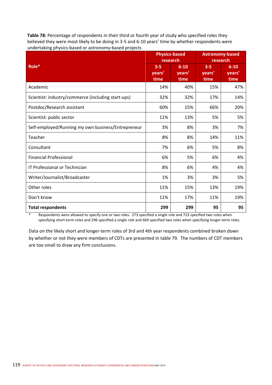**Table 78:** Percentage of respondents in their third or fourth year of study who specified roles they believed they were most likely to be doing in 3‐5 and 6‐10 years' time by whether respondents were undertaking physics‐based or astronomy‐based projects

|                                                    | research                  | <b>Physics-based</b>       | <b>Astronomy-based</b><br>research |                            |  |
|----------------------------------------------------|---------------------------|----------------------------|------------------------------------|----------------------------|--|
| Role*                                              | $3 - 5$<br>vears'<br>time | $6 - 10$<br>years'<br>time | $3 - 5$<br>years'<br>time          | $6 - 10$<br>years'<br>time |  |
| Academic                                           | 14%                       | 40%                        | 15%                                | 47%                        |  |
| Scientist: industry/commerce (including start-ups) | 32%                       | 32%                        | 17%                                | 14%                        |  |
| Postdoc/Research assistant                         | 60%                       | 15%                        | 66%                                | 20%                        |  |
| Scientist: public sector                           | 11%                       | 13%                        | 5%                                 | 5%                         |  |
| Self-employed/Running my own business/Entrepreneur | 3%                        | 8%                         | 3%                                 | 7%                         |  |
| Teacher                                            | 8%                        | 8%                         | 14%                                | 11%                        |  |
| Consultant                                         | 7%                        | 6%                         | 5%                                 | 8%                         |  |
| <b>Financial Professional</b>                      | 6%                        | 5%                         | 6%                                 | 4%                         |  |
| IT Professional or Technician                      | 8%                        | 6%                         | 4%                                 | 4%                         |  |
| Writer/Journalist/Broadcaster                      | 1%                        | 3%                         | 3%                                 | 5%                         |  |
| Other roles                                        | 11%                       | 15%                        | 13%                                | 19%                        |  |
| Don't know                                         | 11%                       | 17%                        | 11%                                | 19%                        |  |
| <b>Total respondents</b>                           | 299                       | 299                        | 95                                 | 95                         |  |

Respondents were allowed to specify one or two roles. 273 specified a single role and 723 specified two roles when specifying short-term roles and 296 specified a single role and 669 specified two roles when specifying longer-term roles.

Data on the likely short and longer-term roles of 3rd and 4th year respondents combined broken down by whether or not they were members of CDTs are presented in table 79. The numbers of CDT members are too small to draw any firm conclusions.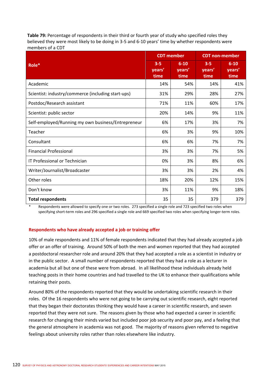**Table 79:** Percentage of respondents in their third or fourth year of study who specified roles they believed they were most likely to be doing in 3‐5 and 6‐10 years' time by whether respondents were members of a CDT

|                                                    |                           | <b>CDT</b> member          | <b>CDT</b> non-member     |                            |  |
|----------------------------------------------------|---------------------------|----------------------------|---------------------------|----------------------------|--|
| Role*                                              | $3 - 5$<br>vears'<br>time | $6 - 10$<br>years'<br>time | $3 - 5$<br>years'<br>time | $6 - 10$<br>years'<br>time |  |
| Academic                                           | 14%                       | 54%                        | 14%                       | 41%                        |  |
| Scientist: industry/commerce (including start-ups) | 31%                       | 29%                        | 28%                       | 27%                        |  |
| Postdoc/Research assistant                         | 71%                       | 11%                        | 60%                       | 17%                        |  |
| Scientist: public sector                           | 20%                       | 14%                        | 9%                        | 11%                        |  |
| Self-employed/Running my own business/Entrepreneur | 6%                        | 17%                        | 3%                        | 7%                         |  |
| Teacher                                            | 6%                        | 3%                         | 9%                        | 10%                        |  |
| Consultant                                         | 6%                        | 6%                         | 7%                        | 7%                         |  |
| <b>Financial Professional</b>                      | 3%                        | 3%                         | 7%                        | 5%                         |  |
| IT Professional or Technician                      | 0%                        | 3%                         | 8%                        | 6%                         |  |
| Writer/Journalist/Broadcaster                      | 3%                        | 3%                         | 2%                        | 4%                         |  |
| Other roles                                        | 18%                       | 20%                        | 12%                       | 15%                        |  |
| Don't know                                         | 3%                        | 11%                        | 9%                        | 18%                        |  |
| <b>Total respondents</b>                           | 35                        | 35                         | 379                       | 379                        |  |

Respondents were allowed to specify one or two roles. 273 specified a single role and 723 specified two roles when specifying short-term roles and 296 specified a single role and 669 specified two roles when specifying longer-term roles.

#### **Respondents who have already accepted a job or training offer**

10% of male respondents and 11% of female respondents indicated that they had already accepted a job offer or an offer of training. Around 50% of both the men and women reported that they had accepted a postdoctoral researcher role and around 20% that they had accepted a role as a scientist in industry or in the public sector. A small number of respondents reported that they had a role as a lecturer in academia but all but one of these were from abroad. In all likelihood these individuals already held teaching posts in their home countries and had travelled to the UK to enhance their qualifications while retaining their posts.

Around 80% of the respondents reported that they would be undertaking scientific research in their roles. Of the 16 respondents who were not going to be carrying out scientific research, eight reported that they began their doctorates thinking they would have a career in scientific research, and seven reported that they were not sure. The reasons given by those who had expected a career in scientific research for changing their minds varied but included poor job security and poor pay, and a feeling that the general atmosphere in academia was not good. The majority of reasons given referred to negative feelings about university roles rather than roles elsewhere like industry.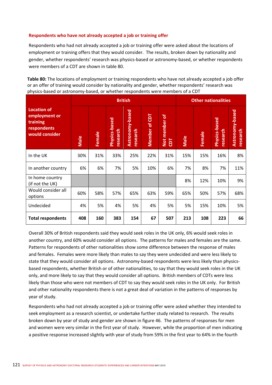#### **Respondents who have not already accepted a job or training offer**

Respondents who had not already accepted a job or training offer were asked about the locations of employment or training offers that they would consider. The results, broken down by nationality and gender, whether respondents' research was physics‐based or astronomy‐based, or whether respondents were members of a CDT are shown in table 80.

**Table 80:** The locations of employment or training respondents who have not already accepted a job offer or an offer of training would consider by nationality and gender, whether respondents' research was physics‐based or astronomy‐based, or whether respondents were members of a CDT

|                                                                                  |      |               | <b>British</b>            | <b>Other nationalities</b>  |               |                               |      |        |                                  |                             |
|----------------------------------------------------------------------------------|------|---------------|---------------------------|-----------------------------|---------------|-------------------------------|------|--------|----------------------------------|-----------------------------|
| <b>Location of</b><br>employment or<br>training<br>respondents<br>would consider | Male | <b>Female</b> | Physics-based<br>research | Astronomy-based<br>research | Member of CDT | member of<br>Not<br><b>Td</b> | Male | Female | <b>Physics-based</b><br>research | Astronomy-based<br>research |
| In the UK                                                                        | 30%  | 31%           | 33%                       | 25%                         | 22%           | 31%                           | 15%  | 15%    | 16%                              | 8%                          |
| In another country                                                               | 6%   | 6%            | 7%                        | 5%                          | 10%           | 6%                            | 7%   | 8%     | 7%                               | 11%                         |
| In home country<br>(if not the UK)                                               |      |               |                           |                             |               |                               | 8%   | 12%    | 10%                              | 9%                          |
| Would consider all<br>options                                                    | 60%  | 58%           | 57%                       | 65%                         | 63%           | 59%                           | 65%  | 50%    | 57%                              | 68%                         |
| Undecided                                                                        | 4%   | 5%            | 4%                        | 5%                          | 4%            | 5%                            | 5%   | 15%    | 10%                              | 5%                          |
| <b>Total respondents</b>                                                         | 408  | 160           | 383                       | 154                         | 67            | 507                           | 213  | 108    | 223                              | 66                          |

Overall 30% of British respondents said they would seek roles in the UK only, 6% would seek roles in another country, and 60% would consider all options. The patterns for males and females are the same. Patterns for respondents of other nationalities show some difference between the response of males and females. Females were more likely than males to say they were undecided and were less likely to state that they would consider all options. Astronomy-based respondents were less likely than physicsbased respondents, whether British or of other nationalities, to say that they would seek roles in the UK only, and more likely to say that they would consider all options. British members of CDTs were less likely than those who were not members of CDT to say they would seek roles in the UK only. For British and other nationality respondents there is not a great deal of variation in the patterns of responses by year of study.

Respondents who had not already accepted a job or training offer were asked whether they intended to seek employment as a research scientist, or undertake further study related to research. The results broken down by year of study and gender are shown in figure 46. The patterns of responses for men and women were very similar in the first year of study. However, while the proportion of men indicating a positive response increased slightly with year of study from 59% in the first year to 64% in the fourth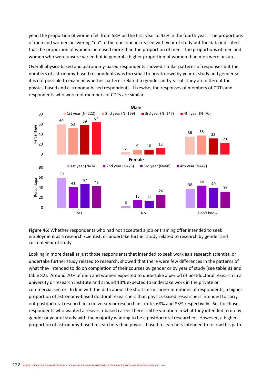year, the proportion of women fell from 58% on the first year to 43% in the fourth year. The proportions of men and women answering "no" to the question increased with year of study but the data indicated that the proportion of women increased more than the proportion of men. The proportions of men and women who were unsure varied but in general a higher proportion of women than men were unsure.

Overall physics‐based and astronomy‐based respondents showed similar patterns of responses but the numbers of astronomy‐based respondents was too small to break down by year of study and gender so it is not possible to examine whether patterns related to gender and year of study are different for physics‐based and astronomy‐based respondents. Likewise, the responses of members of CDTs and respondents who were not members of CDTs are similar.



**Figure 46:** Whether respondents who had not accepted a job or training offer intended to seek employment as a research scientist, or undertake further study related to research by gender and current year of study

Looking in more detail at just those respondents that intended to seek work as a research scientist, or undertake further study related to research, showed that there were few differences in the patterns of what they intended to do on completion of their courses by gender or by year of study (see table 81 and table 82). Around 70% of men and women expected to undertake a period of postdoctoral research in a university or research institute and around 13% expected to undertake work in the private or commercial sector. In line with the data about the short-term career intentions of respondents, a higher proportion of astronomy-based doctoral researchers than physics-based researchers intended to carry out postdoctoral research in a university or research institute, 68% and 83% respectively. So, for those respondents who wanted a research‐based career there is little variation in what they intended to do by gender or year of study with the majority wanting to be a postdoctoral researcher. However, a higher proportion of astronomy‐based researchers than physics‐based researchers intended to follow this path.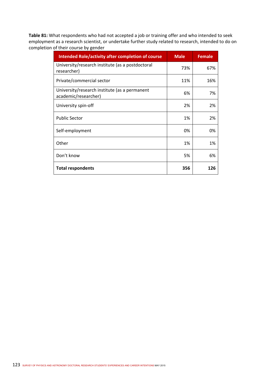**Table 81:** What respondents who had not accepted a job or training offer and who intended to seek employment as a research scientist, or undertake further study related to research, intended to do on completion of their course by gender

| <b>Intended Role/activity after completion of course</b>              | <b>Male</b> | <b>Female</b> |
|-----------------------------------------------------------------------|-------------|---------------|
| University/research institute (as a postdoctoral<br>researcher)       | 73%         | 67%           |
| Private/commercial sector                                             | 11%         | 16%           |
| University/research institute (as a permanent<br>academic/researcher) | 6%          | 7%            |
| University spin-off                                                   | 2%          | 2%            |
| <b>Public Sector</b>                                                  | 1%          | 2%            |
| Self-employment                                                       | 0%          | 0%            |
| Other                                                                 | 1%          | 1%            |
| Don't know                                                            | 5%          | 6%            |
| <b>Total respondents</b>                                              | 356         | 126           |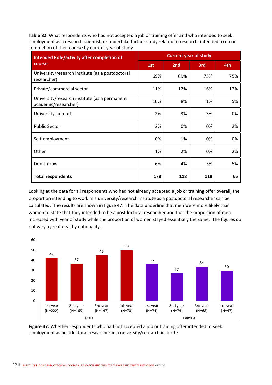**Table 82:** What respondents who had not accepted a job or training offer and who intended to seek employment as a research scientist, or undertake further study related to research, intended to do on completion of their course by current year of study

| <b>Intended Role/activity after completion of</b>                     | <b>Current year of study</b> |                 |     |     |  |  |  |  |
|-----------------------------------------------------------------------|------------------------------|-----------------|-----|-----|--|--|--|--|
| course                                                                | 1st                          | 2 <sub>nd</sub> | 3rd | 4th |  |  |  |  |
| University/research institute (as a postdoctoral<br>researcher)       | 69%                          | 69%             | 75% | 75% |  |  |  |  |
| Private/commercial sector                                             | 11%                          | 12%             | 16% | 12% |  |  |  |  |
| University/research institute (as a permanent<br>academic/researcher) | 10%                          | 8%              | 1%  | 5%  |  |  |  |  |
| University spin-off                                                   | 2%                           | 3%              | 3%  | 0%  |  |  |  |  |
| <b>Public Sector</b>                                                  | 2%                           | 0%              | 0%  | 2%  |  |  |  |  |
| Self-employment                                                       | 0%                           | 1%              | 0%  | 0%  |  |  |  |  |
| Other                                                                 | 1%                           | 2%              | 0%  | 2%  |  |  |  |  |
| Don't know                                                            | 6%                           | 4%              | 5%  | 5%  |  |  |  |  |
| <b>Total respondents</b>                                              | 178                          | 118             | 118 | 65  |  |  |  |  |

Looking at the data for all respondents who had not already accepted a job or training offer overall, the proportion intending to work in a university/research institute as a postdoctoral researcher can be calculated. The results are shown in figure 47. The data underline that men were more likely than women to state that they intended to be a postdoctoral researcher and that the proportion of men increased with year of study while the proportion of women stayed essentially the same. The figures do not vary a great deal by nationality.



**Figure 47:** Whether respondents who had not accepted a job or training offer intended to seek employment as postdoctoral researcher in a university/research institute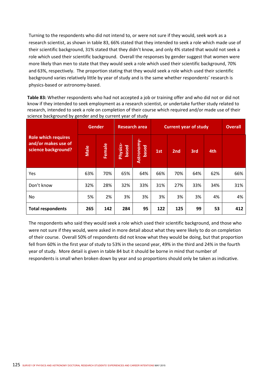Turning to the respondents who did not intend to, or were not sure if they would, seek work as a research scientist, as shown in table 83, 66% stated that they intended to seek a role which made use of their scientific background, 31% stated that they didn't know, and only 4% stated that would not seek a role which used their scientific background. Overall the responses by gender suggest that women were more likely than men to state that they would seek a role which used their scientific background, 70% and 63%, respectively. The proportion stating that they would seek a role which used their scientific background varies relatively little by year of study and is the same whether respondents' research is physics‐based or astronomy‐based.

**Table 83:** Whether respondents who had not accepted a job or training offer and who did not or did not know if they intended to seek employment as a research scientist, or undertake further study related to research, intended to seek a role on completion of their course which required and/or made use of their science background by gender and by current year of study

|                                                                          | <b>Gender</b> |        | <b>Research area</b> |                    | <b>Current year of study</b> | <b>Overall</b> |     |     |     |
|--------------------------------------------------------------------------|---------------|--------|----------------------|--------------------|------------------------------|----------------|-----|-----|-----|
| <b>Role which requires</b><br>and/or makes use of<br>science background? | Male          | Female | Physics-<br>based    | Astronomy<br>based | 1st                          | 2nd            | 3rd | 4th |     |
| Yes                                                                      | 63%           | 70%    | 65%                  | 64%                | 66%                          | 70%            | 64% | 62% | 66% |
| Don't know                                                               | 32%           | 28%    | 32%                  | 33%                | 31%                          | 27%            | 33% | 34% | 31% |
| No                                                                       | 5%            | 2%     | 3%                   | 3%                 | 3%                           | 3%             | 3%  | 4%  | 4%  |
| <b>Total respondents</b>                                                 | 265           | 142    | 284                  | 95                 | 122                          | 125            | 99  | 53  | 412 |

The respondents who said they would seek a role which used their scientific background, and those who were not sure if they would, were asked in more detail about what they were likely to do on completion of their course. Overall 50% of respondents did not know what they would be doing, but that proportion fell from 60% in the first year of study to 53% in the second year, 49% in the third and 24% in the fourth year of study. More detail is given in table 84 but it should be borne in mind that number of respondents is small when broken down by year and so proportions should only be taken as indicative.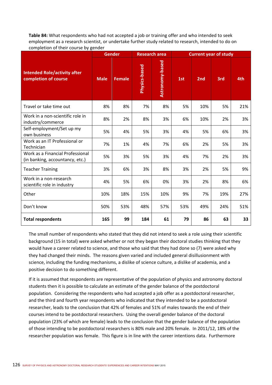**Table 84:** What respondents who had not accepted a job or training offer and who intended to seek employment as a research scientist, or undertake further study related to research, intended to do on completion of their course by gender

|                                                                     | <b>Gender</b> |               |               | <b>Research area</b> | <b>Current year of study</b> |                 |     |     |
|---------------------------------------------------------------------|---------------|---------------|---------------|----------------------|------------------------------|-----------------|-----|-----|
| <b>Intended Role/activity after</b><br>completion of course         | <b>Male</b>   | <b>Female</b> | Physics-based | Astronomy-based      | 1st                          | 2 <sub>nd</sub> | 3rd | 4th |
| Travel or take time out                                             | 8%            | 8%            | 7%            | 8%                   | 5%                           | 10%             | 5%  | 21% |
| Work in a non-scientific role in<br>industry/commerce               | 8%            | 2%            | 8%            | 3%                   | 6%                           | 10%             | 2%  | 3%  |
| Self-employment/Set up my<br>own business                           | 5%            | 4%            | 5%            | 3%                   | 4%                           | 5%              | 6%  | 3%  |
| Work as an IT Professional or<br>Technician                         | 7%            | 1%            | 4%            | 7%                   | 6%                           | 2%              | 5%  | 3%  |
| Work as a Financial Professional<br>(in banking, accountancy, etc.) | 5%            | 3%            | 5%            | 3%                   | 4%                           | 7%              | 2%  | 3%  |
| <b>Teacher Training</b>                                             | 3%            | 6%            | 3%            | 8%                   | 3%                           | 2%              | 5%  | 9%  |
| Work in a non-research<br>scientific role in industry               | 4%            | 5%            | 6%            | 0%                   | 3%                           | 2%              | 8%  | 6%  |
| Other                                                               | 10%           | 18%           | 15%           | 10%                  | 9%                           | 7%              | 19% | 27% |
| Don't know                                                          | 50%           | 53%           | 48%           | 57%                  | 53%                          | 49%             | 24% | 51% |
| <b>Total respondents</b>                                            | 165           | 99            | 184           | 61                   | 79                           | 86              | 63  | 33  |

The small number of respondents who stated that they did not intend to seek a role using their scientific background (15 in total) were asked whether or not they began their doctoral studies thinking that they would have a career related to science, and those who said that they had done so (7) were asked why they had changed their minds. The reasons given varied and included general disillusionment with science, including the funding mechanisms, a dislike of science culture, a dislike of academia, and a positive decision to do something different.

If it is assumed that respondents are representative of the population of physics and astronomy doctoral students then it is possible to calculate an estimate of the gender balance of the postdoctoral population. Considering the respondents who had accepted a job offer as a postdoctoral researcher, and the third and fourth year respondents who indicated that they intended to be a postdoctoral researcher, leads to the conclusion that 42% of females and 51% of males towards the end of their courses intend to be postdoctoral researchers. Using the overall gender balance of the doctoral population (23% of which are female) leads to the conclusion that the gender balance of the population of those intending to be postdoctoral researchers is 80% male and 20% female. In 2011/12, 18% of the researcher population was female. This figure is in line with the career intentions data. Furthermore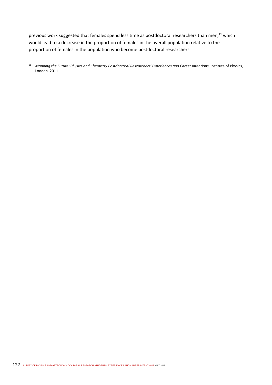previous work suggested that females spend less time as postdoctoral researchers than men,<sup>11</sup> which would lead to a decrease in the proportion of females in the overall population relative to the proportion of females in the population who become postdoctoral researchers.

<sup>&</sup>lt;sup>11</sup> Mapping the Future: Physics and Chemistry Postdoctoral Researchers' Experiences and Career Intentions, Institute of Physics, London, 2011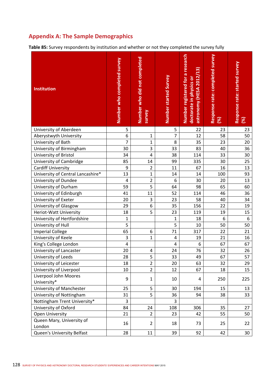# **Appendix A: The Sample Demographics**

**Table 85:** Survey respondents by institution and whether or not they completed the survey fully

| <b>Institution</b>                  | Number who completed survey | Number who did not completed<br>survey | Number started Survey | Number registered for a research<br>astronomy (HESA 2012/13)<br>doctorate in physics or | Response rate: completed survey<br>(%) | Response rate: started survey<br>$\infty$ |
|-------------------------------------|-----------------------------|----------------------------------------|-----------------------|-----------------------------------------------------------------------------------------|----------------------------------------|-------------------------------------------|
| University of Aberdeen              | 5                           |                                        | 5                     | 22                                                                                      | 23                                     | 23                                        |
| Aberystwyth University              | 6                           | 1                                      | $\overline{7}$        | 12                                                                                      | 58                                     | 50                                        |
| University of Bath                  | $\overline{7}$              | $\mathbf 1$                            | 8                     | 35                                                                                      | 23                                     | 20                                        |
| University of Birmingham            | 30                          | 3                                      | 33                    | 83                                                                                      | 40                                     | 36                                        |
| University of Bristol               | 34                          | 4                                      | 38                    | 114                                                                                     | 33                                     | 30                                        |
| University of Cambridge             | 85                          | 14                                     | 99                    | 335                                                                                     | 30                                     | 25                                        |
| <b>Cardiff University</b>           | 9                           | $\overline{2}$                         | 11                    | 67                                                                                      | 16                                     | 13                                        |
| University of Central Lancashire*   | 13                          | $\mathbf{1}$                           | 14                    | 14                                                                                      | 100                                    | 93                                        |
| University of Dundee                | 4                           | $\overline{2}$                         | 6                     | 30                                                                                      | 20                                     | 13                                        |
| University of Durham                | 59                          | 5                                      | 64                    | 98                                                                                      | 65                                     | 60                                        |
| University of Edinburgh             | 41                          | 11                                     | 52                    | 114                                                                                     | 46                                     | 36                                        |
| University of Exeter                | 20                          | 3                                      | 23                    | 58                                                                                      | 40                                     | 34                                        |
| University of Glasgow               | 29                          | 6                                      | 35                    | 156                                                                                     | 22                                     | 19                                        |
| Heriot-Watt University              | 18                          | 5                                      | 23                    | 119                                                                                     | 19                                     | 15                                        |
| University of Hertfordshire         | $\mathbf 1$                 |                                        | $\mathbf{1}$          | 18                                                                                      | 6                                      | 6                                         |
| University of Hull                  | 5                           |                                        | 5                     | 10                                                                                      | 50                                     | 50                                        |
| <b>Imperial College</b>             | 65                          | 6                                      | 71                    | 317                                                                                     | 22                                     | 21                                        |
| University of Keele                 | 3                           | 1                                      | 4                     | 19                                                                                      | 21                                     | 16                                        |
| King's College London               | 4                           |                                        | $\overline{4}$        | 6                                                                                       | 67                                     | 67                                        |
| University of Lancaster             | 20                          | 4                                      | 24                    | 76                                                                                      | 32                                     | 26                                        |
| University of Leeds                 | $\overline{28}$             | 5                                      | $\overline{33}$       | 49                                                                                      | 67                                     | $\overline{57}$                           |
| University of Leicester             | 18                          | $\overline{2}$                         | 20                    | 63                                                                                      | 32                                     | 29                                        |
| University of Liverpool             | 10                          | $\overline{2}$                         | 12                    | 67                                                                                      | 18                                     | 15                                        |
| Liverpool John Moores               | 9                           | 1                                      | 10                    | 4                                                                                       | 250                                    | 225                                       |
| University*                         |                             |                                        |                       |                                                                                         |                                        |                                           |
| University of Manchester            | 25                          | 5                                      | 30                    | 194                                                                                     | 15                                     | 13                                        |
| University of Nottingham            | 31                          | 5                                      | 36                    | 94                                                                                      | 38                                     | 33                                        |
| Nottingham Trent University*        | 3                           |                                        | 3                     |                                                                                         |                                        |                                           |
| University of Oxford                | 84                          | 24                                     | 108                   | 306                                                                                     | 35                                     | 27                                        |
| Open University                     | 21                          | $\overline{2}$                         | 23                    | 42                                                                                      | 55                                     | 50                                        |
| Queen Mary, University of<br>London | 16                          | $\overline{2}$                         | 18                    | 73                                                                                      | 25                                     | 22                                        |
| Queen's University Belfast          | 28                          | 11                                     | 39                    | 92                                                                                      | 42                                     | 30                                        |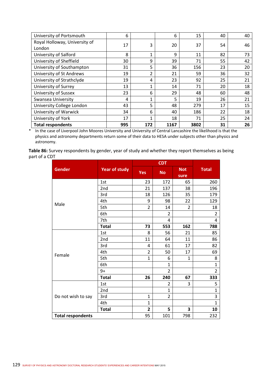| University of Portsmouth                | 6   |                | 6    | 15   | 40 | 40 |
|-----------------------------------------|-----|----------------|------|------|----|----|
| Royal Holloway, University of<br>London | 17  | 3              | 20   | 37   | 54 | 46 |
| University of Salford                   | 8   | 1              | 9    | 11   | 82 | 73 |
| University of Sheffield                 | 30  | 9              | 39   | 71   | 55 | 42 |
| University of Southampton               | 31  | 5              | 36   | 156  | 23 | 20 |
| University of St Andrews                | 19  | $\overline{2}$ | 21   | 59   | 36 | 32 |
| University of Strathclyde               | 19  | 4              | 23   | 92   | 25 | 21 |
| University of Surrey                    | 13  | 1              | 14   | 71   | 20 | 18 |
| University of Sussex                    | 23  | 6              | 29   | 48   | 60 | 48 |
| Swansea University                      | 4   | 1              | 5    | 19   | 26 | 21 |
| University College London               | 43  | 5              | 48   | 279  | 17 | 15 |
| University of Warwick                   | 34  | 6              | 40   | 186  | 22 | 18 |
| University of York                      | 17  | 1              | 18   | 71   | 25 | 24 |
| <b>Total respondents</b>                | 995 | 172            | 1167 | 3802 | 31 | 26 |

\* In the case of Liverpool John Moores University and University of Central Lancashire the likelihood is that the physics and astronomy departments return some of their data to HESA under subjects other than physics and astronomy.

**Table 86:** Survey respondents by gender, year of study and whether they report themselves as being part of a CDT  $\overline{a}$ 

| <b>Gender</b>            | <b>Year of study</b> | Yes            | <b>No</b>      | <b>Not</b><br>sure | <b>Total</b>   |
|--------------------------|----------------------|----------------|----------------|--------------------|----------------|
|                          | 1st                  | 23             | 172            | 65                 | 260            |
|                          | 2nd                  | 21             | 137            | 38                 | 196            |
|                          | 3rd                  | 18             | 126            | 35                 | 179            |
| Male                     | 4th                  | 9              | 98             | 22                 | 129            |
|                          | 5th                  | $\overline{2}$ | 14             | $\overline{2}$     | 18             |
|                          | 6th                  |                | $\overline{2}$ |                    | $\overline{2}$ |
|                          | 7th                  |                | 4              |                    | 4              |
|                          | <b>Total</b>         | 73             | 553            | 162                | 788            |
|                          | 1st                  | 8              | 56             | 21                 | 85             |
|                          | 2nd                  | 11             | 64             | 11                 | 86             |
|                          | 3rd                  | 4              | 61             | 17                 | 82             |
| Female                   | 4th                  | $\overline{2}$ | 50             | 17                 | 69             |
|                          | 5th                  | $\mathbf{1}$   | 6              | 1                  | 8              |
|                          | 6th                  |                | $\mathbf{1}$   |                    | $\overline{1}$ |
|                          | $9+$                 |                | $\overline{2}$ |                    | $\overline{2}$ |
|                          | <b>Total</b>         | 26             | 240            | 67                 | 333            |
|                          | 1st                  |                | $\overline{2}$ | 3                  | 5              |
|                          | 2nd                  |                | $\mathbf{1}$   |                    | $\overline{1}$ |
| Do not wish to say       | 3rd                  | $\mathbf{1}$   | $\overline{2}$ |                    | 3              |
|                          | 4th                  | $\mathbf{1}$   |                |                    | $\mathbf{1}$   |
|                          | <b>Total</b>         | $\overline{2}$ | 5              | 3                  | 10             |
| <b>Total respondents</b> |                      | 95             | 101            | 798                | 232            |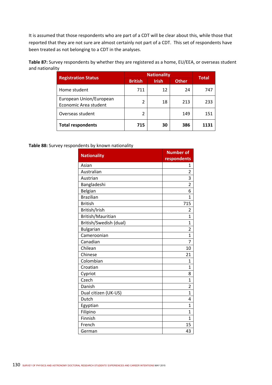It is assumed that those respondents who are part of a CDT will be clear about this, while those that reported that they are not sure are almost certainly not part of a CDT. This set of respondents have been treated as not belonging to a CDT in the analyses.

| Table 87: Survey respondents by whether they are registered as a home, EU/EEA, or overseas student |  |
|----------------------------------------------------------------------------------------------------|--|
| and nationality                                                                                    |  |

|                                                  | <b>Nationality</b> | <b>Total</b> |              |      |
|--------------------------------------------------|--------------------|--------------|--------------|------|
| <b>Registration Status</b>                       | <b>British</b>     | <b>Irish</b> | <b>Other</b> |      |
| Home student                                     | 711                | 12           | 24           | 747  |
| European Union/European<br>Economic Area student | 2                  | 18           | 213          | 233  |
| Overseas student                                 | 2                  |              | 149          | 151  |
| <b>Total respondents</b>                         | 715                | 30           | 386          | 1131 |

#### **Table 88:** Survey respondents by known nationality

| <b>Nationality</b>     | <b>Number of</b> |
|------------------------|------------------|
|                        | respondents      |
| Asian                  | 1                |
| Australian             | 2                |
| Austrian               | 3                |
| Bangladeshi            | $\overline{2}$   |
| Belgian                | 6                |
| <b>Brazilian</b>       | 1                |
| <b>British</b>         | 715              |
| British/Irish          | 2                |
| British/Mauritian      | 1                |
| British/Swedish (dual) | 1                |
| <b>Bulgarian</b>       | $\overline{2}$   |
| Cameroonian            | 1                |
| Canadian               | 7                |
| Chilean                | 10               |
| Chinese                | 21               |
| Colombian              | 1                |
| Croatian               | 1                |
| Cypriot                | 8                |
| Czech                  | 1                |
| Danish                 | 2                |
| Dual citizen (UK-US)   | $\mathbf{1}$     |
| Dutch                  | 4                |
| Egyptian               | 1                |
| Filipino               | 1                |
| Finnish                | $\mathbf{1}$     |
| French                 | 15               |
| German                 | 43               |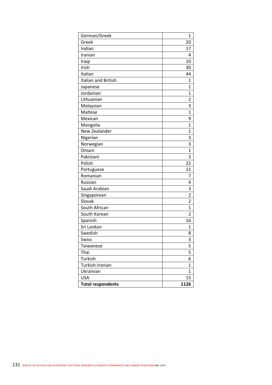| German/Greek             | 1              |
|--------------------------|----------------|
| Greek                    | 20             |
| Indian                   | 17             |
| Iranian                  | 4              |
| Iraqi                    | 10             |
| Irish                    | 30             |
| Italian                  | 44             |
| Italian and British      | $\mathbf{1}$   |
| Japanese                 | 1              |
| Jordanian                | $\mathbf{1}$   |
| Lithuanian               | 2              |
| Malaysian                | 3              |
| Maltese                  | $\mathbf{1}$   |
| Mexican                  | 9              |
| Mongolia                 | 1              |
| New Zealander            | 1              |
| Nigerian                 | 3              |
| Norwegian                | 3              |
| Omani                    | $\mathbf{1}$   |
| Pakistani                | 3              |
| Polish                   | 22             |
| Portuguese               | 11             |
| Romanian                 | 7              |
| Russian                  | 4              |
| Saudi Arabian            | 3              |
| Singaporean              | $\overline{2}$ |
| Slovak                   | $\overline{2}$ |
| South African            | 1              |
| South Korean             | $\overline{2}$ |
| Spanish                  | 16             |
| Sri Lankan               | 1              |
| Swedish                  | 8              |
| Swiss                    | 3              |
| Taiwanese                | 5              |
| Thai                     | 5              |
| Turkish                  | 6              |
| Turkish-Iranian          | 1              |
| Ukrainian                | $\mathbf{1}$   |
| <b>USA</b>               | 15             |
| <b>Total respondents</b> | 1126           |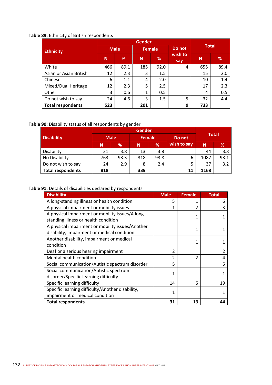### **Table 89:** Ethnicity of British respondents

| <b>Ethnicity</b>         | <b>Male</b> |      | <b>Female</b> |      | Do not         | <b>Total</b> |      |
|--------------------------|-------------|------|---------------|------|----------------|--------------|------|
|                          | N           | %    | N             | %    | wish to<br>say | N            | %    |
| White                    | 466         | 89.1 | 185           | 92.0 | 4              | 655          | 89.4 |
| Asian or Asian British   | 12          | 2.3  | 3             | 1.5  |                | 15           | 2.0  |
| Chinese                  | 6           | 1.1  | 4             | 2.0  |                | 10           | 1.4  |
| Mixed/Dual Heritage      | 12          | 2.3  | 5             | 2.5  |                | 17           | 2.3  |
| Other                    | 3           | 0.6  | 1             | 0.5  |                | 4            | 0.5  |
| Do not wish to say       | 24          | 4.6  | 3             | 1.5  | 5              | 32           | 4.4  |
| <b>Total respondents</b> | 523         |      | 201           |      | 9              | 733          |      |

### **Table 90:** Disability status of all respondents by gender

|                          | <b>Gender</b> |      |               |      |             |              |      |  |
|--------------------------|---------------|------|---------------|------|-------------|--------------|------|--|
| <b>Disability</b>        | <b>Male</b>   |      | <b>Female</b> |      | Do not      | <b>Total</b> |      |  |
|                          | N             | %    | N             | %    | wish to say | N            | %    |  |
| Disability               | 31            | 3.8  | 13            | 3.8  |             | 44           | 3.8  |  |
| No Disability            | 763           | 93.3 | 318           | 93.8 | 6           | 1087         | 93.1 |  |
| Do not wish to say       | 24            | 2.9  | 8             | 2.4  |             | 37           | 3.2  |  |
| <b>Total respondents</b> | 818           |      | 339           |      | 11          | 1168         |      |  |

### **Table 91:** Details of disabilities declared by respondents

| <b>Disability</b>                                | <b>Male</b>    | <b>Female</b>            | <b>Total</b>   |
|--------------------------------------------------|----------------|--------------------------|----------------|
| A long-standing illness or health condition      | 5              | 1                        | 6              |
| A physical impairment or mobility issues         | 1              | $\overline{\mathcal{L}}$ | 3              |
| A physical impairment or mobility issues/A long- |                | 1                        |                |
| standing illness or health condition             |                |                          |                |
| A physical impairment or mobility issues/Another |                | 1                        |                |
| disability, impairment or medical condition      |                |                          |                |
| Another disability, impairment or medical        |                | 1                        |                |
| condition                                        |                |                          |                |
| Deaf or a serious hearing impairment             | $\mathfrak{p}$ |                          | $\overline{2}$ |
| Mental health condition                          | $\mathcal{P}$  | $\mathcal{P}$            | 4              |
| Social communication/Autistic spectrum disorder  | 5              |                          | 5              |
| Social communication/Autistic spectrum           | 1              |                          |                |
| disorder/Specific learning difficulty            |                |                          |                |
| Specific learning difficulty                     | 14             | 5                        | 19             |
| Specific learning difficulty/Another disability, | 1              |                          |                |
| impairment or medical condition                  |                |                          |                |
| <b>Total respondents</b>                         | 31             | 13                       | 44             |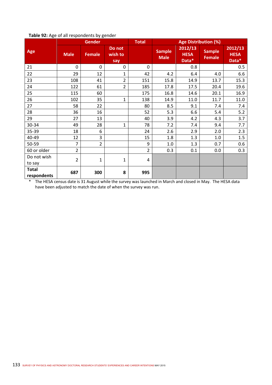| ັ            | , ,<br><b>Gender</b> |                | <b>Total</b>             | <b>Age Distribution (%)</b> |                              |                                 |                                |                                 |
|--------------|----------------------|----------------|--------------------------|-----------------------------|------------------------------|---------------------------------|--------------------------------|---------------------------------|
| Age          | <b>Male</b>          | <b>Female</b>  | Do not<br>wish to<br>say |                             | <b>Sample</b><br><b>Male</b> | 2012/13<br><b>HESA</b><br>Data* | <b>Sample</b><br><b>Female</b> | 2012/13<br><b>HESA</b><br>Data* |
| 21           | 0                    | 0              | 0                        | 0                           |                              | 0.8                             |                                | 0.5                             |
| 22           | 29                   | 12             | $\mathbf{1}$             | 42                          | 4.2                          | 6.4                             | 4.0                            | 6.6                             |
| 23           | 108                  | 41             | $\overline{2}$           | 151                         | 15.8                         | 14.9                            | 13.7                           | 15.3                            |
| 24           | 122                  | 61             | $\overline{2}$           | 185                         | 17.8                         | 17.5                            | 20.4                           | 19.6                            |
| 25           | 115                  | 60             |                          | 175                         | 16.8                         | 14.6                            | 20.1                           | 16.9                            |
| 26           | 102                  | 35             | $\mathbf{1}$             | 138                         | 14.9                         | 11.0                            | 11.7                           | 11.0                            |
| 27           | 58                   | 22             |                          | 80                          | 8.5                          | 9.1                             | 7.4                            | 7.4                             |
| 28           | 36                   | 16             |                          | 52                          | 5.3                          | 6.6                             | 5.4                            | 5.2                             |
| 29           | 27                   | 13             |                          | 40                          | 3.9                          | 4.2                             | 4.3                            | 3.7                             |
| 30-34        | 49                   | 28             | $\mathbf{1}$             | 78                          | 7.2                          | 7.4                             | 9.4                            | 7.7                             |
| 35-39        | 18                   | 6              |                          | 24                          | 2.6                          | 2.9                             | 2.0                            | 2.3                             |
| 40-49        | 12                   | 3              |                          | 15                          | 1.8                          | 1.3                             | 1.0                            | 1.5                             |
| 50-59        | 7                    | $\overline{2}$ |                          | 9                           | 1.0                          | 1.3                             | 0.7                            | 0.6                             |
| 60 or older  | $\overline{2}$       |                |                          | $\overline{2}$              | 0.3                          | 0.1                             | 0.0                            | 0.3                             |
| Do not wish  | $\overline{2}$       | $\mathbf{1}$   | 1                        | 4                           |                              |                                 |                                |                                 |
| to say       |                      |                |                          |                             |                              |                                 |                                |                                 |
| <b>Total</b> | 687                  | 300            | 8                        | 995                         |                              |                                 |                                |                                 |
| respondents  |                      |                |                          |                             |                              |                                 |                                |                                 |

#### **Table 92:** Age of all respondents by gender

\* The HESA census date is 31 August while the survey was launched in March and closed in May. The HESA data have been adjusted to match the date of when the survey was run.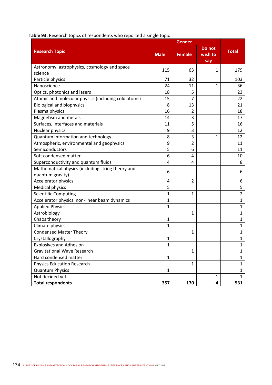| Table 93: Research topics of respondents who reported a single topic |  |  |  |  |
|----------------------------------------------------------------------|--|--|--|--|
|----------------------------------------------------------------------|--|--|--|--|

| <b>Research Topic</b>                               | <b>Male</b>  | <b>Female</b>  | Do not<br>wish to<br>say | <b>Total</b>   |
|-----------------------------------------------------|--------------|----------------|--------------------------|----------------|
| Astronomy, astrophysics, cosmology and space        |              | 63             |                          |                |
| science                                             | 115          |                | 1                        | 179            |
| Particle physics                                    | 71           | 32             |                          | 103            |
| Nanoscience                                         | 24           | 11             | 1                        | 36             |
| Optics, photonics and lasers                        | 18           | 5              |                          | 23             |
| Atomic and molecular physics (including cold atoms) | 15           | 7              |                          | 22             |
| <b>Biological and biophysics</b>                    | 8            | 13             |                          | 21             |
| Plasma physics                                      | 16           | 2              |                          | 18             |
| Magnetism and metals                                | 14           | 3              |                          | 17             |
| Surfaces, interfaces and materials                  | 11           | 5              |                          | 16             |
| Nuclear physics                                     | 9            | 3              |                          | 12             |
| Quantum information and technology                  | 8            | 3              | 1                        | 12             |
| Atmospheric, environmental and geophysics           | 9            | $\overline{2}$ |                          | 11             |
| Semiconductors                                      | 5            | 6              |                          | 11             |
| Soft condensed matter                               | 6            | 4              |                          | 10             |
| Superconductivity and quantum fluids                | 4            | 4              |                          | 8              |
| Mathematical physics (including string theory and   |              |                |                          |                |
| quantum gravity)                                    | 6            |                |                          | 6              |
| Accelerator physics                                 | 4            | $\overline{2}$ |                          | 6              |
| <b>Medical physics</b>                              | 5            |                |                          | 5              |
| <b>Scientific Computing</b>                         | 1            | $\mathbf{1}$   |                          | $\overline{2}$ |
| Accelerator physics: non-linear beam dynamics       | 1            |                |                          | $\mathbf{1}$   |
| <b>Applied Physics</b>                              | 1            |                |                          | $\mathbf{1}$   |
| Astrobiology                                        |              | $\mathbf{1}$   |                          | $\mathbf{1}$   |
| Chaos theory                                        | 1            |                |                          | $\mathbf{1}$   |
| Climate physics                                     | 1            |                |                          | $\mathbf{1}$   |
| <b>Condensed Matter Theory</b>                      |              | 1              |                          | $\mathbf{1}$   |
| Crystallography                                     | 1            |                |                          | $\mathbf{1}$   |
| <b>Explosives and Adhesion</b>                      | 1            |                |                          | 1              |
| <b>Gravitational Wave Research</b>                  |              | $\mathbf{1}$   |                          | $\mathbf{1}$   |
| Hard condensed matter                               | $\mathbf{1}$ |                |                          | $\mathbf{1}$   |
| <b>Physics Education Research</b>                   |              | $\mathbf{1}$   |                          | $\mathbf{1}$   |
| <b>Quantum Physics</b>                              | 1            |                |                          | $\mathbf{1}$   |
| Not decided yet                                     |              |                | $\mathbf{1}$             | $\mathbf{1}$   |
| <b>Total respondents</b>                            | 357          | 170            | 4                        | 531            |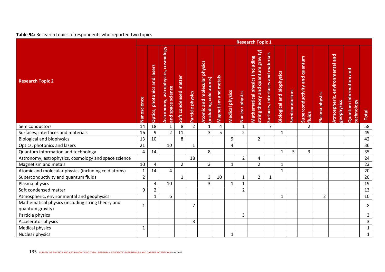### **Table 94:** Research topics of respondents who reported two topics

|                                                                       | <b>Research Topic 1</b> |                                     |                                                         |                       |                  |                                                               |                      |                        |                 |                                                                              |                                    |                                  |                |                                         |                |                                              |                                       |                |
|-----------------------------------------------------------------------|-------------------------|-------------------------------------|---------------------------------------------------------|-----------------------|------------------|---------------------------------------------------------------|----------------------|------------------------|-----------------|------------------------------------------------------------------------------|------------------------------------|----------------------------------|----------------|-----------------------------------------|----------------|----------------------------------------------|---------------------------------------|----------------|
| <b>Research Topic 2</b>                                               | Nanoscience             | <b>Optics, photonics and lasers</b> | Astronomy, astrophysics, cosmology<br>and space science | Soft condensed matter | Particle physics | <b>Atomic and molecular physics</b><br>(including cold atoms) | Magnetism and metals | <b>Medical physics</b> | Nuclear physics | string theory and quantum gravity)<br><b>Mathematical physics (including</b> | Surfaces, interfaces and materials | <b>Biological and biophysics</b> | Semiconductors | Superconductivity and quantum<br>fluids | Plasma physics | Atmospheric, environmental and<br>geophysics | Quantum information and<br>technology | Total          |
| Semiconductors                                                        | 14                      | 18                                  | $\mathbf{1}$                                            | 8                     | $\overline{2}$   | $\mathbf{1}$                                                  | 4                    |                        | $\mathbf{1}$    |                                                                              | $\overline{7}$                     |                                  |                | 2                                       |                |                                              |                                       | 58             |
| Surfaces, interfaces and materials                                    | 16                      | 9                                   | $\overline{2}$                                          | 11                    |                  | $\overline{3}$                                                | 5                    |                        | $\overline{2}$  |                                                                              |                                    | $\mathbf{1}$                     |                |                                         |                |                                              |                                       | 49             |
| <b>Biological and biophysics</b>                                      | 13                      | 10                                  |                                                         | 8                     |                  |                                                               |                      | 9                      |                 | $\overline{2}$                                                               |                                    |                                  |                |                                         |                |                                              |                                       | 42             |
| Optics, photonics and lasers                                          | 21                      |                                     | 10                                                      |                       | 1                |                                                               |                      | 4                      |                 |                                                                              |                                    |                                  |                |                                         |                |                                              |                                       | 36             |
| Quantum information and technology                                    | $\overline{\mathbf{4}}$ | 14                                  |                                                         |                       |                  | 8                                                             |                      |                        |                 |                                                                              |                                    | $\mathbf{1}$                     | 5              | $\overline{3}$                          |                |                                              |                                       | 35             |
| Astronomy, astrophysics, cosmology and space science                  |                         |                                     |                                                         |                       | 18               |                                                               |                      |                        | $\overline{2}$  | 4                                                                            |                                    |                                  |                |                                         |                |                                              |                                       | 24             |
| Magnetism and metals                                                  | 10                      | 4                                   |                                                         | $\overline{2}$        |                  | $\overline{3}$                                                |                      | $\mathbf{1}$           |                 | $\overline{2}$                                                               |                                    | $\mathbf{1}$                     |                |                                         |                |                                              |                                       | 23             |
| Atomic and molecular physics (including cold atoms)                   | $\mathbf{1}$            | 14                                  | $\overline{4}$                                          |                       |                  |                                                               |                      |                        |                 |                                                                              |                                    | $\mathbf{1}$                     |                |                                         |                |                                              |                                       | 20             |
| Superconductivity and quantum fluids                                  | $\overline{2}$          |                                     |                                                         | $\mathbf{1}$          |                  | 3                                                             | 10                   |                        | $\mathbf{1}$    | $\overline{2}$                                                               | 1                                  |                                  |                |                                         |                |                                              |                                       | $20\,$         |
| Plasma physics                                                        |                         | 4                                   | 10                                                      |                       |                  | $\overline{3}$                                                |                      | $\mathbf{1}$           | $\mathbf{1}$    |                                                                              |                                    |                                  |                |                                         |                |                                              |                                       | 19             |
| Soft condensed matter                                                 | 9                       | $\overline{2}$                      |                                                         |                       |                  |                                                               |                      |                        | $\overline{2}$  |                                                                              |                                    |                                  |                |                                         |                |                                              |                                       | 13             |
| Atmospheric, environmental and geophysics                             |                         | $\mathbf{1}$                        | 6                                                       |                       |                  |                                                               |                      |                        |                 |                                                                              |                                    | $\mathbf{1}$                     |                |                                         | $\overline{2}$ |                                              |                                       | $10\,$         |
| Mathematical physics (including string theory and<br>quantum gravity) | 1                       |                                     |                                                         |                       | $\overline{7}$   |                                                               |                      |                        |                 |                                                                              |                                    |                                  |                |                                         |                |                                              |                                       | 8              |
| Particle physics                                                      |                         |                                     |                                                         |                       |                  |                                                               |                      |                        | 3               |                                                                              |                                    |                                  |                |                                         |                |                                              |                                       | $\overline{3}$ |
| Accelerator physics                                                   |                         |                                     |                                                         |                       | 3                |                                                               |                      |                        |                 |                                                                              |                                    |                                  |                |                                         |                |                                              |                                       | $\mathbf{3}$   |
| <b>Medical physics</b>                                                | 1                       |                                     |                                                         |                       |                  |                                                               |                      |                        |                 |                                                                              |                                    |                                  |                |                                         |                |                                              |                                       | $\mathbf{1}$   |
| Nuclear physics                                                       |                         |                                     |                                                         |                       |                  |                                                               |                      | $\mathbf{1}$           |                 |                                                                              |                                    |                                  |                |                                         |                |                                              |                                       | $\mathbf 1$    |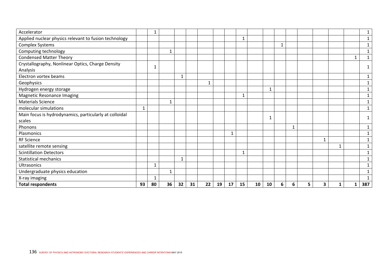| Accelerator                                            |    | 1  |              |    |    |    |    |              |    |    |              |   |   |   |              |   |              | $\mathbf{1}$ |
|--------------------------------------------------------|----|----|--------------|----|----|----|----|--------------|----|----|--------------|---|---|---|--------------|---|--------------|--------------|
| Applied nuclear physics relevant to fusion technology  |    |    |              |    |    |    |    |              | 1  |    |              |   |   |   |              |   |              | $\mathbf{1}$ |
| Complex Systems                                        |    |    |              |    |    |    |    |              |    |    |              | 1 |   |   |              |   |              | $\mathbf{1}$ |
| Computing technology                                   |    |    | $\mathbf{1}$ |    |    |    |    |              |    |    |              |   |   |   |              |   |              | $\mathbf{1}$ |
| <b>Condensed Matter Theory</b>                         |    |    |              |    |    |    |    |              |    |    |              |   |   |   |              |   | $\mathbf{1}$ | $\mathbf{1}$ |
| Crystallography, Nonlinear Optics, Charge Density      |    | 1  |              |    |    |    |    |              |    |    |              |   |   |   |              |   |              |              |
| Analysis                                               |    |    |              |    |    |    |    |              |    |    |              |   |   |   |              |   |              |              |
| Electron vortex beams                                  |    |    |              | 1  |    |    |    |              |    |    |              |   |   |   |              |   |              | 1            |
| Geophysics                                             |    |    |              |    |    | 1  |    |              |    |    |              |   |   |   |              |   |              | 1            |
| Hydrogen energy storage                                |    |    |              |    |    |    |    |              |    |    | $\mathbf{1}$ |   |   |   |              |   |              | 1            |
| <b>Magnetic Resonance Imaging</b>                      |    |    |              |    |    |    |    |              | 1  |    |              |   |   |   |              |   |              | 1            |
| <b>Materials Science</b>                               |    |    | $\mathbf{1}$ |    |    |    |    |              |    |    |              |   |   |   |              |   |              | 1            |
| molecular simulations                                  |    |    |              |    |    |    |    |              |    |    |              |   |   |   |              |   |              | $\mathbf{1}$ |
| Main focus is hydrodynamics, particularly at colloidal |    |    |              |    |    |    |    |              |    |    | 1            |   |   |   |              |   |              |              |
| scales                                                 |    |    |              |    |    |    |    |              |    |    |              |   |   |   |              |   |              |              |
| Phonons                                                |    |    |              |    |    |    |    |              |    |    |              |   | 1 |   |              |   |              | 1            |
| Plasmonics                                             |    |    |              |    |    |    |    | $\mathbf{1}$ |    |    |              |   |   |   |              |   |              |              |
| <b>RF Science</b>                                      |    |    |              |    |    |    |    |              |    |    |              |   |   |   | $\mathbf{1}$ |   |              | 1            |
| satellite remote sensing                               |    |    |              |    |    |    |    |              |    |    |              |   |   |   |              | 1 |              |              |
| <b>Scintillation Detectors</b>                         |    |    |              |    |    |    |    |              | 1  |    |              |   |   |   |              |   |              | 1            |
| <b>Statistical mechanics</b>                           |    |    |              |    |    |    |    |              |    |    |              |   |   |   |              |   |              | 1            |
| Ultrasonics                                            |    | 1  |              |    |    |    |    |              |    |    |              |   |   |   |              |   |              | 1            |
| Undergraduate physics education                        |    |    | $\mathbf{1}$ |    |    |    |    |              |    |    |              |   |   |   |              |   |              |              |
| X-ray imaging                                          |    | 1  |              |    |    |    |    |              |    |    |              |   |   |   |              |   |              |              |
| <b>Total respondents</b>                               | 93 | 80 | 36           | 32 | 31 | 22 | 19 | 17           | 15 | 10 | 10           | 6 | 6 | 5 | 3            | 1 | 1            | 387          |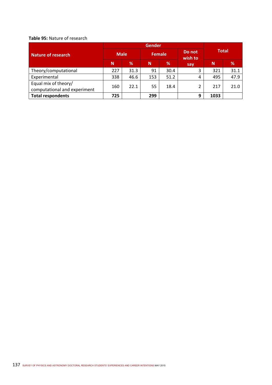#### **Table 95:** Nature of research

| <b>Nature of research</b>                            | <b>Male</b> |      | <b>Female</b> |      | Do not<br>wish to | <b>Total</b> |      |  |  |
|------------------------------------------------------|-------------|------|---------------|------|-------------------|--------------|------|--|--|
|                                                      | N           | %    | N             | %    | say               | N            | %    |  |  |
| Theory/computational                                 | 227         | 31.3 | 91            | 30.4 |                   | 321          | 31.1 |  |  |
| Experimental                                         | 338         | 46.6 | 153           | 51.2 | 4                 | 495          | 47.9 |  |  |
| Equal mix of theory/<br>computational and experiment | 160         | 22.1 | 55            | 18.4 |                   | 217          | 21.0 |  |  |
| <b>Total respondents</b>                             | 725         |      | 299           |      | 9                 | 1033         |      |  |  |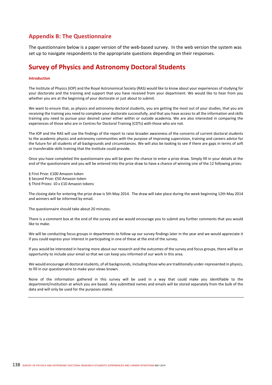### **Appendix B: The Questionnaire**

The questionnaire below is a paper version of the web-based survey. In the web version the system was set up to navigate respondents to the appropriate questions depending on their responses.

## **Survey of Physics and Astronomy Doctoral Students**

#### **Introduction**

The Institute of Physics (IOP) and the Royal Astronomical Society (RAS) would like to know about your experiences of studying for your doctorate and the training and support that you have received from your department. We would like to hear from you whether you are at the beginning of your doctorate or just about to submit.

We want to ensure that, as physics and astronomy doctoral students, you are getting the most out of your studies, that you are receiving the training you need to complete your doctorate successfully, and that you have access to all the information and skills training you need to pursue your desired career either within or outside academia. We are also interested in comparing the experiences of those who are in Centres for Doctoral Training (CDTs) with those who are not.

The IOP and the RAS will use the findings of the report to raise broader awareness of the concerns of current doctoral students to the academic physics and astronomy communities with the purpose of improving supervision, training and careers advice for the future for all students of all backgrounds and circumstances. We will also be looking to see if there are gaps in terms of soft or transferable skills training that the Institute could provide.

Once you have completed the questionnaire you will be given the chance to enter a prize draw. Simply fill in your details at the end of the questionnaire and you will be entered into the prize draw to have a chance of winning one of the 12 following prizes:

§ First Prize: £100 Amazon token § Second Prize: £50 Amazon token § Third Prizes: 10 x £10 Amazon tokens

The closing date for entering the prize draw is 5th May 2014. The draw will take place during the week beginning 12th May 2014 and winners will be informed by email.

The questionnaire should take about 20 minutes.

There is a comment box at the end of the survey and we would encourage you to submit any further comments that you would like to make.

We will be conducting focus groups in departments to follow up our survey findings later in the year and we would appreciate it if you could express your interest in participating in one of these at the end of the survey.

If you would be interested in hearing more about our research and the outcomes of the survey and focus groups, there will be an opportunity to include your email so that we can keep you informed of our work in this area.

We would encourage all doctoral students, of all backgrounds, including those who are traditionally under‐represented in physics, to fill in our questionnaire to make your views known.

None of the information gathered in this survey will be used in a way that could make you identifiable to the department/institution at which you are based. Any submitted names and emails will be stored separately from the bulk of the data and will only be used for the purposes stated.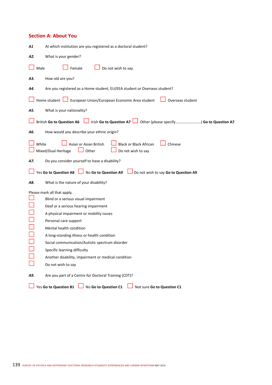#### **Section A: About You**

| At which institution are you registered as a doctoral student?<br>A1                                                                                                                                                                                                                                                                                                                                                       |
|----------------------------------------------------------------------------------------------------------------------------------------------------------------------------------------------------------------------------------------------------------------------------------------------------------------------------------------------------------------------------------------------------------------------------|
| What is your gender?<br>A2.                                                                                                                                                                                                                                                                                                                                                                                                |
| Male<br>Female<br>Do not wish to say                                                                                                                                                                                                                                                                                                                                                                                       |
| How old are you?<br>А3.                                                                                                                                                                                                                                                                                                                                                                                                    |
| Are you registered as a Home student, EU/EEA student or Overseas student?<br>Α4.                                                                                                                                                                                                                                                                                                                                           |
| Home student Lucket European Union/European Economic Area student<br>Overseas student                                                                                                                                                                                                                                                                                                                                      |
| What is your nationality?<br>A5.                                                                                                                                                                                                                                                                                                                                                                                           |
| Irish Go to Question A7   Other (please specify) Go to Question A7<br>British Go to Question A6                                                                                                                                                                                                                                                                                                                            |
| How would you describe your ethnic origin?<br>A6.                                                                                                                                                                                                                                                                                                                                                                          |
| Chinese<br>White<br>Asian or Asian British<br><b>Black or Black African</b><br>Mixed/Dual Heritage<br>Do not wish to say<br>Other                                                                                                                                                                                                                                                                                          |
| Do you consider yourself to have a disability?<br>A7.                                                                                                                                                                                                                                                                                                                                                                      |
| Yes Go to Question A8<br>No Go to Question A9<br>Do not wish to say Go to Question A9                                                                                                                                                                                                                                                                                                                                      |
| What is the nature of your disability?<br>A8.                                                                                                                                                                                                                                                                                                                                                                              |
| Please mark all that apply.<br>Blind or a serious visual impairment<br>Deaf or a serious hearing impairment<br>A physical impairment or mobility issues<br>Personal care support<br>Mental health condition<br>A long-standing illness or health condition<br>Social communication/Autistic spectrum disorder<br>Specific learning difficulty<br>Another disability, impairment or medical condition<br>Do not wish to say |
| Are you part of a Centre for Doctoral Training (CDT)?<br>A9.                                                                                                                                                                                                                                                                                                                                                               |
| Yes Go to Question B1<br>No Go to Question C1<br>Not sure Go to Question C1                                                                                                                                                                                                                                                                                                                                                |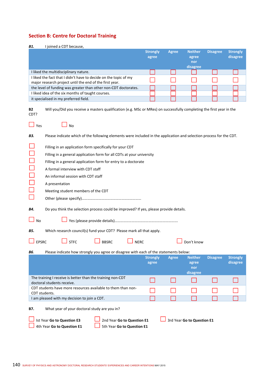### **Section B: Centre for Doctoral Training**

**B1.** I joined a CDT because,

|                                                                                                                                   | <b>Strongly</b><br>agree | <b>Agree</b> | <b>Neither</b><br>agree<br>nor<br>disagree | <b>Disagree</b> | <b>Strongly</b><br>disagree |
|-----------------------------------------------------------------------------------------------------------------------------------|--------------------------|--------------|--------------------------------------------|-----------------|-----------------------------|
| I liked the multidisciplinary nature.                                                                                             |                          |              |                                            |                 |                             |
| I liked the fact that I didn't have to decide on the topic of my<br>major research project until the end of the first year.       |                          |              |                                            |                 |                             |
| the level of funding was greater than other non-CDT doctorates.                                                                   |                          |              |                                            |                 |                             |
| I liked idea of the six months of taught courses.                                                                                 |                          |              |                                            |                 |                             |
| it specialised in my preferred field.                                                                                             |                          |              |                                            |                 |                             |
| <b>B2</b><br>Will you/Did you receive a masters qualification (e.g. MSc or MRes) on successfully completing the first year in the |                          |              |                                            |                 |                             |

| CDT?          |                                                                                                                      |                          |              |                            |                 |                             |
|---------------|----------------------------------------------------------------------------------------------------------------------|--------------------------|--------------|----------------------------|-----------------|-----------------------------|
| Yes           | <b>No</b>                                                                                                            |                          |              |                            |                 |                             |
| B3.           | Please indicate which of the following elements were included in the application and selection process for the CDT.  |                          |              |                            |                 |                             |
|               | Filling in an application form specifically for your CDT                                                             |                          |              |                            |                 |                             |
|               | Filling in a general application form for all CDTs at your university                                                |                          |              |                            |                 |                             |
|               | Filling in a general application form for entry to a doctorate                                                       |                          |              |                            |                 |                             |
|               | A formal interview with CDT staff                                                                                    |                          |              |                            |                 |                             |
|               | An informal session with CDT staff                                                                                   |                          |              |                            |                 |                             |
|               | A presentation                                                                                                       |                          |              |                            |                 |                             |
|               | Meeting student members of the CDT                                                                                   |                          |              |                            |                 |                             |
|               |                                                                                                                      |                          |              |                            |                 |                             |
| B4.           | Do you think the selection process could be improved? If yes, please provide details.                                |                          |              |                            |                 |                             |
| <b>No</b>     |                                                                                                                      |                          |              |                            |                 |                             |
| B5.           | Which research council(s) fund your CDT? Please mark all that apply.                                                 |                          |              |                            |                 |                             |
| <b>EPSRC</b>  | <b>NERC</b><br><b>STFC</b><br><b>BBSRC</b>                                                                           |                          |              | Don't know                 |                 |                             |
| B6.           | Please indicate how strongly you agree or disagree with each of the statements below:                                |                          |              |                            |                 |                             |
|               |                                                                                                                      | <b>Strongly</b><br>agree | <b>Agree</b> | <b>Neither</b><br>agree    | <b>Disagree</b> | <b>Strongly</b><br>disagree |
|               |                                                                                                                      |                          |              | nor                        |                 |                             |
|               | The training I receive is better than the training non-CDT                                                           |                          |              | disagree                   |                 |                             |
|               | doctoral students receive.                                                                                           |                          |              |                            |                 |                             |
| CDT students. | CDT students have more resources available to them than non-                                                         |                          |              |                            |                 |                             |
|               | I am pleased with my decision to join a CDT.                                                                         |                          |              |                            |                 |                             |
| B7.           | What year of your doctoral study are you in?                                                                         |                          |              |                            |                 |                             |
|               |                                                                                                                      |                          |              |                            |                 |                             |
|               | Ist Year Go to Question E3<br>2nd Year Go to Question E1<br>4th Year Go to Question E1<br>5th Year Go to Question E1 |                          |              | 3rd Year Go to Question E1 |                 |                             |
|               |                                                                                                                      |                          |              |                            |                 |                             |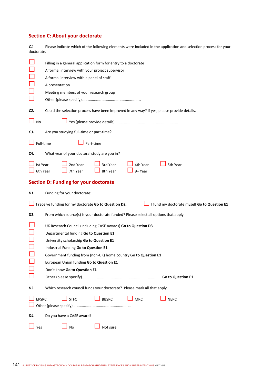### **Section C: About your doctorate**

*C1*  Please indicate which of the following elements were included in the application and selection process for your doctorate.

|                 | Filling in a general application form for entry to a doctorate<br>A formal interview with your project supervisor<br>A formal interview with a panel of staff<br>A presentation<br>Meeting members of your research group                                                                                                                  |
|-----------------|--------------------------------------------------------------------------------------------------------------------------------------------------------------------------------------------------------------------------------------------------------------------------------------------------------------------------------------------|
| C2.             | Could the selection process have been improved in any way? If yes, please provide details.                                                                                                                                                                                                                                                 |
| No              |                                                                                                                                                                                                                                                                                                                                            |
| C3.             | Are you studying full-time or part-time?                                                                                                                                                                                                                                                                                                   |
|                 | Full-time<br>Part-time                                                                                                                                                                                                                                                                                                                     |
| C4.             | What year of your doctoral study are you in?                                                                                                                                                                                                                                                                                               |
| <b>Ist Year</b> | 2nd Year<br>5th Year<br>3rd Year<br>4th Year<br>7th Year<br>8th Year<br>6th Year<br>9+ Year                                                                                                                                                                                                                                                |
|                 | <b>Section D: Funding for your doctorate</b>                                                                                                                                                                                                                                                                                               |
| D1.             | Funding for your doctorate:                                                                                                                                                                                                                                                                                                                |
|                 | I receive funding for my doctorate Go to Question D2.<br>I fund my doctorate myself Go to Question E1                                                                                                                                                                                                                                      |
| D2.             | From which source(s) is your doctorate funded? Please select all options that apply.                                                                                                                                                                                                                                                       |
|                 | UK Research Council (including CASE awards) Go to Question D3<br>Departmental funding Go to Question E1<br>University scholarship Go to Question E1<br>Industrial Funding Go to Question E1<br>Government funding from (non-UK) home country Go to Question E1<br>European Union funding Go to Question E1<br>Don't know Go to Question E1 |
|                 |                                                                                                                                                                                                                                                                                                                                            |
| D3.             | Which research council funds your doctorate? Please mark all that apply.                                                                                                                                                                                                                                                                   |
| <b>EPSRC</b>    | <b>STFC</b><br><b>BBSRC</b><br><b>NERC</b><br><b>MRC</b>                                                                                                                                                                                                                                                                                   |
| D4.             | Do you have a CASE award?                                                                                                                                                                                                                                                                                                                  |
|                 |                                                                                                                                                                                                                                                                                                                                            |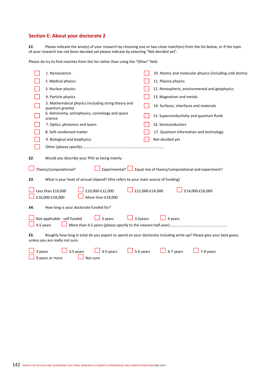### **Section E: About your doctorate 2**

*E1.* Please indicate the area(s) of your research by choosing one or two close match(es) from the list below, or if the topic of your research has not been decided yet please indicate by selecting "Not decided yet".

Please do try to find matches from the list rather than using the "Other" field.

|         | 1. Nanoscience                                                                                                                                        |           | 10. Atomic and molecular physics (including cold atoms) |
|---------|-------------------------------------------------------------------------------------------------------------------------------------------------------|-----------|---------------------------------------------------------|
|         | 2. Medical physics                                                                                                                                    |           | 11. Plasma physics                                      |
|         | 3. Nuclear physics                                                                                                                                    |           | 12. Atmospheric, environmental and geophysics           |
|         | 4. Particle physics                                                                                                                                   |           | 13. Magnetism and metals                                |
|         | 5. Mathematical physics (including string theory and<br>quantum gravity)                                                                              |           | 14. Surfaces, interfaces and materials                  |
|         | 6. Astronomy, astrophysics, cosmology and space<br>science                                                                                            |           | 15. Superconductivity and quantum fluids                |
|         | 7. Optics, photonics and lasers                                                                                                                       |           | 16. Semiconductors                                      |
|         | 8. Soft condensed matter                                                                                                                              |           | 17. Quantum information and technology                  |
|         | 9. Biological and biophysics                                                                                                                          |           | Not decided yet                                         |
|         |                                                                                                                                                       |           |                                                         |
| E2.     | Would you describe your PhD as being mainly:<br>Theory/computational?<br>Experimental? L                                                              |           | Equal mix of theory/computational and experiment?       |
| E3.     | What is your level of annual stipend? (this refers to your main source of funding)                                                                    |           |                                                         |
|         | Less than £10,000<br>£10,000-£12,000<br>£16,000-£18,000<br>More than £18,000                                                                          |           | £12,000-£14,000<br>£14,000-£16,000                      |
| Е4.     | How long is your doctorate funded for?                                                                                                                |           |                                                         |
|         | Not applicable - self funded<br>3 years<br>4.5 years                                                                                                  | 3.5years  | 4 years                                                 |
| E5.     | Roughly how long in total do you expect to spend on your doctorate including write-up? Please give your best guess<br>unless you are really not sure. |           |                                                         |
| 3 years | 4-5 years<br>3.5 years<br>9 years or more<br>Not sure                                                                                                 | 5-6 years | 6-7 years<br>7-8 years                                  |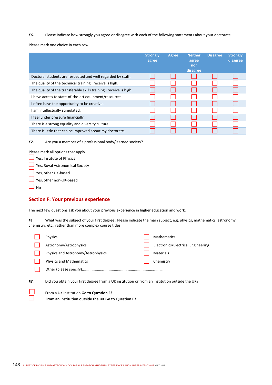*E6.* Please indicate how strongly you agree or disagree with each of the following statements about your doctorate.

Please mark one choice in each row.

|                                                                    | <b>Strongly</b><br>agree | Agree | <b>Neither</b><br>agree<br>nor<br>disagree | <b>Disagree</b> | <b>Strongly</b><br>disagree |
|--------------------------------------------------------------------|--------------------------|-------|--------------------------------------------|-----------------|-----------------------------|
| Doctoral students are respected and well regarded by staff.        |                          |       |                                            |                 |                             |
| The quality of the technical training I receive is high.           |                          |       |                                            |                 |                             |
| The quality of the transferable skills training I receive is high. |                          |       |                                            |                 |                             |
| I have access to state-of-the-art equipment/resources.             |                          |       |                                            |                 |                             |
| I often have the opportunity to be creative.                       |                          |       |                                            |                 |                             |
| I am intellectually stimulated.                                    |                          |       |                                            |                 |                             |
| I feel under pressure financially.                                 |                          |       |                                            |                 |                             |
| There is a strong equality and diversity culture.                  |                          |       |                                            |                 |                             |
| There is little that can be improved about my doctorate.           |                          |       |                                            |                 |                             |

*E7.* Are you a member of a professional body/learned society?

Please mark all options that apply.

Yes, Institute of Physics

Yes, Royal Astronomical Society

■ Yes, other UK-based

■ Yes, other non-UK-based

 $\Box$  No

#### **Section F: Your previous experience**

The next few questions ask you about your previous experience in higher education and work.

*F1.* What was the subject of your first degree? Please indicate the main subject, e.g. physics, mathematics, astronomy, chemistry, etc., rather than more complex course titles.

|     | <b>Physics</b>                                                                                | <b>Mathematics</b>                 |
|-----|-----------------------------------------------------------------------------------------------|------------------------------------|
|     | Astronomy/Astrophysics                                                                        | Electronics/Electrical Engineering |
|     | Physics and Astronomy/Astrophysics                                                            | <b>Materials</b>                   |
|     | <b>Physics and Mathematics</b>                                                                | Chemistry                          |
|     |                                                                                               |                                    |
| F2. | Did you obtain your first degree from a UK institution or from an institution outside the UK? |                                    |

| $\sim$                   | From a UK institution Go to Question F3              |
|--------------------------|------------------------------------------------------|
| $\overline{\phantom{0}}$ | From an institution outside the UK Go to Question F7 |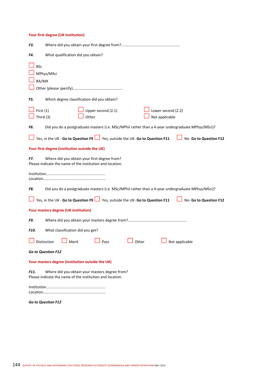#### **Your first degree (UK Institution)**

| F3.                                                                                                                 |
|---------------------------------------------------------------------------------------------------------------------|
| What qualification did you obtain?<br>F4.                                                                           |
| <b>BSc</b><br>MPhys/MSci<br>BA/MA                                                                                   |
| F5.<br>Which degree classification did you obtain?                                                                  |
| First $(1)$<br>Upper second (2.1)<br>Lower second (2.2)<br>Third (3)<br>Other<br>Not applicable                     |
| Did you do a postgraduate masters (i.e. MSc/MPhil rather than a 4-year undergraduate MPhys/MSci)?<br>F6.            |
| Yes, in the UK - Go to Question F9 Ves, outside the UK- Go to Question F11<br>No- Go to Question F12                |
| Your first degree (institution outside the UK)                                                                      |
| Where did you obtain your first degree from?<br>F7.<br>Please indicate the name of the institution and location.    |
|                                                                                                                     |
| Did you do a postgraduate masters (i.e. MSc/MPhil rather than a 4-year undergraduate MPhys/MSci)?<br>F8.            |
| Yes, in the UK - Go to Question F9 Ves, outside the UK- Go to Question F11<br>No- Go to Question F12                |
| Your masters degree (UK institution)                                                                                |
| F9.                                                                                                                 |
| What classification did you get?<br>F10.                                                                            |
| Distinction<br>Merit<br>Pass<br>Other<br>Not applicable                                                             |
| <b>Go to Question F12</b>                                                                                           |
| Your masters degree (institution outside the UK)                                                                    |
| Where did you obtain your masters degree from?<br>F11.<br>Please indicate the name of the institution and location. |
|                                                                                                                     |
| Go to Question F12                                                                                                  |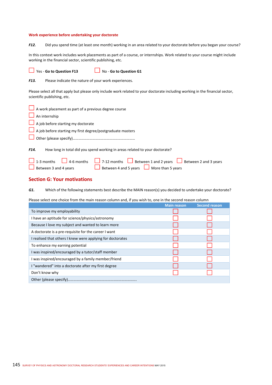#### **Work experience before undertaking your doctorate**

*F12.* Did you spend time (at least one month) working in an area related to your doctorate before you began your course?

In this context work includes work placements as part of a course, or internships. Work related to your course might include working in the financial sector, scientific publishing, etc.

 $\overline{\phantom{0}}$ 

Yes ‐ **Go to Question F13** No ‐ **Go to Question G1** 

*F13.*  Please indicate the nature of your work experiences.

Please select all that apply but please only include work related to your doctorate including working in the financial sector, scientific publishing, etc.

| A work placement as part of a previous degree course                                                                                                                   |
|------------------------------------------------------------------------------------------------------------------------------------------------------------------------|
| $\Box$ An internship                                                                                                                                                   |
| $\Box$ A job before starting my doctorate                                                                                                                              |
| A job before starting my first degree/postgraduate masters                                                                                                             |
|                                                                                                                                                                        |
| F <sub>14</sub> .<br>How long in total did you spend working in areas related to your doctorate?                                                                       |
| 1-3 months 4-6 months 7-12 months Between 1 and 2 years Between 2 and 3 years<br>$\Box$ Between 4 and 5 years $\Box$ More than 5 years<br>$\Box$ Between 3 and 4 years |

## **Section G: Your motivations**

*G1.* Which of the following statements best describe the MAIN reason(s) you decided to undertake your doctorate?

Please select one choice from the main reason column and, if you wish to, one in the second reason column

|                                                            | <b>Main reason</b> | <b>Second reason</b> |
|------------------------------------------------------------|--------------------|----------------------|
| To improve my employability                                |                    |                      |
| I have an aptitude for science/physics/astronomy           |                    |                      |
| Because I love my subject and wanted to learn more         |                    |                      |
| A doctorate is a pre-requisite for the career I want       |                    |                      |
| I realised that others I knew were applying for doctorates |                    |                      |
| To enhance my earning potential                            |                    |                      |
| I was inspired/encouraged by a tutor/staff member          |                    |                      |
| I was inspired/encouraged by a family member/friend        |                    |                      |
| I "wandered" into a doctorate after my first degree        |                    |                      |
| Don't know why                                             |                    |                      |
|                                                            |                    |                      |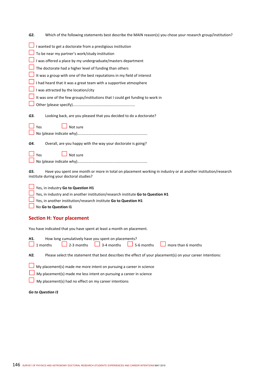| Which of the following statements best describe the MAIN reason(s) you chose your research group/institution?<br>G2.                                            |
|-----------------------------------------------------------------------------------------------------------------------------------------------------------------|
| I wanted to get a doctorate from a prestigious institution                                                                                                      |
| To be near my partner's work/study institution                                                                                                                  |
| I was offered a place by my undergraduate/masters department                                                                                                    |
| The doctorate had a higher level of funding than others                                                                                                         |
| It was a group with one of the best reputations in my field of interest                                                                                         |
| I had heard that it was a great team with a supportive atmosphere                                                                                               |
| I was attracted by the location/city                                                                                                                            |
| It was one of the few groups/institutions that I could get funding to work in                                                                                   |
|                                                                                                                                                                 |
| G3.<br>Looking back, are you pleased that you decided to do a doctorate?                                                                                        |
| Yes<br>Not sure                                                                                                                                                 |
|                                                                                                                                                                 |
| Overall, are you happy with the way your doctorate is going?<br>G4.                                                                                             |
| Not sure<br>Yes                                                                                                                                                 |
|                                                                                                                                                                 |
| Have you spent one month or more in total on placement working in industry or at another institution/research<br>G5.<br>institute during your doctoral studies? |
| Yes, in industry Go to Question H1                                                                                                                              |
| Yes, in industry and in another institution/research institute Go to Question H1                                                                                |
| Yes, in another institution/research institute Go to Question H1                                                                                                |
| No Go to Question I1                                                                                                                                            |
| <b>Section H: Your placement</b>                                                                                                                                |
| You have indicated that you have spent at least a month on placement.                                                                                           |
| How long cumulatively have you spent on placements?<br>Н1.                                                                                                      |
| 3-4 months<br>5-6 months<br>2-3 months<br>1 months<br>more than 6 months                                                                                        |
| Please select the statement that best describes the effect of your placement(s) on your career intentions:<br>H2.                                               |
| My placement(s) made me more intent on pursuing a career in science                                                                                             |
| My placement(s) made me less intent on pursuing a career in science                                                                                             |
| My placement(s) had no effect on my career intentions                                                                                                           |

*Go to Question I1*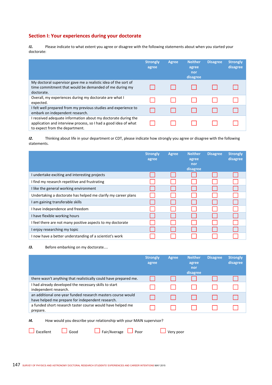# **Section I: Your experiences during your doctorate**

*I1.* Please indicate to what extent you agree or disagree with the following statements about when you started your doctorate:

|                                                                                                                                                                    | <b>Strongly</b><br>agree | Agree | <b>Neither</b><br>agree<br>nor<br>disagree | <b>Disagree</b> | <b>Strongly</b><br>disagree |
|--------------------------------------------------------------------------------------------------------------------------------------------------------------------|--------------------------|-------|--------------------------------------------|-----------------|-----------------------------|
| My doctoral supervisor gave me a realistic idea of the sort of<br>time commitment that would be demanded of me during my<br>doctorate.                             |                          |       |                                            |                 |                             |
| Overall, my experiences during my doctorate are what I<br>expected.                                                                                                |                          |       |                                            |                 |                             |
| I felt well prepared from my previous studies and experience to<br>embark on independent research.                                                                 |                          |       |                                            |                 |                             |
| I received adequate information about my doctorate during the<br>application and interview process, so I had a good idea of what<br>to expect from the department. |                          |       |                                            |                 |                             |

*I2.* Thinking about life in your department or CDT, please indicate how strongly you agree or disagree with the following statements.

|                                                               | <b>Strongly</b><br>agree | Agree | <b>Neither</b><br>agree<br>nor<br>disagree | <b>Disagree</b> | <b>Strongly</b><br>disagree |
|---------------------------------------------------------------|--------------------------|-------|--------------------------------------------|-----------------|-----------------------------|
| I undertake exciting and interesting projects                 |                          |       |                                            |                 |                             |
| I find my research repetitive and frustrating                 |                          |       |                                            |                 |                             |
| I like the general working environment                        |                          |       |                                            |                 |                             |
| Undertaking a doctorate has helped me clarify my career plans |                          |       |                                            |                 |                             |
| I am gaining transferable skills                              |                          |       |                                            |                 |                             |
| I have independence and freedom                               |                          |       |                                            |                 |                             |
| I have flexible working hours                                 |                          |       |                                            |                 |                             |
| I feel there are not many positive aspects to my doctorate    |                          |       |                                            |                 |                             |
| I enjoy researching my topic                                  |                          |       |                                            |                 |                             |
| I now have a better understanding of a scientist's work       |                          |       |                                            |                 |                             |

*I3.* Before embarking on my doctorate....

|                                                                                                                 | <b>Strongly</b><br>agree | Agree | <b>Neither</b><br>agree<br>nor<br>disagree | <b>Disagree</b> | <b>Strongly</b><br>disagree |
|-----------------------------------------------------------------------------------------------------------------|--------------------------|-------|--------------------------------------------|-----------------|-----------------------------|
| there wasn't anything that realistically could have prepared me.                                                |                          |       |                                            |                 |                             |
| I had already developed the necessary skills to start<br>independent research.                                  |                          |       |                                            |                 |                             |
| an additional one-year funded research masters course would<br>have helped me prepare for independent research. |                          |       |                                            |                 |                             |
| a funded short research taster course would have helped me<br>prepare.                                          |                          |       |                                            |                 |                             |

*I4.* How would you describe your relationship with your MAIN supervisor?

Excellent **C** Good Fair/Average **C** Poor Very poor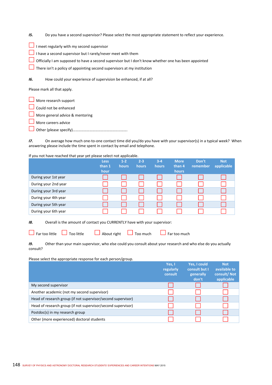- *I5.* Do you have a second supervisor? Please select the most appropriate statement to reflect your experience.
- $\Box$  I meet regularly with my second supervisor
- $\Box$  I have a second supervisor but I rarely/never meet with them
- Officially I am supposed to have a second supervisor but I don't know whether one has been appointed
- $\Box$  There isn't a policy of appointing second supervisors at my institution
- *I6.* How could your experience of supervision be enhanced, if at all?

Please mark all that apply.

- More research support
- $\Box$  Could not be enhanced
- More general advice & mentoring
- More careers advice
- Other (please specify)………………………………………………….

*I7.* On average how much one‐to‐one contact time did you/do you have with your supervisor(s) in a typical week?When answering please include the time spent in contact by email and telephone.

If you not have reached that year yet please select not applicable.

|                      | <b>Less</b><br>than 1<br>hour | $1 - 2$<br>hours | $2 - 3$<br><b>hours</b> | $3-4$<br>hours | <b>More</b><br>than 4<br><b>hours</b> | Don't<br>remember | <b>Not</b><br>applicable |
|----------------------|-------------------------------|------------------|-------------------------|----------------|---------------------------------------|-------------------|--------------------------|
| During your 1st year |                               |                  |                         |                |                                       |                   |                          |
| During your 2nd year |                               |                  |                         |                |                                       |                   |                          |
| During your 3rd year |                               |                  |                         |                |                                       |                   |                          |
| During your 4th year |                               |                  |                         |                |                                       |                   |                          |
| During your 5th year |                               |                  |                         |                |                                       |                   |                          |
| During your 6th year |                               |                  |                         |                |                                       |                   |                          |

*I8.* Overall is the amount of contact you CURRENTLY have with your supervisor:

 $\Box$  Far too little  $\Box$  Too little  $\Box$  About right  $\Box$  Too much  $\Box$  Far too much

*I9.* Other than your main supervisor, who else could you consult about your research and who else do you actually consult?

Please select the appropriate response for each person/group.

|                                                              | Yes, I<br>regularly<br>consult | Yes, I could<br>consult but I<br>generally<br>don't | <b>Not</b><br>available to<br>consult/Not<br>applicable |
|--------------------------------------------------------------|--------------------------------|-----------------------------------------------------|---------------------------------------------------------|
| My second supervisor                                         |                                |                                                     |                                                         |
| Another academic (not my second supervisor)                  |                                |                                                     |                                                         |
| Head of research group (if not supervisor/second supervisor) |                                |                                                     |                                                         |
| Head of research group (if not supervisor/second supervisor) |                                |                                                     |                                                         |
| Postdoc(s) in my research group                              |                                |                                                     |                                                         |
| Other (more experienced) doctoral students                   |                                |                                                     |                                                         |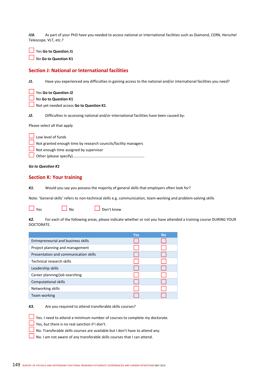*I10.* As part of your PhD have you needed to access national or international facilities such as Diamond, CERN, Herschel Telescope, VLT, etc.?

Yes **Go to Question J1** 

No **Go to Question K1**

## **Section J: National or International facilities**

*J1.* Have you experienced any difficulties in gaining access to the national and/or international facilities you need?

|  |  | $\Box$ Yes Go to Question J2 |  |
|--|--|------------------------------|--|
|  |  |                              |  |

**No Go to Question K1** 

Not yet needed access **Go to Question K1** 

*J2.* Difficulties in accessing national and/or international facilities have been caused by:

Please select all that apply

| $\Box$ Low level of funds                                      |
|----------------------------------------------------------------|
| Not granted enough time by research councils/facility managers |
| $\Box$ Not enough time assigned by supervisor                  |
|                                                                |

*Go to Question K1* 

## **Section K: Your training**

*K1.* Would you say you possess the majority of general skills that employers often look for?

Note: 'General skills' refers to non‐technical skills e.g. communication, team‐working and problem‐solving skills



 $\Box$  Yes  $\Box$  No  $\Box$  Don't know

*K2.* For each of the following areas, please indicate whether or not you have attended a training course DURING YOUR DOCTORATE.

|                                       | <b>Yes</b> | <b>No</b> |
|---------------------------------------|------------|-----------|
| Entrepreneurial and business skills   |            |           |
| Project planning and management       |            |           |
| Presentation and communication skills |            |           |
| Technical research skills             |            |           |
| Leadership skills                     |            |           |
| Career planning/job searching         |            |           |
| <b>Computational skills</b>           |            |           |
| Networking skills                     |            |           |
| Team working                          |            |           |

*K3.* Are you required to attend transferable skills courses?

 $\Box$  Yes. I need to attend a minimum number of courses to complete my doctorate.

 $\Box$  Yes, but there is no real sanction if I don't.

 $\Box$  No. Transferable skills courses are available but I don't have to attend any.

No. I am not aware of any transferable skills courses that I can attend.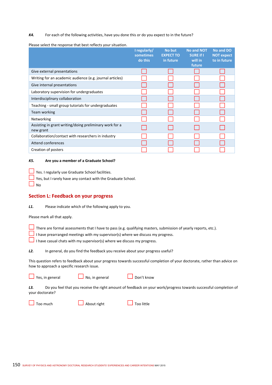#### *K4.* For each of the following activities, have you done this or do you expect to in the future?

Please select the response that best reflects your situation.

|                                                                      | I regularly/<br>sometimes<br>do this | No but<br><b>EXPECT TO</b><br>in future | <b>No and NOT</b><br><b>SURE if I</b><br>will in<br>future | No and DO<br><b>NOT expect</b><br>to in future |
|----------------------------------------------------------------------|--------------------------------------|-----------------------------------------|------------------------------------------------------------|------------------------------------------------|
| Give external presentations                                          |                                      |                                         |                                                            |                                                |
| Writing for an academic audience (e.g. journal articles)             |                                      |                                         |                                                            |                                                |
| Give internal presentations                                          |                                      |                                         |                                                            |                                                |
| Laboratory supervision for undergraduates                            |                                      |                                         |                                                            |                                                |
| Interdisciplinary collaboration                                      |                                      |                                         |                                                            |                                                |
| Teaching - small group tutorials for undergraduates                  |                                      |                                         |                                                            |                                                |
| Team working                                                         |                                      |                                         |                                                            |                                                |
| Networking                                                           |                                      |                                         |                                                            |                                                |
| Assisting in grant writing/doing preliminary work for a<br>new grant |                                      |                                         |                                                            |                                                |
| Collaboration/contact with researchers in industry                   |                                      |                                         |                                                            |                                                |
| <b>Attend conferences</b>                                            |                                      |                                         |                                                            |                                                |
| Creation of posters                                                  |                                      |                                         |                                                            |                                                |

#### *K5.* **Are you a member of a Graduate School?**

 $\Box$  Yes. I regularly use Graduate School facilities.

 $\Box$  Yes, but I rarely have any contact with the Graduate School.

 $\Box$  No

#### **Section L: Feedback on your progress**

*L1.* Please indicate which of the following apply to you.

Please mark all that apply.

There are formal assessments that I have to pass (e.g. qualifying masters, submission of yearly reports, etc.).

I have prearranged meetings with my supervisor(s) where we discuss my progress.

I have casual chats with my supervisor(s) where we discuss my progress.

*L2.* In general, do you find the feedback you receive about your progress useful?

This question refers to feedback about your progress towards successful completion of your doctorate, rather than advice on how to approach a specific research issue.

 $\Box$  Yes, in general  $\Box$  No, in general  $\Box$  Don't know

*L3.* Do you feel that you receive the right amount of feedback on your work/progress towards successful completion of your doctorate?

 $\Box$  Too much  $\Box$  About right  $\Box$  Too little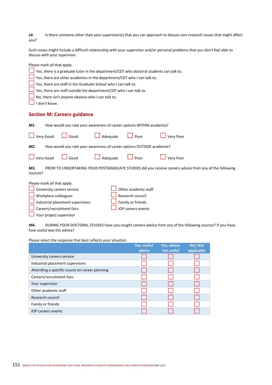| L4.  | Is there someone other than your supervisor(s) that you can approach to discuss non-research issues that might affect |
|------|-----------------------------------------------------------------------------------------------------------------------|
| you? |                                                                                                                       |

Such issues might include a difficult relationship with your supervisor and/or personal problems that you don't feel able to discuss with your supervisor.

| Please mark all that apply.                                                                                                                                                            |
|----------------------------------------------------------------------------------------------------------------------------------------------------------------------------------------|
| Yes, there is a graduate tutor in the department/CDT who doctoral students can talk to.                                                                                                |
| Yes, there are other academics in the department/CDT who I can talk to.                                                                                                                |
| Yes, there are staff in the Graduate School who I can talk to.                                                                                                                         |
| Yes, there are staff outside the department/CDT who I can talk to.                                                                                                                     |
| No, there isn't anyone obvious who I can talk to.                                                                                                                                      |
| I don't know.                                                                                                                                                                          |
| <b>Section M: Careers guidance</b>                                                                                                                                                     |
| How would you rate your awareness of career options WITHIN academia?<br>M1.                                                                                                            |
| Very Good<br>Poor<br>Good<br>Adequate<br>Very Poor                                                                                                                                     |
| How would you rate your awareness of career options OUTSIDE academia?<br>M2.                                                                                                           |
| Very Good<br>$\Box$ Poor<br>Good<br>Adequate<br>Very Poor                                                                                                                              |
| PRIOR TO UNDERTAKING YOUR POSTGRADUATE STUDIES did you receive careers advice from any of the following<br>M3.<br>sources?                                                             |
| Please mark all that apply.<br>Other academic staff<br>University careers service<br>Workplace colleagues<br>Research council<br>Industrial placement supervisors<br>Family or friends |

*M4.* DURING YOUR DOCTORAL STUDIES have you sought careers advice from any of the following sources? If you have, how useful was the advice?

|                                                | Yes, useful<br>advice | Yes, advice<br>not useful | No/Not<br>applicable |
|------------------------------------------------|-----------------------|---------------------------|----------------------|
| University careers service                     |                       |                           |                      |
| Industrial placement supervisors               |                       |                           |                      |
| Attending a specific course on career planning |                       |                           |                      |
| Careers/recruitment fairs                      |                       |                           |                      |
| Your supervisor                                |                       |                           |                      |
| Other academic staff                           |                       |                           |                      |
| Research council                               |                       |                           |                      |
| Family or friends                              |                       |                           |                      |
| <b>IOP</b> careers events                      |                       |                           |                      |

Please select the response that best reflects your situation.

Your project supervisor

Careers/recruitment fairs **In the Careers** events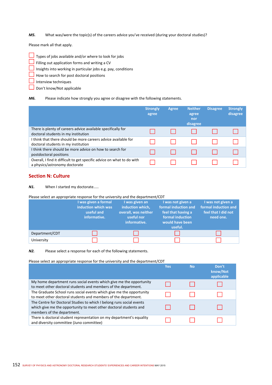*M5.* What was/were the topic(s) of the careers advice you've received (during your doctoral studies)?

Please mark all that apply.

- $\Box$  Types of jobs available and/or where to look for jobs
- $\Box$  Filling out application forms and writing a CV
- $\Box$  Insights into working in particular jobs e.g. pay, conditions
- How to search for post doctoral positions
- Interview techniques
- Don't know/Not applicable

#### *M6.* Please indicate how strongly you agree or disagree with the following statements.

|                                                                                                         | <b>Strongly</b><br>agree | Agree | <b>Neither</b><br>agree<br>nor<br>disagree | <b>Disagree</b> | <b>Strongly</b><br>disagree |
|---------------------------------------------------------------------------------------------------------|--------------------------|-------|--------------------------------------------|-----------------|-----------------------------|
| There is plenty of careers advice available specifically for<br>doctoral students in my institution     |                          |       |                                            |                 |                             |
| I think that there should be more careers advice available for<br>doctoral students in my institution   |                          |       |                                            |                 |                             |
| I think there should be more advice on how to search for<br>postdoctoral positions                      |                          |       |                                            |                 |                             |
| Overall, I find it difficult to get specific advice on what to do with<br>a physics/astronomy doctorate |                          |       |                                            |                 |                             |

## **Section N: Culture**

*N1.* When I started my doctorate.....

#### Please select an appropriate response for the university and the department/CDT

|                | I was given a formal<br>induction which was<br>useful and<br>informative. | I was given an<br>induction which,<br>overall, was neither<br>useful nor<br>informative. | I was not given a<br>formal induction and<br>feel that having a<br>formal induction<br>would have been<br>useful. | I was not given a<br>formal induction and<br>feel that I did not<br>need one. |
|----------------|---------------------------------------------------------------------------|------------------------------------------------------------------------------------------|-------------------------------------------------------------------------------------------------------------------|-------------------------------------------------------------------------------|
| Department/CDT |                                                                           |                                                                                          |                                                                                                                   |                                                                               |
| University     |                                                                           |                                                                                          |                                                                                                                   |                                                                               |

*N2.* Please select a response for each of the following statements.

Please select an appropriate response for the university and the department/CDT

|                                                                                                                                                                         | Yes | No | Don't<br>know/Not<br>applicable |
|-------------------------------------------------------------------------------------------------------------------------------------------------------------------------|-----|----|---------------------------------|
| My home department runs social events which give me the opportunity<br>to meet other doctoral students and members of the department.                                   |     |    |                                 |
| The Graduate School runs social events which give me the opportunity<br>to meet other doctoral students and members of the department.                                  |     |    |                                 |
| The Centre for Doctoral Studies to which I belong runs social events<br>which give me the opportunity to meet other doctoral students and<br>members of the department. |     |    |                                 |
| There is doctoral student representation on my department's equality<br>and diversity committee (Juno committee)                                                        |     |    |                                 |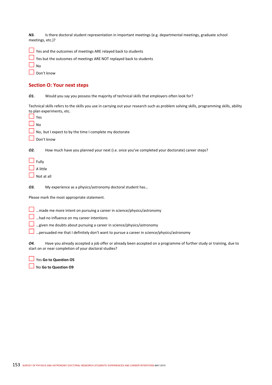*N3.* Is there doctoral student representation in important meetings (e.g. departmental meetings, graduate school meetings, etc.)?

| $\Box$ Yes and the outcomes of meetings ARE relayed back to students |  |
|----------------------------------------------------------------------|--|
|----------------------------------------------------------------------|--|

| $\Box$ Yes but the outcomes of meetings ARE NOT replayed back to students |  |
|---------------------------------------------------------------------------|--|
|                                                                           |  |

Don't know

## **Section O: Your next steps**

*O1.* Would you say you possess the majority of technical skills that employers often look for?

Technical skills refers to the skills you use in carrying out your research such as problem solving skills, programming skills, ability to plan experiments, etc.

| $\Box$ Yes                                                                                                               |
|--------------------------------------------------------------------------------------------------------------------------|
| $\Box$ No                                                                                                                |
| $\Box$ No, but I expect to by the time I complete my doctorate                                                           |
| $\Box$ Don't know                                                                                                        |
| 02.<br>How much have you planned your next (i.e. once you've completed your doctorate) career steps?                     |
| $\Box$ Fully                                                                                                             |
| $\Box$ A little                                                                                                          |
| $\Box$ Not at all                                                                                                        |
| 03.<br>My experience as a physics/astronomy doctoral student has                                                         |
| Please mark the most appropriate statement.                                                                              |
| $\Box$ made me more intent on pursuing a career in science/physics/astronomy<br>had no influence on my career intentions |
|                                                                                                                          |

 $\square$  ...given me doubts about pursuing a career in science/physics/astronomy

…persuaded me that I definitely don't want to pursue a career in science/physics/astronomy

*O4.* Have you already accepted a job offer or already been accepted on a programme of further study or training, due to start on or near completion of your doctoral studies?

Yes **Go to Question O5**

No **Go to Question O9**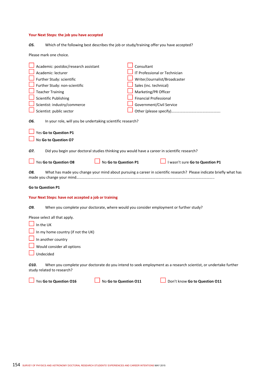## **Your Next Steps: the job you have accepted**

| 05. | Which of the following best describes the job or study/training offer you have accepted? |  |  |  |
|-----|------------------------------------------------------------------------------------------|--|--|--|
|-----|------------------------------------------------------------------------------------------|--|--|--|

Please mark one choice.

| Academic: postdoc/research assistant                                                                                                                 | Consultant                                                                                                          |  |  |  |
|------------------------------------------------------------------------------------------------------------------------------------------------------|---------------------------------------------------------------------------------------------------------------------|--|--|--|
| Academic: lecturer                                                                                                                                   | IT Professional or Technician                                                                                       |  |  |  |
|                                                                                                                                                      |                                                                                                                     |  |  |  |
| Further Study: scientific                                                                                                                            | Writer/Journalist/Broadcaster                                                                                       |  |  |  |
| Further Study: non-scientific                                                                                                                        | Sales (inc. technical)                                                                                              |  |  |  |
| <b>Teacher Training</b>                                                                                                                              | Marketing/PR Officer                                                                                                |  |  |  |
| Scientific Publishing                                                                                                                                | <b>Financial Professional</b>                                                                                       |  |  |  |
| Scientist: industry/commerce                                                                                                                         | Government/Civil Service                                                                                            |  |  |  |
| Scientist: public sector                                                                                                                             |                                                                                                                     |  |  |  |
| In your role, will you be undertaking scientific research?<br>06.                                                                                    |                                                                                                                     |  |  |  |
| Yes Go to Question P1                                                                                                                                |                                                                                                                     |  |  |  |
| No Go to Question 07                                                                                                                                 |                                                                                                                     |  |  |  |
| Did you begin your doctoral studies thinking you would have a career in scientific research?<br>07.<br>Yes Go to Question O8<br>No Go to Question P1 | I wasn't sure Go to Question P1                                                                                     |  |  |  |
|                                                                                                                                                      |                                                                                                                     |  |  |  |
| 08.                                                                                                                                                  | What has made you change your mind about pursuing a career in scientific research? Please indicate briefly what has |  |  |  |
| <b>Go to Question P1</b>                                                                                                                             |                                                                                                                     |  |  |  |
| Your Next Steps: have not accepted a job or training                                                                                                 |                                                                                                                     |  |  |  |
| When you complete your doctorate, where would you consider employment or further study?<br>09.                                                       |                                                                                                                     |  |  |  |
| Please select all that apply.                                                                                                                        |                                                                                                                     |  |  |  |
| In the UK                                                                                                                                            |                                                                                                                     |  |  |  |
| In my home country (if not the UK)                                                                                                                   |                                                                                                                     |  |  |  |
|                                                                                                                                                      |                                                                                                                     |  |  |  |
| In another country                                                                                                                                   |                                                                                                                     |  |  |  |
| Would consider all options                                                                                                                           |                                                                                                                     |  |  |  |
| Undecided                                                                                                                                            |                                                                                                                     |  |  |  |
| 010.<br>study related to research?                                                                                                                   | When you complete your doctorate do you intend to seek employment as a research scientist, or undertake further     |  |  |  |

Yes **Go to Question O16** No **Go to Question O11** Don't know **Go to Question O11**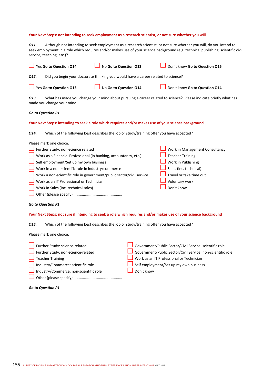*O11.* Although not intending to seek employment as a research scientist, or not sure whether you will, do you intend to seek employment in a role which requires and/or makes use of your science background (e.g. technical publishing, scientific civil service, teaching, etc.)?

| Yes Go to Question 014                                                                                                                                                                                                                                                                                                                                                                                                                                                                                                                                                                                                                                                                                                                                                                                                    | No Go to Question 012                                                                    | Don't know Go to Question 015                                                                                                                                                                                |  |  |  |  |
|---------------------------------------------------------------------------------------------------------------------------------------------------------------------------------------------------------------------------------------------------------------------------------------------------------------------------------------------------------------------------------------------------------------------------------------------------------------------------------------------------------------------------------------------------------------------------------------------------------------------------------------------------------------------------------------------------------------------------------------------------------------------------------------------------------------------------|------------------------------------------------------------------------------------------|--------------------------------------------------------------------------------------------------------------------------------------------------------------------------------------------------------------|--|--|--|--|
| Did you begin your doctorate thinking you would have a career related to science?<br>012.                                                                                                                                                                                                                                                                                                                                                                                                                                                                                                                                                                                                                                                                                                                                 |                                                                                          |                                                                                                                                                                                                              |  |  |  |  |
| Yes Go to Question 013                                                                                                                                                                                                                                                                                                                                                                                                                                                                                                                                                                                                                                                                                                                                                                                                    | No Go to Question 014                                                                    | Don't know Go to Question 014                                                                                                                                                                                |  |  |  |  |
| 013.                                                                                                                                                                                                                                                                                                                                                                                                                                                                                                                                                                                                                                                                                                                                                                                                                      |                                                                                          | What has made you change your mind about pursuing a career related to science? Please indicate briefly what has                                                                                              |  |  |  |  |
| Go to Question P1                                                                                                                                                                                                                                                                                                                                                                                                                                                                                                                                                                                                                                                                                                                                                                                                         |                                                                                          |                                                                                                                                                                                                              |  |  |  |  |
| Your Next Steps: intending to seek a role which requires and/or makes use of your science background                                                                                                                                                                                                                                                                                                                                                                                                                                                                                                                                                                                                                                                                                                                      |                                                                                          |                                                                                                                                                                                                              |  |  |  |  |
| 014.                                                                                                                                                                                                                                                                                                                                                                                                                                                                                                                                                                                                                                                                                                                                                                                                                      | Which of the following best describes the job or study/training offer you have accepted? |                                                                                                                                                                                                              |  |  |  |  |
| Please mark one choice.<br>Further Study: non-science related<br>Work in Management Consultancy<br><b>Teacher Training</b><br>Work as a Financial Professional (in banking, accountancy, etc.)<br>Self employment/Set up my own business<br>Work in Publishing<br>Sales (inc. technical)<br>Work in a non-scientific role in industry/commerce<br>Work a non-scientific role in government/public sector/civil service<br>Travel or take time out<br>Work as an IT Professional or Technician<br>Voluntary work<br>Don't know<br>Work in Sales (inc. technical sales)<br><b>Go to Question P1</b><br>Your Next Steps: not sure if intending to seek a role which requires and/or makes use of your science background<br>Which of the following best describes the job or study/training offer you have accepted?<br>015. |                                                                                          |                                                                                                                                                                                                              |  |  |  |  |
| Please mark one choice.                                                                                                                                                                                                                                                                                                                                                                                                                                                                                                                                                                                                                                                                                                                                                                                                   |                                                                                          |                                                                                                                                                                                                              |  |  |  |  |
| Further Study: science-related<br>Further Study: non-science-related<br><b>Teacher Training</b><br>Industry/Commerce: scientific role<br>Industry/Commerce: non-scientific role                                                                                                                                                                                                                                                                                                                                                                                                                                                                                                                                                                                                                                           | Don't know                                                                               | Government/Public Sector/Civil Service: scientific role<br>Government/Public Sector/Civil Service: non-scientific role<br>Work as an IT Professional or Technician<br>Self employment/Set up my own business |  |  |  |  |

*Go to Question P1* 

Other (please specify)…………………………………………….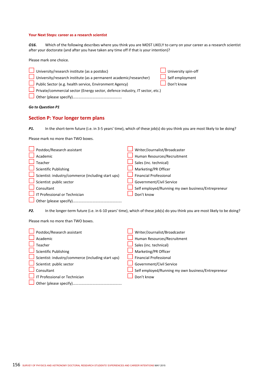#### **Your Next Steps: career as a research scientist**

*O16.* Which of the following describes where you think you are MOST LIKELY to carry on your career as a research scientist after your doctorate (and after you have taken any time off if that is your intention)?

Please mark one choice.

| University/research institute (as a postdoc)                                 | University spin-off    |
|------------------------------------------------------------------------------|------------------------|
| University/research institute (as a permanent academic/researcher)           | $\Box$ Self employment |
| Public Sector (e.g. health service, Environment Agency)                      | Don't know             |
| Private/commercial sector (Energy sector, defence industry, IT sector, etc.) |                        |
|                                                                              |                        |

*Go to Question P1* 

#### **Section P: Your longer term plans**

*P1.* In the short-term future (i.e. in 3-5 years' time), which of these job(s) do you think you are most likely to be doing?

Please mark no more than TWO boxes.

| Postdoc/Research assistant                         | Writer/Journalist/Broadcaster                      |
|----------------------------------------------------|----------------------------------------------------|
| Academic                                           | Human Resources/Recruitment                        |
| Teacher                                            | Sales (inc. technical)                             |
| $\Box$ Scientific Publishing                       | Marketing/PR Officer                               |
| Scientist: industry/commerce (including start ups) | <b>Financial Professional</b>                      |
| Scientist: public sector                           | Government/Civil Service                           |
| Consultant                                         | Self employed/Running my own business/Entrepreneur |
| IT Professional or Technician                      | Don't know                                         |
|                                                    |                                                    |

*P2.* In the longer-term future (i.e. in 6-10 years' time), which of these job(s) do you think you are most likely to be doing?

Please mark no more than TWO boxes.

| Postdoc/Research assistant                         | Writer/Journalist/Broadcaster                      |
|----------------------------------------------------|----------------------------------------------------|
| Academic                                           | Human Resources/Recruitment                        |
| Teacher                                            | Sales (inc. technical)                             |
| Scientific Publishing                              | Marketing/PR Officer                               |
| Scientist: industry/commerce (including start ups) | <b>Financial Professional</b>                      |
| Scientist: public sector                           | Government/Civil Service                           |
| Consultant                                         | Self employed/Running my own business/Entrepreneur |
| I IT Professional or Technician                    | Don't know                                         |
|                                                    |                                                    |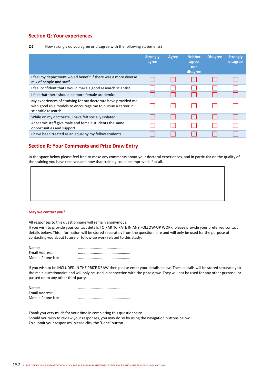### **Section Q: Your experiences**

#### *Q1.* How strongly do you agree or disagree with the following statements?

|                                                                                                                                                     | <b>Strongly</b><br>agree | Agree | <b>Neither</b><br>agree<br>nor<br>disagree | <b>Disagree</b> | <b>Strongly</b><br>disagree |
|-----------------------------------------------------------------------------------------------------------------------------------------------------|--------------------------|-------|--------------------------------------------|-----------------|-----------------------------|
| I feel my department would benefit if there was a more diverse<br>mix of people and staff                                                           |                          |       |                                            |                 |                             |
| I feel confident that I would make a good research scientist.                                                                                       |                          |       |                                            |                 |                             |
| I feel that there should be more female academics.                                                                                                  |                          |       |                                            |                 |                             |
| My experiences of studying for my doctorate have provided me<br>with good role models to encourage me to pursue a career in<br>scientific research. |                          |       |                                            |                 |                             |
| While on my doctorate, I have felt socially isolated.                                                                                               |                          |       |                                            |                 |                             |
| Academic staff give male and female students the same<br>opportunities and support.                                                                 |                          |       |                                            |                 |                             |
| I have been treated as an equal by my fellow students                                                                                               |                          |       |                                            |                 |                             |

## **Section R: Your Comments and Prize Draw Entry**

In the space below please feel free to make any comments about your doctoral experiences, and in particular on the quality of the training you have received and how that training could be improved, if at all.

#### **May we contact you?**

All responses to this questionnaire will remain anonymous.

If you wish to provide your contact details TO PARTICIPATE IN ANY FOLLOW‐UP WORK, please provide your preferred contact details below. This information will be stored separately from the questionnaire and will only be used for the purpose of contacting you about future or follow-up work related to this study.

| Name:            |  |
|------------------|--|
| Email Address:   |  |
| Mobile Phone No: |  |

If you wish to be INCLUDED IN THE PRIZE DRAW then please enter your details below. These details will be stored separately to the main questionnaire and will only be used in connection with the prize draw. They will not be used for any other purpose, or passed on to any other third party.

| Name:            |  |
|------------------|--|
| Email Address:   |  |
| Mobile Phone No: |  |

Thank you very much for your time in completing this questionnaire. Should you wish to review your responses, you may do so by using the navigation buttons below. To submit your responses, please click the 'Done' button.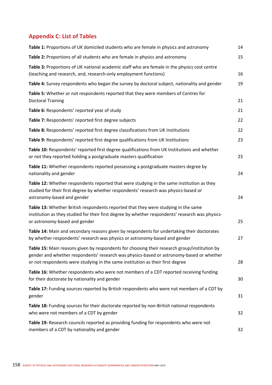# **Appendix C: List of Tables**

| Table 1: Proportions of UK domiciled students who are female in physics and astronomy                                                                                                                                                                                      | 14 |
|----------------------------------------------------------------------------------------------------------------------------------------------------------------------------------------------------------------------------------------------------------------------------|----|
| Table 2: Proportions of all students who are female in physics and astronomy                                                                                                                                                                                               | 15 |
| Table 3: Proportions of UK national academic staff who are female in the physics cost centre<br>(teaching and research, and, research-only employment functions)                                                                                                           | 16 |
| Table 4: Survey respondents who began the survey by doctoral subject, nationality and gender                                                                                                                                                                               | 19 |
| Table 5: Whether or not respondents reported that they were members of Centres for<br><b>Doctoral Training</b>                                                                                                                                                             | 21 |
| Table 6: Respondents' reported year of study                                                                                                                                                                                                                               | 21 |
| Table 7: Respondents' reported first degree subjects                                                                                                                                                                                                                       | 22 |
| Table 8: Respondents' reported first degree classifications from UK Institutions                                                                                                                                                                                           | 22 |
| Table 9: Respondents' reported first degree qualifications from UK Institutions                                                                                                                                                                                            | 23 |
| Table 10: Respondents' reported first degree qualifications from UK Institutions and whether<br>or not they reported holding a postgraduate masters qualification                                                                                                          | 23 |
| Table 11: Whether respondents reported possessing a postgraduate masters degree by<br>nationality and gender                                                                                                                                                               | 24 |
| Table 12: Whether respondents reported that were studying in the same institution as they<br>studied for their first degree by whether respondents' research was physics-based or<br>astronomy-based and gender                                                            | 24 |
| Table 13: Whether British respondents reported that they were studying in the same<br>institution as they studied for their first degree by whether respondents' research was physics-<br>or astronomy-based and gender                                                    | 25 |
| Table 14: Main and secondary reasons given by respondents for undertaking their doctorates<br>by whether respondents' research was physics or astronomy-based and gender                                                                                                   | 27 |
| Table 15: Main reasons given by respondents for choosing their research group/institution by<br>gender and whether respondents' research was physics-based or astronomy-based or whether<br>or not respondents were studying in the same institution as their first degree | 28 |
| Table 16: Whether respondents who were not members of a CDT reported receiving funding<br>for their doctorate by nationality and gender                                                                                                                                    | 30 |
| Table 17: Funding sources reported by British respondents who were not members of a CDT by<br>gender                                                                                                                                                                       | 31 |
| Table 18: Funding sources for their doctorate reported by non-British national respondents<br>who were not members of a CDT by gender                                                                                                                                      | 32 |
| Table 19: Research councils reported as providing funding for respondents who were not<br>members of a CDT by nationality and gender                                                                                                                                       | 32 |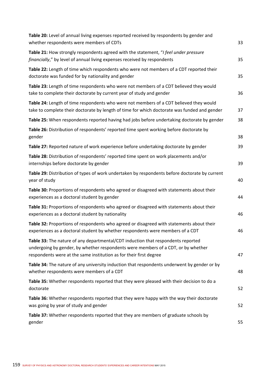| Table 20: Level of annual living expenses reported received by respondents by gender and<br>whether respondents were members of CDTs                                                                                                        | 33 |
|---------------------------------------------------------------------------------------------------------------------------------------------------------------------------------------------------------------------------------------------|----|
| Table 21: How strongly respondents agreed with the statement, "I feel under pressure<br>financially," by level of annual living expenses received by respondents                                                                            | 35 |
| Table 22: Length of time which respondents who were not members of a CDT reported their<br>doctorate was funded for by nationality and gender                                                                                               | 35 |
| Table 23: Length of time respondents who were not members of a CDT believed they would<br>take to complete their doctorate by current year of study and gender                                                                              | 36 |
| Table 24: Length of time respondents who were not members of a CDT believed they would<br>take to complete their doctorate by length of time for which doctorate was funded and gender                                                      | 37 |
| Table 25: When respondents reported having had jobs before undertaking doctorate by gender                                                                                                                                                  | 38 |
| Table 26: Distribution of respondents' reported time spent working before doctorate by<br>gender                                                                                                                                            | 38 |
| Table 27: Reported nature of work experience before undertaking doctorate by gender                                                                                                                                                         | 39 |
| Table 28: Distribution of respondents' reported time spent on work placements and/or<br>internships before doctorate by gender                                                                                                              | 39 |
| Table 29: Distribution of types of work undertaken by respondents before doctorate by current<br>year of study                                                                                                                              | 40 |
| Table 30: Proportions of respondents who agreed or disagreed with statements about their<br>experiences as a doctoral student by gender                                                                                                     | 44 |
| Table 31: Proportions of respondents who agreed or disagreed with statements about their<br>experiences as a doctoral student by nationality                                                                                                | 46 |
| Table 32: Proportions of respondents who agreed or disagreed with statements about their<br>experiences as a doctoral student by whether respondents were members of a CDT                                                                  | 46 |
| Table 33: The nature of any departmental/CDT induction that respondents reported<br>undergoing by gender, by whether respondents were members of a CDT, or by whether<br>respondents were at the same institution as for their first degree | 47 |
| Table 34: The nature of any university induction that respondents underwent by gender or by<br>whether respondents were members of a CDT                                                                                                    | 48 |
| Table 35: Whether respondents reported that they were pleased with their decision to do a<br>doctorate                                                                                                                                      | 52 |
| Table 36: Whether respondents reported that they were happy with the way their doctorate<br>was going by year of study and gender                                                                                                           | 52 |
| Table 37: Whether respondents reported that they are members of graduate schools by<br>gender                                                                                                                                               | 55 |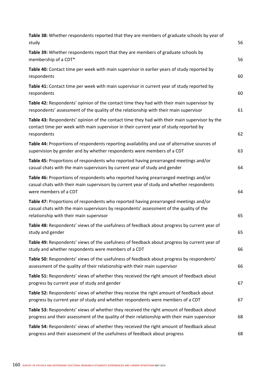| Table 38: Whether respondents reported that they are members of graduate schools by year of<br>study                                                                                                                       | 56 |
|----------------------------------------------------------------------------------------------------------------------------------------------------------------------------------------------------------------------------|----|
| Table 39: Whether respondents report that they are members of graduate schools by<br>membership of a CDT*                                                                                                                  | 56 |
| Table 40: Contact time per week with main supervisor in earlier years of study reported by<br>respondents                                                                                                                  | 60 |
| Table 41: Contact time per week with main supervisor in current year of study reported by<br>respondents                                                                                                                   | 60 |
| Table 42: Respondents' opinion of the contact time they had with their main supervisor by<br>respondents' assessment of the quality of the relationship with their main supervisor                                         | 61 |
| Table 43: Respondents' opinion of the contact time they had with their main supervisor by the<br>contact time per week with main supervisor in their current year of study reported by<br>respondents                      | 62 |
| Table 44: Proportions of respondents reporting availability and use of alternative sources of<br>supervision by gender and by whether respondents were members of a CDT                                                    | 63 |
| Table 45: Proportions of respondents who reported having prearranged meetings and/or<br>casual chats with the main supervisors by current year of study and gender                                                         | 64 |
| Table 46: Proportions of respondents who reported having prearranged meetings and/or<br>casual chats with their main supervisors by current year of study and whether respondents<br>were members of a CDT                 | 64 |
| Table 47: Proportions of respondents who reported having prearranged meetings and/or<br>casual chats with the main supervisors by respondents' assessment of the quality of the<br>relationship with their main supervisor | 65 |
| Table 48: Respondents' views of the usefulness of feedback about progress by current year of<br>study and gender                                                                                                           | 65 |
| Table 49: Respondents' views of the usefulness of feedback about progress by current year of<br>study and whether respondents were members of a CDT                                                                        | 66 |
| Table 50: Respondents' views of the usefulness of feedback about progress by respondents'<br>assessment of the quality of their relationship with their main supervisor                                                    | 66 |
| Table 51: Respondents' views of whether they received the right amount of feedback about<br>progress by current year of study and gender                                                                                   | 67 |
| Table 52: Respondents' views of whether they receive the right amount of feedback about<br>progress by current year of study and whether respondents were members of a CDT                                                 | 67 |
| Table 53: Respondents' views of whether they received the right amount of feedback about<br>progress and their assessment of the quality of their relationship with their main supervisor                                  | 68 |
| Table 54: Respondents' views of whether they received the right amount of feedback about<br>progress and their assessment of the usefulness of feedback about progress                                                     | 68 |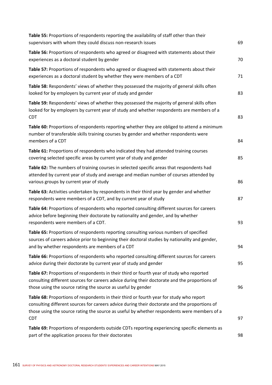| Table 55: Proportions of respondents reporting the availability of staff other than their<br>supervisors with whom they could discuss non-research issues                                                                                                                                             | 69 |
|-------------------------------------------------------------------------------------------------------------------------------------------------------------------------------------------------------------------------------------------------------------------------------------------------------|----|
| Table 56: Proportions of respondents who agreed or disagreed with statements about their<br>experiences as a doctoral student by gender                                                                                                                                                               | 70 |
| Table 57: Proportions of respondents who agreed or disagreed with statements about their<br>experiences as a doctoral student by whether they were members of a CDT                                                                                                                                   | 71 |
| Table 58: Respondents' views of whether they possessed the majority of general skills often<br>looked for by employers by current year of study and gender                                                                                                                                            | 83 |
| Table 59: Respondents' views of whether they possessed the majority of general skills often<br>looked for by employers by current year of study and whether respondents are members of a<br><b>CDT</b>                                                                                                | 83 |
| Table 60: Proportions of respondents reporting whether they are obliged to attend a minimum<br>number of transferable skills training courses by gender and whether respondents were<br>members of a CDT                                                                                              | 84 |
| Table 61: Proportions of respondents who indicated they had attended training courses<br>covering selected specific areas by current year of study and gender                                                                                                                                         | 85 |
| Table 62: The numbers of training courses in selected specific areas that respondents had<br>attended by current year of study and average and median number of courses attended by<br>various groups by current year of study                                                                        | 86 |
| Table 63: Activities undertaken by respondents in their third year by gender and whether<br>respondents were members of a CDT, and by current year of study                                                                                                                                           | 87 |
| Table 64: Proportions of respondents who reported consulting different sources for careers<br>advice before beginning their doctorate by nationality and gender, and by whether<br>respondents were members of a CDT.                                                                                 | 93 |
| Table 65: Proportions of respondents reporting consulting various numbers of specified<br>sources of careers advice prior to beginning their doctoral studies by nationality and gender,<br>and by whether respondents are members of a CDT                                                           | 94 |
| Table 66: Proportions of respondents who reported consulting different sources for careers<br>advice during their doctorate by current year of study and gender                                                                                                                                       | 95 |
| Table 67: Proportions of respondents in their third or fourth year of study who reported<br>consulting different sources for careers advice during their doctorate and the proportions of<br>those using the source rating the source as useful by gender                                             | 96 |
| Table 68: Proportions of respondents in their third or fourth year for study who report<br>consulting different sources for careers advice during their doctorate and the proportions of<br>those using the source rating the source as useful by whether respondents were members of a<br><b>CDT</b> | 97 |
| Table 69: Proportions of respondents outside CDTs reporting experiencing specific elements as<br>part of the application process for their doctorates                                                                                                                                                 | 98 |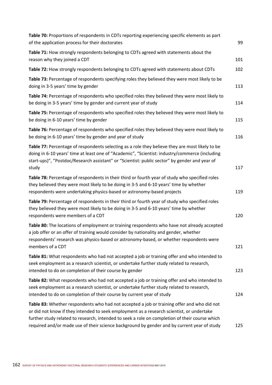| Table 70: Proportions of respondents in CDTs reporting experiencing specific elements as part<br>of the application process for their doctorates                                                                                                                                                                                                                                         | 99  |
|------------------------------------------------------------------------------------------------------------------------------------------------------------------------------------------------------------------------------------------------------------------------------------------------------------------------------------------------------------------------------------------|-----|
| Table 71: How strongly respondents belonging to CDTs agreed with statements about the<br>reason why they joined a CDT                                                                                                                                                                                                                                                                    | 101 |
| Table 72: How strongly respondents belonging to CDTs agreed with statements about CDTs                                                                                                                                                                                                                                                                                                   | 102 |
| Table 73: Percentage of respondents specifying roles they believed they were most likely to be<br>doing in 3-5 years' time by gender                                                                                                                                                                                                                                                     | 113 |
| Table 74: Percentage of respondents who specified roles they believed they were most likely to<br>be doing in 3-5 years' time by gender and current year of study                                                                                                                                                                                                                        | 114 |
| Table 75: Percentage of respondents who specified roles they believed they were most likely to<br>be doing in 6-10 years' time by gender                                                                                                                                                                                                                                                 | 115 |
| Table 76: Percentage of respondents who specified roles they believed they were most likely to<br>be doing in 6-10 years' time by gender and year of study                                                                                                                                                                                                                               | 116 |
| Table 77: Percentage of respondents selecting as a role they believe they are most likely to be<br>doing in 6-10 years' time at least one of "Academic", "Scientist: industry/commerce (including<br>start-ups)", "Postdoc/Research assistant" or "Scientist: public sector" by gender and year of<br>study                                                                              | 117 |
| Table 78: Percentage of respondents in their third or fourth year of study who specified roles<br>they believed they were most likely to be doing in 3-5 and 6-10 years' time by whether<br>respondents were undertaking physics-based or astronomy-based projects                                                                                                                       | 119 |
| Table 79: Percentage of respondents in their third or fourth year of study who specified roles<br>they believed they were most likely to be doing in 3-5 and 6-10 years' time by whether<br>respondents were members of a CDT                                                                                                                                                            | 120 |
| Table 80: The locations of employment or training respondents who have not already accepted<br>a job offer or an offer of training would consider by nationality and gender, whether<br>respondents' research was physics-based or astronomy-based, or whether respondents were<br>members of a CDT                                                                                      | 121 |
| Table 81: What respondents who had not accepted a job or training offer and who intended to<br>seek employment as a research scientist, or undertake further study related to research,<br>intended to do on completion of their course by gender                                                                                                                                        | 123 |
| Table 82: What respondents who had not accepted a job or training offer and who intended to<br>seek employment as a research scientist, or undertake further study related to research,<br>intended to do on completion of their course by current year of study                                                                                                                         | 124 |
| Table 83: Whether respondents who had not accepted a job or training offer and who did not<br>or did not know if they intended to seek employment as a research scientist, or undertake<br>further study related to research, intended to seek a role on completion of their course which<br>required and/or made use of their science background by gender and by current year of study | 125 |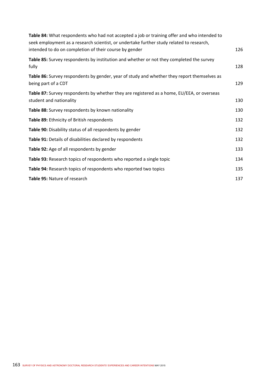| Table 84: What respondents who had not accepted a job or training offer and who intended to<br>seek employment as a research scientist, or undertake further study related to research,<br>intended to do on completion of their course by gender | 126 |
|---------------------------------------------------------------------------------------------------------------------------------------------------------------------------------------------------------------------------------------------------|-----|
| Table 85: Survey respondents by institution and whether or not they completed the survey<br>fully                                                                                                                                                 | 128 |
| Table 86: Survey respondents by gender, year of study and whether they report themselves as<br>being part of a CDT                                                                                                                                | 129 |
| Table 87: Survey respondents by whether they are registered as a home, EU/EEA, or overseas<br>student and nationality                                                                                                                             | 130 |
| Table 88: Survey respondents by known nationality                                                                                                                                                                                                 | 130 |
| Table 89: Ethnicity of British respondents                                                                                                                                                                                                        | 132 |
| Table 90: Disability status of all respondents by gender                                                                                                                                                                                          | 132 |
| Table 91: Details of disabilities declared by respondents                                                                                                                                                                                         | 132 |
| Table 92: Age of all respondents by gender                                                                                                                                                                                                        | 133 |
| Table 93: Research topics of respondents who reported a single topic                                                                                                                                                                              | 134 |
| Table 94: Research topics of respondents who reported two topics                                                                                                                                                                                  | 135 |
| Table 95: Nature of research                                                                                                                                                                                                                      | 137 |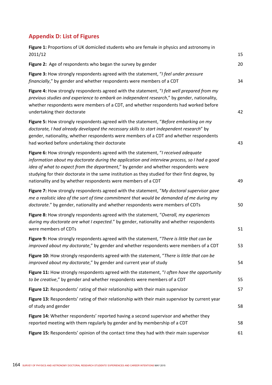# **Appendix D: List of Figures**

| Figure 1: Proportions of UK domiciled students who are female in physics and astronomy in                                                                                                                                                                                                                                                                                                                                                    |    |
|----------------------------------------------------------------------------------------------------------------------------------------------------------------------------------------------------------------------------------------------------------------------------------------------------------------------------------------------------------------------------------------------------------------------------------------------|----|
| 2011/12                                                                                                                                                                                                                                                                                                                                                                                                                                      | 15 |
| Figure 2: Age of respondents who began the survey by gender                                                                                                                                                                                                                                                                                                                                                                                  | 20 |
| Figure 3: How strongly respondents agreed with the statement, "I feel under pressure<br>financially," by gender and whether respondents were members of a CDT                                                                                                                                                                                                                                                                                | 34 |
| Figure 4: How strongly respondents agreed with the statement, "I felt well prepared from my<br>previous studies and experience to embark on independent research," by gender, nationality,<br>whether respondents were members of a CDT, and whether respondents had worked before<br>undertaking their doctorate                                                                                                                            | 42 |
| Figure 5: How strongly respondents agreed with the statement, "Before embarking on my<br>doctorate, I had already developed the necessary skills to start independent research" by<br>gender, nationality, whether respondents were members of a CDT and whether respondents<br>had worked before undertaking their doctorate                                                                                                                | 43 |
| Figure 6: How strongly respondents agreed with the statement, "I received adequate<br>information about my doctorate during the application and interview process, so I had a good<br>idea of what to expect from the department," by gender and whether respondents were<br>studying for their doctorate in the same institution as they studied for their first degree, by<br>nationality and by whether respondents were members of a CDT | 49 |
| Figure 7: How strongly respondents agreed with the statement, "My doctoral supervisor gave<br>me a realistic idea of the sort of time commitment that would be demanded of me during my<br>doctorate." by gender, nationality and whether respondents were members of CDTs                                                                                                                                                                   | 50 |
| Figure 8: How strongly respondents agreed with the statement, "Overall, my experiences<br>during my doctorate are what I expected." by gender, nationality and whether respondents<br>were members of CDTs                                                                                                                                                                                                                                   | 51 |
| Figure 9: How strongly respondents agreed with the statement, "There is little that can be<br>improved about my doctorate," by gender and whether respondents were members of a CDT                                                                                                                                                                                                                                                          | 53 |
| Figure 10: How strongly respondents agreed with the statement, "There is little that can be<br>improved about my doctorate," by gender and current year of study                                                                                                                                                                                                                                                                             | 54 |
| Figure 11: How strongly respondents agreed with the statement, "I often have the opportunity<br>to be creative," by gender and whether respondents were members of a CDT                                                                                                                                                                                                                                                                     | 55 |
| Figure 12: Respondents' rating of their relationship with their main supervisor                                                                                                                                                                                                                                                                                                                                                              | 57 |
| Figure 13: Respondents' rating of their relationship with their main supervisor by current year<br>of study and gender                                                                                                                                                                                                                                                                                                                       | 58 |
| Figure 14: Whether respondents' reported having a second supervisor and whether they<br>reported meeting with them regularly by gender and by membership of a CDT                                                                                                                                                                                                                                                                            | 58 |
| Figure 15: Respondents' opinion of the contact time they had with their main supervisor                                                                                                                                                                                                                                                                                                                                                      | 61 |
|                                                                                                                                                                                                                                                                                                                                                                                                                                              |    |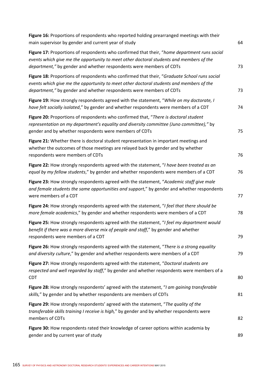| Figure 16: Proportions of respondents who reported holding prearranged meetings with their<br>main supervisor by gender and current year of study                                                                                                              | 64 |
|----------------------------------------------------------------------------------------------------------------------------------------------------------------------------------------------------------------------------------------------------------------|----|
| Figure 17: Proportions of respondents who confirmed that their, "home department runs social<br>events which give me the opportunity to meet other doctoral students and members of the<br>department," by gender and whether respondents were members of CDTs | 73 |
| Figure 18: Proportions of respondents who confirmed that their, "Graduate School runs social<br>events which give me the opportunity to meet other doctoral students and members of the<br>department," by gender and whether respondents were members of CDTs | 73 |
| Figure 19: How strongly respondents agreed with the statement, "While on my doctorate, I<br>have felt socially isolated," by gender and whether respondents were members of a CDT                                                                              | 74 |
| Figure 20: Proportions of respondents who confirmed that, "There is doctoral student<br>representation on my department's equality and diversity committee (Juno committee)," by<br>gender and by whether respondents were members of CDTs                     | 75 |
| Figure 21: Whether there is doctoral student representation in important meetings and<br>whether the outcomes of those meetings are relayed back by gender and by whether<br>respondents were members of CDTs                                                  | 76 |
| Figure 22: How strongly respondents agreed with the statement, "I have been treated as an<br>equal by my fellow students," by gender and whether respondents were members of a CDT                                                                             | 76 |
| Figure 23: How strongly respondents agreed with the statement, "Academic staff give male<br>and female students the same opportunities and support," by gender and whether respondents<br>were members of a CDT                                                | 77 |
| Figure 24: How strongly respondents agreed with the statement, "I feel that there should be<br>more female academics," by gender and whether respondents were members of a CDT                                                                                 | 78 |
| Figure 25: How strongly respondents agreed with the statement, "I feel my department would<br>benefit if there was a more diverse mix of people and staff," by gender and whether<br>respondents were members of a CDT                                         | 79 |
| Figure 26: How strongly respondents agreed with the statement, "There is a strong equality<br>and diversity culture," by gender and whether respondents were members of a CDT                                                                                  | 79 |
| Figure 27: How strongly respondents agreed with the statement, "Doctoral students are<br>respected and well regarded by staff," by gender and whether respondents were members of a<br><b>CDT</b>                                                              | 80 |
| Figure 28: How strongly respondents' agreed with the statement, "I am gaining transferable<br>skills," by gender and by whether respondents are members of CDTs                                                                                                | 81 |
| Figure 29: How strongly respondents' agreed with the statement, "The quality of the<br>transferable skills training I receive is high," by gender and by whether respondents were<br>members of CDTs                                                           | 82 |
| Figure 30: How respondents rated their knowledge of career options within academia by<br>gender and by current year of study                                                                                                                                   | 89 |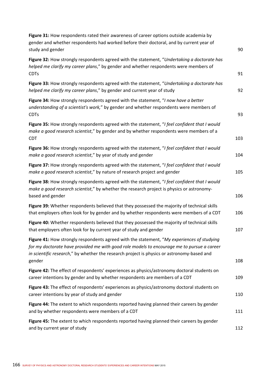| Figure 31: How respondents rated their awareness of career options outside academia by<br>gender and whether respondents had worked before their doctoral, and by current year of<br>study and gender                                                                                            | 90  |
|--------------------------------------------------------------------------------------------------------------------------------------------------------------------------------------------------------------------------------------------------------------------------------------------------|-----|
| Figure 32: How strongly respondents agreed with the statement, "Undertaking a doctorate has<br>helped me clarify my career plans," by gender and whether respondents were members of<br><b>CDTs</b>                                                                                              | 91  |
| Figure 33: How strongly respondents agreed with the statement, "Undertaking a doctorate has<br>helped me clarify my career plans," by gender and current year of study                                                                                                                           | 92  |
| Figure 34: How strongly respondents agreed with the statement, "I now have a better<br>understanding of a scientist's work," by gender and whether respondents were members of<br><b>CDTs</b>                                                                                                    | 93  |
| Figure 35: How strongly respondents agreed with the statement, "I feel confident that I would<br>make a good research scientist," by gender and by whether respondents were members of a<br><b>CDT</b>                                                                                           | 103 |
| Figure 36: How strongly respondents agreed with the statement, "I feel confident that I would<br>make a good research scientist," by year of study and gender                                                                                                                                    | 104 |
| Figure 37: How strongly respondents agreed with the statement, "I feel confident that I would<br>make a good research scientist," by nature of research project and gender                                                                                                                       | 105 |
| Figure 38: How strongly respondents agreed with the statement, "I feel confident that I would<br>make a good research scientist," by whether the research project is physics or astronomy-<br>based and gender                                                                                   | 106 |
| Figure 39: Whether respondents believed that they possessed the majority of technical skills<br>that employers often look for by gender and by whether respondents were members of a CDT                                                                                                         | 106 |
| Figure 40: Whether respondents believed that they possessed the majority of technical skills<br>that employers often look for by current year of study and gender                                                                                                                                | 107 |
| Figure 41: How strongly respondents agreed with the statement, "My experiences of studying<br>for my doctorate have provided me with good role models to encourage me to pursue a career<br>in scientific research," by whether the research project is physics or astronomy-based and<br>gender | 108 |
| Figure 42: The effect of respondents' experiences as physics/astronomy doctoral students on<br>career intentions by gender and by whether respondents are members of a CDT                                                                                                                       | 109 |
| Figure 43: The effect of respondents' experiences as physics/astronomy doctoral students on<br>career intentions by year of study and gender                                                                                                                                                     | 110 |
| Figure 44: The extent to which respondents reported having planned their careers by gender<br>and by whether respondents were members of a CDT                                                                                                                                                   | 111 |
| Figure 45: The extent to which respondents reported having planned their careers by gender<br>and by current year of study                                                                                                                                                                       | 112 |